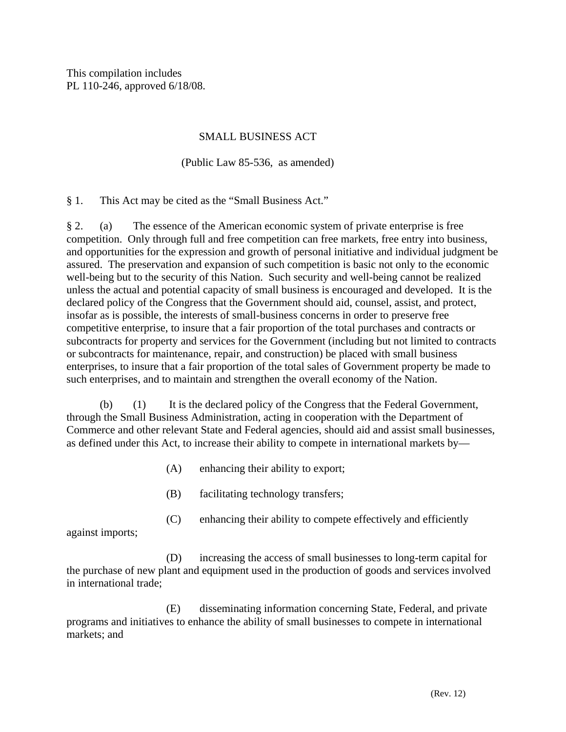This compilation includes PL 110-246, approved 6/18/08.

# SMALL BUSINESS ACT

# (Public Law 85-536, as amended)

§ 1. This Act may be cited as the "Small Business Act."

§ 2. (a) The essence of the American economic system of private enterprise is free competition. Only through full and free competition can free markets, free entry into business, and opportunities for the expression and growth of personal initiative and individual judgment be assured. The preservation and expansion of such competition is basic not only to the economic well-being but to the security of this Nation. Such security and well-being cannot be realized unless the actual and potential capacity of small business is encouraged and developed. It is the declared policy of the Congress that the Government should aid, counsel, assist, and protect, insofar as is possible, the interests of small-business concerns in order to preserve free competitive enterprise, to insure that a fair proportion of the total purchases and contracts or subcontracts for property and services for the Government (including but not limited to contracts or subcontracts for maintenance, repair, and construction) be placed with small business enterprises, to insure that a fair proportion of the total sales of Government property be made to such enterprises, and to maintain and strengthen the overall economy of the Nation.

 (b) (1) It is the declared policy of the Congress that the Federal Government, through the Small Business Administration, acting in cooperation with the Department of Commerce and other relevant State and Federal agencies, should aid and assist small businesses, as defined under this Act, to increase their ability to compete in international markets by—

- (A) enhancing their ability to export;
- (B) facilitating technology transfers;
- (C) enhancing their ability to compete effectively and efficiently

against imports;

 (D) increasing the access of small businesses to long-term capital for the purchase of new plant and equipment used in the production of goods and services involved in international trade;

 (E) disseminating information concerning State, Federal, and private programs and initiatives to enhance the ability of small businesses to compete in international markets; and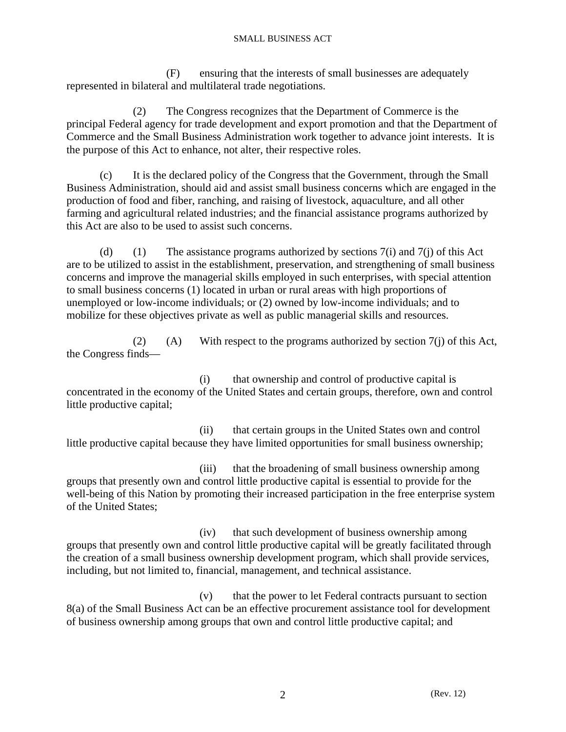(F) ensuring that the interests of small businesses are adequately represented in bilateral and multilateral trade negotiations.

 (2) The Congress recognizes that the Department of Commerce is the principal Federal agency for trade development and export promotion and that the Department of Commerce and the Small Business Administration work together to advance joint interests. It is the purpose of this Act to enhance, not alter, their respective roles.

 (c) It is the declared policy of the Congress that the Government, through the Small Business Administration, should aid and assist small business concerns which are engaged in the production of food and fiber, ranching, and raising of livestock, aquaculture, and all other farming and agricultural related industries; and the financial assistance programs authorized by this Act are also to be used to assist such concerns.

(d) (1) The assistance programs authorized by sections  $7(i)$  and  $7(i)$  of this Act are to be utilized to assist in the establishment, preservation, and strengthening of small business concerns and improve the managerial skills employed in such enterprises, with special attention to small business concerns (1) located in urban or rural areas with high proportions of unemployed or low-income individuals; or (2) owned by low-income individuals; and to mobilize for these objectives private as well as public managerial skills and resources.

(2) (A) With respect to the programs authorized by section  $7(i)$  of this Act, the Congress finds—

 (i) that ownership and control of productive capital is concentrated in the economy of the United States and certain groups, therefore, own and control little productive capital;

 (ii) that certain groups in the United States own and control little productive capital because they have limited opportunities for small business ownership;

 (iii) that the broadening of small business ownership among groups that presently own and control little productive capital is essential to provide for the well-being of this Nation by promoting their increased participation in the free enterprise system of the United States;

 (iv) that such development of business ownership among groups that presently own and control little productive capital will be greatly facilitated through the creation of a small business ownership development program, which shall provide services, including, but not limited to, financial, management, and technical assistance.

 (v) that the power to let Federal contracts pursuant to section 8(a) of the Small Business Act can be an effective procurement assistance tool for development of business ownership among groups that own and control little productive capital; and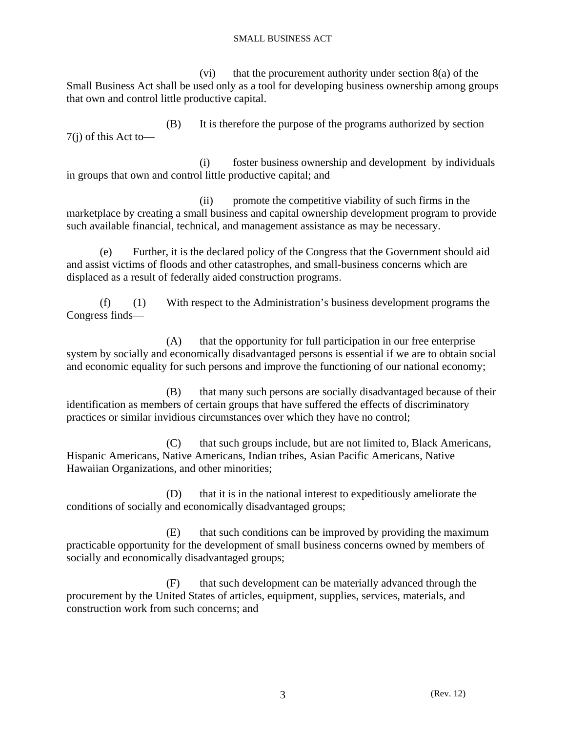(vi) that the procurement authority under section  $8(a)$  of the Small Business Act shall be used only as a tool for developing business ownership among groups that own and control little productive capital.

 (B) It is therefore the purpose of the programs authorized by section 7(j) of this Act to—

 (i) foster business ownership and development by individuals in groups that own and control little productive capital; and

 (ii) promote the competitive viability of such firms in the marketplace by creating a small business and capital ownership development program to provide such available financial, technical, and management assistance as may be necessary.

 (e) Further, it is the declared policy of the Congress that the Government should aid and assist victims of floods and other catastrophes, and small-business concerns which are displaced as a result of federally aided construction programs.

 (f) (1) With respect to the Administration's business development programs the Congress finds—

 (A) that the opportunity for full participation in our free enterprise system by socially and economically disadvantaged persons is essential if we are to obtain social and economic equality for such persons and improve the functioning of our national economy;

 (B) that many such persons are socially disadvantaged because of their identification as members of certain groups that have suffered the effects of discriminatory practices or similar invidious circumstances over which they have no control;

 (C) that such groups include, but are not limited to, Black Americans, Hispanic Americans, Native Americans, Indian tribes, Asian Pacific Americans, Native Hawaiian Organizations, and other minorities;

 (D) that it is in the national interest to expeditiously ameliorate the conditions of socially and economically disadvantaged groups;

 (E) that such conditions can be improved by providing the maximum practicable opportunity for the development of small business concerns owned by members of socially and economically disadvantaged groups;

 (F) that such development can be materially advanced through the procurement by the United States of articles, equipment, supplies, services, materials, and construction work from such concerns; and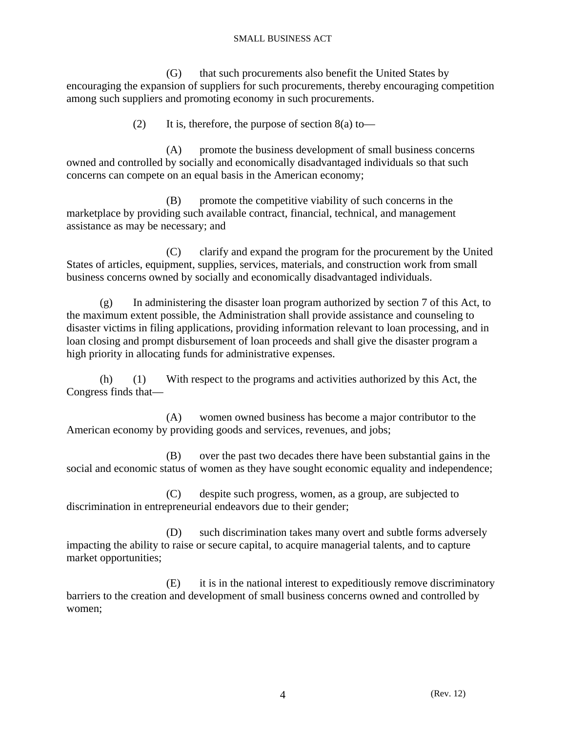(G) that such procurements also benefit the United States by encouraging the expansion of suppliers for such procurements, thereby encouraging competition among such suppliers and promoting economy in such procurements.

(2) It is, therefore, the purpose of section  $8(a)$  to—

 (A) promote the business development of small business concerns owned and controlled by socially and economically disadvantaged individuals so that such concerns can compete on an equal basis in the American economy;

 (B) promote the competitive viability of such concerns in the marketplace by providing such available contract, financial, technical, and management assistance as may be necessary; and

 (C) clarify and expand the program for the procurement by the United States of articles, equipment, supplies, services, materials, and construction work from small business concerns owned by socially and economically disadvantaged individuals.

 (g) In administering the disaster loan program authorized by section 7 of this Act, to the maximum extent possible, the Administration shall provide assistance and counseling to disaster victims in filing applications, providing information relevant to loan processing, and in loan closing and prompt disbursement of loan proceeds and shall give the disaster program a high priority in allocating funds for administrative expenses.

 (h) (1) With respect to the programs and activities authorized by this Act, the Congress finds that—

 (A) women owned business has become a major contributor to the American economy by providing goods and services, revenues, and jobs;

 (B) over the past two decades there have been substantial gains in the social and economic status of women as they have sought economic equality and independence;

 (C) despite such progress, women, as a group, are subjected to discrimination in entrepreneurial endeavors due to their gender;

 (D) such discrimination takes many overt and subtle forms adversely impacting the ability to raise or secure capital, to acquire managerial talents, and to capture market opportunities;

 (E) it is in the national interest to expeditiously remove discriminatory barriers to the creation and development of small business concerns owned and controlled by women;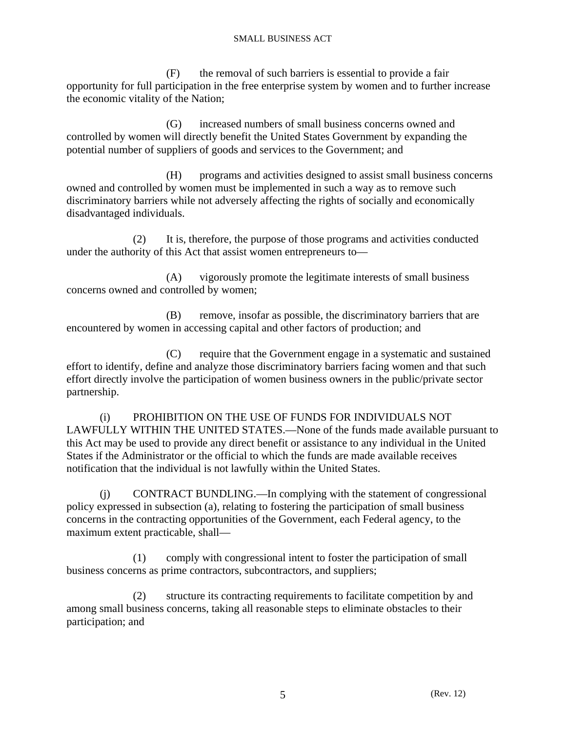(F) the removal of such barriers is essential to provide a fair opportunity for full participation in the free enterprise system by women and to further increase the economic vitality of the Nation;

 (G) increased numbers of small business concerns owned and controlled by women will directly benefit the United States Government by expanding the potential number of suppliers of goods and services to the Government; and

 (H) programs and activities designed to assist small business concerns owned and controlled by women must be implemented in such a way as to remove such discriminatory barriers while not adversely affecting the rights of socially and economically disadvantaged individuals.

 (2) It is, therefore, the purpose of those programs and activities conducted under the authority of this Act that assist women entrepreneurs to—

 (A) vigorously promote the legitimate interests of small business concerns owned and controlled by women;

 (B) remove, insofar as possible, the discriminatory barriers that are encountered by women in accessing capital and other factors of production; and

 (C) require that the Government engage in a systematic and sustained effort to identify, define and analyze those discriminatory barriers facing women and that such effort directly involve the participation of women business owners in the public/private sector partnership.

 (i) PROHIBITION ON THE USE OF FUNDS FOR INDIVIDUALS NOT LAWFULLY WITHIN THE UNITED STATES.—None of the funds made available pursuant to this Act may be used to provide any direct benefit or assistance to any individual in the United States if the Administrator or the official to which the funds are made available receives notification that the individual is not lawfully within the United States.

 (j) CONTRACT BUNDLING.—In complying with the statement of congressional policy expressed in subsection (a), relating to fostering the participation of small business concerns in the contracting opportunities of the Government, each Federal agency, to the maximum extent practicable, shall—

 (1) comply with congressional intent to foster the participation of small business concerns as prime contractors, subcontractors, and suppliers;

 (2) structure its contracting requirements to facilitate competition by and among small business concerns, taking all reasonable steps to eliminate obstacles to their participation; and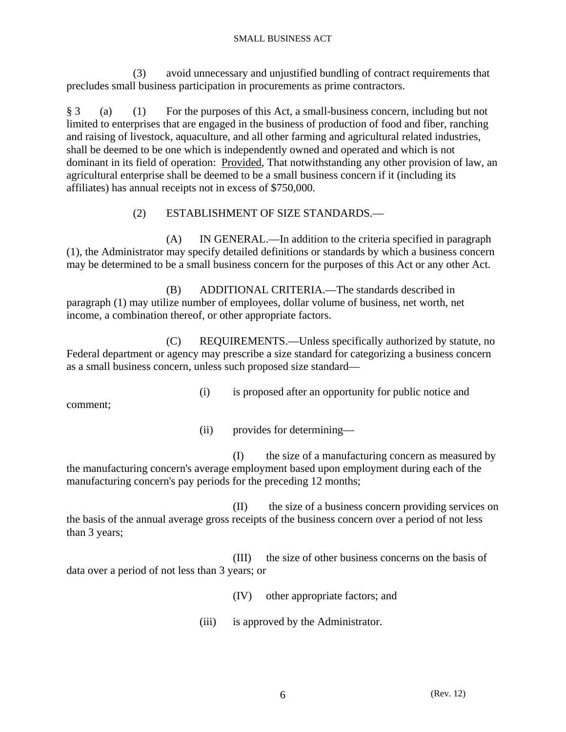(3) avoid unnecessary and unjustified bundling of contract requirements that precludes small business participation in procurements as prime contractors.

§ 3 (a) (1) For the purposes of this Act, a small-business concern, including but not limited to enterprises that are engaged in the business of production of food and fiber, ranching and raising of livestock, aquaculture, and all other farming and agricultural related industries, shall be deemed to be one which is independently owned and operated and which is not dominant in its field of operation: Provided, That notwithstanding any other provision of law, an agricultural enterprise shall be deemed to be a small business concern if it (including its affiliates) has annual receipts not in excess of \$750,000.

# (2) ESTABLISHMENT OF SIZE STANDARDS.—

 (A) IN GENERAL.—In addition to the criteria specified in paragraph (1), the Administrator may specify detailed definitions or standards by which a business concern may be determined to be a small business concern for the purposes of this Act or any other Act.

 (B) ADDITIONAL CRITERIA.—The standards described in paragraph (1) may utilize number of employees, dollar volume of business, net worth, net income, a combination thereof, or other appropriate factors.

 (C) REQUIREMENTS.—Unless specifically authorized by statute, no Federal department or agency may prescribe a size standard for categorizing a business concern as a small business concern, unless such proposed size standard—

(i) is proposed after an opportunity for public notice and

comment;

(ii) provides for determining—

 (I) the size of a manufacturing concern as measured by the manufacturing concern's average employment based upon employment during each of the manufacturing concern's pay periods for the preceding 12 months;

 (II) the size of a business concern providing services on the basis of the annual average gross receipts of the business concern over a period of not less than 3 years;

 (III) the size of other business concerns on the basis of data over a period of not less than 3 years; or

(IV) other appropriate factors; and

(iii) is approved by the Administrator.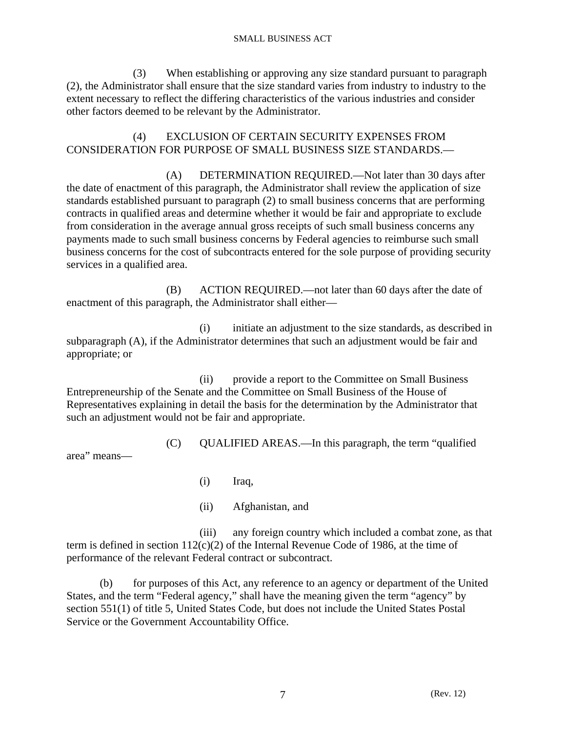(3) When establishing or approving any size standard pursuant to paragraph (2), the Administrator shall ensure that the size standard varies from industry to industry to the extent necessary to reflect the differing characteristics of the various industries and consider other factors deemed to be relevant by the Administrator.

 (4) EXCLUSION OF CERTAIN SECURITY EXPENSES FROM CONSIDERATION FOR PURPOSE OF SMALL BUSINESS SIZE STANDARDS.—

 (A) DETERMINATION REQUIRED.—Not later than 30 days after the date of enactment of this paragraph, the Administrator shall review the application of size standards established pursuant to paragraph (2) to small business concerns that are performing contracts in qualified areas and determine whether it would be fair and appropriate to exclude from consideration in the average annual gross receipts of such small business concerns any payments made to such small business concerns by Federal agencies to reimburse such small business concerns for the cost of subcontracts entered for the sole purpose of providing security services in a qualified area.

 (B) ACTION REQUIRED.—not later than 60 days after the date of enactment of this paragraph, the Administrator shall either—

 (i) initiate an adjustment to the size standards, as described in subparagraph (A), if the Administrator determines that such an adjustment would be fair and appropriate; or

 (ii) provide a report to the Committee on Small Business Entrepreneurship of the Senate and the Committee on Small Business of the House of Representatives explaining in detail the basis for the determination by the Administrator that such an adjustment would not be fair and appropriate.

(C) QUALIFIED AREAS.—In this paragraph, the term "qualified

area" means—

(i) Iraq,

(ii) Afghanistan, and

 (iii) any foreign country which included a combat zone, as that term is defined in section  $112(c)(2)$  of the Internal Revenue Code of 1986, at the time of performance of the relevant Federal contract or subcontract.

 (b) for purposes of this Act, any reference to an agency or department of the United States, and the term "Federal agency," shall have the meaning given the term "agency" by section 551(1) of title 5, United States Code, but does not include the United States Postal Service or the Government Accountability Office.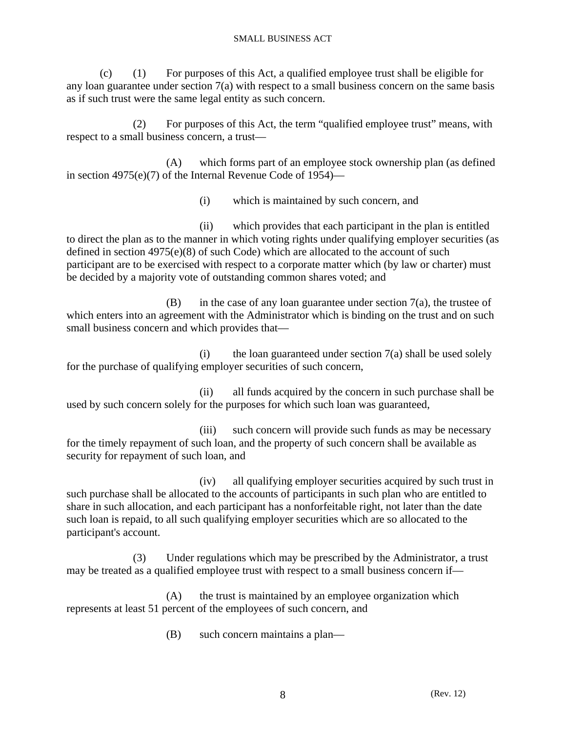(c) (1) For purposes of this Act, a qualified employee trust shall be eligible for any loan guarantee under section  $7(a)$  with respect to a small business concern on the same basis as if such trust were the same legal entity as such concern.

 (2) For purposes of this Act, the term "qualified employee trust" means, with respect to a small business concern, a trust—

 (A) which forms part of an employee stock ownership plan (as defined in section 4975(e)(7) of the Internal Revenue Code of 1954)—

(i) which is maintained by such concern, and

 (ii) which provides that each participant in the plan is entitled to direct the plan as to the manner in which voting rights under qualifying employer securities (as defined in section 4975(e)(8) of such Code) which are allocated to the account of such participant are to be exercised with respect to a corporate matter which (by law or charter) must be decided by a majority vote of outstanding common shares voted; and

 $(B)$  in the case of any loan guarantee under section  $7(a)$ , the trustee of which enters into an agreement with the Administrator which is binding on the trust and on such small business concern and which provides that—

 $(i)$  the loan guaranteed under section  $7(a)$  shall be used solely for the purchase of qualifying employer securities of such concern,

 (ii) all funds acquired by the concern in such purchase shall be used by such concern solely for the purposes for which such loan was guaranteed,

 (iii) such concern will provide such funds as may be necessary for the timely repayment of such loan, and the property of such concern shall be available as security for repayment of such loan, and

 (iv) all qualifying employer securities acquired by such trust in such purchase shall be allocated to the accounts of participants in such plan who are entitled to share in such allocation, and each participant has a nonforfeitable right, not later than the date such loan is repaid, to all such qualifying employer securities which are so allocated to the participant's account.

 (3) Under regulations which may be prescribed by the Administrator, a trust may be treated as a qualified employee trust with respect to a small business concern if—

 (A) the trust is maintained by an employee organization which represents at least 51 percent of the employees of such concern, and

(B) such concern maintains a plan—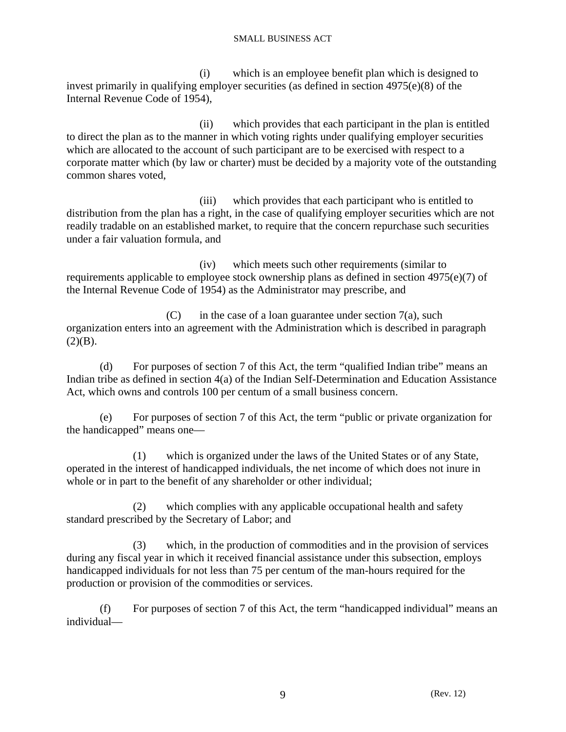(i) which is an employee benefit plan which is designed to invest primarily in qualifying employer securities (as defined in section 4975(e)(8) of the Internal Revenue Code of 1954),

 (ii) which provides that each participant in the plan is entitled to direct the plan as to the manner in which voting rights under qualifying employer securities which are allocated to the account of such participant are to be exercised with respect to a corporate matter which (by law or charter) must be decided by a majority vote of the outstanding common shares voted,

 (iii) which provides that each participant who is entitled to distribution from the plan has a right, in the case of qualifying employer securities which are not readily tradable on an established market, to require that the concern repurchase such securities under a fair valuation formula, and

 (iv) which meets such other requirements (similar to requirements applicable to employee stock ownership plans as defined in section 4975(e)(7) of the Internal Revenue Code of 1954) as the Administrator may prescribe, and

 $(C)$  in the case of a loan guarantee under section 7(a), such organization enters into an agreement with the Administration which is described in paragraph  $(2)(B)$ .

 (d) For purposes of section 7 of this Act, the term "qualified Indian tribe" means an Indian tribe as defined in section 4(a) of the Indian Self-Determination and Education Assistance Act, which owns and controls 100 per centum of a small business concern.

 (e) For purposes of section 7 of this Act, the term "public or private organization for the handicapped" means one—

 (1) which is organized under the laws of the United States or of any State, operated in the interest of handicapped individuals, the net income of which does not inure in whole or in part to the benefit of any shareholder or other individual;

 (2) which complies with any applicable occupational health and safety standard prescribed by the Secretary of Labor; and

 (3) which, in the production of commodities and in the provision of services during any fiscal year in which it received financial assistance under this subsection, employs handicapped individuals for not less than 75 per centum of the man-hours required for the production or provision of the commodities or services.

 (f) For purposes of section 7 of this Act, the term "handicapped individual" means an individual—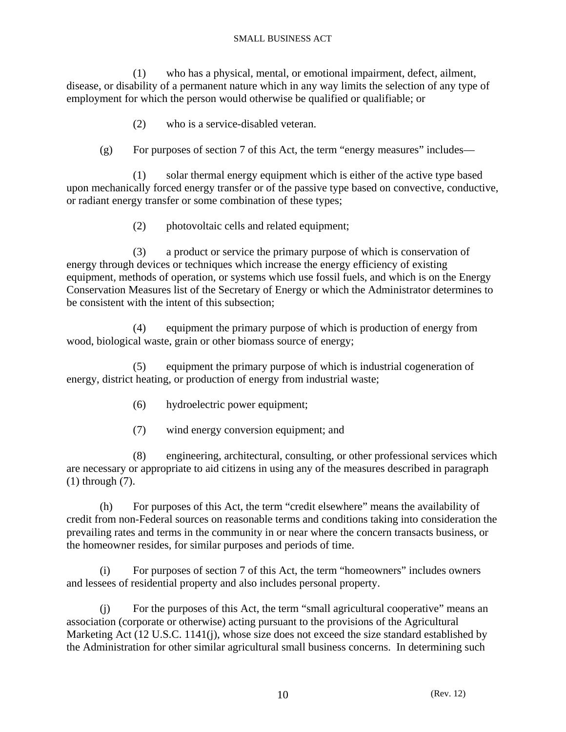(1) who has a physical, mental, or emotional impairment, defect, ailment, disease, or disability of a permanent nature which in any way limits the selection of any type of employment for which the person would otherwise be qualified or qualifiable; or

- (2) who is a service-disabled veteran.
- (g) For purposes of section 7 of this Act, the term "energy measures" includes—

 (1) solar thermal energy equipment which is either of the active type based upon mechanically forced energy transfer or of the passive type based on convective, conductive, or radiant energy transfer or some combination of these types;

(2) photovoltaic cells and related equipment;

 (3) a product or service the primary purpose of which is conservation of energy through devices or techniques which increase the energy efficiency of existing equipment, methods of operation, or systems which use fossil fuels, and which is on the Energy Conservation Measures list of the Secretary of Energy or which the Administrator determines to be consistent with the intent of this subsection;

 (4) equipment the primary purpose of which is production of energy from wood, biological waste, grain or other biomass source of energy;

 (5) equipment the primary purpose of which is industrial cogeneration of energy, district heating, or production of energy from industrial waste;

- (6) hydroelectric power equipment;
- (7) wind energy conversion equipment; and

 (8) engineering, architectural, consulting, or other professional services which are necessary or appropriate to aid citizens in using any of the measures described in paragraph (1) through (7).

 (h) For purposes of this Act, the term "credit elsewhere" means the availability of credit from non-Federal sources on reasonable terms and conditions taking into consideration the prevailing rates and terms in the community in or near where the concern transacts business, or the homeowner resides, for similar purposes and periods of time.

 (i) For purposes of section 7 of this Act, the term "homeowners" includes owners and lessees of residential property and also includes personal property.

 (j) For the purposes of this Act, the term "small agricultural cooperative" means an association (corporate or otherwise) acting pursuant to the provisions of the Agricultural Marketing Act (12 U.S.C. 1141(j), whose size does not exceed the size standard established by the Administration for other similar agricultural small business concerns. In determining such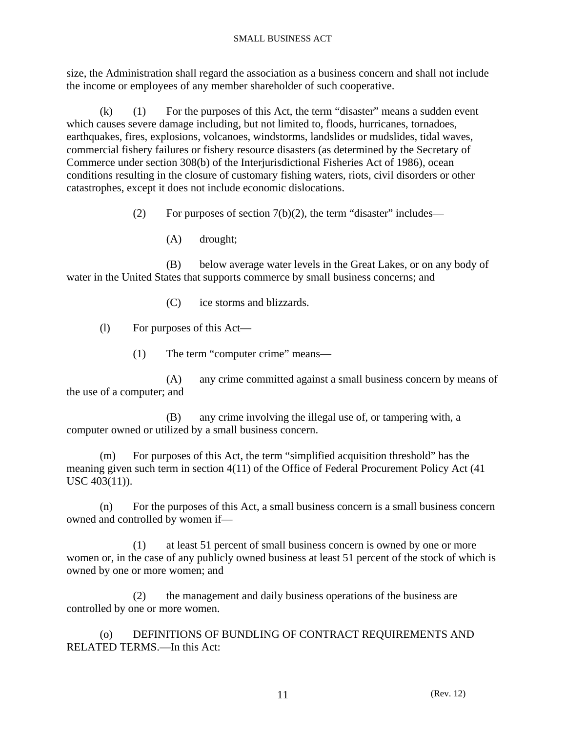size, the Administration shall regard the association as a business concern and shall not include the income or employees of any member shareholder of such cooperative.

 (k) (1) For the purposes of this Act, the term "disaster" means a sudden event which causes severe damage including, but not limited to, floods, hurricanes, tornadoes, earthquakes, fires, explosions, volcanoes, windstorms, landslides or mudslides, tidal waves, commercial fishery failures or fishery resource disasters (as determined by the Secretary of Commerce under section 308(b) of the Interjurisdictional Fisheries Act of 1986), ocean conditions resulting in the closure of customary fishing waters, riots, civil disorders or other catastrophes, except it does not include economic dislocations.

(2) For purposes of section  $7(b)(2)$ , the term "disaster" includes—

(A) drought;

 (B) below average water levels in the Great Lakes, or on any body of water in the United States that supports commerce by small business concerns; and

(C) ice storms and blizzards.

(l) For purposes of this Act—

(1) The term "computer crime" means—

 (A) any crime committed against a small business concern by means of the use of a computer; and

 (B) any crime involving the illegal use of, or tampering with, a computer owned or utilized by a small business concern.

 (m) For purposes of this Act, the term "simplified acquisition threshold" has the meaning given such term in section 4(11) of the Office of Federal Procurement Policy Act (41 USC 403(11)).

 (n) For the purposes of this Act, a small business concern is a small business concern owned and controlled by women if—

 (1) at least 51 percent of small business concern is owned by one or more women or, in the case of any publicly owned business at least 51 percent of the stock of which is owned by one or more women; and

 (2) the management and daily business operations of the business are controlled by one or more women.

 (o) DEFINITIONS OF BUNDLING OF CONTRACT REQUIREMENTS AND RELATED TERMS.—In this Act: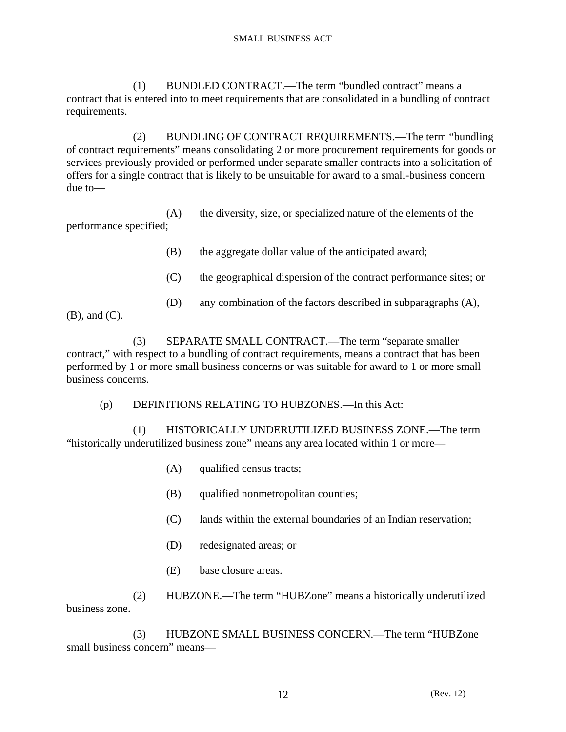(1) BUNDLED CONTRACT.—The term "bundled contract" means a contract that is entered into to meet requirements that are consolidated in a bundling of contract requirements.

 (2) BUNDLING OF CONTRACT REQUIREMENTS.—The term "bundling of contract requirements" means consolidating 2 or more procurement requirements for goods or services previously provided or performed under separate smaller contracts into a solicitation of offers for a single contract that is likely to be unsuitable for award to a small-business concern due to—

 (A) the diversity, size, or specialized nature of the elements of the performance specified;

(B) the aggregate dollar value of the anticipated award;

- (C) the geographical dispersion of the contract performance sites; or
- (D) any combination of the factors described in subparagraphs (A),

(B), and (C).

 (3) SEPARATE SMALL CONTRACT.—The term "separate smaller contract," with respect to a bundling of contract requirements, means a contract that has been performed by 1 or more small business concerns or was suitable for award to 1 or more small business concerns.

(p) DEFINITIONS RELATING TO HUBZONES.—In this Act:

 (1) HISTORICALLY UNDERUTILIZED BUSINESS ZONE.—The term "historically underutilized business zone" means any area located within 1 or more—

- (A) qualified census tracts;
- (B) qualified nonmetropolitan counties;
- (C) lands within the external boundaries of an Indian reservation;
- (D) redesignated areas; or
- (E) base closure areas.

 (2) HUBZONE.—The term "HUBZone" means a historically underutilized business zone.

 (3) HUBZONE SMALL BUSINESS CONCERN.—The term "HUBZone small business concern" means—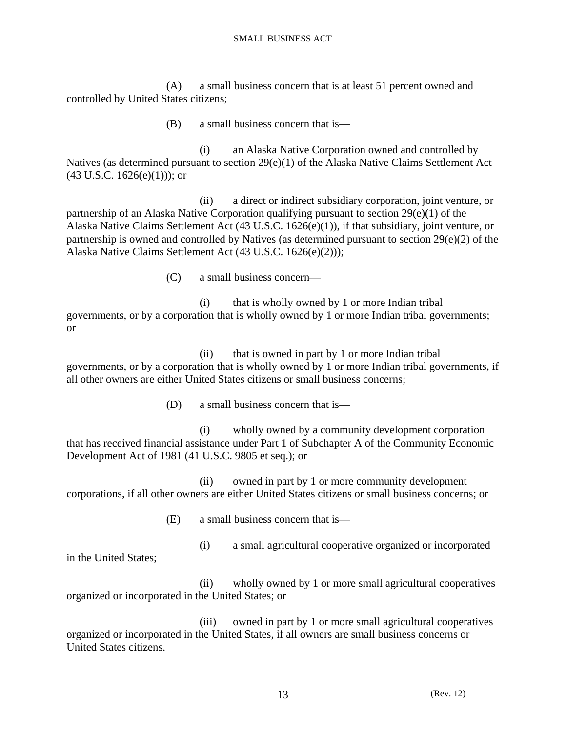(A) a small business concern that is at least 51 percent owned and controlled by United States citizens;

(B) a small business concern that is—

 (i) an Alaska Native Corporation owned and controlled by Natives (as determined pursuant to section 29(e)(1) of the Alaska Native Claims Settlement Act  $(43 \text{ U.S.C. } 1626(e)(1))$ ; or

 (ii) a direct or indirect subsidiary corporation, joint venture, or partnership of an Alaska Native Corporation qualifying pursuant to section 29(e)(1) of the Alaska Native Claims Settlement Act (43 U.S.C. 1626(e)(1)), if that subsidiary, joint venture, or partnership is owned and controlled by Natives (as determined pursuant to section 29(e)(2) of the Alaska Native Claims Settlement Act (43 U.S.C. 1626(e)(2)));

(C) a small business concern—

 (i) that is wholly owned by 1 or more Indian tribal governments, or by a corporation that is wholly owned by 1 or more Indian tribal governments; or

 (ii) that is owned in part by 1 or more Indian tribal governments, or by a corporation that is wholly owned by 1 or more Indian tribal governments, if all other owners are either United States citizens or small business concerns;

(D) a small business concern that is—

 (i) wholly owned by a community development corporation that has received financial assistance under Part 1 of Subchapter A of the Community Economic Development Act of 1981 (41 U.S.C. 9805 et seq.); or

 (ii) owned in part by 1 or more community development corporations, if all other owners are either United States citizens or small business concerns; or

(E) a small business concern that is—

(i) a small agricultural cooperative organized or incorporated

in the United States;

 (ii) wholly owned by 1 or more small agricultural cooperatives organized or incorporated in the United States; or

 (iii) owned in part by 1 or more small agricultural cooperatives organized or incorporated in the United States, if all owners are small business concerns or United States citizens.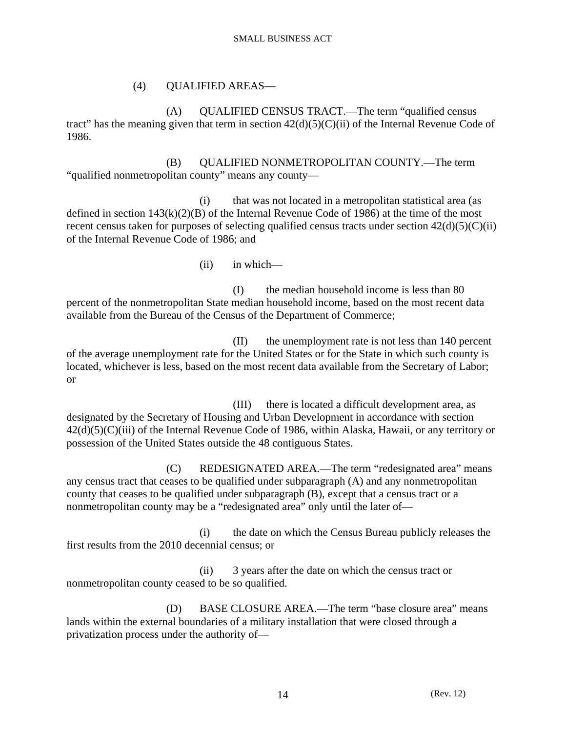# (4) QUALIFIED AREAS—

 (A) QUALIFIED CENSUS TRACT.—The term "qualified census tract" has the meaning given that term in section  $42(d)(5)(C)(ii)$  of the Internal Revenue Code of 1986.

 (B) QUALIFIED NONMETROPOLITAN COUNTY.—The term "qualified nonmetropolitan county" means any county—

 (i) that was not located in a metropolitan statistical area (as defined in section  $143(k)(2)(B)$  of the Internal Revenue Code of 1986) at the time of the most recent census taken for purposes of selecting qualified census tracts under section  $42(d)(5)(C)(ii)$ of the Internal Revenue Code of 1986; and

(ii) in which—

 (I) the median household income is less than 80 percent of the nonmetropolitan State median household income, based on the most recent data available from the Bureau of the Census of the Department of Commerce;

 (II) the unemployment rate is not less than 140 percent of the average unemployment rate for the United States or for the State in which such county is located, whichever is less, based on the most recent data available from the Secretary of Labor; or

 (III) there is located a difficult development area, as designated by the Secretary of Housing and Urban Development in accordance with section 42(d)(5)(C)(iii) of the Internal Revenue Code of 1986, within Alaska, Hawaii, or any territory or possession of the United States outside the 48 contiguous States.

 (C) REDESIGNATED AREA.—The term "redesignated area" means any census tract that ceases to be qualified under subparagraph (A) and any nonmetropolitan county that ceases to be qualified under subparagraph (B), except that a census tract or a nonmetropolitan county may be a "redesignated area" only until the later of—

 (i) the date on which the Census Bureau publicly releases the first results from the 2010 decennial census; or

 (ii) 3 years after the date on which the census tract or nonmetropolitan county ceased to be so qualified.

 (D) BASE CLOSURE AREA.—The term "base closure area" means lands within the external boundaries of a military installation that were closed through a privatization process under the authority of—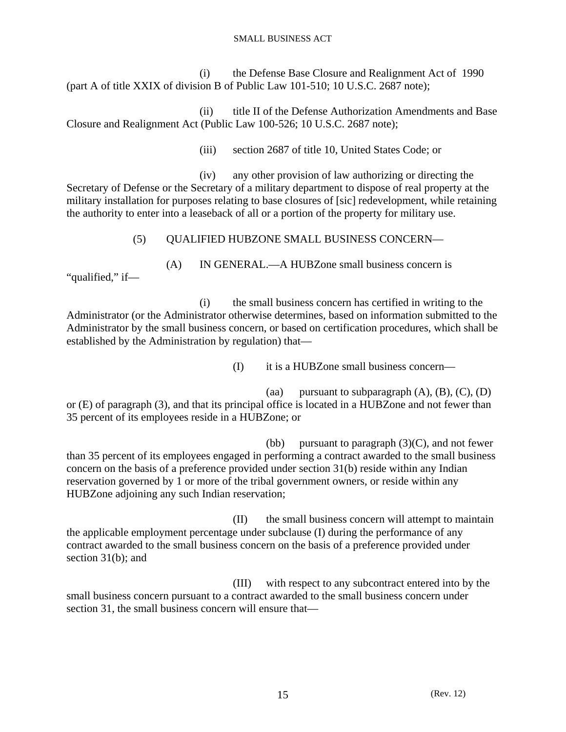(i) the Defense Base Closure and Realignment Act of 1990 (part A of title XXIX of division B of Public Law 101-510; 10 U.S.C. 2687 note);

 (ii) title II of the Defense Authorization Amendments and Base Closure and Realignment Act (Public Law 100-526; 10 U.S.C. 2687 note);

(iii) section 2687 of title 10, United States Code; or

 (iv) any other provision of law authorizing or directing the Secretary of Defense or the Secretary of a military department to dispose of real property at the military installation for purposes relating to base closures of [sic] redevelopment, while retaining the authority to enter into a leaseback of all or a portion of the property for military use.

(5) QUALIFIED HUBZONE SMALL BUSINESS CONCERN—

(A) IN GENERAL.—A HUBZone small business concern is

 (i) the small business concern has certified in writing to the Administrator (or the Administrator otherwise determines, based on information submitted to the Administrator by the small business concern, or based on certification procedures, which shall be established by the Administration by regulation) that—

"qualified," if—

(I) it is a HUBZone small business concern—

(aa) pursuant to subparagraph  $(A)$ ,  $(B)$ ,  $(C)$ ,  $(D)$ or (E) of paragraph (3), and that its principal office is located in a HUBZone and not fewer than 35 percent of its employees reside in a HUBZone; or

(bb) pursuant to paragraph  $(3)(C)$ , and not fewer than 35 percent of its employees engaged in performing a contract awarded to the small business concern on the basis of a preference provided under section 31(b) reside within any Indian reservation governed by 1 or more of the tribal government owners, or reside within any HUBZone adjoining any such Indian reservation;

 (II) the small business concern will attempt to maintain the applicable employment percentage under subclause (I) during the performance of any contract awarded to the small business concern on the basis of a preference provided under section 31(b); and

 (III) with respect to any subcontract entered into by the small business concern pursuant to a contract awarded to the small business concern under section 31, the small business concern will ensure that—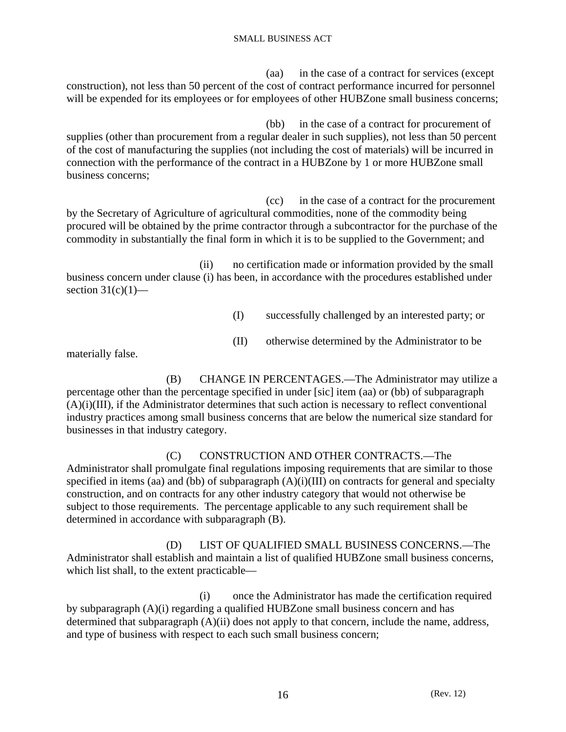(aa) in the case of a contract for services (except construction), not less than 50 percent of the cost of contract performance incurred for personnel will be expended for its employees or for employees of other HUBZone small business concerns;

 (bb) in the case of a contract for procurement of supplies (other than procurement from a regular dealer in such supplies), not less than 50 percent of the cost of manufacturing the supplies (not including the cost of materials) will be incurred in connection with the performance of the contract in a HUBZone by 1 or more HUBZone small business concerns;

 (cc) in the case of a contract for the procurement by the Secretary of Agriculture of agricultural commodities, none of the commodity being procured will be obtained by the prime contractor through a subcontractor for the purchase of the commodity in substantially the final form in which it is to be supplied to the Government; and

 (ii) no certification made or information provided by the small business concern under clause (i) has been, in accordance with the procedures established under section  $31(c)(1)$ —

- (I) successfully challenged by an interested party; or
- (II) otherwise determined by the Administrator to be

materially false.

 (B) CHANGE IN PERCENTAGES.—The Administrator may utilize a percentage other than the percentage specified in under [sic] item (aa) or (bb) of subparagraph (A)(i)(III), if the Administrator determines that such action is necessary to reflect conventional industry practices among small business concerns that are below the numerical size standard for businesses in that industry category.

 (C) CONSTRUCTION AND OTHER CONTRACTS.—The Administrator shall promulgate final regulations imposing requirements that are similar to those specified in items (aa) and (bb) of subparagraph  $(A)(i)(III)$  on contracts for general and specialty construction, and on contracts for any other industry category that would not otherwise be subject to those requirements. The percentage applicable to any such requirement shall be determined in accordance with subparagraph (B).

 (D) LIST OF QUALIFIED SMALL BUSINESS CONCERNS.—The Administrator shall establish and maintain a list of qualified HUBZone small business concerns, which list shall, to the extent practicable—

 (i) once the Administrator has made the certification required by subparagraph (A)(i) regarding a qualified HUBZone small business concern and has determined that subparagraph (A)(ii) does not apply to that concern, include the name, address, and type of business with respect to each such small business concern;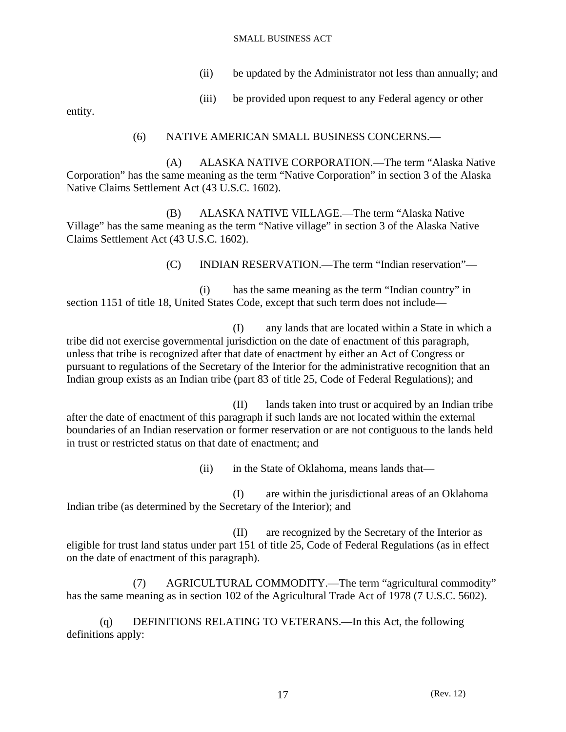- (ii) be updated by the Administrator not less than annually; and
- (iii) be provided upon request to any Federal agency or other

entity.

# (6) NATIVE AMERICAN SMALL BUSINESS CONCERNS.—

 (A) ALASKA NATIVE CORPORATION.—The term "Alaska Native Corporation" has the same meaning as the term "Native Corporation" in section 3 of the Alaska Native Claims Settlement Act (43 U.S.C. 1602).

 (B) ALASKA NATIVE VILLAGE.—The term "Alaska Native Village" has the same meaning as the term "Native village" in section 3 of the Alaska Native Claims Settlement Act (43 U.S.C. 1602).

(C) INDIAN RESERVATION.—The term "Indian reservation"—

 (i) has the same meaning as the term "Indian country" in section 1151 of title 18, United States Code, except that such term does not include—

 (I) any lands that are located within a State in which a tribe did not exercise governmental jurisdiction on the date of enactment of this paragraph, unless that tribe is recognized after that date of enactment by either an Act of Congress or pursuant to regulations of the Secretary of the Interior for the administrative recognition that an Indian group exists as an Indian tribe (part 83 of title 25, Code of Federal Regulations); and

 (II) lands taken into trust or acquired by an Indian tribe after the date of enactment of this paragraph if such lands are not located within the external boundaries of an Indian reservation or former reservation or are not contiguous to the lands held in trust or restricted status on that date of enactment; and

(ii) in the State of Oklahoma, means lands that—

 (I) are within the jurisdictional areas of an Oklahoma Indian tribe (as determined by the Secretary of the Interior); and

 (II) are recognized by the Secretary of the Interior as eligible for trust land status under part 151 of title 25, Code of Federal Regulations (as in effect on the date of enactment of this paragraph).

 (7) AGRICULTURAL COMMODITY.—The term "agricultural commodity" has the same meaning as in section 102 of the Agricultural Trade Act of 1978 (7 U.S.C. 5602).

 (q) DEFINITIONS RELATING TO VETERANS.—In this Act, the following definitions apply: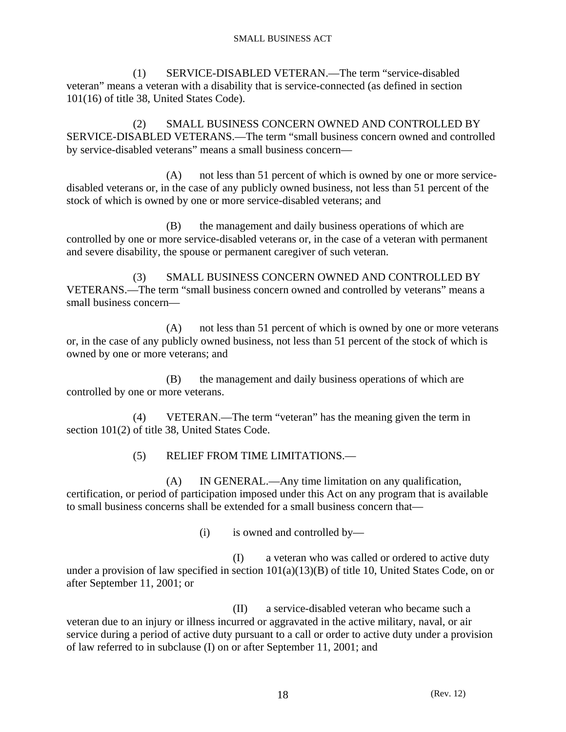(1) SERVICE-DISABLED VETERAN.—The term "service-disabled veteran" means a veteran with a disability that is service-connected (as defined in section 101(16) of title 38, United States Code).

 (2) SMALL BUSINESS CONCERN OWNED AND CONTROLLED BY SERVICE-DISABLED VETERANS.—The term "small business concern owned and controlled by service-disabled veterans" means a small business concern—

 (A) not less than 51 percent of which is owned by one or more servicedisabled veterans or, in the case of any publicly owned business, not less than 51 percent of the stock of which is owned by one or more service-disabled veterans; and

 (B) the management and daily business operations of which are controlled by one or more service-disabled veterans or, in the case of a veteran with permanent and severe disability, the spouse or permanent caregiver of such veteran.

 (3) SMALL BUSINESS CONCERN OWNED AND CONTROLLED BY VETERANS.—The term "small business concern owned and controlled by veterans" means a small business concern—

 (A) not less than 51 percent of which is owned by one or more veterans or, in the case of any publicly owned business, not less than 51 percent of the stock of which is owned by one or more veterans; and

 (B) the management and daily business operations of which are controlled by one or more veterans.

 (4) VETERAN.—The term "veteran" has the meaning given the term in section 101(2) of title 38, United States Code.

(5) RELIEF FROM TIME LIMITATIONS.—

 (A) IN GENERAL.—Any time limitation on any qualification, certification, or period of participation imposed under this Act on any program that is available to small business concerns shall be extended for a small business concern that—

(i) is owned and controlled by—

 (I) a veteran who was called or ordered to active duty under a provision of law specified in section 101(a)(13)(B) of title 10, United States Code, on or after September 11, 2001; or

 (II) a service-disabled veteran who became such a veteran due to an injury or illness incurred or aggravated in the active military, naval, or air service during a period of active duty pursuant to a call or order to active duty under a provision of law referred to in subclause (I) on or after September 11, 2001; and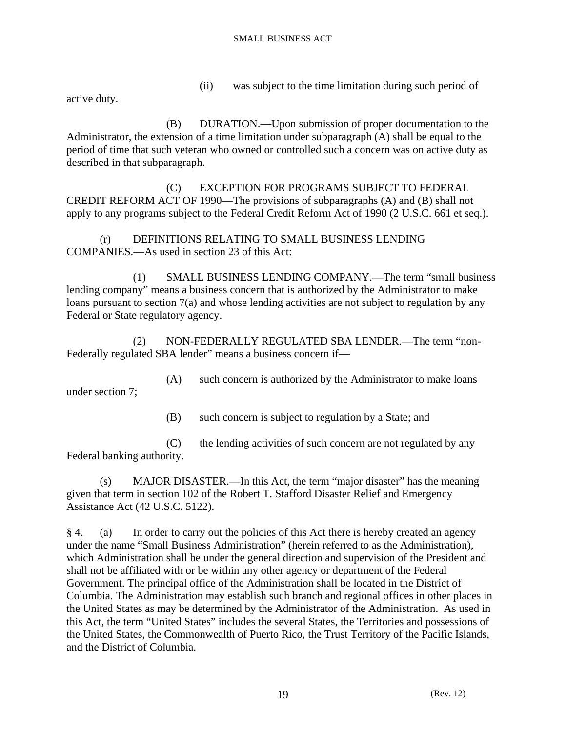(ii) was subject to the time limitation during such period of

active duty.

 (B) DURATION.—Upon submission of proper documentation to the Administrator, the extension of a time limitation under subparagraph (A) shall be equal to the period of time that such veteran who owned or controlled such a concern was on active duty as described in that subparagraph.

 (C) EXCEPTION FOR PROGRAMS SUBJECT TO FEDERAL CREDIT REFORM ACT OF 1990—The provisions of subparagraphs (A) and (B) shall not apply to any programs subject to the Federal Credit Reform Act of 1990 (2 U.S.C. 661 et seq.).

 (r) DEFINITIONS RELATING TO SMALL BUSINESS LENDING COMPANIES.—As used in section 23 of this Act:

 (1) SMALL BUSINESS LENDING COMPANY.—The term "small business lending company" means a business concern that is authorized by the Administrator to make loans pursuant to section 7(a) and whose lending activities are not subject to regulation by any Federal or State regulatory agency.

 (2) NON-FEDERALLY REGULATED SBA LENDER.—The term "non-Federally regulated SBA lender" means a business concern if—

 (A) such concern is authorized by the Administrator to make loans under section 7;

(B) such concern is subject to regulation by a State; and

 (C) the lending activities of such concern are not regulated by any Federal banking authority.

 (s) MAJOR DISASTER.—In this Act, the term "major disaster" has the meaning given that term in section 102 of the Robert T. Stafford Disaster Relief and Emergency Assistance Act (42 U.S.C. 5122).

§ 4. (a) In order to carry out the policies of this Act there is hereby created an agency under the name "Small Business Administration" (herein referred to as the Administration), which Administration shall be under the general direction and supervision of the President and shall not be affiliated with or be within any other agency or department of the Federal Government. The principal office of the Administration shall be located in the District of Columbia. The Administration may establish such branch and regional offices in other places in the United States as may be determined by the Administrator of the Administration. As used in this Act, the term "United States" includes the several States, the Territories and possessions of the United States, the Commonwealth of Puerto Rico, the Trust Territory of the Pacific Islands, and the District of Columbia.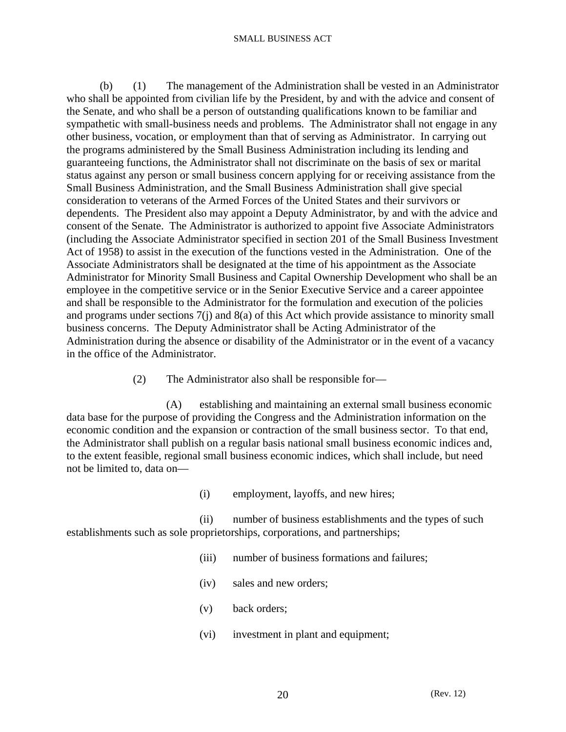(b) (1) The management of the Administration shall be vested in an Administrator who shall be appointed from civilian life by the President, by and with the advice and consent of the Senate, and who shall be a person of outstanding qualifications known to be familiar and sympathetic with small-business needs and problems. The Administrator shall not engage in any other business, vocation, or employment than that of serving as Administrator. In carrying out the programs administered by the Small Business Administration including its lending and guaranteeing functions, the Administrator shall not discriminate on the basis of sex or marital status against any person or small business concern applying for or receiving assistance from the Small Business Administration, and the Small Business Administration shall give special consideration to veterans of the Armed Forces of the United States and their survivors or dependents. The President also may appoint a Deputy Administrator, by and with the advice and consent of the Senate. The Administrator is authorized to appoint five Associate Administrators (including the Associate Administrator specified in section 201 of the Small Business Investment Act of 1958) to assist in the execution of the functions vested in the Administration. One of the Associate Administrators shall be designated at the time of his appointment as the Associate Administrator for Minority Small Business and Capital Ownership Development who shall be an employee in the competitive service or in the Senior Executive Service and a career appointee and shall be responsible to the Administrator for the formulation and execution of the policies and programs under sections 7(j) and 8(a) of this Act which provide assistance to minority small business concerns. The Deputy Administrator shall be Acting Administrator of the Administration during the absence or disability of the Administrator or in the event of a vacancy in the office of the Administrator.

(2) The Administrator also shall be responsible for—

 (A) establishing and maintaining an external small business economic data base for the purpose of providing the Congress and the Administration information on the economic condition and the expansion or contraction of the small business sector. To that end, the Administrator shall publish on a regular basis national small business economic indices and, to the extent feasible, regional small business economic indices, which shall include, but need not be limited to, data on—

(i) employment, layoffs, and new hires;

 (ii) number of business establishments and the types of such establishments such as sole proprietorships, corporations, and partnerships;

- (iii) number of business formations and failures;
- (iv) sales and new orders;
- (v) back orders;
- (vi) investment in plant and equipment;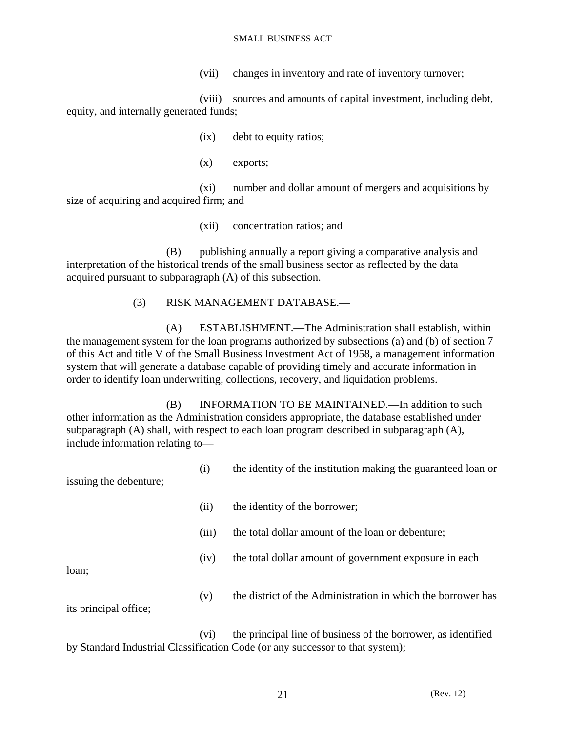(vii) changes in inventory and rate of inventory turnover;

 (viii) sources and amounts of capital investment, including debt, equity, and internally generated funds;

(ix) debt to equity ratios;

(x) exports;

 (xi) number and dollar amount of mergers and acquisitions by size of acquiring and acquired firm; and

(xii) concentration ratios; and

 (B) publishing annually a report giving a comparative analysis and interpretation of the historical trends of the small business sector as reflected by the data acquired pursuant to subparagraph (A) of this subsection.

# (3) RISK MANAGEMENT DATABASE.—

 (A) ESTABLISHMENT.—The Administration shall establish, within the management system for the loan programs authorized by subsections (a) and (b) of section 7 of this Act and title V of the Small Business Investment Act of 1958, a management information system that will generate a database capable of providing timely and accurate information in order to identify loan underwriting, collections, recovery, and liquidation problems.

 (B) INFORMATION TO BE MAINTAINED.—In addition to such other information as the Administration considers appropriate, the database established under subparagraph (A) shall, with respect to each loan program described in subparagraph (A), include information relating to—

 (i) the identity of the institution making the guaranteed loan or issuing the debenture;

- (ii) the identity of the borrower;
- (iii) the total dollar amount of the loan or debenture;
- (iv) the total dollar amount of government exposure in each

loan;

 (v) the district of the Administration in which the borrower has its principal office;

 (vi) the principal line of business of the borrower, as identified by Standard Industrial Classification Code (or any successor to that system);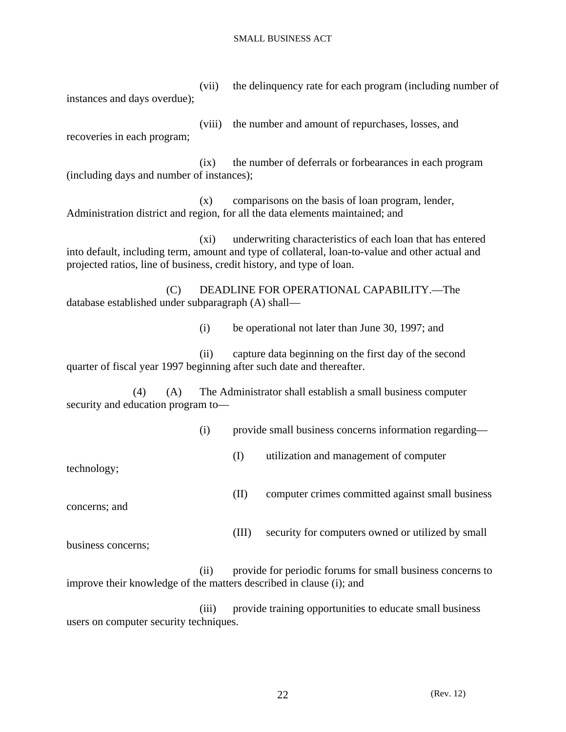(vii) the delinquency rate for each program (including number of instances and days overdue);

 (viii) the number and amount of repurchases, losses, and recoveries in each program;

 (ix) the number of deferrals or forbearances in each program (including days and number of instances);

 (x) comparisons on the basis of loan program, lender, Administration district and region, for all the data elements maintained; and

 (xi) underwriting characteristics of each loan that has entered into default, including term, amount and type of collateral, loan-to-value and other actual and projected ratios, line of business, credit history, and type of loan.

 (C) DEADLINE FOR OPERATIONAL CAPABILITY.—The database established under subparagraph (A) shall—

(i) be operational not later than June 30, 1997; and

 (ii) capture data beginning on the first day of the second quarter of fiscal year 1997 beginning after such date and thereafter.

 (4) (A) The Administrator shall establish a small business computer security and education program to—

(i) provide small business concerns information regarding—

(I) utilization and management of computer

technology;

(II) computer crimes committed against small business

concerns; and

(III) security for computers owned or utilized by small

business concerns;

 (ii) provide for periodic forums for small business concerns to improve their knowledge of the matters described in clause (i); and

 (iii) provide training opportunities to educate small business users on computer security techniques.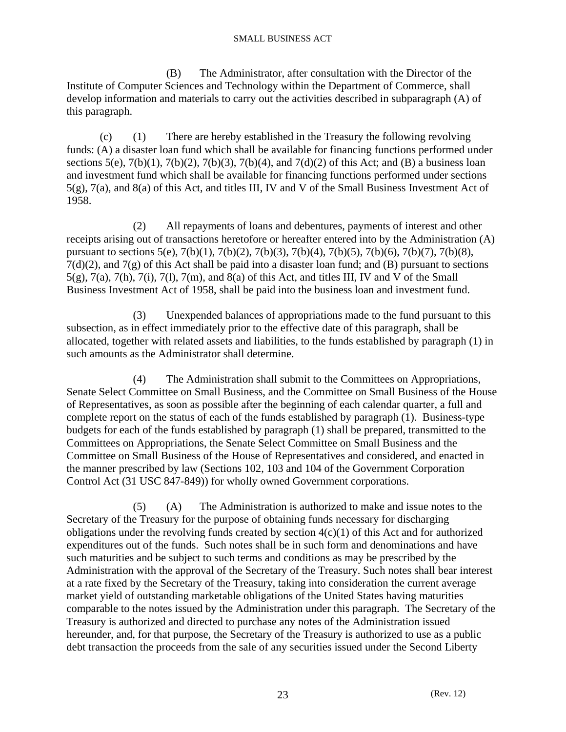(B) The Administrator, after consultation with the Director of the Institute of Computer Sciences and Technology within the Department of Commerce, shall develop information and materials to carry out the activities described in subparagraph (A) of this paragraph.

 (c) (1) There are hereby established in the Treasury the following revolving funds: (A) a disaster loan fund which shall be available for financing functions performed under sections  $5(e)$ ,  $7(b)(1)$ ,  $7(b)(2)$ ,  $7(b)(3)$ ,  $7(b)(4)$ , and  $7(d)(2)$  of this Act; and (B) a business loan and investment fund which shall be available for financing functions performed under sections 5(g), 7(a), and 8(a) of this Act, and titles III, IV and V of the Small Business Investment Act of 1958.

 (2) All repayments of loans and debentures, payments of interest and other receipts arising out of transactions heretofore or hereafter entered into by the Administration (A) pursuant to sections 5(e), 7(b)(1), 7(b)(2), 7(b)(3), 7(b)(4), 7(b)(5), 7(b)(6), 7(b)(7), 7(b)(8),  $7(d)(2)$ , and  $7(g)$  of this Act shall be paid into a disaster loan fund; and (B) pursuant to sections 5(g), 7(a), 7(h), 7(i), 7(l), 7(m), and 8(a) of this Act, and titles III, IV and V of the Small Business Investment Act of 1958, shall be paid into the business loan and investment fund.

 (3) Unexpended balances of appropriations made to the fund pursuant to this subsection, as in effect immediately prior to the effective date of this paragraph, shall be allocated, together with related assets and liabilities, to the funds established by paragraph (1) in such amounts as the Administrator shall determine.

 (4) The Administration shall submit to the Committees on Appropriations, Senate Select Committee on Small Business, and the Committee on Small Business of the House of Representatives, as soon as possible after the beginning of each calendar quarter, a full and complete report on the status of each of the funds established by paragraph (1). Business-type budgets for each of the funds established by paragraph (1) shall be prepared, transmitted to the Committees on Appropriations, the Senate Select Committee on Small Business and the Committee on Small Business of the House of Representatives and considered, and enacted in the manner prescribed by law (Sections 102, 103 and 104 of the Government Corporation Control Act (31 USC 847-849)) for wholly owned Government corporations.

 (5) (A) The Administration is authorized to make and issue notes to the Secretary of the Treasury for the purpose of obtaining funds necessary for discharging obligations under the revolving funds created by section 4(c)(1) of this Act and for authorized expenditures out of the funds. Such notes shall be in such form and denominations and have such maturities and be subject to such terms and conditions as may be prescribed by the Administration with the approval of the Secretary of the Treasury. Such notes shall bear interest at a rate fixed by the Secretary of the Treasury, taking into consideration the current average market yield of outstanding marketable obligations of the United States having maturities comparable to the notes issued by the Administration under this paragraph. The Secretary of the Treasury is authorized and directed to purchase any notes of the Administration issued hereunder, and, for that purpose, the Secretary of the Treasury is authorized to use as a public debt transaction the proceeds from the sale of any securities issued under the Second Liberty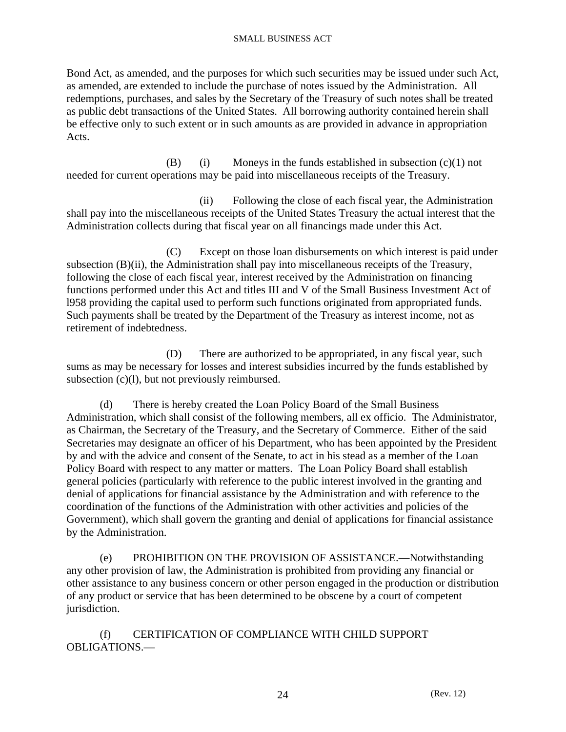Bond Act, as amended, and the purposes for which such securities may be issued under such Act, as amended, are extended to include the purchase of notes issued by the Administration. All redemptions, purchases, and sales by the Secretary of the Treasury of such notes shall be treated as public debt transactions of the United States. All borrowing authority contained herein shall be effective only to such extent or in such amounts as are provided in advance in appropriation Acts.

(B) (i) Moneys in the funds established in subsection  $(c)(1)$  not needed for current operations may be paid into miscellaneous receipts of the Treasury.

 (ii) Following the close of each fiscal year, the Administration shall pay into the miscellaneous receipts of the United States Treasury the actual interest that the Administration collects during that fiscal year on all financings made under this Act.

 (C) Except on those loan disbursements on which interest is paid under subsection (B)(ii), the Administration shall pay into miscellaneous receipts of the Treasury, following the close of each fiscal year, interest received by the Administration on financing functions performed under this Act and titles III and V of the Small Business Investment Act of l958 providing the capital used to perform such functions originated from appropriated funds. Such payments shall be treated by the Department of the Treasury as interest income, not as retirement of indebtedness.

 (D) There are authorized to be appropriated, in any fiscal year, such sums as may be necessary for losses and interest subsidies incurred by the funds established by subsection (c)(l), but not previously reimbursed.

 (d) There is hereby created the Loan Policy Board of the Small Business Administration, which shall consist of the following members, all ex officio. The Administrator, as Chairman, the Secretary of the Treasury, and the Secretary of Commerce. Either of the said Secretaries may designate an officer of his Department, who has been appointed by the President by and with the advice and consent of the Senate, to act in his stead as a member of the Loan Policy Board with respect to any matter or matters. The Loan Policy Board shall establish general policies (particularly with reference to the public interest involved in the granting and denial of applications for financial assistance by the Administration and with reference to the coordination of the functions of the Administration with other activities and policies of the Government), which shall govern the granting and denial of applications for financial assistance by the Administration.

 (e) PROHIBITION ON THE PROVISION OF ASSISTANCE.—Notwithstanding any other provision of law, the Administration is prohibited from providing any financial or other assistance to any business concern or other person engaged in the production or distribution of any product or service that has been determined to be obscene by a court of competent jurisdiction.

 (f) CERTIFICATION OF COMPLIANCE WITH CHILD SUPPORT OBLIGATIONS.—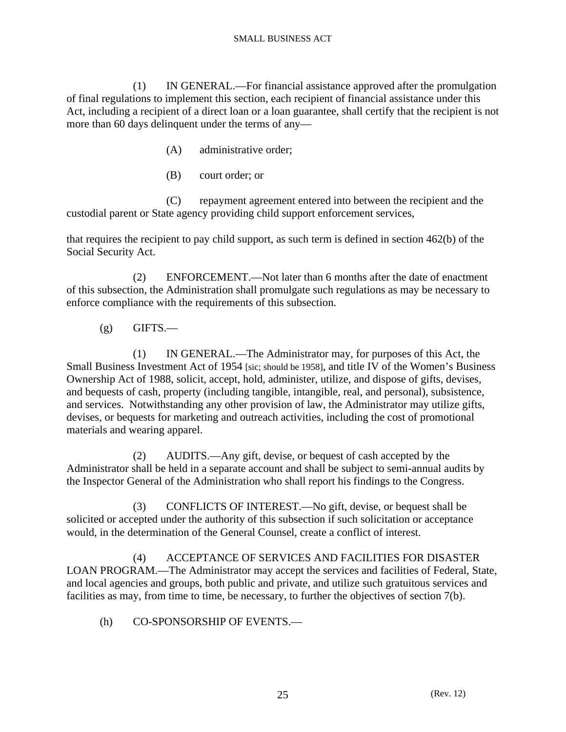(1) IN GENERAL.—For financial assistance approved after the promulgation of final regulations to implement this section, each recipient of financial assistance under this Act, including a recipient of a direct loan or a loan guarantee, shall certify that the recipient is not more than 60 days delinquent under the terms of any—

- (A) administrative order;
- (B) court order; or

 (C) repayment agreement entered into between the recipient and the custodial parent or State agency providing child support enforcement services,

that requires the recipient to pay child support, as such term is defined in section 462(b) of the Social Security Act.

 (2) ENFORCEMENT.—Not later than 6 months after the date of enactment of this subsection, the Administration shall promulgate such regulations as may be necessary to enforce compliance with the requirements of this subsection.

 $(g)$  GIFTS.—

 (1) IN GENERAL.—The Administrator may, for purposes of this Act, the Small Business Investment Act of 1954 [sic; should be 1958], and title IV of the Women's Business Ownership Act of 1988, solicit, accept, hold, administer, utilize, and dispose of gifts, devises, and bequests of cash, property (including tangible, intangible, real, and personal), subsistence, and services. Notwithstanding any other provision of law, the Administrator may utilize gifts, devises, or bequests for marketing and outreach activities, including the cost of promotional materials and wearing apparel.

 (2) AUDITS.—Any gift, devise, or bequest of cash accepted by the Administrator shall be held in a separate account and shall be subject to semi-annual audits by the Inspector General of the Administration who shall report his findings to the Congress.

 (3) CONFLICTS OF INTEREST.—No gift, devise, or bequest shall be solicited or accepted under the authority of this subsection if such solicitation or acceptance would, in the determination of the General Counsel, create a conflict of interest.

 (4) ACCEPTANCE OF SERVICES AND FACILITIES FOR DISASTER LOAN PROGRAM.—The Administrator may accept the services and facilities of Federal, State, and local agencies and groups, both public and private, and utilize such gratuitous services and facilities as may, from time to time, be necessary, to further the objectives of section 7(b).

(h) CO-SPONSORSHIP OF EVENTS.—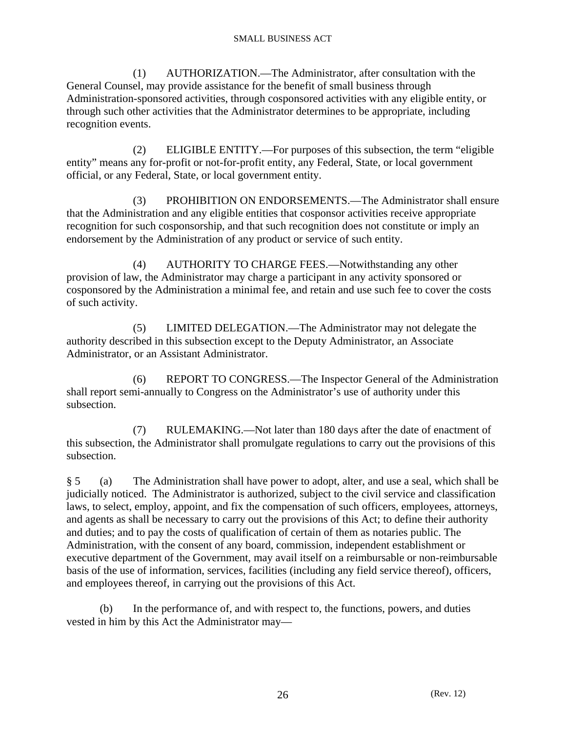(1) AUTHORIZATION.—The Administrator, after consultation with the General Counsel, may provide assistance for the benefit of small business through Administration-sponsored activities, through cosponsored activities with any eligible entity, or through such other activities that the Administrator determines to be appropriate, including recognition events.

 (2) ELIGIBLE ENTITY.—For purposes of this subsection, the term "eligible entity" means any for-profit or not-for-profit entity, any Federal, State, or local government official, or any Federal, State, or local government entity.

 (3) PROHIBITION ON ENDORSEMENTS.—The Administrator shall ensure that the Administration and any eligible entities that cosponsor activities receive appropriate recognition for such cosponsorship, and that such recognition does not constitute or imply an endorsement by the Administration of any product or service of such entity.

 (4) AUTHORITY TO CHARGE FEES.—Notwithstanding any other provision of law, the Administrator may charge a participant in any activity sponsored or cosponsored by the Administration a minimal fee, and retain and use such fee to cover the costs of such activity.

 (5) LIMITED DELEGATION.—The Administrator may not delegate the authority described in this subsection except to the Deputy Administrator, an Associate Administrator, or an Assistant Administrator.

 (6) REPORT TO CONGRESS.—The Inspector General of the Administration shall report semi-annually to Congress on the Administrator's use of authority under this subsection.

 (7) RULEMAKING.—Not later than 180 days after the date of enactment of this subsection, the Administrator shall promulgate regulations to carry out the provisions of this subsection.

§ 5 (a) The Administration shall have power to adopt, alter, and use a seal, which shall be judicially noticed. The Administrator is authorized, subject to the civil service and classification laws, to select, employ, appoint, and fix the compensation of such officers, employees, attorneys, and agents as shall be necessary to carry out the provisions of this Act; to define their authority and duties; and to pay the costs of qualification of certain of them as notaries public. The Administration, with the consent of any board, commission, independent establishment or executive department of the Government, may avail itself on a reimbursable or non-reimbursable basis of the use of information, services, facilities (including any field service thereof), officers, and employees thereof, in carrying out the provisions of this Act.

 (b) In the performance of, and with respect to, the functions, powers, and duties vested in him by this Act the Administrator may—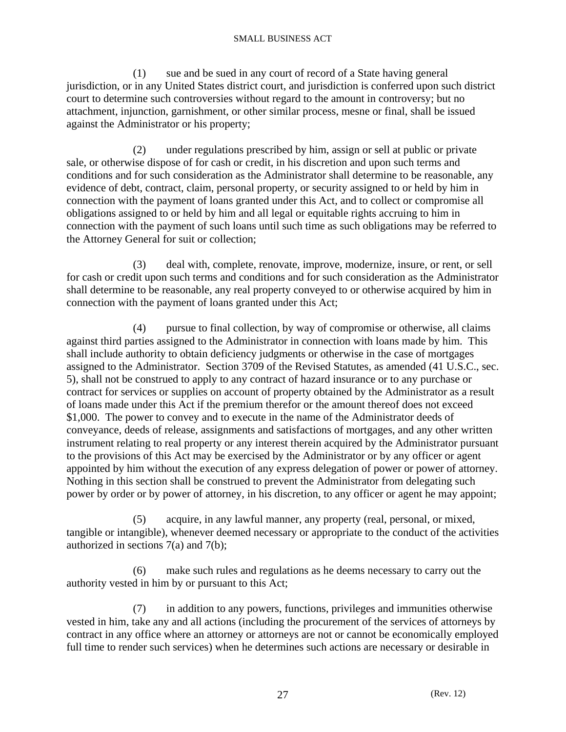(1) sue and be sued in any court of record of a State having general jurisdiction, or in any United States district court, and jurisdiction is conferred upon such district court to determine such controversies without regard to the amount in controversy; but no attachment, injunction, garnishment, or other similar process, mesne or final, shall be issued against the Administrator or his property;

 (2) under regulations prescribed by him, assign or sell at public or private sale, or otherwise dispose of for cash or credit, in his discretion and upon such terms and conditions and for such consideration as the Administrator shall determine to be reasonable, any evidence of debt, contract, claim, personal property, or security assigned to or held by him in connection with the payment of loans granted under this Act, and to collect or compromise all obligations assigned to or held by him and all legal or equitable rights accruing to him in connection with the payment of such loans until such time as such obligations may be referred to the Attorney General for suit or collection;

 (3) deal with, complete, renovate, improve, modernize, insure, or rent, or sell for cash or credit upon such terms and conditions and for such consideration as the Administrator shall determine to be reasonable, any real property conveyed to or otherwise acquired by him in connection with the payment of loans granted under this Act;

 (4) pursue to final collection, by way of compromise or otherwise, all claims against third parties assigned to the Administrator in connection with loans made by him. This shall include authority to obtain deficiency judgments or otherwise in the case of mortgages assigned to the Administrator. Section 3709 of the Revised Statutes, as amended (41 U.S.C., sec. 5), shall not be construed to apply to any contract of hazard insurance or to any purchase or contract for services or supplies on account of property obtained by the Administrator as a result of loans made under this Act if the premium therefor or the amount thereof does not exceed \$1,000. The power to convey and to execute in the name of the Administrator deeds of conveyance, deeds of release, assignments and satisfactions of mortgages, and any other written instrument relating to real property or any interest therein acquired by the Administrator pursuant to the provisions of this Act may be exercised by the Administrator or by any officer or agent appointed by him without the execution of any express delegation of power or power of attorney. Nothing in this section shall be construed to prevent the Administrator from delegating such power by order or by power of attorney, in his discretion, to any officer or agent he may appoint;

 (5) acquire, in any lawful manner, any property (real, personal, or mixed, tangible or intangible), whenever deemed necessary or appropriate to the conduct of the activities authorized in sections 7(a) and 7(b);

 (6) make such rules and regulations as he deems necessary to carry out the authority vested in him by or pursuant to this Act;

 (7) in addition to any powers, functions, privileges and immunities otherwise vested in him, take any and all actions (including the procurement of the services of attorneys by contract in any office where an attorney or attorneys are not or cannot be economically employed full time to render such services) when he determines such actions are necessary or desirable in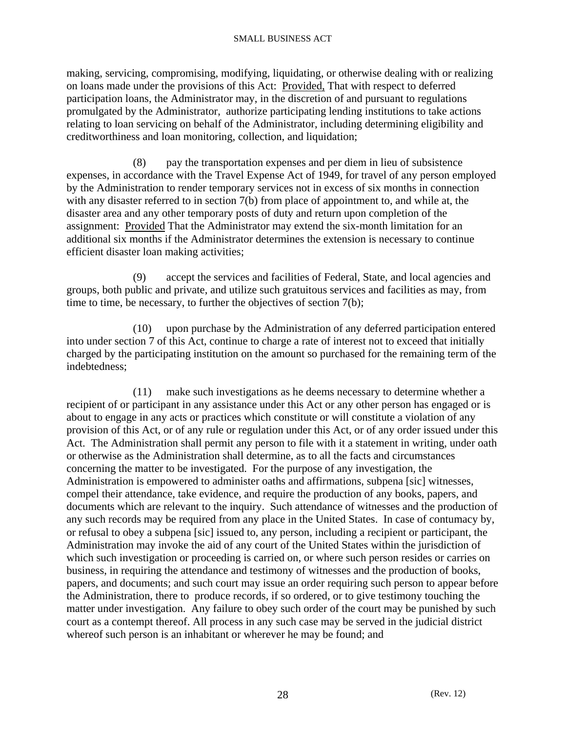making, servicing, compromising, modifying, liquidating, or otherwise dealing with or realizing on loans made under the provisions of this Act: Provided, That with respect to deferred participation loans, the Administrator may, in the discretion of and pursuant to regulations promulgated by the Administrator, authorize participating lending institutions to take actions relating to loan servicing on behalf of the Administrator, including determining eligibility and creditworthiness and loan monitoring, collection, and liquidation;

 (8) pay the transportation expenses and per diem in lieu of subsistence expenses, in accordance with the Travel Expense Act of 1949, for travel of any person employed by the Administration to render temporary services not in excess of six months in connection with any disaster referred to in section 7(b) from place of appointment to, and while at, the disaster area and any other temporary posts of duty and return upon completion of the assignment: Provided That the Administrator may extend the six-month limitation for an additional six months if the Administrator determines the extension is necessary to continue efficient disaster loan making activities;

 (9) accept the services and facilities of Federal, State, and local agencies and groups, both public and private, and utilize such gratuitous services and facilities as may, from time to time, be necessary, to further the objectives of section 7(b);

 (10) upon purchase by the Administration of any deferred participation entered into under section 7 of this Act, continue to charge a rate of interest not to exceed that initially charged by the participating institution on the amount so purchased for the remaining term of the indebtedness;

 (11) make such investigations as he deems necessary to determine whether a recipient of or participant in any assistance under this Act or any other person has engaged or is about to engage in any acts or practices which constitute or will constitute a violation of any provision of this Act, or of any rule or regulation under this Act, or of any order issued under this Act. The Administration shall permit any person to file with it a statement in writing, under oath or otherwise as the Administration shall determine, as to all the facts and circumstances concerning the matter to be investigated. For the purpose of any investigation, the Administration is empowered to administer oaths and affirmations, subpena [sic] witnesses, compel their attendance, take evidence, and require the production of any books, papers, and documents which are relevant to the inquiry. Such attendance of witnesses and the production of any such records may be required from any place in the United States. In case of contumacy by, or refusal to obey a subpena [sic] issued to, any person, including a recipient or participant, the Administration may invoke the aid of any court of the United States within the jurisdiction of which such investigation or proceeding is carried on, or where such person resides or carries on business, in requiring the attendance and testimony of witnesses and the production of books, papers, and documents; and such court may issue an order requiring such person to appear before the Administration, there to produce records, if so ordered, or to give testimony touching the matter under investigation. Any failure to obey such order of the court may be punished by such court as a contempt thereof. All process in any such case may be served in the judicial district whereof such person is an inhabitant or wherever he may be found; and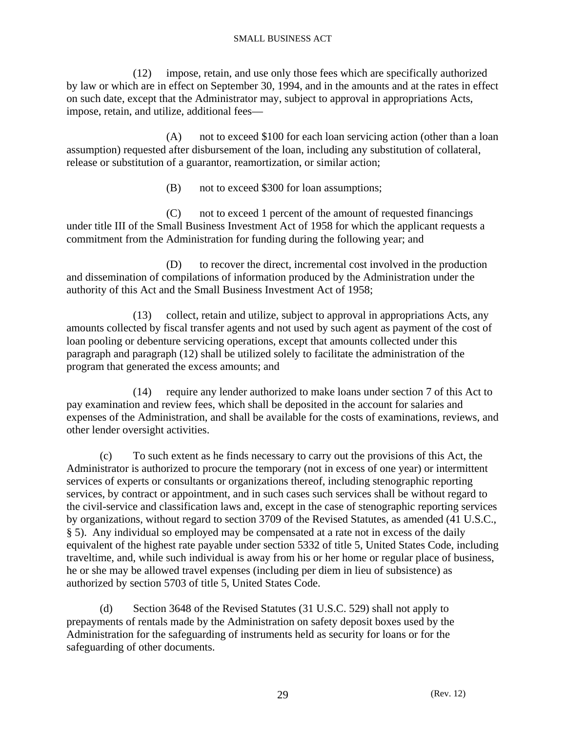(12) impose, retain, and use only those fees which are specifically authorized by law or which are in effect on September 30, 1994, and in the amounts and at the rates in effect on such date, except that the Administrator may, subject to approval in appropriations Acts, impose, retain, and utilize, additional fees—

 (A) not to exceed \$100 for each loan servicing action (other than a loan assumption) requested after disbursement of the loan, including any substitution of collateral, release or substitution of a guarantor, reamortization, or similar action;

(B) not to exceed \$300 for loan assumptions;

 (C) not to exceed 1 percent of the amount of requested financings under title III of the Small Business Investment Act of 1958 for which the applicant requests a commitment from the Administration for funding during the following year; and

 (D) to recover the direct, incremental cost involved in the production and dissemination of compilations of information produced by the Administration under the authority of this Act and the Small Business Investment Act of 1958;

 (13) collect, retain and utilize, subject to approval in appropriations Acts, any amounts collected by fiscal transfer agents and not used by such agent as payment of the cost of loan pooling or debenture servicing operations, except that amounts collected under this paragraph and paragraph (12) shall be utilized solely to facilitate the administration of the program that generated the excess amounts; and

 (14) require any lender authorized to make loans under section 7 of this Act to pay examination and review fees, which shall be deposited in the account for salaries and expenses of the Administration, and shall be available for the costs of examinations, reviews, and other lender oversight activities.

 (c) To such extent as he finds necessary to carry out the provisions of this Act, the Administrator is authorized to procure the temporary (not in excess of one year) or intermittent services of experts or consultants or organizations thereof, including stenographic reporting services, by contract or appointment, and in such cases such services shall be without regard to the civil-service and classification laws and, except in the case of stenographic reporting services by organizations, without regard to section 3709 of the Revised Statutes, as amended (41 U.S.C., § 5). Any individual so employed may be compensated at a rate not in excess of the daily equivalent of the highest rate payable under section 5332 of title 5, United States Code, including traveltime, and, while such individual is away from his or her home or regular place of business, he or she may be allowed travel expenses (including per diem in lieu of subsistence) as authorized by section 5703 of title 5, United States Code.

 (d) Section 3648 of the Revised Statutes (31 U.S.C. 529) shall not apply to prepayments of rentals made by the Administration on safety deposit boxes used by the Administration for the safeguarding of instruments held as security for loans or for the safeguarding of other documents.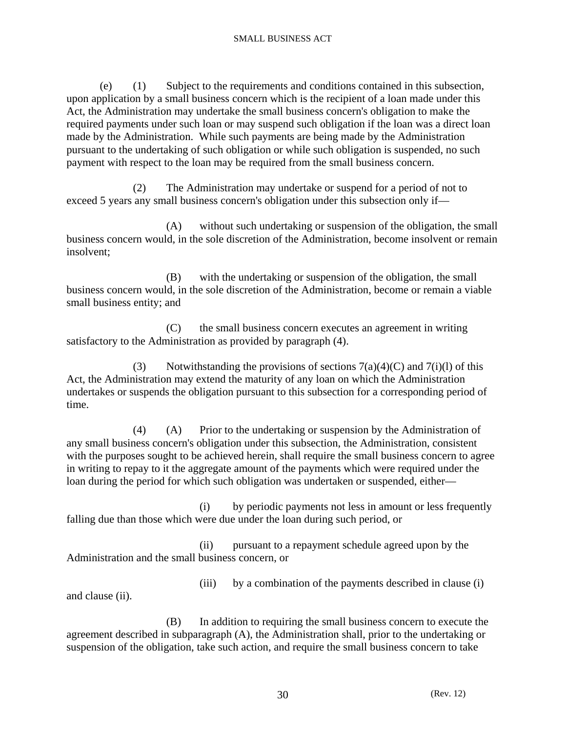(e) (1) Subject to the requirements and conditions contained in this subsection, upon application by a small business concern which is the recipient of a loan made under this Act, the Administration may undertake the small business concern's obligation to make the required payments under such loan or may suspend such obligation if the loan was a direct loan made by the Administration. While such payments are being made by the Administration pursuant to the undertaking of such obligation or while such obligation is suspended, no such payment with respect to the loan may be required from the small business concern.

 (2) The Administration may undertake or suspend for a period of not to exceed 5 years any small business concern's obligation under this subsection only if—

 (A) without such undertaking or suspension of the obligation, the small business concern would, in the sole discretion of the Administration, become insolvent or remain insolvent;

 (B) with the undertaking or suspension of the obligation, the small business concern would, in the sole discretion of the Administration, become or remain a viable small business entity; and

 (C) the small business concern executes an agreement in writing satisfactory to the Administration as provided by paragraph (4).

(3) Notwithstanding the provisions of sections  $7(a)(4)(C)$  and  $7(i)(1)$  of this Act, the Administration may extend the maturity of any loan on which the Administration undertakes or suspends the obligation pursuant to this subsection for a corresponding period of time.

 (4) (A) Prior to the undertaking or suspension by the Administration of any small business concern's obligation under this subsection, the Administration, consistent with the purposes sought to be achieved herein, shall require the small business concern to agree in writing to repay to it the aggregate amount of the payments which were required under the loan during the period for which such obligation was undertaken or suspended, either—

 (i) by periodic payments not less in amount or less frequently falling due than those which were due under the loan during such period, or

 (ii) pursuant to a repayment schedule agreed upon by the Administration and the small business concern, or

and clause (ii).

(iii) by a combination of the payments described in clause (i)

 (B) In addition to requiring the small business concern to execute the agreement described in subparagraph (A), the Administration shall, prior to the undertaking or suspension of the obligation, take such action, and require the small business concern to take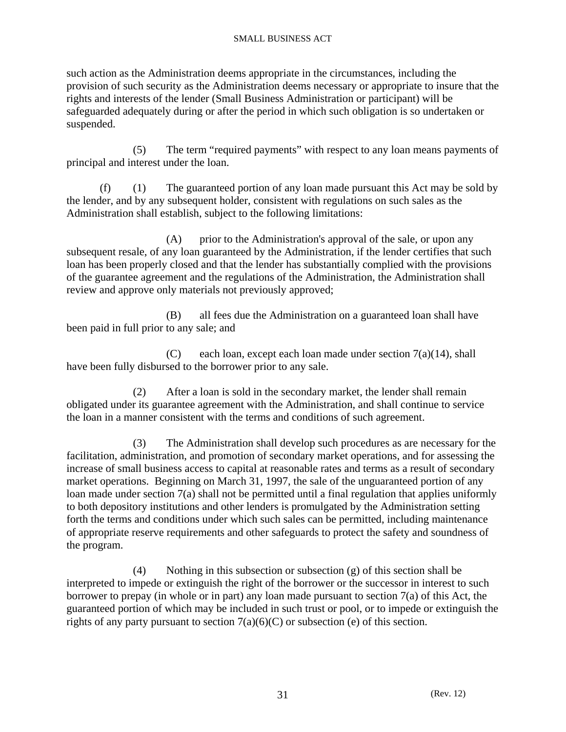such action as the Administration deems appropriate in the circumstances, including the provision of such security as the Administration deems necessary or appropriate to insure that the rights and interests of the lender (Small Business Administration or participant) will be safeguarded adequately during or after the period in which such obligation is so undertaken or suspended.

 (5) The term "required payments" with respect to any loan means payments of principal and interest under the loan.

 (f) (1) The guaranteed portion of any loan made pursuant this Act may be sold by the lender, and by any subsequent holder, consistent with regulations on such sales as the Administration shall establish, subject to the following limitations:

 (A) prior to the Administration's approval of the sale, or upon any subsequent resale, of any loan guaranteed by the Administration, if the lender certifies that such loan has been properly closed and that the lender has substantially complied with the provisions of the guarantee agreement and the regulations of the Administration, the Administration shall review and approve only materials not previously approved;

 (B) all fees due the Administration on a guaranteed loan shall have been paid in full prior to any sale; and

(C) each loan, except each loan made under section  $7(a)(14)$ , shall have been fully disbursed to the borrower prior to any sale.

 (2) After a loan is sold in the secondary market, the lender shall remain obligated under its guarantee agreement with the Administration, and shall continue to service the loan in a manner consistent with the terms and conditions of such agreement.

 (3) The Administration shall develop such procedures as are necessary for the facilitation, administration, and promotion of secondary market operations, and for assessing the increase of small business access to capital at reasonable rates and terms as a result of secondary market operations. Beginning on March 31, 1997, the sale of the unguaranteed portion of any loan made under section 7(a) shall not be permitted until a final regulation that applies uniformly to both depository institutions and other lenders is promulgated by the Administration setting forth the terms and conditions under which such sales can be permitted, including maintenance of appropriate reserve requirements and other safeguards to protect the safety and soundness of the program.

 (4) Nothing in this subsection or subsection (g) of this section shall be interpreted to impede or extinguish the right of the borrower or the successor in interest to such borrower to prepay (in whole or in part) any loan made pursuant to section 7(a) of this Act, the guaranteed portion of which may be included in such trust or pool, or to impede or extinguish the rights of any party pursuant to section  $7(a)(6)(C)$  or subsection (e) of this section.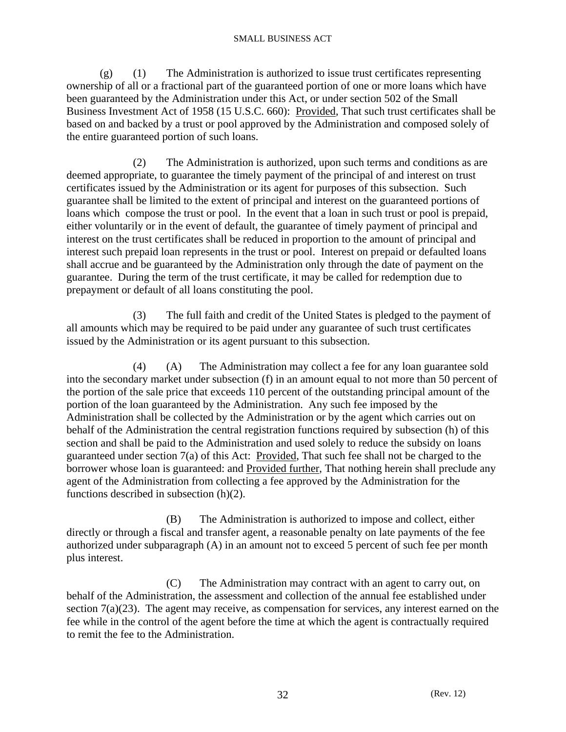$(g)$  (1) The Administration is authorized to issue trust certificates representing ownership of all or a fractional part of the guaranteed portion of one or more loans which have been guaranteed by the Administration under this Act, or under section 502 of the Small Business Investment Act of 1958 (15 U.S.C. 660): Provided, That such trust certificates shall be based on and backed by a trust or pool approved by the Administration and composed solely of the entire guaranteed portion of such loans.

 (2) The Administration is authorized, upon such terms and conditions as are deemed appropriate, to guarantee the timely payment of the principal of and interest on trust certificates issued by the Administration or its agent for purposes of this subsection. Such guarantee shall be limited to the extent of principal and interest on the guaranteed portions of loans which compose the trust or pool. In the event that a loan in such trust or pool is prepaid, either voluntarily or in the event of default, the guarantee of timely payment of principal and interest on the trust certificates shall be reduced in proportion to the amount of principal and interest such prepaid loan represents in the trust or pool. Interest on prepaid or defaulted loans shall accrue and be guaranteed by the Administration only through the date of payment on the guarantee. During the term of the trust certificate, it may be called for redemption due to prepayment or default of all loans constituting the pool.

 (3) The full faith and credit of the United States is pledged to the payment of all amounts which may be required to be paid under any guarantee of such trust certificates issued by the Administration or its agent pursuant to this subsection.

 (4) (A) The Administration may collect a fee for any loan guarantee sold into the secondary market under subsection (f) in an amount equal to not more than 50 percent of the portion of the sale price that exceeds 110 percent of the outstanding principal amount of the portion of the loan guaranteed by the Administration. Any such fee imposed by the Administration shall be collected by the Administration or by the agent which carries out on behalf of the Administration the central registration functions required by subsection (h) of this section and shall be paid to the Administration and used solely to reduce the subsidy on loans guaranteed under section 7(a) of this Act: Provided, That such fee shall not be charged to the borrower whose loan is guaranteed: and Provided further, That nothing herein shall preclude any agent of the Administration from collecting a fee approved by the Administration for the functions described in subsection (h)(2).

 (B) The Administration is authorized to impose and collect, either directly or through a fiscal and transfer agent, a reasonable penalty on late payments of the fee authorized under subparagraph (A) in an amount not to exceed 5 percent of such fee per month plus interest.

 (C) The Administration may contract with an agent to carry out, on behalf of the Administration, the assessment and collection of the annual fee established under section 7(a)(23). The agent may receive, as compensation for services, any interest earned on the fee while in the control of the agent before the time at which the agent is contractually required to remit the fee to the Administration.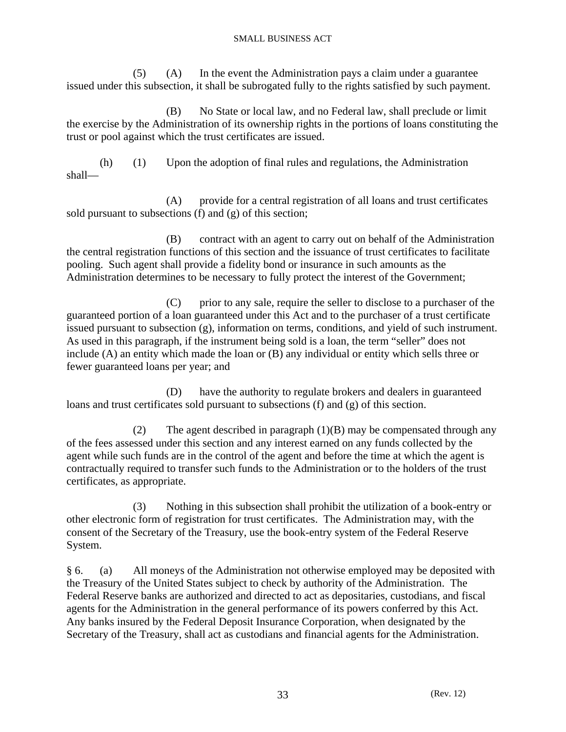(5) (A) In the event the Administration pays a claim under a guarantee issued under this subsection, it shall be subrogated fully to the rights satisfied by such payment.

 (B) No State or local law, and no Federal law, shall preclude or limit the exercise by the Administration of its ownership rights in the portions of loans constituting the trust or pool against which the trust certificates are issued.

 (h) (1) Upon the adoption of final rules and regulations, the Administration shall—

 (A) provide for a central registration of all loans and trust certificates sold pursuant to subsections (f) and (g) of this section;

 (B) contract with an agent to carry out on behalf of the Administration the central registration functions of this section and the issuance of trust certificates to facilitate pooling. Such agent shall provide a fidelity bond or insurance in such amounts as the Administration determines to be necessary to fully protect the interest of the Government;

 (C) prior to any sale, require the seller to disclose to a purchaser of the guaranteed portion of a loan guaranteed under this Act and to the purchaser of a trust certificate issued pursuant to subsection (g), information on terms, conditions, and yield of such instrument. As used in this paragraph, if the instrument being sold is a loan, the term "seller" does not include (A) an entity which made the loan or (B) any individual or entity which sells three or fewer guaranteed loans per year; and

 (D) have the authority to regulate brokers and dealers in guaranteed loans and trust certificates sold pursuant to subsections (f) and (g) of this section.

 (2) The agent described in paragraph (1)(B) may be compensated through any of the fees assessed under this section and any interest earned on any funds collected by the agent while such funds are in the control of the agent and before the time at which the agent is contractually required to transfer such funds to the Administration or to the holders of the trust certificates, as appropriate.

 (3) Nothing in this subsection shall prohibit the utilization of a book-entry or other electronic form of registration for trust certificates. The Administration may, with the consent of the Secretary of the Treasury, use the book-entry system of the Federal Reserve System.

§ 6. (a) All moneys of the Administration not otherwise employed may be deposited with the Treasury of the United States subject to check by authority of the Administration. The Federal Reserve banks are authorized and directed to act as depositaries, custodians, and fiscal agents for the Administration in the general performance of its powers conferred by this Act. Any banks insured by the Federal Deposit Insurance Corporation, when designated by the Secretary of the Treasury, shall act as custodians and financial agents for the Administration.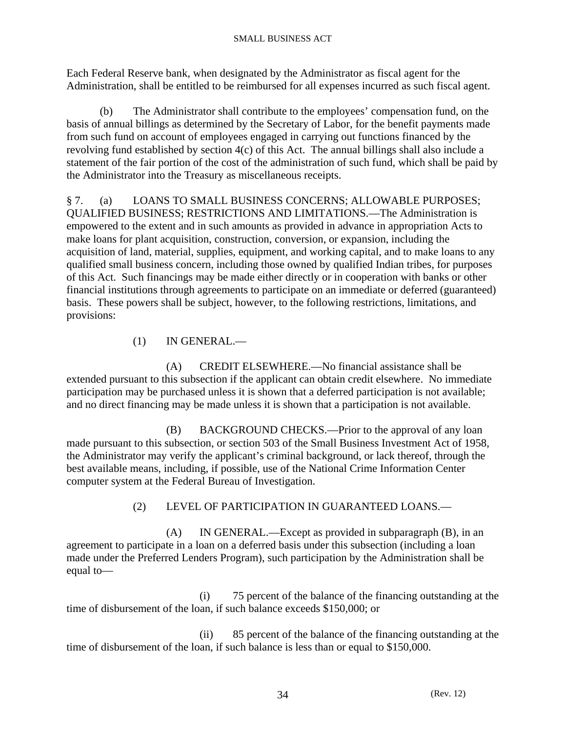Each Federal Reserve bank, when designated by the Administrator as fiscal agent for the Administration, shall be entitled to be reimbursed for all expenses incurred as such fiscal agent.

 (b) The Administrator shall contribute to the employees' compensation fund, on the basis of annual billings as determined by the Secretary of Labor, for the benefit payments made from such fund on account of employees engaged in carrying out functions financed by the revolving fund established by section 4(c) of this Act. The annual billings shall also include a statement of the fair portion of the cost of the administration of such fund, which shall be paid by the Administrator into the Treasury as miscellaneous receipts.

§ 7. (a) LOANS TO SMALL BUSINESS CONCERNS; ALLOWABLE PURPOSES; QUALIFIED BUSINESS; RESTRICTIONS AND LIMITATIONS.—The Administration is empowered to the extent and in such amounts as provided in advance in appropriation Acts to make loans for plant acquisition, construction, conversion, or expansion, including the acquisition of land, material, supplies, equipment, and working capital, and to make loans to any qualified small business concern, including those owned by qualified Indian tribes, for purposes of this Act. Such financings may be made either directly or in cooperation with banks or other financial institutions through agreements to participate on an immediate or deferred (guaranteed) basis. These powers shall be subject, however, to the following restrictions, limitations, and provisions:

(1) IN GENERAL.—

 (A) CREDIT ELSEWHERE.—No financial assistance shall be extended pursuant to this subsection if the applicant can obtain credit elsewhere. No immediate participation may be purchased unless it is shown that a deferred participation is not available; and no direct financing may be made unless it is shown that a participation is not available.

 (B) BACKGROUND CHECKS.—Prior to the approval of any loan made pursuant to this subsection, or section 503 of the Small Business Investment Act of 1958, the Administrator may verify the applicant's criminal background, or lack thereof, through the best available means, including, if possible, use of the National Crime Information Center computer system at the Federal Bureau of Investigation.

# (2) LEVEL OF PARTICIPATION IN GUARANTEED LOANS.—

 (A) IN GENERAL.—Except as provided in subparagraph (B), in an agreement to participate in a loan on a deferred basis under this subsection (including a loan made under the Preferred Lenders Program), such participation by the Administration shall be equal to—

 (i) 75 percent of the balance of the financing outstanding at the time of disbursement of the loan, if such balance exceeds \$150,000; or

 (ii) 85 percent of the balance of the financing outstanding at the time of disbursement of the loan, if such balance is less than or equal to \$150,000.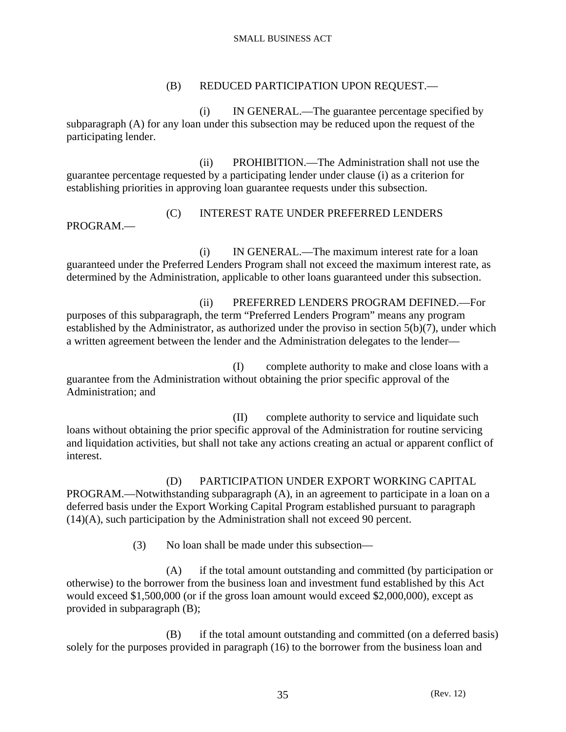# (B) REDUCED PARTICIPATION UPON REQUEST.—

 (i) IN GENERAL.—The guarantee percentage specified by subparagraph (A) for any loan under this subsection may be reduced upon the request of the participating lender.

 (ii) PROHIBITION.—The Administration shall not use the guarantee percentage requested by a participating lender under clause (i) as a criterion for establishing priorities in approving loan guarantee requests under this subsection.

# (C) INTEREST RATE UNDER PREFERRED LENDERS PROGRAM.—

 (i) IN GENERAL.—The maximum interest rate for a loan guaranteed under the Preferred Lenders Program shall not exceed the maximum interest rate, as determined by the Administration, applicable to other loans guaranteed under this subsection.

 (ii) PREFERRED LENDERS PROGRAM DEFINED.—For purposes of this subparagraph, the term "Preferred Lenders Program" means any program established by the Administrator, as authorized under the proviso in section 5(b)(7), under which a written agreement between the lender and the Administration delegates to the lender—

 (I) complete authority to make and close loans with a guarantee from the Administration without obtaining the prior specific approval of the Administration; and

 (II) complete authority to service and liquidate such loans without obtaining the prior specific approval of the Administration for routine servicing and liquidation activities, but shall not take any actions creating an actual or apparent conflict of interest.

 (D) PARTICIPATION UNDER EXPORT WORKING CAPITAL PROGRAM.—Notwithstanding subparagraph (A), in an agreement to participate in a loan on a deferred basis under the Export Working Capital Program established pursuant to paragraph (14)(A), such participation by the Administration shall not exceed 90 percent.

(3) No loan shall be made under this subsection—

 (A) if the total amount outstanding and committed (by participation or otherwise) to the borrower from the business loan and investment fund established by this Act would exceed \$1,500,000 (or if the gross loan amount would exceed \$2,000,000), except as provided in subparagraph (B);

 (B) if the total amount outstanding and committed (on a deferred basis) solely for the purposes provided in paragraph (16) to the borrower from the business loan and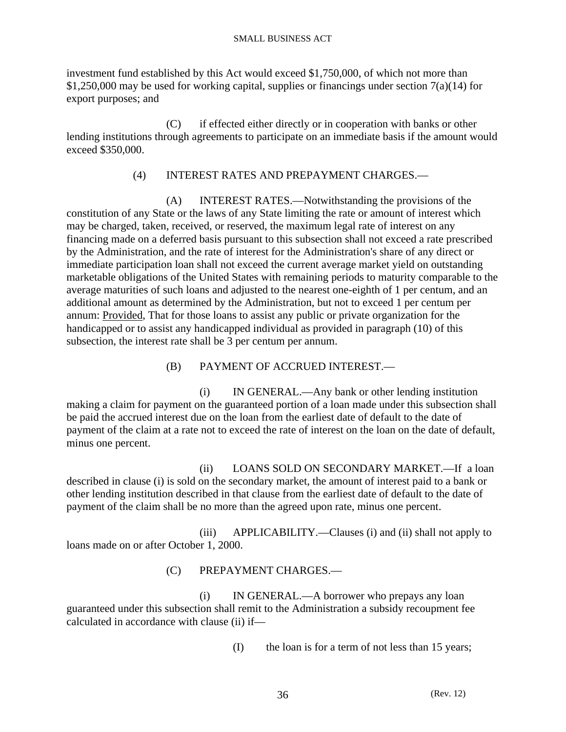investment fund established by this Act would exceed \$1,750,000, of which not more than  $$1,250,000$  may be used for working capital, supplies or financings under section 7(a)(14) for export purposes; and

 (C) if effected either directly or in cooperation with banks or other lending institutions through agreements to participate on an immediate basis if the amount would exceed \$350,000.

# (4) INTEREST RATES AND PREPAYMENT CHARGES.—

 (A) INTEREST RATES.—Notwithstanding the provisions of the constitution of any State or the laws of any State limiting the rate or amount of interest which may be charged, taken, received, or reserved, the maximum legal rate of interest on any financing made on a deferred basis pursuant to this subsection shall not exceed a rate prescribed by the Administration, and the rate of interest for the Administration's share of any direct or immediate participation loan shall not exceed the current average market yield on outstanding marketable obligations of the United States with remaining periods to maturity comparable to the average maturities of such loans and adjusted to the nearest one-eighth of 1 per centum, and an additional amount as determined by the Administration, but not to exceed 1 per centum per annum: Provided, That for those loans to assist any public or private organization for the handicapped or to assist any handicapped individual as provided in paragraph (10) of this subsection, the interest rate shall be 3 per centum per annum.

(B) PAYMENT OF ACCRUED INTEREST.—

 (i) IN GENERAL.—Any bank or other lending institution making a claim for payment on the guaranteed portion of a loan made under this subsection shall be paid the accrued interest due on the loan from the earliest date of default to the date of payment of the claim at a rate not to exceed the rate of interest on the loan on the date of default, minus one percent.

 (ii) LOANS SOLD ON SECONDARY MARKET.—If a loan described in clause (i) is sold on the secondary market, the amount of interest paid to a bank or other lending institution described in that clause from the earliest date of default to the date of payment of the claim shall be no more than the agreed upon rate, minus one percent.

 (iii) APPLICABILITY.—Clauses (i) and (ii) shall not apply to loans made on or after October 1, 2000.

(C) PREPAYMENT CHARGES.—

 (i) IN GENERAL.—A borrower who prepays any loan guaranteed under this subsection shall remit to the Administration a subsidy recoupment fee calculated in accordance with clause (ii) if—

(I) the loan is for a term of not less than 15 years;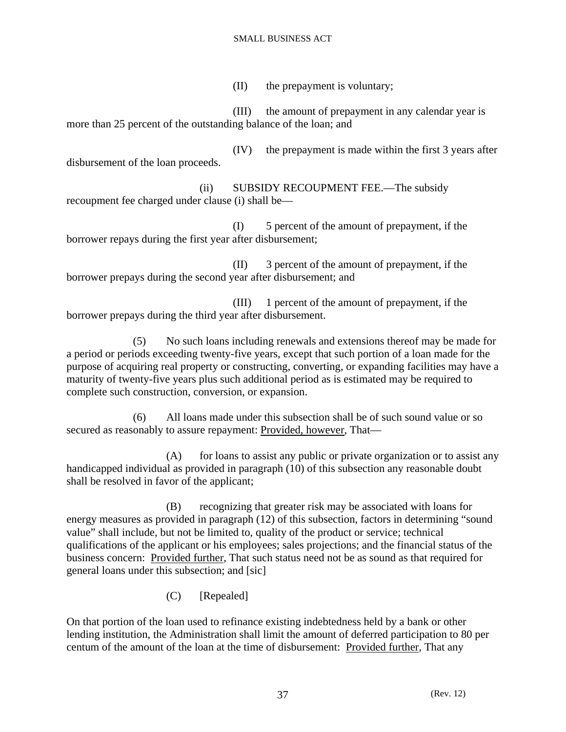(II) the prepayment is voluntary;

 (III) the amount of prepayment in any calendar year is more than 25 percent of the outstanding balance of the loan; and

 (IV) the prepayment is made within the first 3 years after disbursement of the loan proceeds.

 (ii) SUBSIDY RECOUPMENT FEE.—The subsidy recoupment fee charged under clause (i) shall be—

 (I) 5 percent of the amount of prepayment, if the borrower repays during the first year after disbursement;

 (II) 3 percent of the amount of prepayment, if the borrower prepays during the second year after disbursement; and

 (III) 1 percent of the amount of prepayment, if the borrower prepays during the third year after disbursement.

 (5) No such loans including renewals and extensions thereof may be made for a period or periods exceeding twenty-five years, except that such portion of a loan made for the purpose of acquiring real property or constructing, converting, or expanding facilities may have a maturity of twenty-five years plus such additional period as is estimated may be required to complete such construction, conversion, or expansion.

 (6) All loans made under this subsection shall be of such sound value or so secured as reasonably to assure repayment: Provided, however, That—

(A) for loans to assist any public or private organization or to assist any handicapped individual as provided in paragraph (10) of this subsection any reasonable doubt shall be resolved in favor of the applicant;

 (B) recognizing that greater risk may be associated with loans for energy measures as provided in paragraph (12) of this subsection, factors in determining "sound value" shall include, but not be limited to, quality of the product or service; technical qualifications of the applicant or his employees; sales projections; and the financial status of the business concern: Provided further, That such status need not be as sound as that required for general loans under this subsection; and [sic]

(C) [Repealed]

On that portion of the loan used to refinance existing indebtedness held by a bank or other lending institution, the Administration shall limit the amount of deferred participation to 80 per centum of the amount of the loan at the time of disbursement: Provided further, That any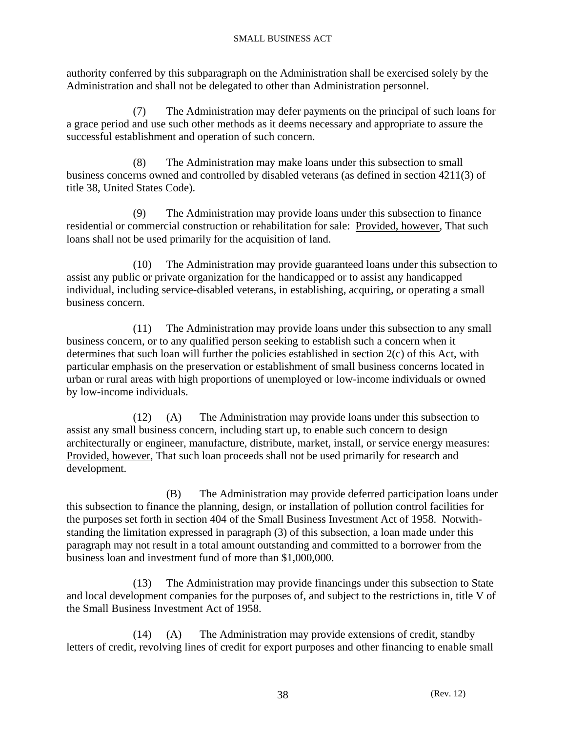authority conferred by this subparagraph on the Administration shall be exercised solely by the Administration and shall not be delegated to other than Administration personnel.

 (7) The Administration may defer payments on the principal of such loans for a grace period and use such other methods as it deems necessary and appropriate to assure the successful establishment and operation of such concern.

 (8) The Administration may make loans under this subsection to small business concerns owned and controlled by disabled veterans (as defined in section 4211(3) of title 38, United States Code).

 (9) The Administration may provide loans under this subsection to finance residential or commercial construction or rehabilitation for sale: Provided, however, That such loans shall not be used primarily for the acquisition of land.

 (10) The Administration may provide guaranteed loans under this subsection to assist any public or private organization for the handicapped or to assist any handicapped individual, including service-disabled veterans, in establishing, acquiring, or operating a small business concern.

 (11) The Administration may provide loans under this subsection to any small business concern, or to any qualified person seeking to establish such a concern when it determines that such loan will further the policies established in section 2(c) of this Act, with particular emphasis on the preservation or establishment of small business concerns located in urban or rural areas with high proportions of unemployed or low-income individuals or owned by low-income individuals.

 (12) (A) The Administration may provide loans under this subsection to assist any small business concern, including start up, to enable such concern to design architecturally or engineer, manufacture, distribute, market, install, or service energy measures: Provided, however, That such loan proceeds shall not be used primarily for research and development.

 (B) The Administration may provide deferred participation loans under this subsection to finance the planning, design, or installation of pollution control facilities for the purposes set forth in section 404 of the Small Business Investment Act of 1958. Notwithstanding the limitation expressed in paragraph (3) of this subsection, a loan made under this paragraph may not result in a total amount outstanding and committed to a borrower from the business loan and investment fund of more than \$1,000,000.

 (13) The Administration may provide financings under this subsection to State and local development companies for the purposes of, and subject to the restrictions in, title V of the Small Business Investment Act of 1958.

 (14) (A) The Administration may provide extensions of credit, standby letters of credit, revolving lines of credit for export purposes and other financing to enable small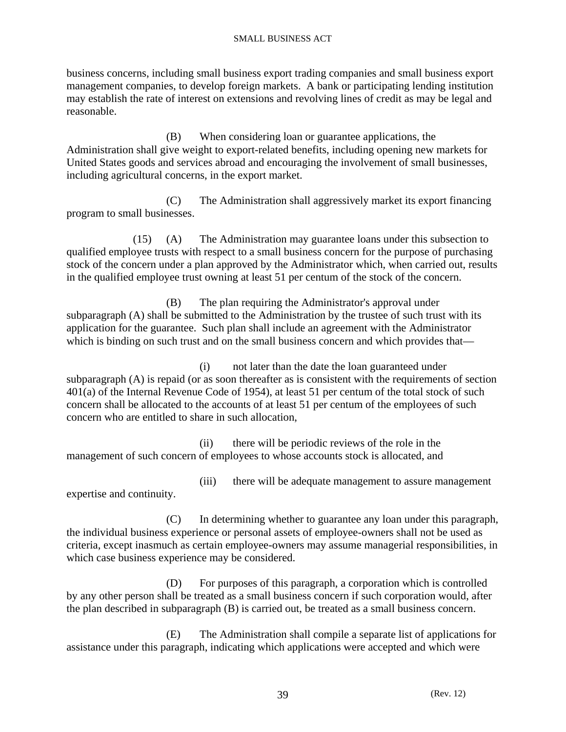business concerns, including small business export trading companies and small business export management companies, to develop foreign markets. A bank or participating lending institution may establish the rate of interest on extensions and revolving lines of credit as may be legal and reasonable.

 (B) When considering loan or guarantee applications, the Administration shall give weight to export-related benefits, including opening new markets for United States goods and services abroad and encouraging the involvement of small businesses, including agricultural concerns, in the export market.

 (C) The Administration shall aggressively market its export financing program to small businesses.

 (15) (A) The Administration may guarantee loans under this subsection to qualified employee trusts with respect to a small business concern for the purpose of purchasing stock of the concern under a plan approved by the Administrator which, when carried out, results in the qualified employee trust owning at least 51 per centum of the stock of the concern.

 (B) The plan requiring the Administrator's approval under subparagraph (A) shall be submitted to the Administration by the trustee of such trust with its application for the guarantee. Such plan shall include an agreement with the Administrator which is binding on such trust and on the small business concern and which provides that—

 (i) not later than the date the loan guaranteed under subparagraph (A) is repaid (or as soon thereafter as is consistent with the requirements of section 401(a) of the Internal Revenue Code of 1954), at least 51 per centum of the total stock of such concern shall be allocated to the accounts of at least 51 per centum of the employees of such concern who are entitled to share in such allocation,

 (ii) there will be periodic reviews of the role in the management of such concern of employees to whose accounts stock is allocated, and

 (iii) there will be adequate management to assure management expertise and continuity.

 (C) In determining whether to guarantee any loan under this paragraph, the individual business experience or personal assets of employee-owners shall not be used as criteria, except inasmuch as certain employee-owners may assume managerial responsibilities, in which case business experience may be considered.

 (D) For purposes of this paragraph, a corporation which is controlled by any other person shall be treated as a small business concern if such corporation would, after the plan described in subparagraph (B) is carried out, be treated as a small business concern.

 (E) The Administration shall compile a separate list of applications for assistance under this paragraph, indicating which applications were accepted and which were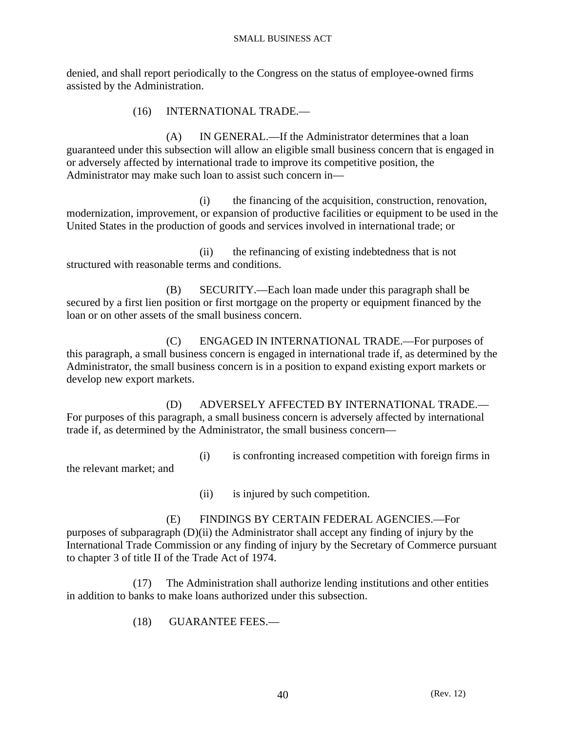denied, and shall report periodically to the Congress on the status of employee-owned firms assisted by the Administration.

(16) INTERNATIONAL TRADE.—

 (A) IN GENERAL.—If the Administrator determines that a loan guaranteed under this subsection will allow an eligible small business concern that is engaged in or adversely affected by international trade to improve its competitive position, the Administrator may make such loan to assist such concern in—

 (i) the financing of the acquisition, construction, renovation, modernization, improvement, or expansion of productive facilities or equipment to be used in the United States in the production of goods and services involved in international trade; or

 (ii) the refinancing of existing indebtedness that is not structured with reasonable terms and conditions.

 (B) SECURITY.—Each loan made under this paragraph shall be secured by a first lien position or first mortgage on the property or equipment financed by the loan or on other assets of the small business concern.

 (C) ENGAGED IN INTERNATIONAL TRADE.—For purposes of this paragraph, a small business concern is engaged in international trade if, as determined by the Administrator, the small business concern is in a position to expand existing export markets or develop new export markets.

 (D) ADVERSELY AFFECTED BY INTERNATIONAL TRADE.— For purposes of this paragraph, a small business concern is adversely affected by international trade if, as determined by the Administrator, the small business concern—

(i) is confronting increased competition with foreign firms in

the relevant market; and

(ii) is injured by such competition.

 (E) FINDINGS BY CERTAIN FEDERAL AGENCIES.—For purposes of subparagraph (D)(ii) the Administrator shall accept any finding of injury by the International Trade Commission or any finding of injury by the Secretary of Commerce pursuant to chapter 3 of title II of the Trade Act of 1974.

 (17) The Administration shall authorize lending institutions and other entities in addition to banks to make loans authorized under this subsection.

(18) GUARANTEE FEES.—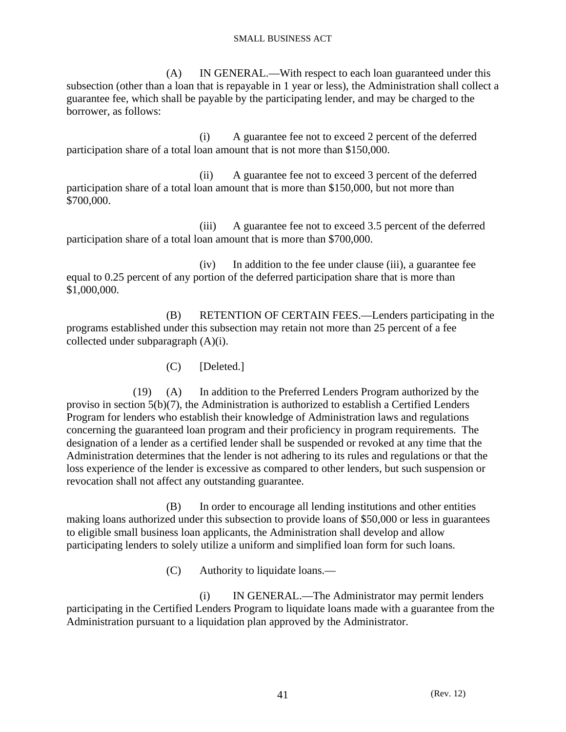(A) IN GENERAL.—With respect to each loan guaranteed under this subsection (other than a loan that is repayable in 1 year or less), the Administration shall collect a guarantee fee, which shall be payable by the participating lender, and may be charged to the borrower, as follows:

 (i) A guarantee fee not to exceed 2 percent of the deferred participation share of a total loan amount that is not more than \$150,000.

 (ii) A guarantee fee not to exceed 3 percent of the deferred participation share of a total loan amount that is more than \$150,000, but not more than \$700,000.

 (iii) A guarantee fee not to exceed 3.5 percent of the deferred participation share of a total loan amount that is more than \$700,000.

 (iv) In addition to the fee under clause (iii), a guarantee fee equal to 0.25 percent of any portion of the deferred participation share that is more than \$1,000,000.

 (B) RETENTION OF CERTAIN FEES.—Lenders participating in the programs established under this subsection may retain not more than 25 percent of a fee collected under subparagraph (A)(i).

(C) [Deleted.]

 (19) (A) In addition to the Preferred Lenders Program authorized by the proviso in section 5(b)(7), the Administration is authorized to establish a Certified Lenders Program for lenders who establish their knowledge of Administration laws and regulations concerning the guaranteed loan program and their proficiency in program requirements. The designation of a lender as a certified lender shall be suspended or revoked at any time that the Administration determines that the lender is not adhering to its rules and regulations or that the loss experience of the lender is excessive as compared to other lenders, but such suspension or revocation shall not affect any outstanding guarantee.

 (B) In order to encourage all lending institutions and other entities making loans authorized under this subsection to provide loans of \$50,000 or less in guarantees to eligible small business loan applicants, the Administration shall develop and allow participating lenders to solely utilize a uniform and simplified loan form for such loans.

(C) Authority to liquidate loans.—

 (i) IN GENERAL.—The Administrator may permit lenders participating in the Certified Lenders Program to liquidate loans made with a guarantee from the Administration pursuant to a liquidation plan approved by the Administrator.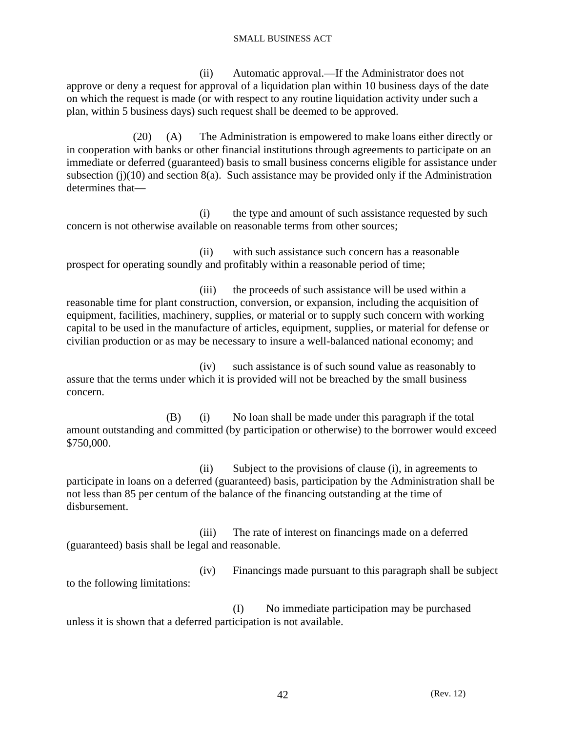(ii) Automatic approval.—If the Administrator does not approve or deny a request for approval of a liquidation plan within 10 business days of the date on which the request is made (or with respect to any routine liquidation activity under such a plan, within 5 business days) such request shall be deemed to be approved.

 (20) (A) The Administration is empowered to make loans either directly or in cooperation with banks or other financial institutions through agreements to participate on an immediate or deferred (guaranteed) basis to small business concerns eligible for assistance under subsection (j)(10) and section 8(a). Such assistance may be provided only if the Administration determines that—

 (i) the type and amount of such assistance requested by such concern is not otherwise available on reasonable terms from other sources;

 (ii) with such assistance such concern has a reasonable prospect for operating soundly and profitably within a reasonable period of time;

(iii) the proceeds of such assistance will be used within a reasonable time for plant construction, conversion, or expansion, including the acquisition of equipment, facilities, machinery, supplies, or material or to supply such concern with working capital to be used in the manufacture of articles, equipment, supplies, or material for defense or civilian production or as may be necessary to insure a well-balanced national economy; and

 (iv) such assistance is of such sound value as reasonably to assure that the terms under which it is provided will not be breached by the small business concern.

 (B) (i) No loan shall be made under this paragraph if the total amount outstanding and committed (by participation or otherwise) to the borrower would exceed \$750,000.

 (ii) Subject to the provisions of clause (i), in agreements to participate in loans on a deferred (guaranteed) basis, participation by the Administration shall be not less than 85 per centum of the balance of the financing outstanding at the time of disbursement.

 (iii) The rate of interest on financings made on a deferred (guaranteed) basis shall be legal and reasonable.

 (iv) Financings made pursuant to this paragraph shall be subject to the following limitations:

 (I) No immediate participation may be purchased unless it is shown that a deferred participation is not available.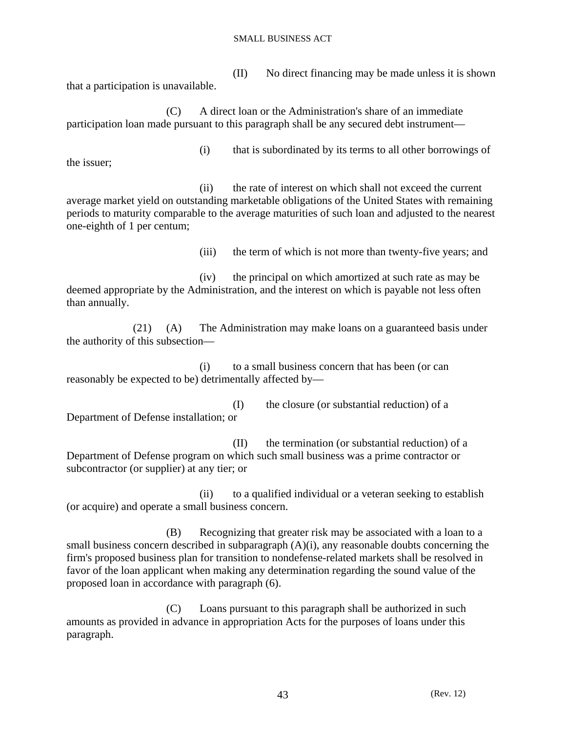(II) No direct financing may be made unless it is shown that a participation is unavailable.

 (C) A direct loan or the Administration's share of an immediate participation loan made pursuant to this paragraph shall be any secured debt instrument—

the issuer;

(i) that is subordinated by its terms to all other borrowings of

 (ii) the rate of interest on which shall not exceed the current average market yield on outstanding marketable obligations of the United States with remaining periods to maturity comparable to the average maturities of such loan and adjusted to the nearest one-eighth of 1 per centum;

(iii) the term of which is not more than twenty-five years; and

 (iv) the principal on which amortized at such rate as may be deemed appropriate by the Administration, and the interest on which is payable not less often than annually.

 (21) (A) The Administration may make loans on a guaranteed basis under the authority of this subsection—

 (i) to a small business concern that has been (or can reasonably be expected to be) detrimentally affected by—

 (I) the closure (or substantial reduction) of a Department of Defense installation; or

 (II) the termination (or substantial reduction) of a Department of Defense program on which such small business was a prime contractor or subcontractor (or supplier) at any tier; or

 (ii) to a qualified individual or a veteran seeking to establish (or acquire) and operate a small business concern.

 (B) Recognizing that greater risk may be associated with a loan to a small business concern described in subparagraph  $(A)(i)$ , any reasonable doubts concerning the firm's proposed business plan for transition to nondefense-related markets shall be resolved in favor of the loan applicant when making any determination regarding the sound value of the proposed loan in accordance with paragraph (6).

 (C) Loans pursuant to this paragraph shall be authorized in such amounts as provided in advance in appropriation Acts for the purposes of loans under this paragraph.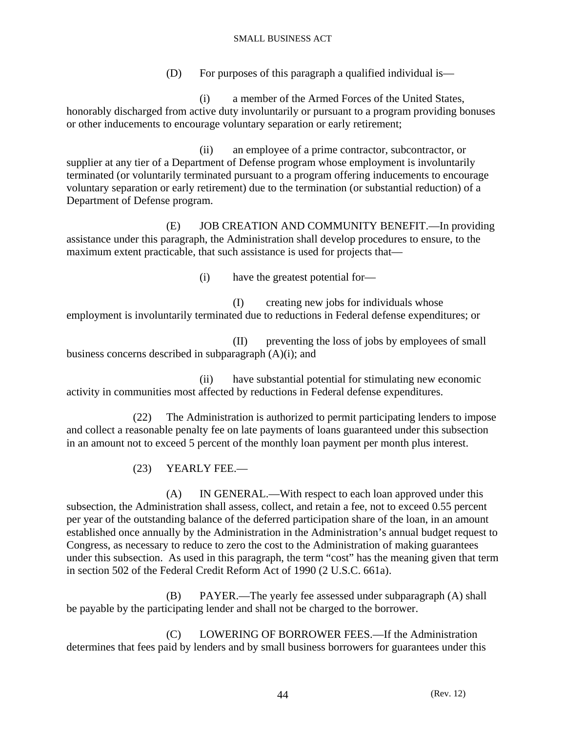(D) For purposes of this paragraph a qualified individual is—

 (i) a member of the Armed Forces of the United States, honorably discharged from active duty involuntarily or pursuant to a program providing bonuses or other inducements to encourage voluntary separation or early retirement;

 (ii) an employee of a prime contractor, subcontractor, or supplier at any tier of a Department of Defense program whose employment is involuntarily terminated (or voluntarily terminated pursuant to a program offering inducements to encourage voluntary separation or early retirement) due to the termination (or substantial reduction) of a Department of Defense program.

 (E) JOB CREATION AND COMMUNITY BENEFIT.—In providing assistance under this paragraph, the Administration shall develop procedures to ensure, to the maximum extent practicable, that such assistance is used for projects that—

(i) have the greatest potential for—

 (I) creating new jobs for individuals whose employment is involuntarily terminated due to reductions in Federal defense expenditures; or

 (II) preventing the loss of jobs by employees of small business concerns described in subparagraph (A)(i); and

 (ii) have substantial potential for stimulating new economic activity in communities most affected by reductions in Federal defense expenditures.

 (22) The Administration is authorized to permit participating lenders to impose and collect a reasonable penalty fee on late payments of loans guaranteed under this subsection in an amount not to exceed 5 percent of the monthly loan payment per month plus interest.

(23) YEARLY FEE.—

 (A) IN GENERAL.—With respect to each loan approved under this subsection, the Administration shall assess, collect, and retain a fee, not to exceed 0.55 percent per year of the outstanding balance of the deferred participation share of the loan, in an amount established once annually by the Administration in the Administration's annual budget request to Congress, as necessary to reduce to zero the cost to the Administration of making guarantees under this subsection. As used in this paragraph, the term "cost" has the meaning given that term in section 502 of the Federal Credit Reform Act of 1990 (2 U.S.C. 661a).

 (B) PAYER.—The yearly fee assessed under subparagraph (A) shall be payable by the participating lender and shall not be charged to the borrower.

 (C) LOWERING OF BORROWER FEES.—If the Administration determines that fees paid by lenders and by small business borrowers for guarantees under this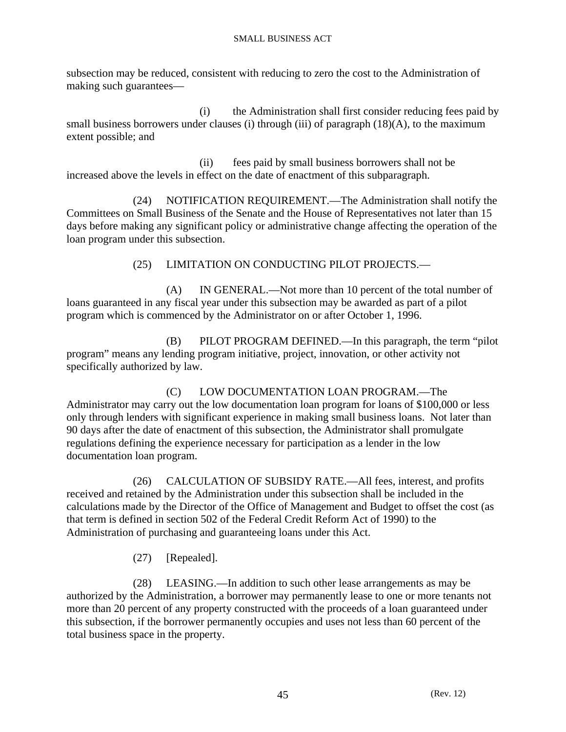subsection may be reduced, consistent with reducing to zero the cost to the Administration of making such guarantees—

 (i) the Administration shall first consider reducing fees paid by small business borrowers under clauses (i) through (iii) of paragraph (18)(A), to the maximum extent possible; and

 (ii) fees paid by small business borrowers shall not be increased above the levels in effect on the date of enactment of this subparagraph.

 (24) NOTIFICATION REQUIREMENT.—The Administration shall notify the Committees on Small Business of the Senate and the House of Representatives not later than 15 days before making any significant policy or administrative change affecting the operation of the loan program under this subsection.

(25) LIMITATION ON CONDUCTING PILOT PROJECTS.—

 (A) IN GENERAL.—Not more than 10 percent of the total number of loans guaranteed in any fiscal year under this subsection may be awarded as part of a pilot program which is commenced by the Administrator on or after October 1, 1996.

 (B) PILOT PROGRAM DEFINED.—In this paragraph, the term "pilot program" means any lending program initiative, project, innovation, or other activity not specifically authorized by law.

 (C) LOW DOCUMENTATION LOAN PROGRAM.—The Administrator may carry out the low documentation loan program for loans of \$100,000 or less only through lenders with significant experience in making small business loans. Not later than 90 days after the date of enactment of this subsection, the Administrator shall promulgate regulations defining the experience necessary for participation as a lender in the low documentation loan program.

 (26) CALCULATION OF SUBSIDY RATE.—All fees, interest, and profits received and retained by the Administration under this subsection shall be included in the calculations made by the Director of the Office of Management and Budget to offset the cost (as that term is defined in section 502 of the Federal Credit Reform Act of 1990) to the Administration of purchasing and guaranteeing loans under this Act.

(27) [Repealed].

 (28) LEASING.—In addition to such other lease arrangements as may be authorized by the Administration, a borrower may permanently lease to one or more tenants not more than 20 percent of any property constructed with the proceeds of a loan guaranteed under this subsection, if the borrower permanently occupies and uses not less than 60 percent of the total business space in the property.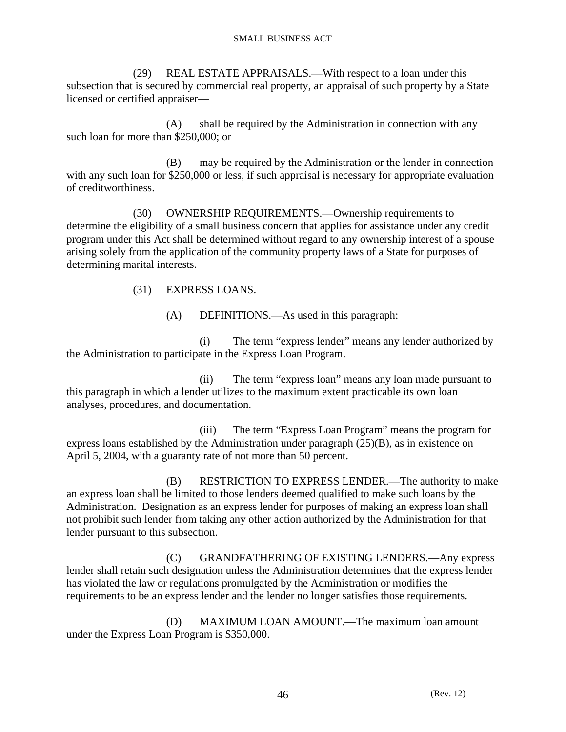(29) REAL ESTATE APPRAISALS.—With respect to a loan under this subsection that is secured by commercial real property, an appraisal of such property by a State licensed or certified appraiser—

 (A) shall be required by the Administration in connection with any such loan for more than \$250,000; or

 (B) may be required by the Administration or the lender in connection with any such loan for \$250,000 or less, if such appraisal is necessary for appropriate evaluation of creditworthiness.

 (30) OWNERSHIP REQUIREMENTS.—Ownership requirements to determine the eligibility of a small business concern that applies for assistance under any credit program under this Act shall be determined without regard to any ownership interest of a spouse arising solely from the application of the community property laws of a State for purposes of determining marital interests.

(31) EXPRESS LOANS.

(A) DEFINITIONS.—As used in this paragraph:

 (i) The term "express lender" means any lender authorized by the Administration to participate in the Express Loan Program.

 (ii) The term "express loan" means any loan made pursuant to this paragraph in which a lender utilizes to the maximum extent practicable its own loan analyses, procedures, and documentation.

 (iii) The term "Express Loan Program" means the program for express loans established by the Administration under paragraph (25)(B), as in existence on April 5, 2004, with a guaranty rate of not more than 50 percent.

 (B) RESTRICTION TO EXPRESS LENDER.—The authority to make an express loan shall be limited to those lenders deemed qualified to make such loans by the Administration. Designation as an express lender for purposes of making an express loan shall not prohibit such lender from taking any other action authorized by the Administration for that lender pursuant to this subsection.

 (C) GRANDFATHERING OF EXISTING LENDERS.—Any express lender shall retain such designation unless the Administration determines that the express lender has violated the law or regulations promulgated by the Administration or modifies the requirements to be an express lender and the lender no longer satisfies those requirements.

 (D) MAXIMUM LOAN AMOUNT.—The maximum loan amount under the Express Loan Program is \$350,000.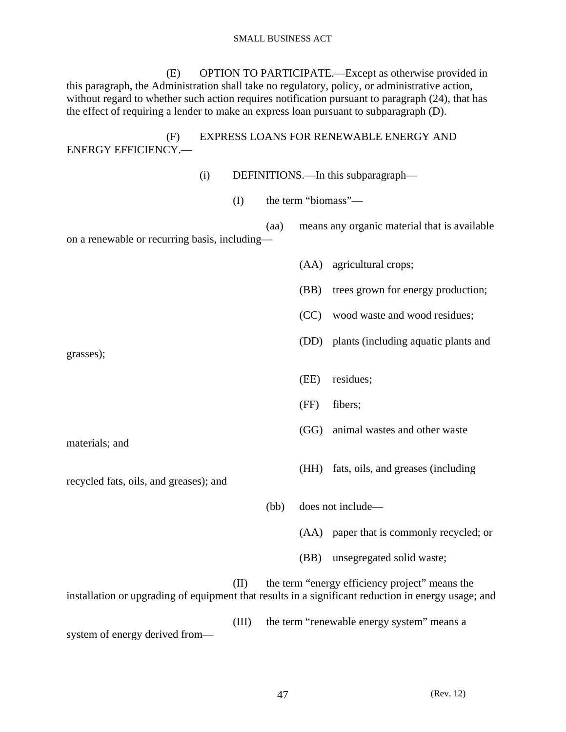(E) OPTION TO PARTICIPATE.—Except as otherwise provided in this paragraph, the Administration shall take no regulatory, policy, or administrative action, without regard to whether such action requires notification pursuant to paragraph (24), that has the effect of requiring a lender to make an express loan pursuant to subparagraph (D).

 (F) EXPRESS LOANS FOR RENEWABLE ENERGY AND ENERGY EFFICIENCY.—

 (i) DEFINITIONS.—In this subparagraph— (I) the term "biomass"— (aa) means any organic material that is available on a renewable or recurring basis, including— (AA) agricultural crops; (BB) trees grown for energy production; (CC) wood waste and wood residues; (DD) plants (including aquatic plants and grasses); (EE) residues; (FF) fibers; (GG) animal wastes and other waste materials; and (HH) fats, oils, and greases (including recycled fats, oils, and greases); and

 (II) the term "energy efficiency project" means the installation or upgrading of equipment that results in a significant reduction in energy usage; and (III) the term "renewable energy system" means a system of energy derived from—

(bb) does not include—

(AA) paper that is commonly recycled; or

(BB) unsegregated solid waste;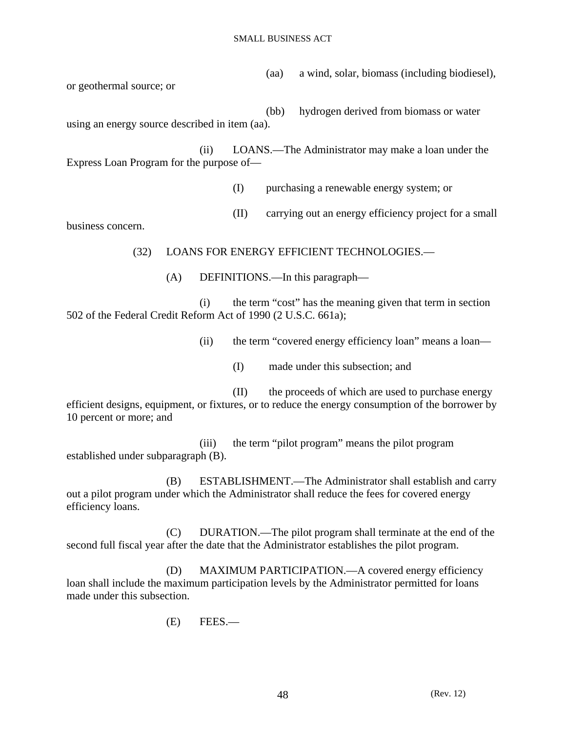(aa) a wind, solar, biomass (including biodiesel), or geothermal source; or

 (bb) hydrogen derived from biomass or water using an energy source described in item (aa).

 (ii) LOANS.—The Administrator may make a loan under the Express Loan Program for the purpose of—

(I) purchasing a renewable energy system; or

(II) carrying out an energy efficiency project for a small

business concern.

(32) LOANS FOR ENERGY EFFICIENT TECHNOLOGIES.—

(A) DEFINITIONS.—In this paragraph—

 (i) the term "cost" has the meaning given that term in section 502 of the Federal Credit Reform Act of 1990 (2 U.S.C. 661a);

(ii) the term "covered energy efficiency loan" means a loan—

(I) made under this subsection; and

 (II) the proceeds of which are used to purchase energy efficient designs, equipment, or fixtures, or to reduce the energy consumption of the borrower by 10 percent or more; and

 (iii) the term "pilot program" means the pilot program established under subparagraph (B).

 (B) ESTABLISHMENT.—The Administrator shall establish and carry out a pilot program under which the Administrator shall reduce the fees for covered energy efficiency loans.

 (C) DURATION.—The pilot program shall terminate at the end of the second full fiscal year after the date that the Administrator establishes the pilot program.

 (D) MAXIMUM PARTICIPATION.—A covered energy efficiency loan shall include the maximum participation levels by the Administrator permitted for loans made under this subsection.

(E) FEES.—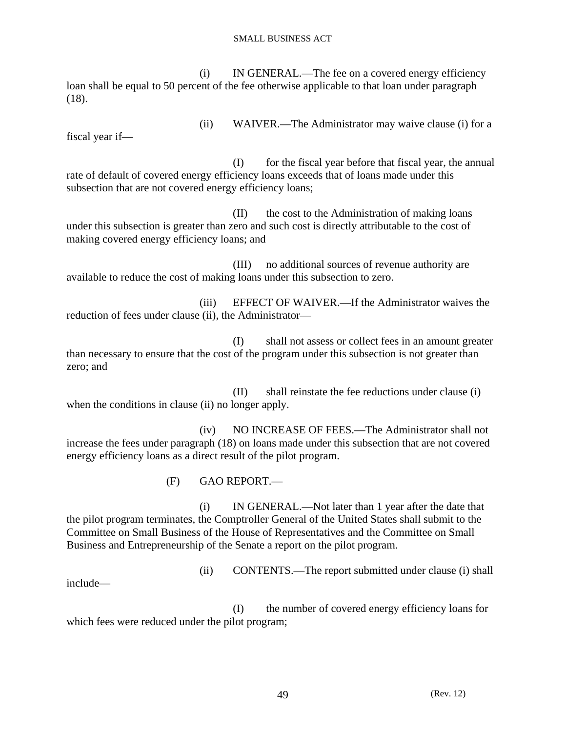(i) IN GENERAL.—The fee on a covered energy efficiency loan shall be equal to 50 percent of the fee otherwise applicable to that loan under paragraph (18).

fiscal year if—

(ii) WAIVER.—The Administrator may waive clause (i) for a

 (I) for the fiscal year before that fiscal year, the annual rate of default of covered energy efficiency loans exceeds that of loans made under this subsection that are not covered energy efficiency loans;

 (II) the cost to the Administration of making loans under this subsection is greater than zero and such cost is directly attributable to the cost of making covered energy efficiency loans; and

 (III) no additional sources of revenue authority are available to reduce the cost of making loans under this subsection to zero.

 (iii) EFFECT OF WAIVER.—If the Administrator waives the reduction of fees under clause (ii), the Administrator—

 (I) shall not assess or collect fees in an amount greater than necessary to ensure that the cost of the program under this subsection is not greater than zero; and

 (II) shall reinstate the fee reductions under clause (i) when the conditions in clause (ii) no longer apply.

 (iv) NO INCREASE OF FEES.—The Administrator shall not increase the fees under paragraph (18) on loans made under this subsection that are not covered energy efficiency loans as a direct result of the pilot program.

(F) GAO REPORT.—

 (i) IN GENERAL.—Not later than 1 year after the date that the pilot program terminates, the Comptroller General of the United States shall submit to the Committee on Small Business of the House of Representatives and the Committee on Small Business and Entrepreneurship of the Senate a report on the pilot program.

(ii) CONTENTS.—The report submitted under clause (i) shall

include—

 (I) the number of covered energy efficiency loans for which fees were reduced under the pilot program;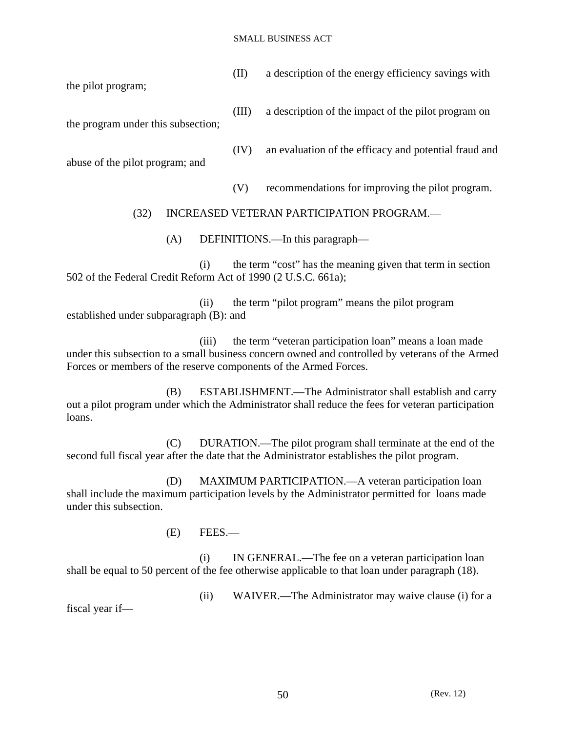| (II) a description of the energy efficiency savings with |
|----------------------------------------------------------|
|                                                          |

the pilot program;

(III) a description of the impact of the pilot program on

the program under this subsection;

abuse of the pilot program; and

(V) recommendations for improving the pilot program.

(IV) an evaluation of the efficacy and potential fraud and

# (32) INCREASED VETERAN PARTICIPATION PROGRAM.—

(A) DEFINITIONS.—In this paragraph—

 (i) the term "cost" has the meaning given that term in section 502 of the Federal Credit Reform Act of 1990 (2 U.S.C. 661a);

 (ii) the term "pilot program" means the pilot program established under subparagraph (B): and

 (iii) the term "veteran participation loan" means a loan made under this subsection to a small business concern owned and controlled by veterans of the Armed Forces or members of the reserve components of the Armed Forces.

 (B) ESTABLISHMENT.—The Administrator shall establish and carry out a pilot program under which the Administrator shall reduce the fees for veteran participation loans.

 (C) DURATION.—The pilot program shall terminate at the end of the second full fiscal year after the date that the Administrator establishes the pilot program.

 (D) MAXIMUM PARTICIPATION.—A veteran participation loan shall include the maximum participation levels by the Administrator permitted for loans made under this subsection.

(E) FEES.—

 (i) IN GENERAL.—The fee on a veteran participation loan shall be equal to 50 percent of the fee otherwise applicable to that loan under paragraph (18).

fiscal year if—

(ii) WAIVER.—The Administrator may waive clause (i) for a

50 (Rev. 12)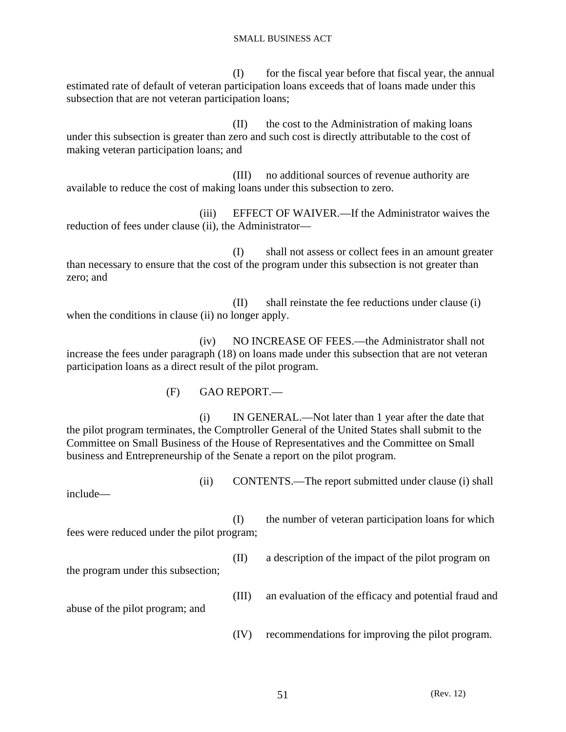(I) for the fiscal year before that fiscal year, the annual estimated rate of default of veteran participation loans exceeds that of loans made under this subsection that are not veteran participation loans;

 (II) the cost to the Administration of making loans under this subsection is greater than zero and such cost is directly attributable to the cost of making veteran participation loans; and

 (III) no additional sources of revenue authority are available to reduce the cost of making loans under this subsection to zero.

 (iii) EFFECT OF WAIVER.—If the Administrator waives the reduction of fees under clause (ii), the Administrator—

 (I) shall not assess or collect fees in an amount greater than necessary to ensure that the cost of the program under this subsection is not greater than zero; and

 (II) shall reinstate the fee reductions under clause (i) when the conditions in clause (ii) no longer apply.

 (iv) NO INCREASE OF FEES.—the Administrator shall not increase the fees under paragraph (18) on loans made under this subsection that are not veteran participation loans as a direct result of the pilot program.

(F) GAO REPORT.—

 (i) IN GENERAL.—Not later than 1 year after the date that the pilot program terminates, the Comptroller General of the United States shall submit to the Committee on Small Business of the House of Representatives and the Committee on Small business and Entrepreneurship of the Senate a report on the pilot program.

(ii) CONTENTS.—The report submitted under clause (i) shall

include—

 (I) the number of veteran participation loans for which fees were reduced under the pilot program;

the program under this subsection;

abuse of the pilot program; and

(II) a description of the impact of the pilot program on

(III) an evaluation of the efficacy and potential fraud and

(IV) recommendations for improving the pilot program.

51 (Rev. 12)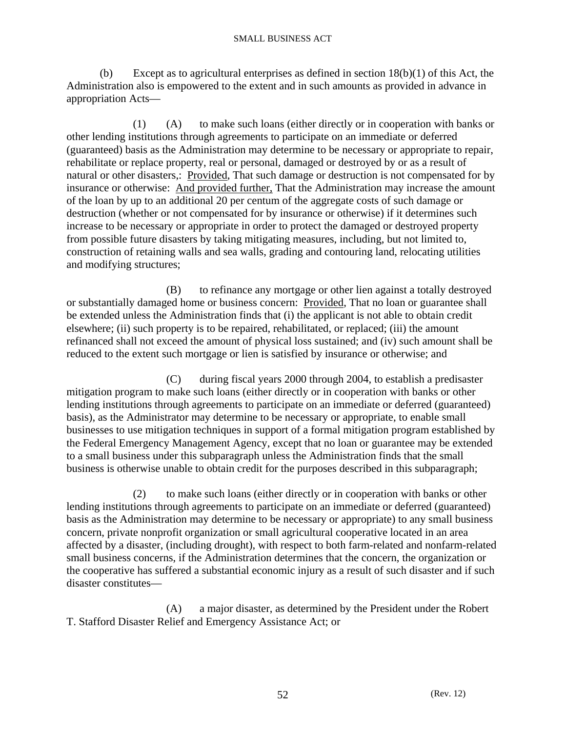(b) Except as to agricultural enterprises as defined in section  $18(b)(1)$  of this Act, the Administration also is empowered to the extent and in such amounts as provided in advance in appropriation Acts—

 (1) (A) to make such loans (either directly or in cooperation with banks or other lending institutions through agreements to participate on an immediate or deferred (guaranteed) basis as the Administration may determine to be necessary or appropriate to repair, rehabilitate or replace property, real or personal, damaged or destroyed by or as a result of natural or other disasters,: Provided, That such damage or destruction is not compensated for by insurance or otherwise: And provided further, That the Administration may increase the amount of the loan by up to an additional 20 per centum of the aggregate costs of such damage or destruction (whether or not compensated for by insurance or otherwise) if it determines such increase to be necessary or appropriate in order to protect the damaged or destroyed property from possible future disasters by taking mitigating measures, including, but not limited to, construction of retaining walls and sea walls, grading and contouring land, relocating utilities and modifying structures;

 (B) to refinance any mortgage or other lien against a totally destroyed or substantially damaged home or business concern: Provided, That no loan or guarantee shall be extended unless the Administration finds that (i) the applicant is not able to obtain credit elsewhere; (ii) such property is to be repaired, rehabilitated, or replaced; (iii) the amount refinanced shall not exceed the amount of physical loss sustained; and (iv) such amount shall be reduced to the extent such mortgage or lien is satisfied by insurance or otherwise; and

 (C) during fiscal years 2000 through 2004, to establish a predisaster mitigation program to make such loans (either directly or in cooperation with banks or other lending institutions through agreements to participate on an immediate or deferred (guaranteed) basis), as the Administrator may determine to be necessary or appropriate, to enable small businesses to use mitigation techniques in support of a formal mitigation program established by the Federal Emergency Management Agency, except that no loan or guarantee may be extended to a small business under this subparagraph unless the Administration finds that the small business is otherwise unable to obtain credit for the purposes described in this subparagraph;

 (2) to make such loans (either directly or in cooperation with banks or other lending institutions through agreements to participate on an immediate or deferred (guaranteed) basis as the Administration may determine to be necessary or appropriate) to any small business concern, private nonprofit organization or small agricultural cooperative located in an area affected by a disaster, (including drought), with respect to both farm-related and nonfarm-related small business concerns, if the Administration determines that the concern, the organization or the cooperative has suffered a substantial economic injury as a result of such disaster and if such disaster constitutes—

 (A) a major disaster, as determined by the President under the Robert T. Stafford Disaster Relief and Emergency Assistance Act; or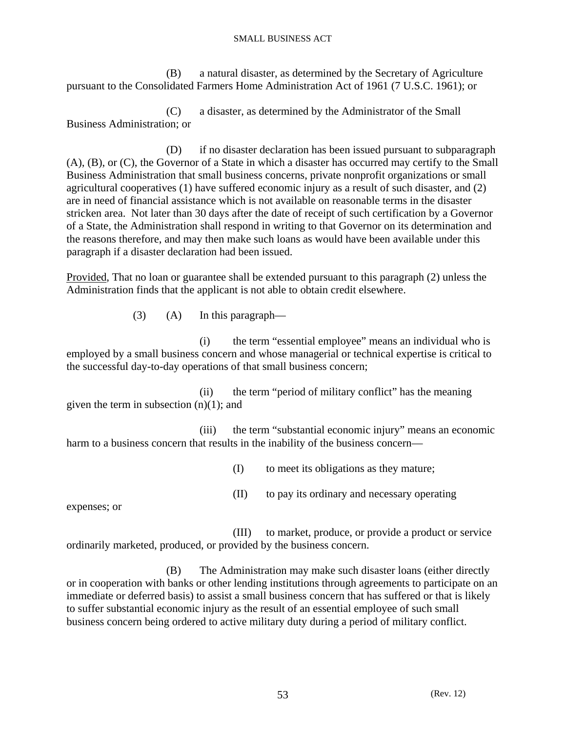(B) a natural disaster, as determined by the Secretary of Agriculture pursuant to the Consolidated Farmers Home Administration Act of 1961 (7 U.S.C. 1961); or

 (C) a disaster, as determined by the Administrator of the Small Business Administration; or

 (D) if no disaster declaration has been issued pursuant to subparagraph (A), (B), or (C), the Governor of a State in which a disaster has occurred may certify to the Small Business Administration that small business concerns, private nonprofit organizations or small agricultural cooperatives (1) have suffered economic injury as a result of such disaster, and (2) are in need of financial assistance which is not available on reasonable terms in the disaster stricken area. Not later than 30 days after the date of receipt of such certification by a Governor of a State, the Administration shall respond in writing to that Governor on its determination and the reasons therefore, and may then make such loans as would have been available under this paragraph if a disaster declaration had been issued.

Provided, That no loan or guarantee shall be extended pursuant to this paragraph (2) unless the Administration finds that the applicant is not able to obtain credit elsewhere.

(3) (A) In this paragraph—

 (i) the term "essential employee" means an individual who is employed by a small business concern and whose managerial or technical expertise is critical to the successful day-to-day operations of that small business concern;

 (ii) the term "period of military conflict" has the meaning given the term in subsection (n)(1); and

 (iii) the term "substantial economic injury" means an economic harm to a business concern that results in the inability of the business concern—

(I) to meet its obligations as they mature;

(II) to pay its ordinary and necessary operating

expenses; or

 (III) to market, produce, or provide a product or service ordinarily marketed, produced, or provided by the business concern.

 (B) The Administration may make such disaster loans (either directly or in cooperation with banks or other lending institutions through agreements to participate on an immediate or deferred basis) to assist a small business concern that has suffered or that is likely to suffer substantial economic injury as the result of an essential employee of such small business concern being ordered to active military duty during a period of military conflict.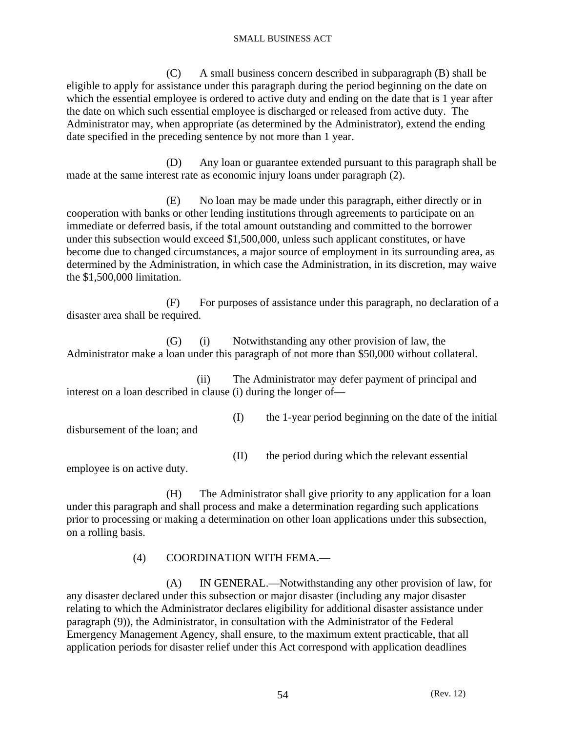(C) A small business concern described in subparagraph (B) shall be eligible to apply for assistance under this paragraph during the period beginning on the date on which the essential employee is ordered to active duty and ending on the date that is 1 year after the date on which such essential employee is discharged or released from active duty. The Administrator may, when appropriate (as determined by the Administrator), extend the ending date specified in the preceding sentence by not more than 1 year.

 (D) Any loan or guarantee extended pursuant to this paragraph shall be made at the same interest rate as economic injury loans under paragraph (2).

 (E) No loan may be made under this paragraph, either directly or in cooperation with banks or other lending institutions through agreements to participate on an immediate or deferred basis, if the total amount outstanding and committed to the borrower under this subsection would exceed \$1,500,000, unless such applicant constitutes, or have become due to changed circumstances, a major source of employment in its surrounding area, as determined by the Administration, in which case the Administration, in its discretion, may waive the \$1,500,000 limitation.

 (F) For purposes of assistance under this paragraph, no declaration of a disaster area shall be required.

 (G) (i) Notwithstanding any other provision of law, the Administrator make a loan under this paragraph of not more than \$50,000 without collateral.

 (ii) The Administrator may defer payment of principal and interest on a loan described in clause (i) during the longer of—

 (I) the 1-year period beginning on the date of the initial disbursement of the loan; and

- 
- (II) the period during which the relevant essential

employee is on active duty.

 (H) The Administrator shall give priority to any application for a loan under this paragraph and shall process and make a determination regarding such applications prior to processing or making a determination on other loan applications under this subsection, on a rolling basis.

# (4) COORDINATION WITH FEMA.—

 (A) IN GENERAL.—Notwithstanding any other provision of law, for any disaster declared under this subsection or major disaster (including any major disaster relating to which the Administrator declares eligibility for additional disaster assistance under paragraph (9)), the Administrator, in consultation with the Administrator of the Federal Emergency Management Agency, shall ensure, to the maximum extent practicable, that all application periods for disaster relief under this Act correspond with application deadlines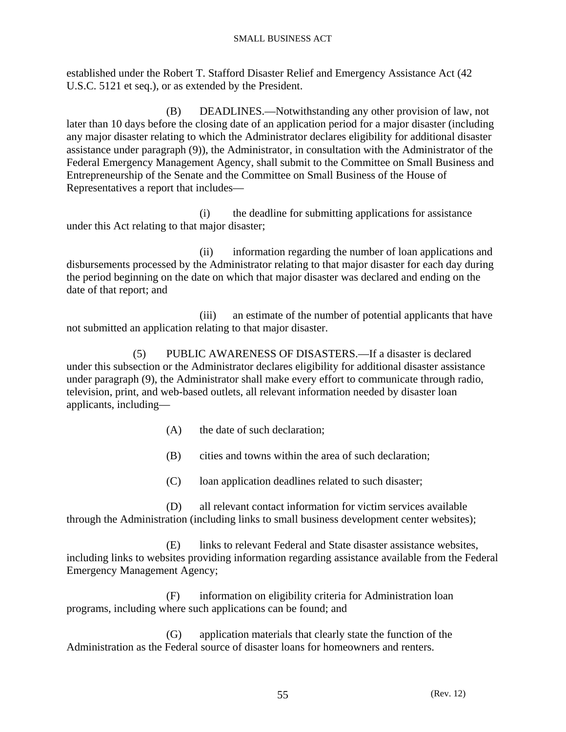established under the Robert T. Stafford Disaster Relief and Emergency Assistance Act (42 U.S.C. 5121 et seq.), or as extended by the President.

 (B) DEADLINES.—Notwithstanding any other provision of law, not later than 10 days before the closing date of an application period for a major disaster (including any major disaster relating to which the Administrator declares eligibility for additional disaster assistance under paragraph (9)), the Administrator, in consultation with the Administrator of the Federal Emergency Management Agency, shall submit to the Committee on Small Business and Entrepreneurship of the Senate and the Committee on Small Business of the House of Representatives a report that includes—

 (i) the deadline for submitting applications for assistance under this Act relating to that major disaster;

 (ii) information regarding the number of loan applications and disbursements processed by the Administrator relating to that major disaster for each day during the period beginning on the date on which that major disaster was declared and ending on the date of that report; and

 (iii) an estimate of the number of potential applicants that have not submitted an application relating to that major disaster.

 (5) PUBLIC AWARENESS OF DISASTERS.—If a disaster is declared under this subsection or the Administrator declares eligibility for additional disaster assistance under paragraph (9), the Administrator shall make every effort to communicate through radio, television, print, and web-based outlets, all relevant information needed by disaster loan applicants, including—

- (A) the date of such declaration;
- (B) cities and towns within the area of such declaration;
- (C) loan application deadlines related to such disaster;

 (D) all relevant contact information for victim services available through the Administration (including links to small business development center websites);

 (E) links to relevant Federal and State disaster assistance websites, including links to websites providing information regarding assistance available from the Federal Emergency Management Agency;

 (F) information on eligibility criteria for Administration loan programs, including where such applications can be found; and

 (G) application materials that clearly state the function of the Administration as the Federal source of disaster loans for homeowners and renters.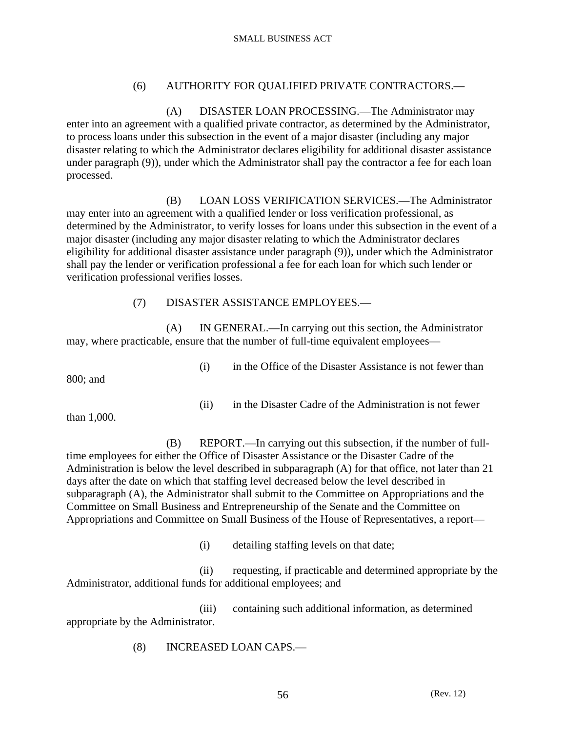# (6) AUTHORITY FOR QUALIFIED PRIVATE CONTRACTORS.—

 (A) DISASTER LOAN PROCESSING.—The Administrator may enter into an agreement with a qualified private contractor, as determined by the Administrator, to process loans under this subsection in the event of a major disaster (including any major disaster relating to which the Administrator declares eligibility for additional disaster assistance under paragraph (9)), under which the Administrator shall pay the contractor a fee for each loan processed.

 (B) LOAN LOSS VERIFICATION SERVICES.—The Administrator may enter into an agreement with a qualified lender or loss verification professional, as determined by the Administrator, to verify losses for loans under this subsection in the event of a major disaster (including any major disaster relating to which the Administrator declares eligibility for additional disaster assistance under paragraph (9)), under which the Administrator shall pay the lender or verification professional a fee for each loan for which such lender or verification professional verifies losses.

# (7) DISASTER ASSISTANCE EMPLOYEES.—

 (A) IN GENERAL.—In carrying out this section, the Administrator may, where practicable, ensure that the number of full-time equivalent employees—

800; and

(i) in the Office of the Disaster Assistance is not fewer than

(ii) in the Disaster Cadre of the Administration is not fewer

than 1,000.

- (B) REPORT.—In carrying out this subsection, if the number of fulltime employees for either the Office of Disaster Assistance or the Disaster Cadre of the Administration is below the level described in subparagraph (A) for that office, not later than 21 days after the date on which that staffing level decreased below the level described in subparagraph (A), the Administrator shall submit to the Committee on Appropriations and the Committee on Small Business and Entrepreneurship of the Senate and the Committee on Appropriations and Committee on Small Business of the House of Representatives, a report—
	- (i) detailing staffing levels on that date;
- (ii) requesting, if practicable and determined appropriate by the Administrator, additional funds for additional employees; and

 (iii) containing such additional information, as determined appropriate by the Administrator.

(8) INCREASED LOAN CAPS.—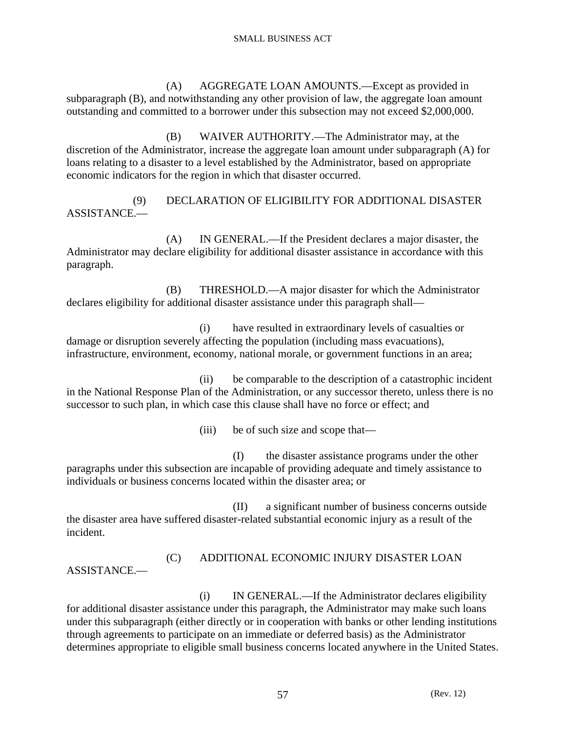(A) AGGREGATE LOAN AMOUNTS.—Except as provided in subparagraph (B), and notwithstanding any other provision of law, the aggregate loan amount outstanding and committed to a borrower under this subsection may not exceed \$2,000,000.

 (B) WAIVER AUTHORITY.—The Administrator may, at the discretion of the Administrator, increase the aggregate loan amount under subparagraph (A) for loans relating to a disaster to a level established by the Administrator, based on appropriate economic indicators for the region in which that disaster occurred.

 (9) DECLARATION OF ELIGIBILITY FOR ADDITIONAL DISASTER ASSISTANCE.—

 (A) IN GENERAL.—If the President declares a major disaster, the Administrator may declare eligibility for additional disaster assistance in accordance with this paragraph.

 (B) THRESHOLD.—A major disaster for which the Administrator declares eligibility for additional disaster assistance under this paragraph shall—

 (i) have resulted in extraordinary levels of casualties or damage or disruption severely affecting the population (including mass evacuations), infrastructure, environment, economy, national morale, or government functions in an area;

 (ii) be comparable to the description of a catastrophic incident in the National Response Plan of the Administration, or any successor thereto, unless there is no successor to such plan, in which case this clause shall have no force or effect; and

(iii) be of such size and scope that—

 (I) the disaster assistance programs under the other paragraphs under this subsection are incapable of providing adequate and timely assistance to individuals or business concerns located within the disaster area; or

 (II) a significant number of business concerns outside the disaster area have suffered disaster-related substantial economic injury as a result of the incident.

 (C) ADDITIONAL ECONOMIC INJURY DISASTER LOAN ASSISTANCE.—

 (i) IN GENERAL.—If the Administrator declares eligibility for additional disaster assistance under this paragraph, the Administrator may make such loans under this subparagraph (either directly or in cooperation with banks or other lending institutions through agreements to participate on an immediate or deferred basis) as the Administrator determines appropriate to eligible small business concerns located anywhere in the United States.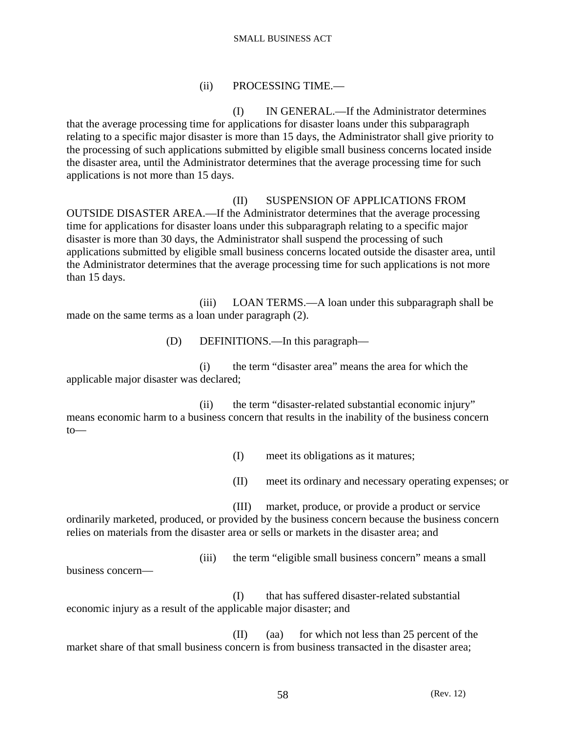# (ii) PROCESSING TIME.—

 (I) IN GENERAL.—If the Administrator determines that the average processing time for applications for disaster loans under this subparagraph relating to a specific major disaster is more than 15 days, the Administrator shall give priority to the processing of such applications submitted by eligible small business concerns located inside the disaster area, until the Administrator determines that the average processing time for such applications is not more than 15 days.

# (II) SUSPENSION OF APPLICATIONS FROM

OUTSIDE DISASTER AREA.—If the Administrator determines that the average processing time for applications for disaster loans under this subparagraph relating to a specific major disaster is more than 30 days, the Administrator shall suspend the processing of such applications submitted by eligible small business concerns located outside the disaster area, until the Administrator determines that the average processing time for such applications is not more than 15 days.

 (iii) LOAN TERMS.—A loan under this subparagraph shall be made on the same terms as a loan under paragraph (2).

(D) DEFINITIONS.—In this paragraph—

 (i) the term "disaster area" means the area for which the applicable major disaster was declared;

 (ii) the term "disaster-related substantial economic injury" means economic harm to a business concern that results in the inability of the business concern to—

(I) meet its obligations as it matures;

(II) meet its ordinary and necessary operating expenses; or

(III) market, produce, or provide a product or service

ordinarily marketed, produced, or provided by the business concern because the business concern relies on materials from the disaster area or sells or markets in the disaster area; and

(iii) the term "eligible small business concern" means a small

business concern—

 (I) that has suffered disaster-related substantial economic injury as a result of the applicable major disaster; and

 (II) (aa) for which not less than 25 percent of the market share of that small business concern is from business transacted in the disaster area;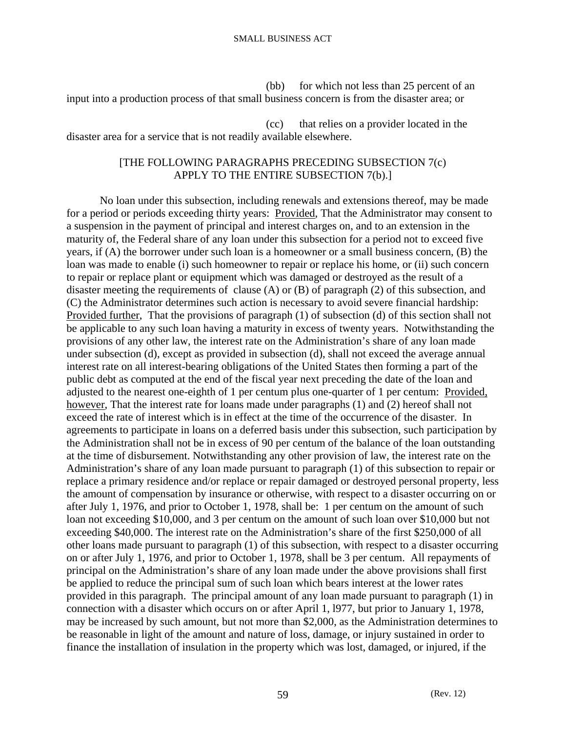(bb) for which not less than 25 percent of an input into a production process of that small business concern is from the disaster area; or

 (cc) that relies on a provider located in the disaster area for a service that is not readily available elsewhere.

# [THE FOLLOWING PARAGRAPHS PRECEDING SUBSECTION 7(c) APPLY TO THE ENTIRE SUBSECTION 7(b).]

 No loan under this subsection, including renewals and extensions thereof, may be made for a period or periods exceeding thirty years: Provided, That the Administrator may consent to a suspension in the payment of principal and interest charges on, and to an extension in the maturity of, the Federal share of any loan under this subsection for a period not to exceed five years, if (A) the borrower under such loan is a homeowner or a small business concern, (B) the loan was made to enable (i) such homeowner to repair or replace his home, or (ii) such concern to repair or replace plant or equipment which was damaged or destroyed as the result of a disaster meeting the requirements of clause (A) or (B) of paragraph (2) of this subsection, and (C) the Administrator determines such action is necessary to avoid severe financial hardship: Provided further, That the provisions of paragraph (1) of subsection (d) of this section shall not be applicable to any such loan having a maturity in excess of twenty years. Notwithstanding the provisions of any other law, the interest rate on the Administration's share of any loan made under subsection (d), except as provided in subsection (d), shall not exceed the average annual interest rate on all interest-bearing obligations of the United States then forming a part of the public debt as computed at the end of the fiscal year next preceding the date of the loan and adjusted to the nearest one-eighth of 1 per centum plus one-quarter of 1 per centum: Provided, however, That the interest rate for loans made under paragraphs (1) and (2) hereof shall not exceed the rate of interest which is in effect at the time of the occurrence of the disaster. In agreements to participate in loans on a deferred basis under this subsection, such participation by the Administration shall not be in excess of 90 per centum of the balance of the loan outstanding at the time of disbursement. Notwithstanding any other provision of law, the interest rate on the Administration's share of any loan made pursuant to paragraph (1) of this subsection to repair or replace a primary residence and/or replace or repair damaged or destroyed personal property, less the amount of compensation by insurance or otherwise, with respect to a disaster occurring on or after July 1, 1976, and prior to October 1, 1978, shall be: 1 per centum on the amount of such loan not exceeding \$10,000, and 3 per centum on the amount of such loan over \$10,000 but not exceeding \$40,000. The interest rate on the Administration's share of the first \$250,000 of all other loans made pursuant to paragraph (1) of this subsection, with respect to a disaster occurring on or after July 1, 1976, and prior to October 1, 1978, shall be 3 per centum. All repayments of principal on the Administration's share of any loan made under the above provisions shall first be applied to reduce the principal sum of such loan which bears interest at the lower rates provided in this paragraph. The principal amount of any loan made pursuant to paragraph (1) in connection with a disaster which occurs on or after April 1, l977, but prior to January 1, 1978, may be increased by such amount, but not more than \$2,000, as the Administration determines to be reasonable in light of the amount and nature of loss, damage, or injury sustained in order to finance the installation of insulation in the property which was lost, damaged, or injured, if the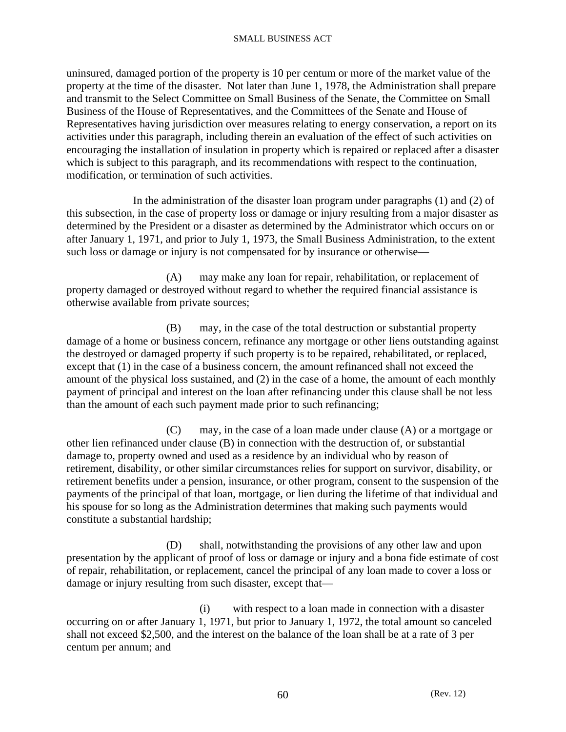uninsured, damaged portion of the property is 10 per centum or more of the market value of the property at the time of the disaster. Not later than June 1, 1978, the Administration shall prepare and transmit to the Select Committee on Small Business of the Senate, the Committee on Small Business of the House of Representatives, and the Committees of the Senate and House of Representatives having jurisdiction over measures relating to energy conservation, a report on its activities under this paragraph, including therein an evaluation of the effect of such activities on encouraging the installation of insulation in property which is repaired or replaced after a disaster which is subject to this paragraph, and its recommendations with respect to the continuation, modification, or termination of such activities.

 In the administration of the disaster loan program under paragraphs (1) and (2) of this subsection, in the case of property loss or damage or injury resulting from a major disaster as determined by the President or a disaster as determined by the Administrator which occurs on or after January 1, 1971, and prior to July 1, 1973, the Small Business Administration, to the extent such loss or damage or injury is not compensated for by insurance or otherwise—

 (A) may make any loan for repair, rehabilitation, or replacement of property damaged or destroyed without regard to whether the required financial assistance is otherwise available from private sources;

 (B) may, in the case of the total destruction or substantial property damage of a home or business concern, refinance any mortgage or other liens outstanding against the destroyed or damaged property if such property is to be repaired, rehabilitated, or replaced, except that (1) in the case of a business concern, the amount refinanced shall not exceed the amount of the physical loss sustained, and (2) in the case of a home, the amount of each monthly payment of principal and interest on the loan after refinancing under this clause shall be not less than the amount of each such payment made prior to such refinancing;

 (C) may, in the case of a loan made under clause (A) or a mortgage or other lien refinanced under clause (B) in connection with the destruction of, or substantial damage to, property owned and used as a residence by an individual who by reason of retirement, disability, or other similar circumstances relies for support on survivor, disability, or retirement benefits under a pension, insurance, or other program, consent to the suspension of the payments of the principal of that loan, mortgage, or lien during the lifetime of that individual and his spouse for so long as the Administration determines that making such payments would constitute a substantial hardship;

 (D) shall, notwithstanding the provisions of any other law and upon presentation by the applicant of proof of loss or damage or injury and a bona fide estimate of cost of repair, rehabilitation, or replacement, cancel the principal of any loan made to cover a loss or damage or injury resulting from such disaster, except that—

 (i) with respect to a loan made in connection with a disaster occurring on or after January 1, 1971, but prior to January 1, 1972, the total amount so canceled shall not exceed \$2,500, and the interest on the balance of the loan shall be at a rate of 3 per centum per annum; and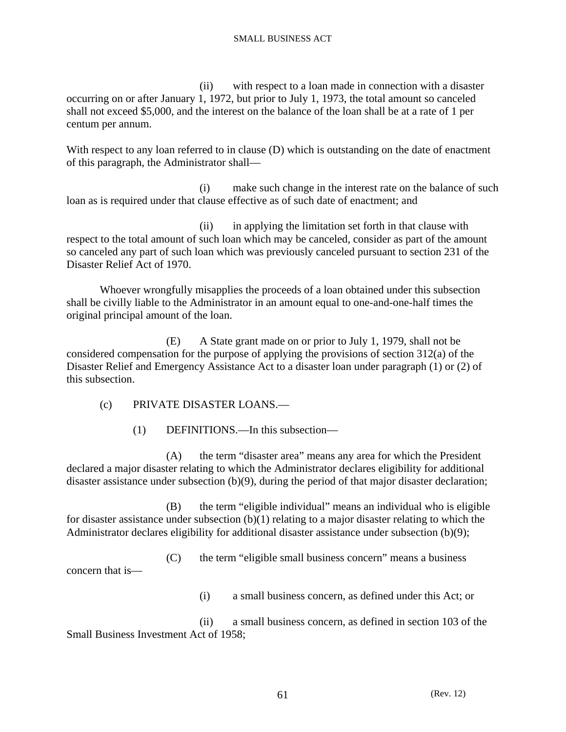(ii) with respect to a loan made in connection with a disaster occurring on or after January 1, 1972, but prior to July 1, 1973, the total amount so canceled shall not exceed \$5,000, and the interest on the balance of the loan shall be at a rate of 1 per centum per annum.

With respect to any loan referred to in clause (D) which is outstanding on the date of enactment of this paragraph, the Administrator shall—

 (i) make such change in the interest rate on the balance of such loan as is required under that clause effective as of such date of enactment; and

 (ii) in applying the limitation set forth in that clause with respect to the total amount of such loan which may be canceled, consider as part of the amount so canceled any part of such loan which was previously canceled pursuant to section 231 of the Disaster Relief Act of 1970.

 Whoever wrongfully misapplies the proceeds of a loan obtained under this subsection shall be civilly liable to the Administrator in an amount equal to one-and-one-half times the original principal amount of the loan.

 (E) A State grant made on or prior to July 1, 1979, shall not be considered compensation for the purpose of applying the provisions of section 312(a) of the Disaster Relief and Emergency Assistance Act to a disaster loan under paragraph (1) or (2) of this subsection.

(c) PRIVATE DISASTER LOANS.—

(1) DEFINITIONS.—In this subsection—

 (A) the term "disaster area" means any area for which the President declared a major disaster relating to which the Administrator declares eligibility for additional disaster assistance under subsection (b)(9), during the period of that major disaster declaration;

 (B) the term "eligible individual" means an individual who is eligible for disaster assistance under subsection (b)(1) relating to a major disaster relating to which the Administrator declares eligibility for additional disaster assistance under subsection (b)(9);

 (C) the term "eligible small business concern" means a business concern that is—

(i) a small business concern, as defined under this Act; or

 (ii) a small business concern, as defined in section 103 of the Small Business Investment Act of 1958;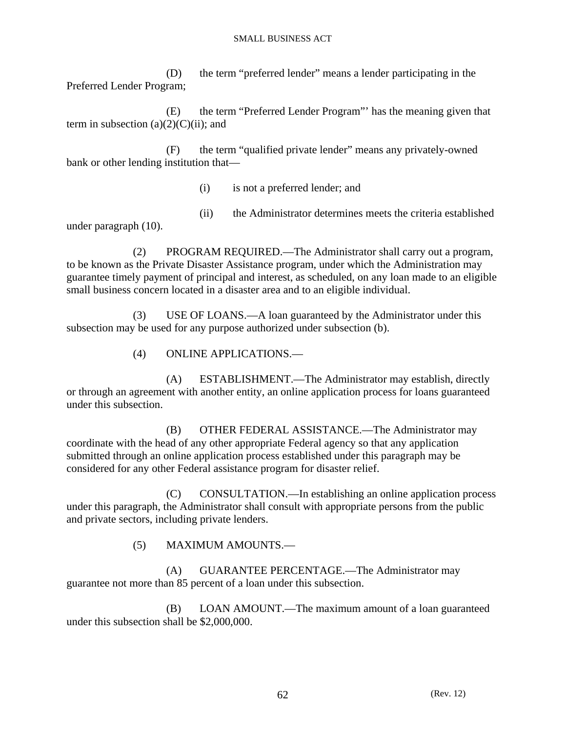(D) the term "preferred lender" means a lender participating in the Preferred Lender Program;

 (E) the term "Preferred Lender Program"' has the meaning given that term in subsection  $(a)(2)(C)(ii)$ ; and

 (F) the term "qualified private lender" means any privately-owned bank or other lending institution that—

(i) is not a preferred lender; and

 (ii) the Administrator determines meets the criteria established under paragraph (10).

 (2) PROGRAM REQUIRED.—The Administrator shall carry out a program, to be known as the Private Disaster Assistance program, under which the Administration may guarantee timely payment of principal and interest, as scheduled, on any loan made to an eligible small business concern located in a disaster area and to an eligible individual.

 (3) USE OF LOANS.—A loan guaranteed by the Administrator under this subsection may be used for any purpose authorized under subsection (b).

(4) ONLINE APPLICATIONS.—

 (A) ESTABLISHMENT.—The Administrator may establish, directly or through an agreement with another entity, an online application process for loans guaranteed under this subsection.

 (B) OTHER FEDERAL ASSISTANCE.—The Administrator may coordinate with the head of any other appropriate Federal agency so that any application submitted through an online application process established under this paragraph may be considered for any other Federal assistance program for disaster relief.

 (C) CONSULTATION.—In establishing an online application process under this paragraph, the Administrator shall consult with appropriate persons from the public and private sectors, including private lenders.

(5) MAXIMUM AMOUNTS.—

 (A) GUARANTEE PERCENTAGE.—The Administrator may guarantee not more than 85 percent of a loan under this subsection.

 (B) LOAN AMOUNT.—The maximum amount of a loan guaranteed under this subsection shall be \$2,000,000.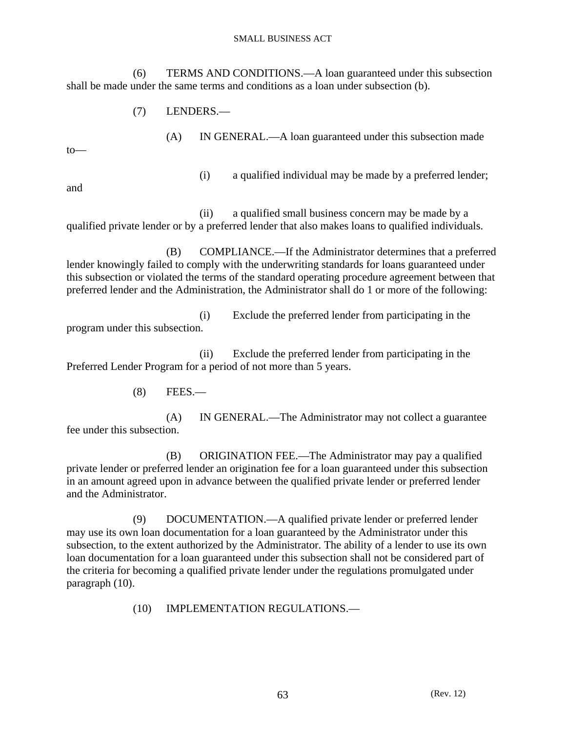(6) TERMS AND CONDITIONS.—A loan guaranteed under this subsection shall be made under the same terms and conditions as a loan under subsection (b).

(7) LENDERS.—

 (A) IN GENERAL.—A loan guaranteed under this subsection made to— (i) a qualified individual may be made by a preferred lender;

and

 (ii) a qualified small business concern may be made by a qualified private lender or by a preferred lender that also makes loans to qualified individuals.

 (B) COMPLIANCE.—If the Administrator determines that a preferred lender knowingly failed to comply with the underwriting standards for loans guaranteed under this subsection or violated the terms of the standard operating procedure agreement between that preferred lender and the Administration, the Administrator shall do 1 or more of the following:

 (i) Exclude the preferred lender from participating in the program under this subsection.

 (ii) Exclude the preferred lender from participating in the Preferred Lender Program for a period of not more than 5 years.

(8) FEES.—

 (A) IN GENERAL.—The Administrator may not collect a guarantee fee under this subsection.

 (B) ORIGINATION FEE.—The Administrator may pay a qualified private lender or preferred lender an origination fee for a loan guaranteed under this subsection in an amount agreed upon in advance between the qualified private lender or preferred lender and the Administrator.

 (9) DOCUMENTATION.—A qualified private lender or preferred lender may use its own loan documentation for a loan guaranteed by the Administrator under this subsection, to the extent authorized by the Administrator. The ability of a lender to use its own loan documentation for a loan guaranteed under this subsection shall not be considered part of the criteria for becoming a qualified private lender under the regulations promulgated under paragraph (10).

(10) IMPLEMENTATION REGULATIONS.—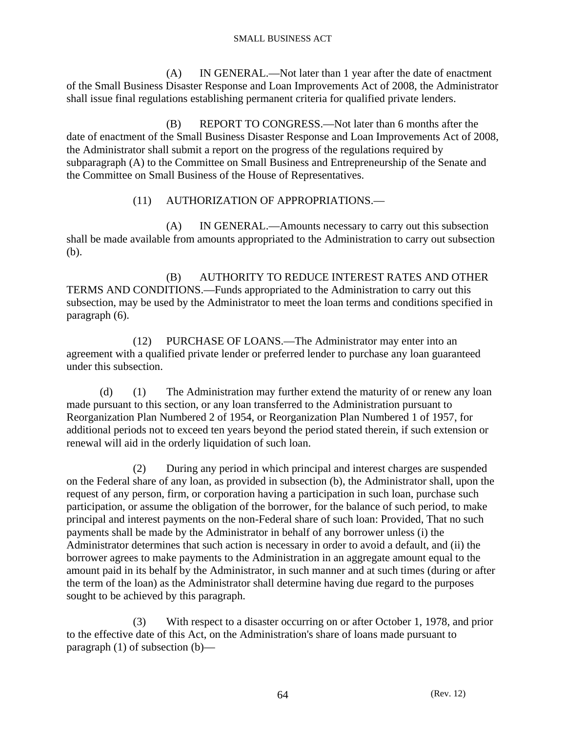(A) IN GENERAL.—Not later than 1 year after the date of enactment of the Small Business Disaster Response and Loan Improvements Act of 2008, the Administrator shall issue final regulations establishing permanent criteria for qualified private lenders.

 (B) REPORT TO CONGRESS.—Not later than 6 months after the date of enactment of the Small Business Disaster Response and Loan Improvements Act of 2008, the Administrator shall submit a report on the progress of the regulations required by subparagraph (A) to the Committee on Small Business and Entrepreneurship of the Senate and the Committee on Small Business of the House of Representatives.

# (11) AUTHORIZATION OF APPROPRIATIONS.—

 (A) IN GENERAL.—Amounts necessary to carry out this subsection shall be made available from amounts appropriated to the Administration to carry out subsection (b).

 (B) AUTHORITY TO REDUCE INTEREST RATES AND OTHER TERMS AND CONDITIONS.—Funds appropriated to the Administration to carry out this subsection, may be used by the Administrator to meet the loan terms and conditions specified in paragraph (6).

 (12) PURCHASE OF LOANS.—The Administrator may enter into an agreement with a qualified private lender or preferred lender to purchase any loan guaranteed under this subsection.

 (d) (1) The Administration may further extend the maturity of or renew any loan made pursuant to this section, or any loan transferred to the Administration pursuant to Reorganization Plan Numbered 2 of 1954, or Reorganization Plan Numbered 1 of 1957, for additional periods not to exceed ten years beyond the period stated therein, if such extension or renewal will aid in the orderly liquidation of such loan.

 (2) During any period in which principal and interest charges are suspended on the Federal share of any loan, as provided in subsection (b), the Administrator shall, upon the request of any person, firm, or corporation having a participation in such loan, purchase such participation, or assume the obligation of the borrower, for the balance of such period, to make principal and interest payments on the non-Federal share of such loan: Provided, That no such payments shall be made by the Administrator in behalf of any borrower unless (i) the Administrator determines that such action is necessary in order to avoid a default, and (ii) the borrower agrees to make payments to the Administration in an aggregate amount equal to the amount paid in its behalf by the Administrator, in such manner and at such times (during or after the term of the loan) as the Administrator shall determine having due regard to the purposes sought to be achieved by this paragraph.

 (3) With respect to a disaster occurring on or after October 1, 1978, and prior to the effective date of this Act, on the Administration's share of loans made pursuant to paragraph (1) of subsection (b)—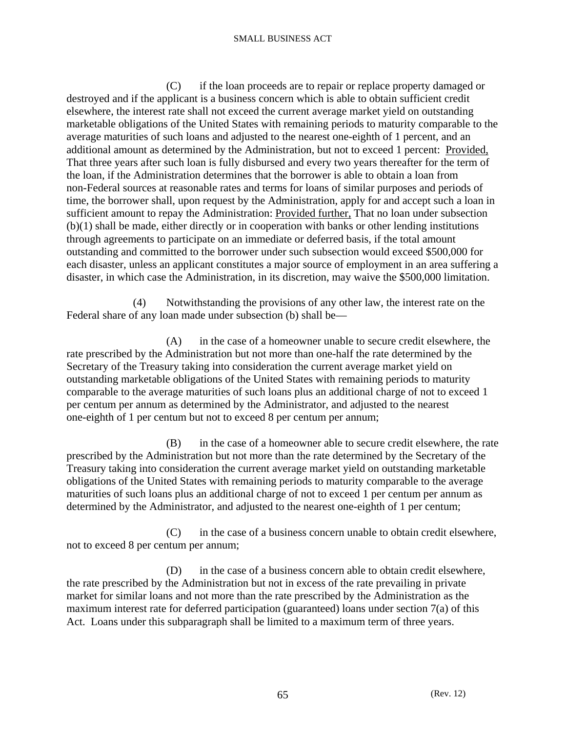(C) if the loan proceeds are to repair or replace property damaged or destroyed and if the applicant is a business concern which is able to obtain sufficient credit elsewhere, the interest rate shall not exceed the current average market yield on outstanding marketable obligations of the United States with remaining periods to maturity comparable to the average maturities of such loans and adjusted to the nearest one-eighth of 1 percent, and an additional amount as determined by the Administration, but not to exceed 1 percent: Provided, That three years after such loan is fully disbursed and every two years thereafter for the term of the loan, if the Administration determines that the borrower is able to obtain a loan from non-Federal sources at reasonable rates and terms for loans of similar purposes and periods of time, the borrower shall, upon request by the Administration, apply for and accept such a loan in sufficient amount to repay the Administration: Provided further, That no loan under subsection (b)(1) shall be made, either directly or in cooperation with banks or other lending institutions through agreements to participate on an immediate or deferred basis, if the total amount outstanding and committed to the borrower under such subsection would exceed \$500,000 for each disaster, unless an applicant constitutes a major source of employment in an area suffering a disaster, in which case the Administration, in its discretion, may waive the \$500,000 limitation.

 (4) Notwithstanding the provisions of any other law, the interest rate on the Federal share of any loan made under subsection (b) shall be—

 (A) in the case of a homeowner unable to secure credit elsewhere, the rate prescribed by the Administration but not more than one-half the rate determined by the Secretary of the Treasury taking into consideration the current average market yield on outstanding marketable obligations of the United States with remaining periods to maturity comparable to the average maturities of such loans plus an additional charge of not to exceed 1 per centum per annum as determined by the Administrator, and adjusted to the nearest one-eighth of 1 per centum but not to exceed 8 per centum per annum;

 (B) in the case of a homeowner able to secure credit elsewhere, the rate prescribed by the Administration but not more than the rate determined by the Secretary of the Treasury taking into consideration the current average market yield on outstanding marketable obligations of the United States with remaining periods to maturity comparable to the average maturities of such loans plus an additional charge of not to exceed 1 per centum per annum as determined by the Administrator, and adjusted to the nearest one-eighth of 1 per centum;

 (C) in the case of a business concern unable to obtain credit elsewhere, not to exceed 8 per centum per annum;

 (D) in the case of a business concern able to obtain credit elsewhere, the rate prescribed by the Administration but not in excess of the rate prevailing in private market for similar loans and not more than the rate prescribed by the Administration as the maximum interest rate for deferred participation (guaranteed) loans under section 7(a) of this Act. Loans under this subparagraph shall be limited to a maximum term of three years.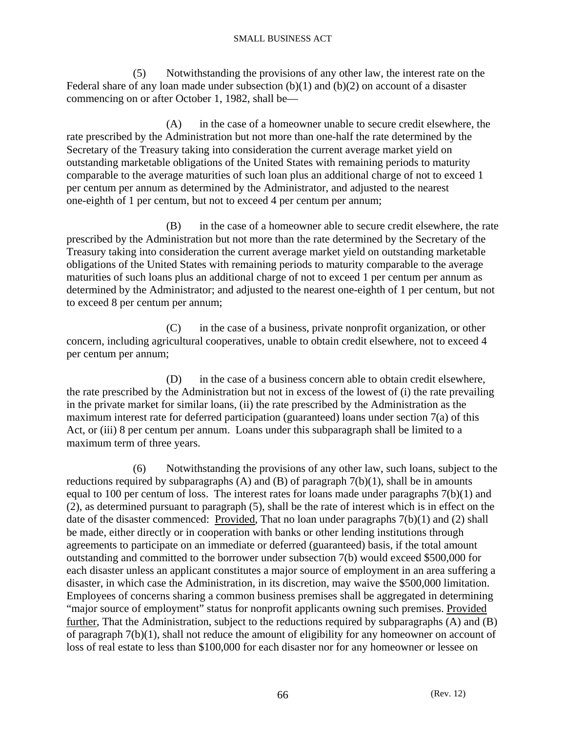(5) Notwithstanding the provisions of any other law, the interest rate on the Federal share of any loan made under subsection  $(b)(1)$  and  $(b)(2)$  on account of a disaster commencing on or after October 1, 1982, shall be—

 (A) in the case of a homeowner unable to secure credit elsewhere, the rate prescribed by the Administration but not more than one-half the rate determined by the Secretary of the Treasury taking into consideration the current average market yield on outstanding marketable obligations of the United States with remaining periods to maturity comparable to the average maturities of such loan plus an additional charge of not to exceed 1 per centum per annum as determined by the Administrator, and adjusted to the nearest one-eighth of 1 per centum, but not to exceed 4 per centum per annum;

 (B) in the case of a homeowner able to secure credit elsewhere, the rate prescribed by the Administration but not more than the rate determined by the Secretary of the Treasury taking into consideration the current average market yield on outstanding marketable obligations of the United States with remaining periods to maturity comparable to the average maturities of such loans plus an additional charge of not to exceed 1 per centum per annum as determined by the Administrator; and adjusted to the nearest one-eighth of 1 per centum, but not to exceed 8 per centum per annum;

 (C) in the case of a business, private nonprofit organization, or other concern, including agricultural cooperatives, unable to obtain credit elsewhere, not to exceed 4 per centum per annum;

 (D) in the case of a business concern able to obtain credit elsewhere, the rate prescribed by the Administration but not in excess of the lowest of (i) the rate prevailing in the private market for similar loans, (ii) the rate prescribed by the Administration as the maximum interest rate for deferred participation (guaranteed) loans under section 7(a) of this Act, or (iii) 8 per centum per annum. Loans under this subparagraph shall be limited to a maximum term of three years.

 (6) Notwithstanding the provisions of any other law, such loans, subject to the reductions required by subparagraphs (A) and (B) of paragraph  $7(b)(1)$ , shall be in amounts equal to 100 per centum of loss. The interest rates for loans made under paragraphs 7(b)(1) and (2), as determined pursuant to paragraph (5), shall be the rate of interest which is in effect on the date of the disaster commenced: Provided, That no loan under paragraphs 7(b)(1) and (2) shall be made, either directly or in cooperation with banks or other lending institutions through agreements to participate on an immediate or deferred (guaranteed) basis, if the total amount outstanding and committed to the borrower under subsection 7(b) would exceed \$500,000 for each disaster unless an applicant constitutes a major source of employment in an area suffering a disaster, in which case the Administration, in its discretion, may waive the \$500,000 limitation. Employees of concerns sharing a common business premises shall be aggregated in determining "major source of employment" status for nonprofit applicants owning such premises. Provided further, That the Administration, subject to the reductions required by subparagraphs (A) and (B) of paragraph 7(b)(1), shall not reduce the amount of eligibility for any homeowner on account of loss of real estate to less than \$100,000 for each disaster nor for any homeowner or lessee on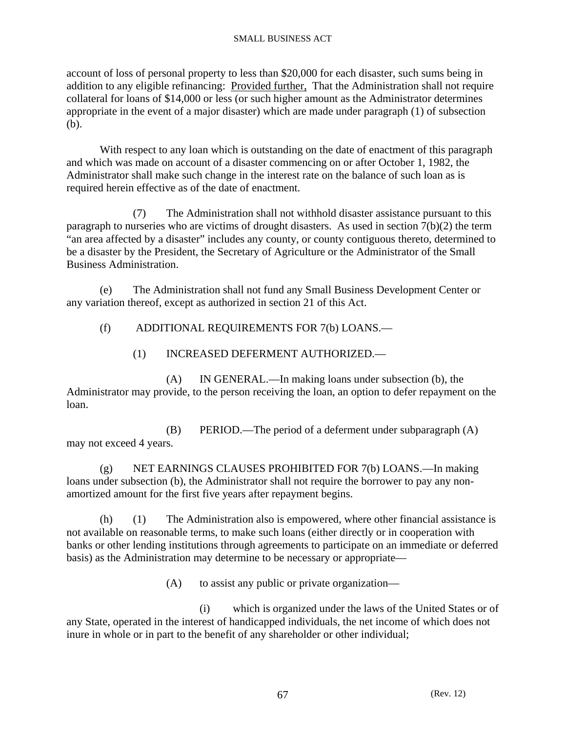account of loss of personal property to less than \$20,000 for each disaster, such sums being in addition to any eligible refinancing: Provided further, That the Administration shall not require collateral for loans of \$14,000 or less (or such higher amount as the Administrator determines appropriate in the event of a major disaster) which are made under paragraph (1) of subsection (b).

 With respect to any loan which is outstanding on the date of enactment of this paragraph and which was made on account of a disaster commencing on or after October 1, 1982, the Administrator shall make such change in the interest rate on the balance of such loan as is required herein effective as of the date of enactment.

 (7) The Administration shall not withhold disaster assistance pursuant to this paragraph to nurseries who are victims of drought disasters. As used in section 7(b)(2) the term "an area affected by a disaster" includes any county, or county contiguous thereto, determined to be a disaster by the President, the Secretary of Agriculture or the Administrator of the Small Business Administration.

 (e) The Administration shall not fund any Small Business Development Center or any variation thereof, except as authorized in section 21 of this Act.

(f) ADDITIONAL REQUIREMENTS FOR 7(b) LOANS.—

(1) INCREASED DEFERMENT AUTHORIZED.—

 (A) IN GENERAL.—In making loans under subsection (b), the Administrator may provide, to the person receiving the loan, an option to defer repayment on the loan.

 (B) PERIOD.—The period of a deferment under subparagraph (A) may not exceed 4 years.

 (g) NET EARNINGS CLAUSES PROHIBITED FOR 7(b) LOANS.—In making loans under subsection (b), the Administrator shall not require the borrower to pay any nonamortized amount for the first five years after repayment begins.

 (h) (1) The Administration also is empowered, where other financial assistance is not available on reasonable terms, to make such loans (either directly or in cooperation with banks or other lending institutions through agreements to participate on an immediate or deferred basis) as the Administration may determine to be necessary or appropriate—

(A) to assist any public or private organization—

 (i) which is organized under the laws of the United States or of any State, operated in the interest of handicapped individuals, the net income of which does not inure in whole or in part to the benefit of any shareholder or other individual;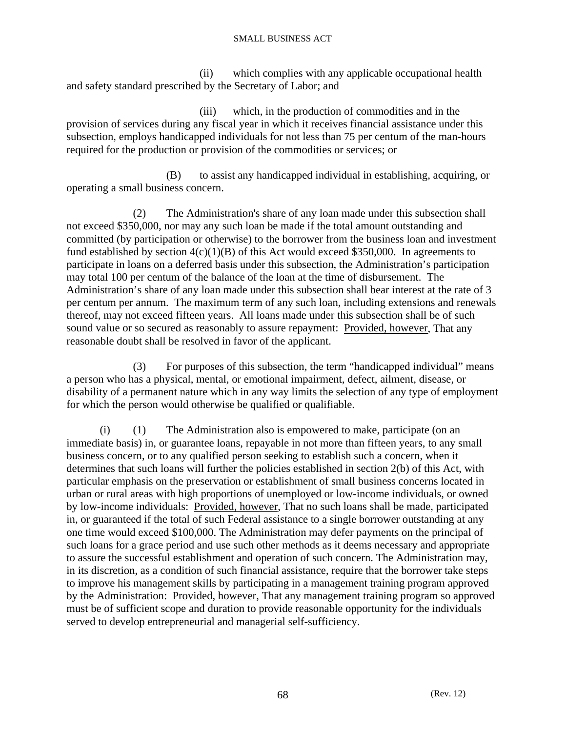(ii) which complies with any applicable occupational health and safety standard prescribed by the Secretary of Labor; and

 (iii) which, in the production of commodities and in the provision of services during any fiscal year in which it receives financial assistance under this subsection, employs handicapped individuals for not less than 75 per centum of the man-hours required for the production or provision of the commodities or services; or

 (B) to assist any handicapped individual in establishing, acquiring, or operating a small business concern.

 (2) The Administration's share of any loan made under this subsection shall not exceed \$350,000, nor may any such loan be made if the total amount outstanding and committed (by participation or otherwise) to the borrower from the business loan and investment fund established by section  $4(c)(1)(B)$  of this Act would exceed \$350,000. In agreements to participate in loans on a deferred basis under this subsection, the Administration's participation may total 100 per centum of the balance of the loan at the time of disbursement. The Administration's share of any loan made under this subsection shall bear interest at the rate of 3 per centum per annum. The maximum term of any such loan, including extensions and renewals thereof, may not exceed fifteen years. All loans made under this subsection shall be of such sound value or so secured as reasonably to assure repayment: Provided, however, That any reasonable doubt shall be resolved in favor of the applicant.

 (3) For purposes of this subsection, the term "handicapped individual" means a person who has a physical, mental, or emotional impairment, defect, ailment, disease, or disability of a permanent nature which in any way limits the selection of any type of employment for which the person would otherwise be qualified or qualifiable.

 (i) (1) The Administration also is empowered to make, participate (on an immediate basis) in, or guarantee loans, repayable in not more than fifteen years, to any small business concern, or to any qualified person seeking to establish such a concern, when it determines that such loans will further the policies established in section 2(b) of this Act, with particular emphasis on the preservation or establishment of small business concerns located in urban or rural areas with high proportions of unemployed or low-income individuals, or owned by low-income individuals: Provided, however, That no such loans shall be made, participated in, or guaranteed if the total of such Federal assistance to a single borrower outstanding at any one time would exceed \$100,000. The Administration may defer payments on the principal of such loans for a grace period and use such other methods as it deems necessary and appropriate to assure the successful establishment and operation of such concern. The Administration may, in its discretion, as a condition of such financial assistance, require that the borrower take steps to improve his management skills by participating in a management training program approved by the Administration: Provided, however, That any management training program so approved must be of sufficient scope and duration to provide reasonable opportunity for the individuals served to develop entrepreneurial and managerial self-sufficiency.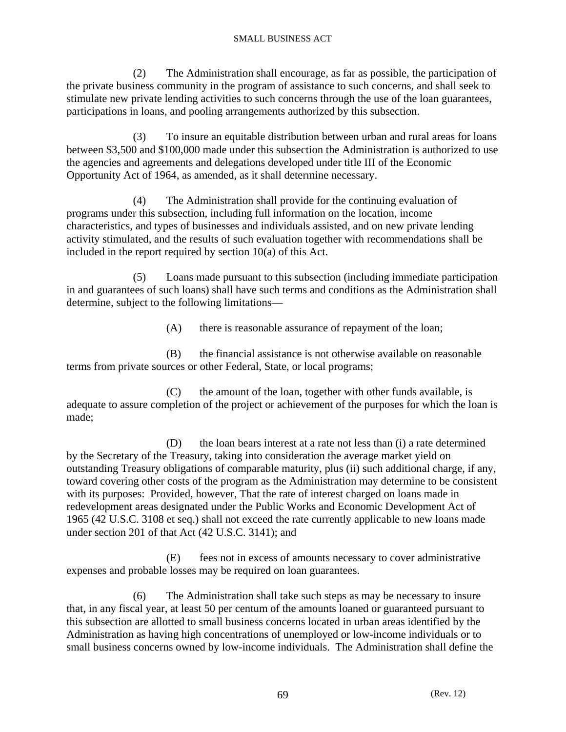(2) The Administration shall encourage, as far as possible, the participation of the private business community in the program of assistance to such concerns, and shall seek to stimulate new private lending activities to such concerns through the use of the loan guarantees, participations in loans, and pooling arrangements authorized by this subsection.

 (3) To insure an equitable distribution between urban and rural areas for loans between \$3,500 and \$100,000 made under this subsection the Administration is authorized to use the agencies and agreements and delegations developed under title III of the Economic Opportunity Act of 1964, as amended, as it shall determine necessary.

 (4) The Administration shall provide for the continuing evaluation of programs under this subsection, including full information on the location, income characteristics, and types of businesses and individuals assisted, and on new private lending activity stimulated, and the results of such evaluation together with recommendations shall be included in the report required by section 10(a) of this Act.

 (5) Loans made pursuant to this subsection (including immediate participation in and guarantees of such loans) shall have such terms and conditions as the Administration shall determine, subject to the following limitations—

(A) there is reasonable assurance of repayment of the loan;

 (B) the financial assistance is not otherwise available on reasonable terms from private sources or other Federal, State, or local programs;

 (C) the amount of the loan, together with other funds available, is adequate to assure completion of the project or achievement of the purposes for which the loan is made;

 (D) the loan bears interest at a rate not less than (i) a rate determined by the Secretary of the Treasury, taking into consideration the average market yield on outstanding Treasury obligations of comparable maturity, plus (ii) such additional charge, if any, toward covering other costs of the program as the Administration may determine to be consistent with its purposes: Provided, however, That the rate of interest charged on loans made in redevelopment areas designated under the Public Works and Economic Development Act of 1965 (42 U.S.C. 3108 et seq.) shall not exceed the rate currently applicable to new loans made under section 201 of that Act (42 U.S.C. 3141); and

 (E) fees not in excess of amounts necessary to cover administrative expenses and probable losses may be required on loan guarantees.

 (6) The Administration shall take such steps as may be necessary to insure that, in any fiscal year, at least 50 per centum of the amounts loaned or guaranteed pursuant to this subsection are allotted to small business concerns located in urban areas identified by the Administration as having high concentrations of unemployed or low-income individuals or to small business concerns owned by low-income individuals. The Administration shall define the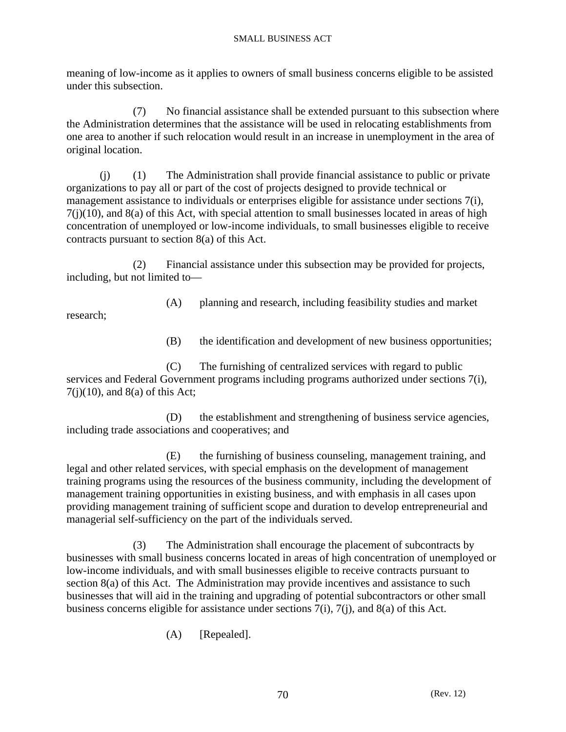meaning of low-income as it applies to owners of small business concerns eligible to be assisted under this subsection.

 (7) No financial assistance shall be extended pursuant to this subsection where the Administration determines that the assistance will be used in relocating establishments from one area to another if such relocation would result in an increase in unemployment in the area of original location.

 (j) (1) The Administration shall provide financial assistance to public or private organizations to pay all or part of the cost of projects designed to provide technical or management assistance to individuals or enterprises eligible for assistance under sections 7(i),  $7(j)(10)$ , and  $8(a)$  of this Act, with special attention to small businesses located in areas of high concentration of unemployed or low-income individuals, to small businesses eligible to receive contracts pursuant to section 8(a) of this Act.

 (2) Financial assistance under this subsection may be provided for projects, including, but not limited to—

(A) planning and research, including feasibility studies and market

research;

(B) the identification and development of new business opportunities;

 (C) The furnishing of centralized services with regard to public services and Federal Government programs including programs authorized under sections 7(i),  $7(j)(10)$ , and  $8(a)$  of this Act;

 (D) the establishment and strengthening of business service agencies, including trade associations and cooperatives; and

 (E) the furnishing of business counseling, management training, and legal and other related services, with special emphasis on the development of management training programs using the resources of the business community, including the development of management training opportunities in existing business, and with emphasis in all cases upon providing management training of sufficient scope and duration to develop entrepreneurial and managerial self-sufficiency on the part of the individuals served.

 (3) The Administration shall encourage the placement of subcontracts by businesses with small business concerns located in areas of high concentration of unemployed or low-income individuals, and with small businesses eligible to receive contracts pursuant to section 8(a) of this Act. The Administration may provide incentives and assistance to such businesses that will aid in the training and upgrading of potential subcontractors or other small business concerns eligible for assistance under sections 7(i), 7(j), and 8(a) of this Act.

(A) [Repealed].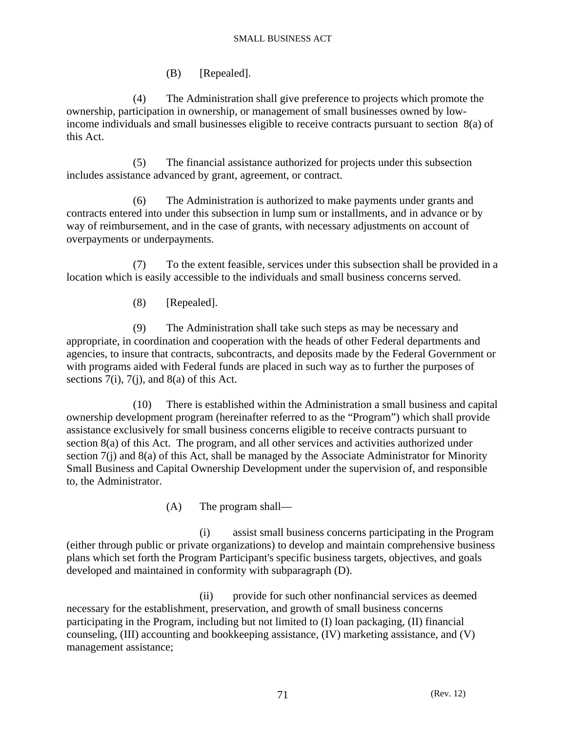(B) [Repealed].

 (4) The Administration shall give preference to projects which promote the ownership, participation in ownership, or management of small businesses owned by lowincome individuals and small businesses eligible to receive contracts pursuant to section 8(a) of this Act.

 (5) The financial assistance authorized for projects under this subsection includes assistance advanced by grant, agreement, or contract.

 (6) The Administration is authorized to make payments under grants and contracts entered into under this subsection in lump sum or installments, and in advance or by way of reimbursement, and in the case of grants, with necessary adjustments on account of overpayments or underpayments.

 (7) To the extent feasible, services under this subsection shall be provided in a location which is easily accessible to the individuals and small business concerns served.

(8) [Repealed].

 (9) The Administration shall take such steps as may be necessary and appropriate, in coordination and cooperation with the heads of other Federal departments and agencies, to insure that contracts, subcontracts, and deposits made by the Federal Government or with programs aided with Federal funds are placed in such way as to further the purposes of sections  $7(i)$ ,  $7(i)$ , and  $8(a)$  of this Act.

 (10) There is established within the Administration a small business and capital ownership development program (hereinafter referred to as the "Program") which shall provide assistance exclusively for small business concerns eligible to receive contracts pursuant to section 8(a) of this Act. The program, and all other services and activities authorized under section 7(j) and 8(a) of this Act, shall be managed by the Associate Administrator for Minority Small Business and Capital Ownership Development under the supervision of, and responsible to, the Administrator.

(A) The program shall—

 (i) assist small business concerns participating in the Program (either through public or private organizations) to develop and maintain comprehensive business plans which set forth the Program Participant's specific business targets, objectives, and goals developed and maintained in conformity with subparagraph (D).

 (ii) provide for such other nonfinancial services as deemed necessary for the establishment, preservation, and growth of small business concerns participating in the Program, including but not limited to (I) loan packaging, (II) financial counseling, (III) accounting and bookkeeping assistance, (IV) marketing assistance, and (V) management assistance;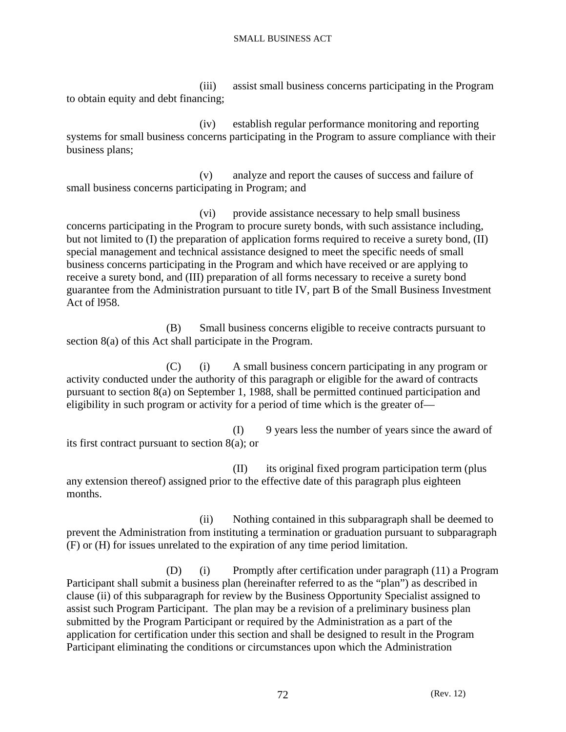(iii) assist small business concerns participating in the Program to obtain equity and debt financing;

 (iv) establish regular performance monitoring and reporting systems for small business concerns participating in the Program to assure compliance with their business plans;

 (v) analyze and report the causes of success and failure of small business concerns participating in Program; and

 (vi) provide assistance necessary to help small business concerns participating in the Program to procure surety bonds, with such assistance including, but not limited to (I) the preparation of application forms required to receive a surety bond, (II) special management and technical assistance designed to meet the specific needs of small business concerns participating in the Program and which have received or are applying to receive a surety bond, and (III) preparation of all forms necessary to receive a surety bond guarantee from the Administration pursuant to title IV, part B of the Small Business Investment Act of l958.

 (B) Small business concerns eligible to receive contracts pursuant to section 8(a) of this Act shall participate in the Program.

 (C) (i) A small business concern participating in any program or activity conducted under the authority of this paragraph or eligible for the award of contracts pursuant to section 8(a) on September 1, 1988, shall be permitted continued participation and eligibility in such program or activity for a period of time which is the greater of—

 (I) 9 years less the number of years since the award of its first contract pursuant to section 8(a); or

 (II) its original fixed program participation term (plus any extension thereof) assigned prior to the effective date of this paragraph plus eighteen months.

 (ii) Nothing contained in this subparagraph shall be deemed to prevent the Administration from instituting a termination or graduation pursuant to subparagraph (F) or (H) for issues unrelated to the expiration of any time period limitation.

 (D) (i) Promptly after certification under paragraph (11) a Program Participant shall submit a business plan (hereinafter referred to as the "plan") as described in clause (ii) of this subparagraph for review by the Business Opportunity Specialist assigned to assist such Program Participant. The plan may be a revision of a preliminary business plan submitted by the Program Participant or required by the Administration as a part of the application for certification under this section and shall be designed to result in the Program Participant eliminating the conditions or circumstances upon which the Administration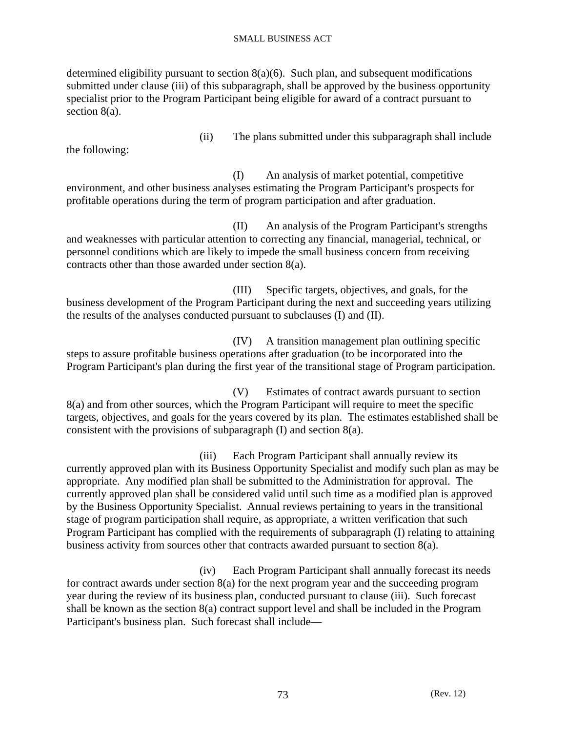determined eligibility pursuant to section  $8(a)(6)$ . Such plan, and subsequent modifications submitted under clause (iii) of this subparagraph, shall be approved by the business opportunity specialist prior to the Program Participant being eligible for award of a contract pursuant to section 8(a).

the following:

(ii) The plans submitted under this subparagraph shall include

 (I) An analysis of market potential, competitive environment, and other business analyses estimating the Program Participant's prospects for profitable operations during the term of program participation and after graduation.

 (II) An analysis of the Program Participant's strengths and weaknesses with particular attention to correcting any financial, managerial, technical, or personnel conditions which are likely to impede the small business concern from receiving contracts other than those awarded under section 8(a).

 (III) Specific targets, objectives, and goals, for the business development of the Program Participant during the next and succeeding years utilizing the results of the analyses conducted pursuant to subclauses (I) and (II).

 (IV) A transition management plan outlining specific steps to assure profitable business operations after graduation (to be incorporated into the Program Participant's plan during the first year of the transitional stage of Program participation.

 (V) Estimates of contract awards pursuant to section 8(a) and from other sources, which the Program Participant will require to meet the specific targets, objectives, and goals for the years covered by its plan. The estimates established shall be consistent with the provisions of subparagraph (I) and section 8(a).

 (iii) Each Program Participant shall annually review its currently approved plan with its Business Opportunity Specialist and modify such plan as may be appropriate. Any modified plan shall be submitted to the Administration for approval. The currently approved plan shall be considered valid until such time as a modified plan is approved by the Business Opportunity Specialist. Annual reviews pertaining to years in the transitional stage of program participation shall require, as appropriate, a written verification that such Program Participant has complied with the requirements of subparagraph (I) relating to attaining business activity from sources other that contracts awarded pursuant to section 8(a).

 (iv) Each Program Participant shall annually forecast its needs for contract awards under section 8(a) for the next program year and the succeeding program year during the review of its business plan, conducted pursuant to clause (iii). Such forecast shall be known as the section 8(a) contract support level and shall be included in the Program Participant's business plan. Such forecast shall include—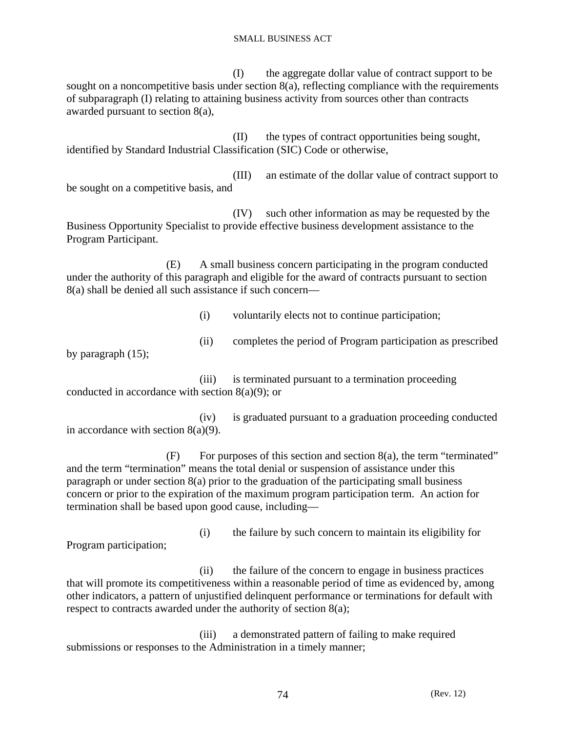(I) the aggregate dollar value of contract support to be sought on a noncompetitive basis under section 8(a), reflecting compliance with the requirements of subparagraph (I) relating to attaining business activity from sources other than contracts awarded pursuant to section 8(a),

 (II) the types of contract opportunities being sought, identified by Standard Industrial Classification (SIC) Code or otherwise,

 (III) an estimate of the dollar value of contract support to be sought on a competitive basis, and

 (IV) such other information as may be requested by the Business Opportunity Specialist to provide effective business development assistance to the Program Participant.

 (E) A small business concern participating in the program conducted under the authority of this paragraph and eligible for the award of contracts pursuant to section 8(a) shall be denied all such assistance if such concern—

(i) voluntarily elects not to continue participation;

(ii) completes the period of Program participation as prescribed

by paragraph (15);

 (iii) is terminated pursuant to a termination proceeding conducted in accordance with section 8(a)(9); or

 (iv) is graduated pursuant to a graduation proceeding conducted in accordance with section  $8(a)(9)$ .

 $(F)$  For purposes of this section and section 8(a), the term "terminated" and the term "termination" means the total denial or suspension of assistance under this paragraph or under section 8(a) prior to the graduation of the participating small business concern or prior to the expiration of the maximum program participation term. An action for termination shall be based upon good cause, including—

Program participation;

(i) the failure by such concern to maintain its eligibility for

 (ii) the failure of the concern to engage in business practices that will promote its competitiveness within a reasonable period of time as evidenced by, among other indicators, a pattern of unjustified delinquent performance or terminations for default with respect to contracts awarded under the authority of section 8(a);

 (iii) a demonstrated pattern of failing to make required submissions or responses to the Administration in a timely manner;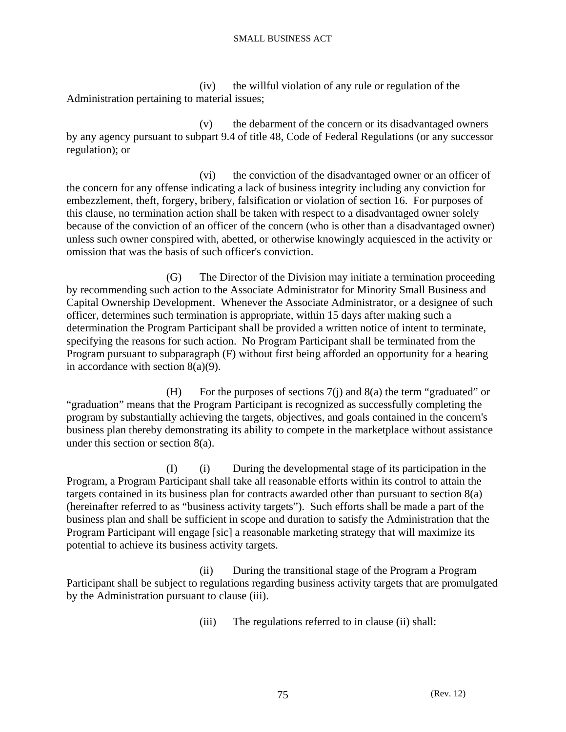(iv) the willful violation of any rule or regulation of the Administration pertaining to material issues;

 (v) the debarment of the concern or its disadvantaged owners by any agency pursuant to subpart 9.4 of title 48, Code of Federal Regulations (or any successor regulation); or

 (vi) the conviction of the disadvantaged owner or an officer of the concern for any offense indicating a lack of business integrity including any conviction for embezzlement, theft, forgery, bribery, falsification or violation of section 16. For purposes of this clause, no termination action shall be taken with respect to a disadvantaged owner solely because of the conviction of an officer of the concern (who is other than a disadvantaged owner) unless such owner conspired with, abetted, or otherwise knowingly acquiesced in the activity or omission that was the basis of such officer's conviction.

 (G) The Director of the Division may initiate a termination proceeding by recommending such action to the Associate Administrator for Minority Small Business and Capital Ownership Development. Whenever the Associate Administrator, or a designee of such officer, determines such termination is appropriate, within 15 days after making such a determination the Program Participant shall be provided a written notice of intent to terminate, specifying the reasons for such action. No Program Participant shall be terminated from the Program pursuant to subparagraph (F) without first being afforded an opportunity for a hearing in accordance with section 8(a)(9).

 (H) For the purposes of sections 7(j) and 8(a) the term "graduated" or "graduation" means that the Program Participant is recognized as successfully completing the program by substantially achieving the targets, objectives, and goals contained in the concern's business plan thereby demonstrating its ability to compete in the marketplace without assistance under this section or section 8(a).

 (I) (i) During the developmental stage of its participation in the Program, a Program Participant shall take all reasonable efforts within its control to attain the targets contained in its business plan for contracts awarded other than pursuant to section 8(a) (hereinafter referred to as "business activity targets"). Such efforts shall be made a part of the business plan and shall be sufficient in scope and duration to satisfy the Administration that the Program Participant will engage [sic] a reasonable marketing strategy that will maximize its potential to achieve its business activity targets.

 (ii) During the transitional stage of the Program a Program Participant shall be subject to regulations regarding business activity targets that are promulgated by the Administration pursuant to clause (iii).

(iii) The regulations referred to in clause (ii) shall: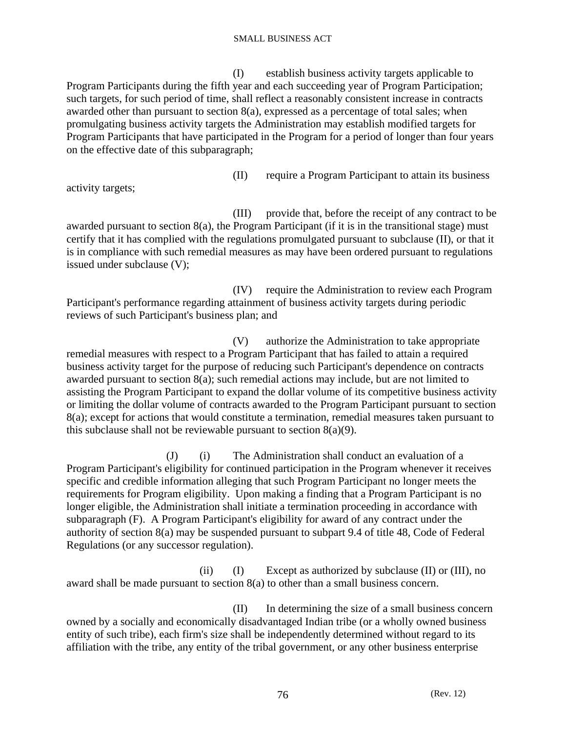(I) establish business activity targets applicable to Program Participants during the fifth year and each succeeding year of Program Participation; such targets, for such period of time, shall reflect a reasonably consistent increase in contracts awarded other than pursuant to section 8(a), expressed as a percentage of total sales; when promulgating business activity targets the Administration may establish modified targets for Program Participants that have participated in the Program for a period of longer than four years on the effective date of this subparagraph;

(II) require a Program Participant to attain its business

activity targets;

 (III) provide that, before the receipt of any contract to be awarded pursuant to section 8(a), the Program Participant (if it is in the transitional stage) must certify that it has complied with the regulations promulgated pursuant to subclause (II), or that it is in compliance with such remedial measures as may have been ordered pursuant to regulations issued under subclause (V);

 (IV) require the Administration to review each Program Participant's performance regarding attainment of business activity targets during periodic reviews of such Participant's business plan; and

 (V) authorize the Administration to take appropriate remedial measures with respect to a Program Participant that has failed to attain a required business activity target for the purpose of reducing such Participant's dependence on contracts awarded pursuant to section 8(a); such remedial actions may include, but are not limited to assisting the Program Participant to expand the dollar volume of its competitive business activity or limiting the dollar volume of contracts awarded to the Program Participant pursuant to section 8(a); except for actions that would constitute a termination, remedial measures taken pursuant to this subclause shall not be reviewable pursuant to section  $8(a)(9)$ .

 (J) (i) The Administration shall conduct an evaluation of a Program Participant's eligibility for continued participation in the Program whenever it receives specific and credible information alleging that such Program Participant no longer meets the requirements for Program eligibility. Upon making a finding that a Program Participant is no longer eligible, the Administration shall initiate a termination proceeding in accordance with subparagraph (F). A Program Participant's eligibility for award of any contract under the authority of section 8(a) may be suspended pursuant to subpart 9.4 of title 48, Code of Federal Regulations (or any successor regulation).

(ii)  $(I)$  Except as authorized by subclause  $(II)$  or  $(III)$ , no award shall be made pursuant to section 8(a) to other than a small business concern.

 (II) In determining the size of a small business concern owned by a socially and economically disadvantaged Indian tribe (or a wholly owned business entity of such tribe), each firm's size shall be independently determined without regard to its affiliation with the tribe, any entity of the tribal government, or any other business enterprise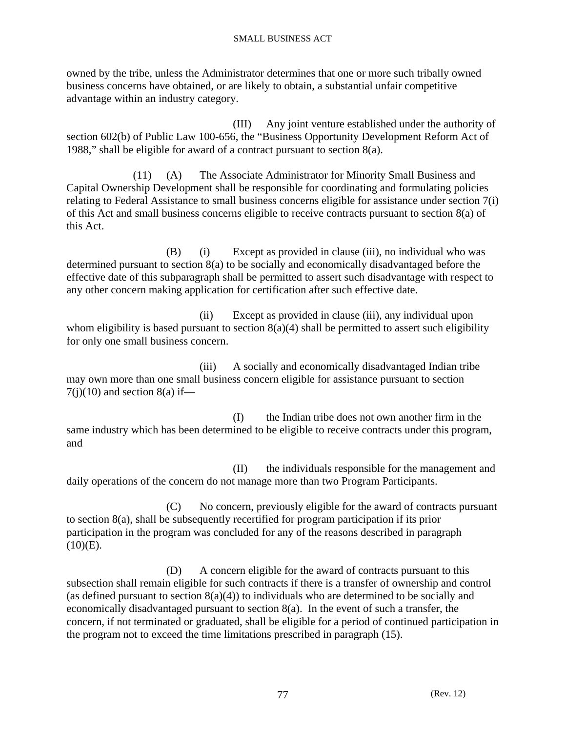owned by the tribe, unless the Administrator determines that one or more such tribally owned business concerns have obtained, or are likely to obtain, a substantial unfair competitive advantage within an industry category.

 (III) Any joint venture established under the authority of section 602(b) of Public Law 100-656, the "Business Opportunity Development Reform Act of 1988," shall be eligible for award of a contract pursuant to section 8(a).

 (11) (A) The Associate Administrator for Minority Small Business and Capital Ownership Development shall be responsible for coordinating and formulating policies relating to Federal Assistance to small business concerns eligible for assistance under section 7(i) of this Act and small business concerns eligible to receive contracts pursuant to section 8(a) of this Act.

(B) (i) Except as provided in clause (iii), no individual who was determined pursuant to section 8(a) to be socially and economically disadvantaged before the effective date of this subparagraph shall be permitted to assert such disadvantage with respect to any other concern making application for certification after such effective date.

 (ii) Except as provided in clause (iii), any individual upon whom eligibility is based pursuant to section  $8(a)(4)$  shall be permitted to assert such eligibility for only one small business concern.

 (iii) A socially and economically disadvantaged Indian tribe may own more than one small business concern eligible for assistance pursuant to section  $7(j)(10)$  and section 8(a) if—

 (I) the Indian tribe does not own another firm in the same industry which has been determined to be eligible to receive contracts under this program, and

 (II) the individuals responsible for the management and daily operations of the concern do not manage more than two Program Participants.

 (C) No concern, previously eligible for the award of contracts pursuant to section 8(a), shall be subsequently recertified for program participation if its prior participation in the program was concluded for any of the reasons described in paragraph  $(10)(E)$ .

 (D) A concern eligible for the award of contracts pursuant to this subsection shall remain eligible for such contracts if there is a transfer of ownership and control (as defined pursuant to section  $8(a)(4)$ ) to individuals who are determined to be socially and economically disadvantaged pursuant to section 8(a). In the event of such a transfer, the concern, if not terminated or graduated, shall be eligible for a period of continued participation in the program not to exceed the time limitations prescribed in paragraph (15).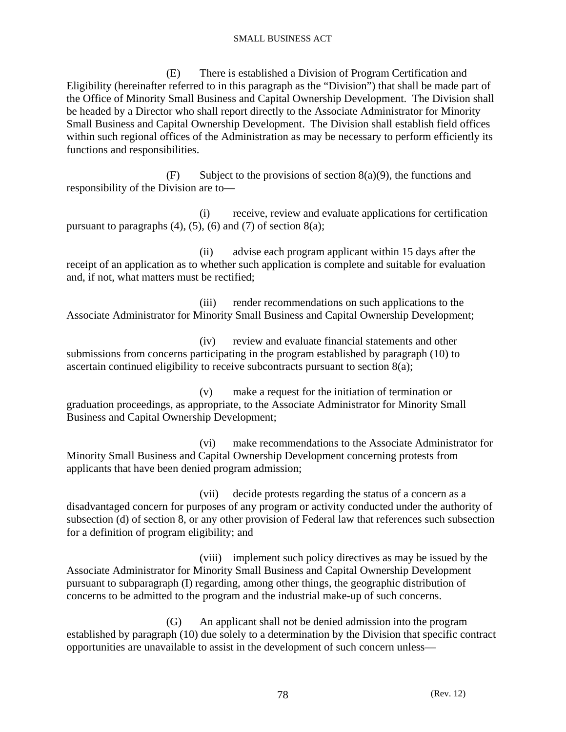(E) There is established a Division of Program Certification and Eligibility (hereinafter referred to in this paragraph as the "Division") that shall be made part of the Office of Minority Small Business and Capital Ownership Development. The Division shall be headed by a Director who shall report directly to the Associate Administrator for Minority Small Business and Capital Ownership Development. The Division shall establish field offices within such regional offices of the Administration as may be necessary to perform efficiently its functions and responsibilities.

 $(F)$  Subject to the provisions of section 8(a)(9), the functions and responsibility of the Division are to—

 (i) receive, review and evaluate applications for certification pursuant to paragraphs  $(4)$ ,  $(5)$ ,  $(6)$  and  $(7)$  of section  $8(a)$ ;

 (ii) advise each program applicant within 15 days after the receipt of an application as to whether such application is complete and suitable for evaluation and, if not, what matters must be rectified;

 (iii) render recommendations on such applications to the Associate Administrator for Minority Small Business and Capital Ownership Development;

 (iv) review and evaluate financial statements and other submissions from concerns participating in the program established by paragraph (10) to ascertain continued eligibility to receive subcontracts pursuant to section 8(a);

 (v) make a request for the initiation of termination or graduation proceedings, as appropriate, to the Associate Administrator for Minority Small Business and Capital Ownership Development;

 (vi) make recommendations to the Associate Administrator for Minority Small Business and Capital Ownership Development concerning protests from applicants that have been denied program admission;

 (vii) decide protests regarding the status of a concern as a disadvantaged concern for purposes of any program or activity conducted under the authority of subsection (d) of section 8, or any other provision of Federal law that references such subsection for a definition of program eligibility; and

 (viii) implement such policy directives as may be issued by the Associate Administrator for Minority Small Business and Capital Ownership Development pursuant to subparagraph (I) regarding, among other things, the geographic distribution of concerns to be admitted to the program and the industrial make-up of such concerns.

 (G) An applicant shall not be denied admission into the program established by paragraph (10) due solely to a determination by the Division that specific contract opportunities are unavailable to assist in the development of such concern unless—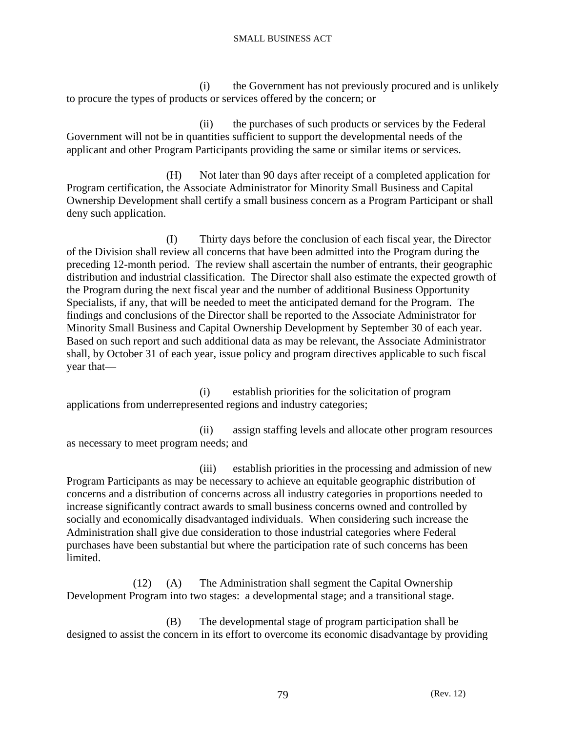(i) the Government has not previously procured and is unlikely to procure the types of products or services offered by the concern; or

 (ii) the purchases of such products or services by the Federal Government will not be in quantities sufficient to support the developmental needs of the applicant and other Program Participants providing the same or similar items or services.

 (H) Not later than 90 days after receipt of a completed application for Program certification, the Associate Administrator for Minority Small Business and Capital Ownership Development shall certify a small business concern as a Program Participant or shall deny such application.

 (I) Thirty days before the conclusion of each fiscal year, the Director of the Division shall review all concerns that have been admitted into the Program during the preceding 12-month period. The review shall ascertain the number of entrants, their geographic distribution and industrial classification. The Director shall also estimate the expected growth of the Program during the next fiscal year and the number of additional Business Opportunity Specialists, if any, that will be needed to meet the anticipated demand for the Program. The findings and conclusions of the Director shall be reported to the Associate Administrator for Minority Small Business and Capital Ownership Development by September 30 of each year. Based on such report and such additional data as may be relevant, the Associate Administrator shall, by October 31 of each year, issue policy and program directives applicable to such fiscal year that—

 (i) establish priorities for the solicitation of program applications from underrepresented regions and industry categories;

 (ii) assign staffing levels and allocate other program resources as necessary to meet program needs; and

 (iii) establish priorities in the processing and admission of new Program Participants as may be necessary to achieve an equitable geographic distribution of concerns and a distribution of concerns across all industry categories in proportions needed to increase significantly contract awards to small business concerns owned and controlled by socially and economically disadvantaged individuals. When considering such increase the Administration shall give due consideration to those industrial categories where Federal purchases have been substantial but where the participation rate of such concerns has been limited.

 (12) (A) The Administration shall segment the Capital Ownership Development Program into two stages: a developmental stage; and a transitional stage.

 (B) The developmental stage of program participation shall be designed to assist the concern in its effort to overcome its economic disadvantage by providing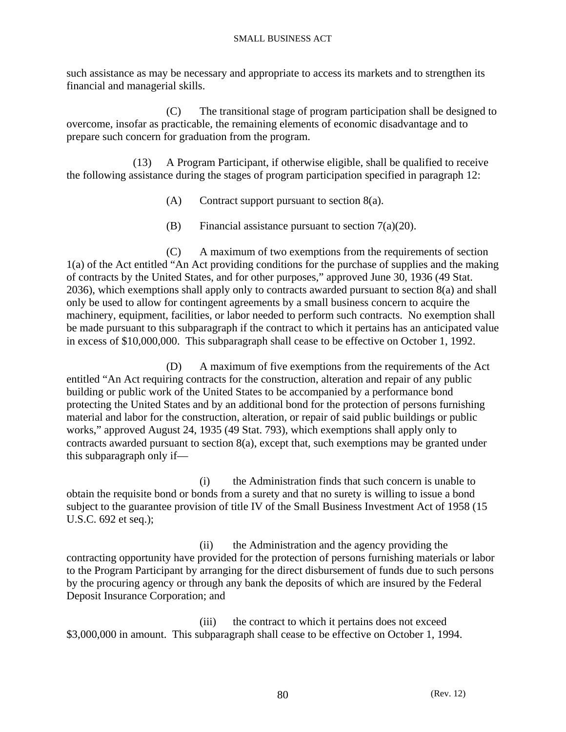such assistance as may be necessary and appropriate to access its markets and to strengthen its financial and managerial skills.

 (C) The transitional stage of program participation shall be designed to overcome, insofar as practicable, the remaining elements of economic disadvantage and to prepare such concern for graduation from the program.

 (13) A Program Participant, if otherwise eligible, shall be qualified to receive the following assistance during the stages of program participation specified in paragraph 12:

- (A) Contract support pursuant to section 8(a).
- (B) Financial assistance pursuant to section  $7(a)(20)$ .

 (C) A maximum of two exemptions from the requirements of section 1(a) of the Act entitled "An Act providing conditions for the purchase of supplies and the making of contracts by the United States, and for other purposes," approved June 30, 1936 (49 Stat. 2036), which exemptions shall apply only to contracts awarded pursuant to section 8(a) and shall only be used to allow for contingent agreements by a small business concern to acquire the machinery, equipment, facilities, or labor needed to perform such contracts. No exemption shall be made pursuant to this subparagraph if the contract to which it pertains has an anticipated value in excess of \$10,000,000. This subparagraph shall cease to be effective on October 1, 1992.

 (D) A maximum of five exemptions from the requirements of the Act entitled "An Act requiring contracts for the construction, alteration and repair of any public building or public work of the United States to be accompanied by a performance bond protecting the United States and by an additional bond for the protection of persons furnishing material and labor for the construction, alteration, or repair of said public buildings or public works," approved August 24, 1935 (49 Stat. 793), which exemptions shall apply only to contracts awarded pursuant to section 8(a), except that, such exemptions may be granted under this subparagraph only if—

 (i) the Administration finds that such concern is unable to obtain the requisite bond or bonds from a surety and that no surety is willing to issue a bond subject to the guarantee provision of title IV of the Small Business Investment Act of 1958 (15 U.S.C. 692 et seq.);

 (ii) the Administration and the agency providing the contracting opportunity have provided for the protection of persons furnishing materials or labor to the Program Participant by arranging for the direct disbursement of funds due to such persons by the procuring agency or through any bank the deposits of which are insured by the Federal Deposit Insurance Corporation; and

 (iii) the contract to which it pertains does not exceed \$3,000,000 in amount. This subparagraph shall cease to be effective on October 1, 1994.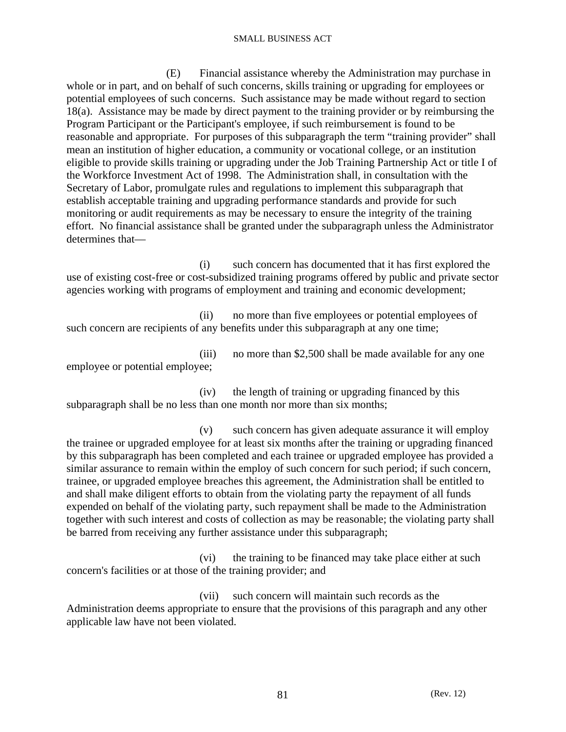(E) Financial assistance whereby the Administration may purchase in whole or in part, and on behalf of such concerns, skills training or upgrading for employees or potential employees of such concerns. Such assistance may be made without regard to section 18(a). Assistance may be made by direct payment to the training provider or by reimbursing the Program Participant or the Participant's employee, if such reimbursement is found to be reasonable and appropriate. For purposes of this subparagraph the term "training provider" shall mean an institution of higher education, a community or vocational college, or an institution eligible to provide skills training or upgrading under the Job Training Partnership Act or title I of the Workforce Investment Act of 1998. The Administration shall, in consultation with the Secretary of Labor, promulgate rules and regulations to implement this subparagraph that establish acceptable training and upgrading performance standards and provide for such monitoring or audit requirements as may be necessary to ensure the integrity of the training effort. No financial assistance shall be granted under the subparagraph unless the Administrator determines that—

 (i) such concern has documented that it has first explored the use of existing cost-free or cost-subsidized training programs offered by public and private sector agencies working with programs of employment and training and economic development;

 (ii) no more than five employees or potential employees of such concern are recipients of any benefits under this subparagraph at any one time;

 (iii) no more than \$2,500 shall be made available for any one employee or potential employee;

 (iv) the length of training or upgrading financed by this subparagraph shall be no less than one month nor more than six months;

 (v) such concern has given adequate assurance it will employ the trainee or upgraded employee for at least six months after the training or upgrading financed by this subparagraph has been completed and each trainee or upgraded employee has provided a similar assurance to remain within the employ of such concern for such period; if such concern, trainee, or upgraded employee breaches this agreement, the Administration shall be entitled to and shall make diligent efforts to obtain from the violating party the repayment of all funds expended on behalf of the violating party, such repayment shall be made to the Administration together with such interest and costs of collection as may be reasonable; the violating party shall be barred from receiving any further assistance under this subparagraph;

 (vi) the training to be financed may take place either at such concern's facilities or at those of the training provider; and

 (vii) such concern will maintain such records as the Administration deems appropriate to ensure that the provisions of this paragraph and any other applicable law have not been violated.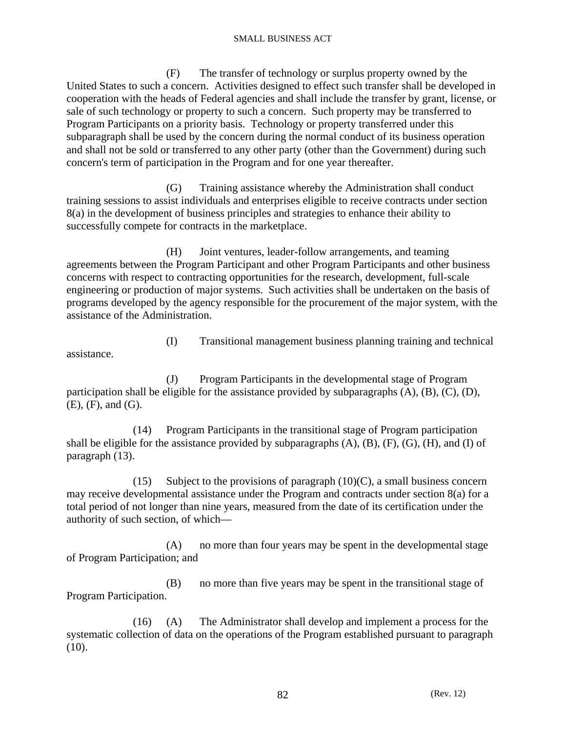(F) The transfer of technology or surplus property owned by the United States to such a concern. Activities designed to effect such transfer shall be developed in cooperation with the heads of Federal agencies and shall include the transfer by grant, license, or sale of such technology or property to such a concern. Such property may be transferred to Program Participants on a priority basis. Technology or property transferred under this subparagraph shall be used by the concern during the normal conduct of its business operation and shall not be sold or transferred to any other party (other than the Government) during such concern's term of participation in the Program and for one year thereafter.

 (G) Training assistance whereby the Administration shall conduct training sessions to assist individuals and enterprises eligible to receive contracts under section 8(a) in the development of business principles and strategies to enhance their ability to successfully compete for contracts in the marketplace.

 (H) Joint ventures, leader-follow arrangements, and teaming agreements between the Program Participant and other Program Participants and other business concerns with respect to contracting opportunities for the research, development, full-scale engineering or production of major systems. Such activities shall be undertaken on the basis of programs developed by the agency responsible for the procurement of the major system, with the assistance of the Administration.

assistance.

(I) Transitional management business planning training and technical

 (J) Program Participants in the developmental stage of Program participation shall be eligible for the assistance provided by subparagraphs  $(A)$ ,  $(B)$ ,  $(C)$ ,  $(D)$ , (E), (F), and (G).

 (14) Program Participants in the transitional stage of Program participation shall be eligible for the assistance provided by subparagraphs  $(A)$ ,  $(B)$ ,  $(F)$ ,  $(G)$ ,  $(H)$ , and  $(I)$  of paragraph (13).

(15) Subject to the provisions of paragraph  $(10)(C)$ , a small business concern may receive developmental assistance under the Program and contracts under section 8(a) for a total period of not longer than nine years, measured from the date of its certification under the authority of such section, of which—

 (A) no more than four years may be spent in the developmental stage of Program Participation; and

 (B) no more than five years may be spent in the transitional stage of Program Participation.

 (16) (A) The Administrator shall develop and implement a process for the systematic collection of data on the operations of the Program established pursuant to paragraph  $(10).$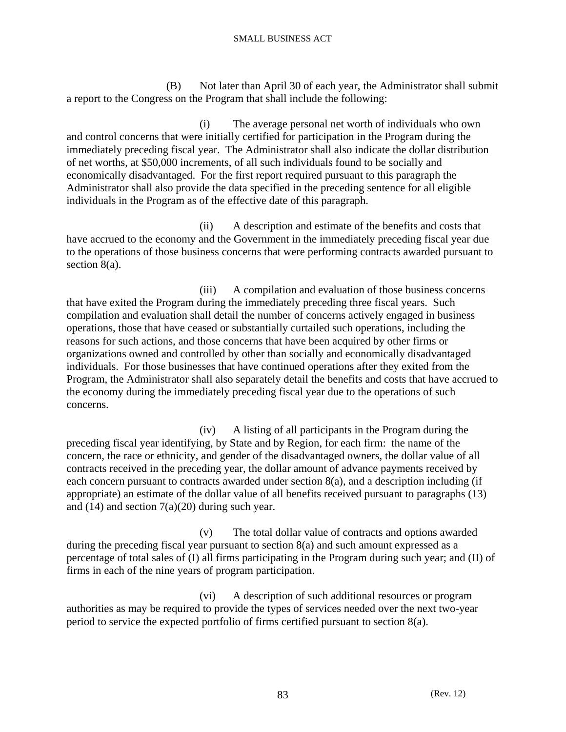(B) Not later than April 30 of each year, the Administrator shall submit a report to the Congress on the Program that shall include the following:

 (i) The average personal net worth of individuals who own and control concerns that were initially certified for participation in the Program during the immediately preceding fiscal year. The Administrator shall also indicate the dollar distribution of net worths, at \$50,000 increments, of all such individuals found to be socially and economically disadvantaged. For the first report required pursuant to this paragraph the Administrator shall also provide the data specified in the preceding sentence for all eligible individuals in the Program as of the effective date of this paragraph.

 (ii) A description and estimate of the benefits and costs that have accrued to the economy and the Government in the immediately preceding fiscal year due to the operations of those business concerns that were performing contracts awarded pursuant to section 8(a).

 (iii) A compilation and evaluation of those business concerns that have exited the Program during the immediately preceding three fiscal years. Such compilation and evaluation shall detail the number of concerns actively engaged in business operations, those that have ceased or substantially curtailed such operations, including the reasons for such actions, and those concerns that have been acquired by other firms or organizations owned and controlled by other than socially and economically disadvantaged individuals. For those businesses that have continued operations after they exited from the Program, the Administrator shall also separately detail the benefits and costs that have accrued to the economy during the immediately preceding fiscal year due to the operations of such concerns.

 (iv) A listing of all participants in the Program during the preceding fiscal year identifying, by State and by Region, for each firm: the name of the concern, the race or ethnicity, and gender of the disadvantaged owners, the dollar value of all contracts received in the preceding year, the dollar amount of advance payments received by each concern pursuant to contracts awarded under section 8(a), and a description including (if appropriate) an estimate of the dollar value of all benefits received pursuant to paragraphs (13) and  $(14)$  and section  $7(a)(20)$  during such year.

 (v) The total dollar value of contracts and options awarded during the preceding fiscal year pursuant to section 8(a) and such amount expressed as a percentage of total sales of (I) all firms participating in the Program during such year; and (II) of firms in each of the nine years of program participation.

 (vi) A description of such additional resources or program authorities as may be required to provide the types of services needed over the next two-year period to service the expected portfolio of firms certified pursuant to section 8(a).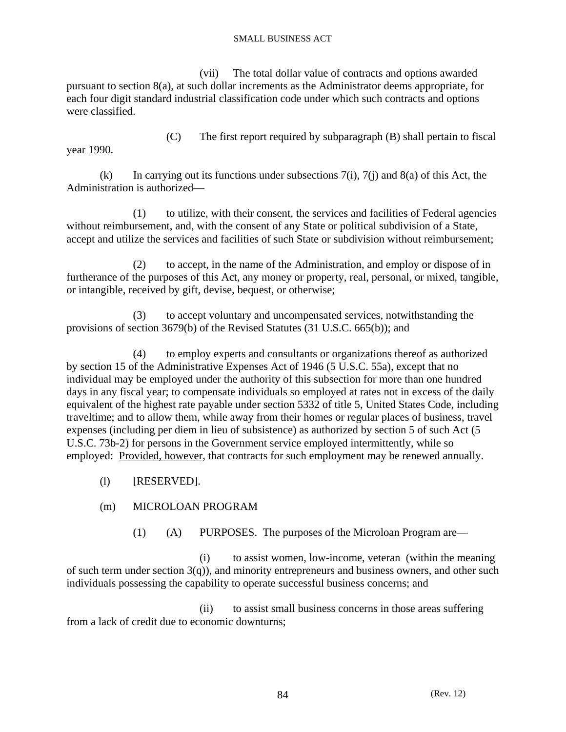(vii) The total dollar value of contracts and options awarded pursuant to section 8(a), at such dollar increments as the Administrator deems appropriate, for each four digit standard industrial classification code under which such contracts and options were classified.

year 1990.

(C) The first report required by subparagraph (B) shall pertain to fiscal

(k) In carrying out its functions under subsections  $7(i)$ ,  $7(i)$  and  $8(a)$  of this Act, the Administration is authorized—

 (1) to utilize, with their consent, the services and facilities of Federal agencies without reimbursement, and, with the consent of any State or political subdivision of a State, accept and utilize the services and facilities of such State or subdivision without reimbursement;

 (2) to accept, in the name of the Administration, and employ or dispose of in furtherance of the purposes of this Act, any money or property, real, personal, or mixed, tangible, or intangible, received by gift, devise, bequest, or otherwise;

 (3) to accept voluntary and uncompensated services, notwithstanding the provisions of section 3679(b) of the Revised Statutes (31 U.S.C. 665(b)); and

 (4) to employ experts and consultants or organizations thereof as authorized by section 15 of the Administrative Expenses Act of 1946 (5 U.S.C. 55a), except that no individual may be employed under the authority of this subsection for more than one hundred days in any fiscal year; to compensate individuals so employed at rates not in excess of the daily equivalent of the highest rate payable under section 5332 of title 5, United States Code, including traveltime; and to allow them, while away from their homes or regular places of business, travel expenses (including per diem in lieu of subsistence) as authorized by section 5 of such Act (5 U.S.C. 73b-2) for persons in the Government service employed intermittently, while so employed: Provided, however, that contracts for such employment may be renewed annually.

- (l) [RESERVED].
- (m) MICROLOAN PROGRAM
	- (1) (A) PURPOSES. The purposes of the Microloan Program are—

 (i) to assist women, low-income, veteran (within the meaning of such term under section  $3(q)$ ), and minority entrepreneurs and business owners, and other such individuals possessing the capability to operate successful business concerns; and

 (ii) to assist small business concerns in those areas suffering from a lack of credit due to economic downturns;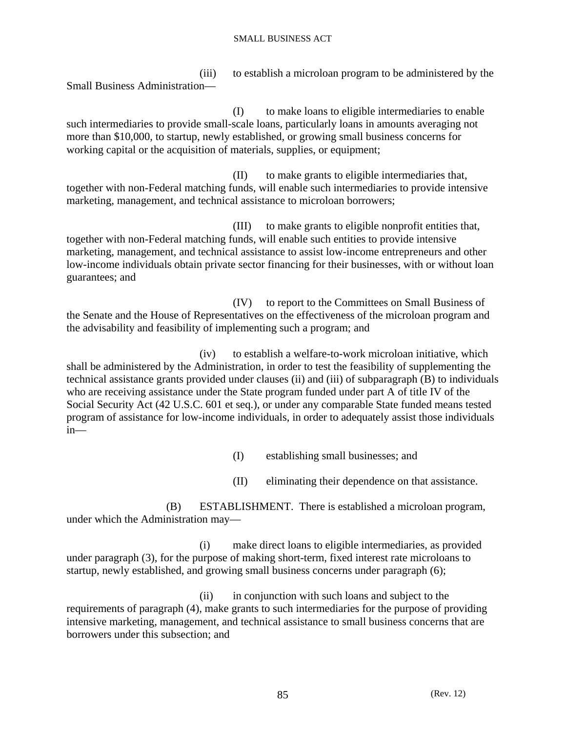(iii) to establish a microloan program to be administered by the Small Business Administration—

 (I) to make loans to eligible intermediaries to enable such intermediaries to provide small-scale loans, particularly loans in amounts averaging not more than \$10,000, to startup, newly established, or growing small business concerns for working capital or the acquisition of materials, supplies, or equipment;

 (II) to make grants to eligible intermediaries that, together with non-Federal matching funds, will enable such intermediaries to provide intensive marketing, management, and technical assistance to microloan borrowers;

 (III) to make grants to eligible nonprofit entities that, together with non-Federal matching funds, will enable such entities to provide intensive marketing, management, and technical assistance to assist low-income entrepreneurs and other low-income individuals obtain private sector financing for their businesses, with or without loan guarantees; and

 (IV) to report to the Committees on Small Business of the Senate and the House of Representatives on the effectiveness of the microloan program and the advisability and feasibility of implementing such a program; and

 (iv) to establish a welfare-to-work microloan initiative, which shall be administered by the Administration, in order to test the feasibility of supplementing the technical assistance grants provided under clauses (ii) and (iii) of subparagraph (B) to individuals who are receiving assistance under the State program funded under part A of title IV of the Social Security Act (42 U.S.C. 601 et seq.), or under any comparable State funded means tested program of assistance for low-income individuals, in order to adequately assist those individuals in—

(I) establishing small businesses; and

(II) eliminating their dependence on that assistance.

 (B) ESTABLISHMENT. There is established a microloan program, under which the Administration may—

 (i) make direct loans to eligible intermediaries, as provided under paragraph (3), for the purpose of making short-term, fixed interest rate microloans to startup, newly established, and growing small business concerns under paragraph (6);

 (ii) in conjunction with such loans and subject to the requirements of paragraph (4), make grants to such intermediaries for the purpose of providing intensive marketing, management, and technical assistance to small business concerns that are borrowers under this subsection; and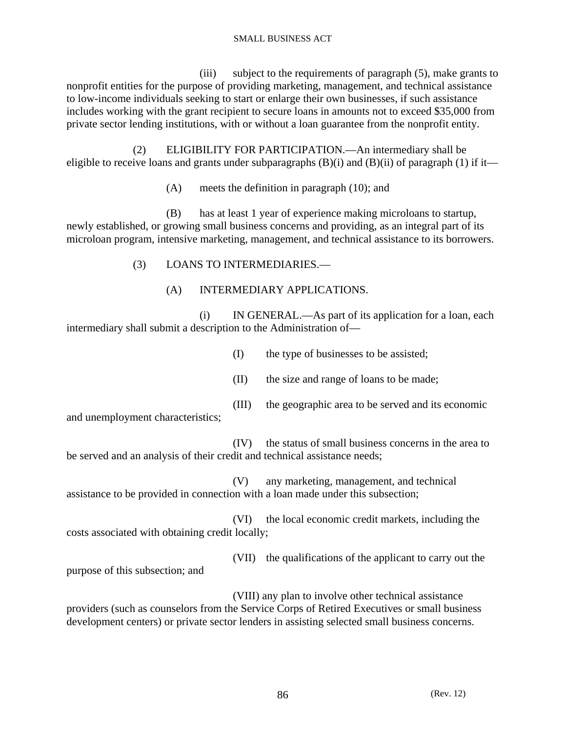(iii) subject to the requirements of paragraph (5), make grants to nonprofit entities for the purpose of providing marketing, management, and technical assistance to low-income individuals seeking to start or enlarge their own businesses, if such assistance includes working with the grant recipient to secure loans in amounts not to exceed \$35,000 from private sector lending institutions, with or without a loan guarantee from the nonprofit entity.

 (2) ELIGIBILITY FOR PARTICIPATION.—An intermediary shall be eligible to receive loans and grants under subparagraphs (B)(i) and (B)(ii) of paragraph (1) if it—

(A) meets the definition in paragraph (10); and

 (B) has at least 1 year of experience making microloans to startup, newly established, or growing small business concerns and providing, as an integral part of its microloan program, intensive marketing, management, and technical assistance to its borrowers.

- (3) LOANS TO INTERMEDIARIES.—
	- (A) INTERMEDIARY APPLICATIONS.

 (i) IN GENERAL.—As part of its application for a loan, each intermediary shall submit a description to the Administration of—

- (I) the type of businesses to be assisted;
- (II) the size and range of loans to be made;
- (III) the geographic area to be served and its economic

and unemployment characteristics;

 (IV) the status of small business concerns in the area to be served and an analysis of their credit and technical assistance needs;

 (V) any marketing, management, and technical assistance to be provided in connection with a loan made under this subsection;

 (VI) the local economic credit markets, including the costs associated with obtaining credit locally;

 (VII) the qualifications of the applicant to carry out the purpose of this subsection; and

 (VIII) any plan to involve other technical assistance providers (such as counselors from the Service Corps of Retired Executives or small business development centers) or private sector lenders in assisting selected small business concerns.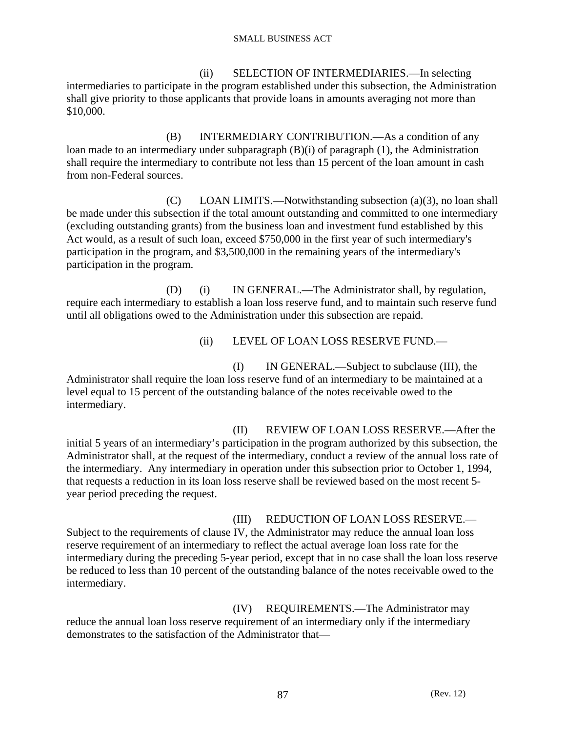(ii) SELECTION OF INTERMEDIARIES.—In selecting intermediaries to participate in the program established under this subsection, the Administration shall give priority to those applicants that provide loans in amounts averaging not more than \$10,000.

 (B) INTERMEDIARY CONTRIBUTION.—As a condition of any loan made to an intermediary under subparagraph (B)(i) of paragraph (1), the Administration shall require the intermediary to contribute not less than 15 percent of the loan amount in cash from non-Federal sources.

 (C) LOAN LIMITS.—Notwithstanding subsection (a)(3), no loan shall be made under this subsection if the total amount outstanding and committed to one intermediary (excluding outstanding grants) from the business loan and investment fund established by this Act would, as a result of such loan, exceed \$750,000 in the first year of such intermediary's participation in the program, and \$3,500,000 in the remaining years of the intermediary's participation in the program.

 (D) (i) IN GENERAL.—The Administrator shall, by regulation, require each intermediary to establish a loan loss reserve fund, and to maintain such reserve fund until all obligations owed to the Administration under this subsection are repaid.

(ii) LEVEL OF LOAN LOSS RESERVE FUND.—

 (I) IN GENERAL.—Subject to subclause (III), the Administrator shall require the loan loss reserve fund of an intermediary to be maintained at a level equal to 15 percent of the outstanding balance of the notes receivable owed to the intermediary.

 (II) REVIEW OF LOAN LOSS RESERVE.—After the initial 5 years of an intermediary's participation in the program authorized by this subsection, the Administrator shall, at the request of the intermediary, conduct a review of the annual loss rate of the intermediary. Any intermediary in operation under this subsection prior to October 1, 1994, that requests a reduction in its loan loss reserve shall be reviewed based on the most recent 5 year period preceding the request.

 (III) REDUCTION OF LOAN LOSS RESERVE.— Subject to the requirements of clause IV, the Administrator may reduce the annual loan loss reserve requirement of an intermediary to reflect the actual average loan loss rate for the intermediary during the preceding 5-year period, except that in no case shall the loan loss reserve be reduced to less than 10 percent of the outstanding balance of the notes receivable owed to the intermediary.

 (IV) REQUIREMENTS.—The Administrator may reduce the annual loan loss reserve requirement of an intermediary only if the intermediary demonstrates to the satisfaction of the Administrator that—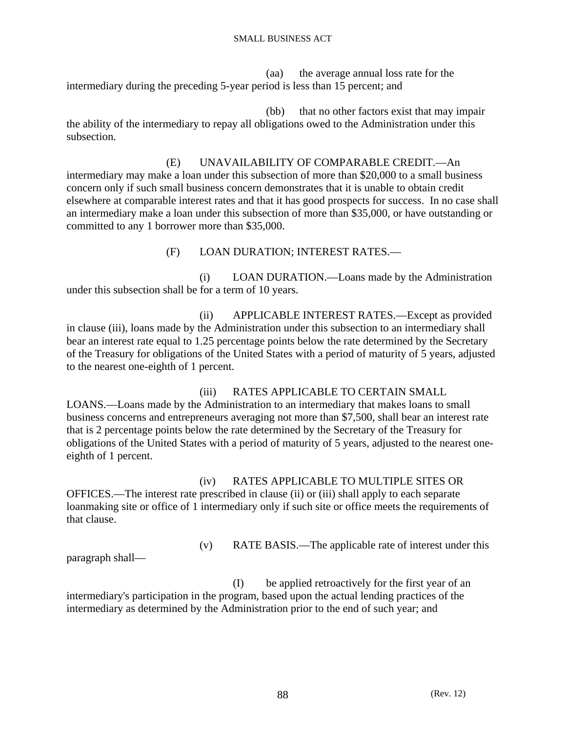(aa) the average annual loss rate for the intermediary during the preceding 5-year period is less than 15 percent; and

 (bb) that no other factors exist that may impair the ability of the intermediary to repay all obligations owed to the Administration under this subsection.

 (E) UNAVAILABILITY OF COMPARABLE CREDIT.—An intermediary may make a loan under this subsection of more than \$20,000 to a small business concern only if such small business concern demonstrates that it is unable to obtain credit elsewhere at comparable interest rates and that it has good prospects for success. In no case shall an intermediary make a loan under this subsection of more than \$35,000, or have outstanding or committed to any 1 borrower more than \$35,000.

(F) LOAN DURATION; INTEREST RATES.—

 (i) LOAN DURATION.—Loans made by the Administration under this subsection shall be for a term of 10 years.

 (ii) APPLICABLE INTEREST RATES.—Except as provided in clause (iii), loans made by the Administration under this subsection to an intermediary shall bear an interest rate equal to 1.25 percentage points below the rate determined by the Secretary of the Treasury for obligations of the United States with a period of maturity of 5 years, adjusted to the nearest one-eighth of 1 percent.

 (iii) RATES APPLICABLE TO CERTAIN SMALL LOANS.—Loans made by the Administration to an intermediary that makes loans to small business concerns and entrepreneurs averaging not more than \$7,500, shall bear an interest rate that is 2 percentage points below the rate determined by the Secretary of the Treasury for obligations of the United States with a period of maturity of 5 years, adjusted to the nearest oneeighth of 1 percent.

 (iv) RATES APPLICABLE TO MULTIPLE SITES OR OFFICES.—The interest rate prescribed in clause (ii) or (iii) shall apply to each separate loanmaking site or office of 1 intermediary only if such site or office meets the requirements of that clause.

(v) RATE BASIS.—The applicable rate of interest under this

paragraph shall—

 (I) be applied retroactively for the first year of an intermediary's participation in the program, based upon the actual lending practices of the intermediary as determined by the Administration prior to the end of such year; and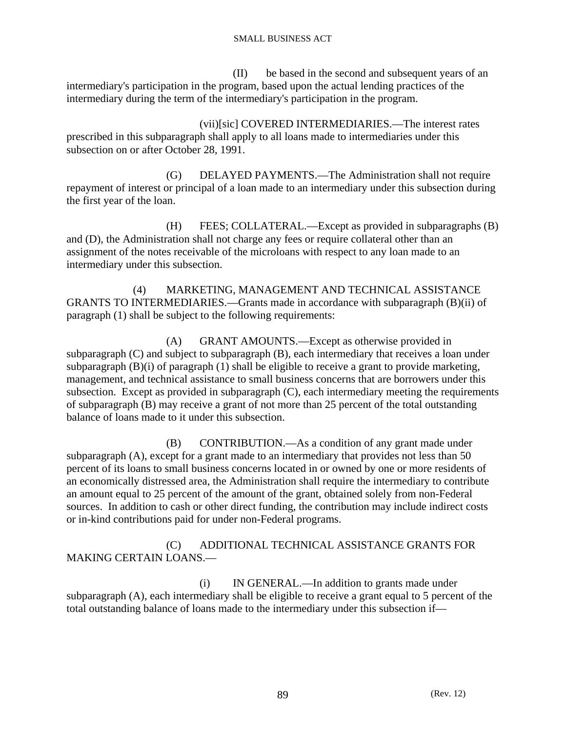(II) be based in the second and subsequent years of an intermediary's participation in the program, based upon the actual lending practices of the intermediary during the term of the intermediary's participation in the program.

 (vii)[sic] COVERED INTERMEDIARIES.—The interest rates prescribed in this subparagraph shall apply to all loans made to intermediaries under this subsection on or after October 28, 1991.

 (G) DELAYED PAYMENTS.—The Administration shall not require repayment of interest or principal of a loan made to an intermediary under this subsection during the first year of the loan.

 (H) FEES; COLLATERAL.—Except as provided in subparagraphs (B) and (D), the Administration shall not charge any fees or require collateral other than an assignment of the notes receivable of the microloans with respect to any loan made to an intermediary under this subsection.

 (4) MARKETING, MANAGEMENT AND TECHNICAL ASSISTANCE GRANTS TO INTERMEDIARIES.—Grants made in accordance with subparagraph (B)(ii) of paragraph (1) shall be subject to the following requirements:

 (A) GRANT AMOUNTS.—Except as otherwise provided in subparagraph (C) and subject to subparagraph (B), each intermediary that receives a loan under subparagraph (B)(i) of paragraph (1) shall be eligible to receive a grant to provide marketing, management, and technical assistance to small business concerns that are borrowers under this subsection. Except as provided in subparagraph (C), each intermediary meeting the requirements of subparagraph (B) may receive a grant of not more than 25 percent of the total outstanding balance of loans made to it under this subsection.

 (B) CONTRIBUTION.—As a condition of any grant made under subparagraph (A), except for a grant made to an intermediary that provides not less than 50 percent of its loans to small business concerns located in or owned by one or more residents of an economically distressed area, the Administration shall require the intermediary to contribute an amount equal to 25 percent of the amount of the grant, obtained solely from non-Federal sources. In addition to cash or other direct funding, the contribution may include indirect costs or in-kind contributions paid for under non-Federal programs.

# (C) ADDITIONAL TECHNICAL ASSISTANCE GRANTS FOR MAKING CERTAIN LOANS.—

 (i) IN GENERAL.—In addition to grants made under subparagraph (A), each intermediary shall be eligible to receive a grant equal to 5 percent of the total outstanding balance of loans made to the intermediary under this subsection if—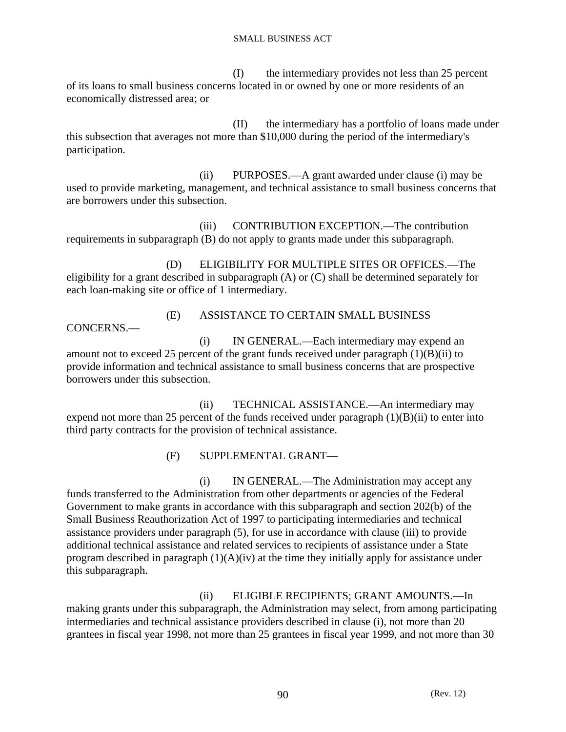(I) the intermediary provides not less than 25 percent of its loans to small business concerns located in or owned by one or more residents of an economically distressed area; or

 (II) the intermediary has a portfolio of loans made under this subsection that averages not more than \$10,000 during the period of the intermediary's participation.

 (ii) PURPOSES.—A grant awarded under clause (i) may be used to provide marketing, management, and technical assistance to small business concerns that are borrowers under this subsection.

 (iii) CONTRIBUTION EXCEPTION.—The contribution requirements in subparagraph (B) do not apply to grants made under this subparagraph.

 (D) ELIGIBILITY FOR MULTIPLE SITES OR OFFICES.—The eligibility for a grant described in subparagraph (A) or (C) shall be determined separately for each loan-making site or office of 1 intermediary.

CONCERNS.—

# (E) ASSISTANCE TO CERTAIN SMALL BUSINESS

 (i) IN GENERAL.—Each intermediary may expend an amount not to exceed 25 percent of the grant funds received under paragraph (1)(B)(ii) to provide information and technical assistance to small business concerns that are prospective borrowers under this subsection.

 (ii) TECHNICAL ASSISTANCE.—An intermediary may expend not more than 25 percent of the funds received under paragraph  $(1)(B)(ii)$  to enter into third party contracts for the provision of technical assistance.

(F) SUPPLEMENTAL GRANT—

 (i) IN GENERAL.—The Administration may accept any funds transferred to the Administration from other departments or agencies of the Federal Government to make grants in accordance with this subparagraph and section 202(b) of the Small Business Reauthorization Act of 1997 to participating intermediaries and technical assistance providers under paragraph (5), for use in accordance with clause (iii) to provide additional technical assistance and related services to recipients of assistance under a State program described in paragraph (1)(A)(iv) at the time they initially apply for assistance under this subparagraph.

# (ii) ELIGIBLE RECIPIENTS; GRANT AMOUNTS.—In

making grants under this subparagraph, the Administration may select, from among participating intermediaries and technical assistance providers described in clause (i), not more than 20 grantees in fiscal year 1998, not more than 25 grantees in fiscal year 1999, and not more than 30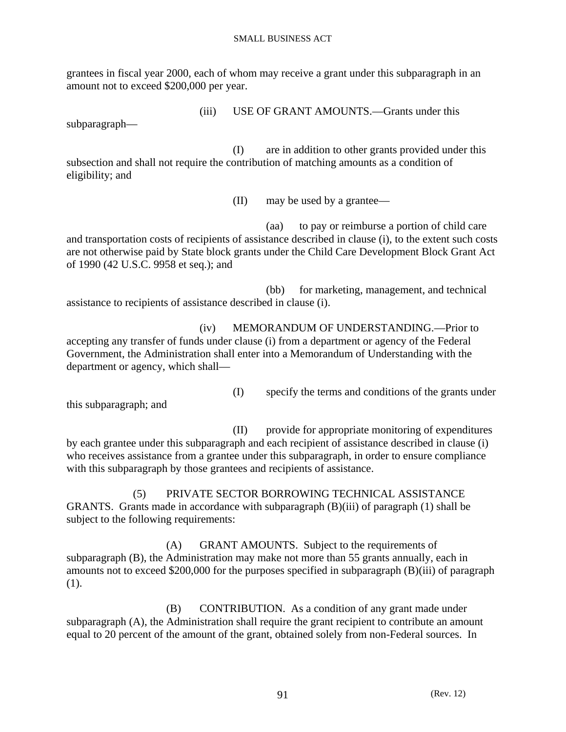grantees in fiscal year 2000, each of whom may receive a grant under this subparagraph in an amount not to exceed \$200,000 per year.

(iii) USE OF GRANT AMOUNTS.—Grants under this

subparagraph—

 (I) are in addition to other grants provided under this subsection and shall not require the contribution of matching amounts as a condition of eligibility; and

(II) may be used by a grantee—

 (aa) to pay or reimburse a portion of child care and transportation costs of recipients of assistance described in clause (i), to the extent such costs are not otherwise paid by State block grants under the Child Care Development Block Grant Act of 1990 (42 U.S.C. 9958 et seq.); and

 (bb) for marketing, management, and technical assistance to recipients of assistance described in clause (i).

 (iv) MEMORANDUM OF UNDERSTANDING.—Prior to accepting any transfer of funds under clause (i) from a department or agency of the Federal Government, the Administration shall enter into a Memorandum of Understanding with the department or agency, which shall—

(I) specify the terms and conditions of the grants under

this subparagraph; and

 (II) provide for appropriate monitoring of expenditures by each grantee under this subparagraph and each recipient of assistance described in clause (i) who receives assistance from a grantee under this subparagraph, in order to ensure compliance with this subparagraph by those grantees and recipients of assistance.

 (5) PRIVATE SECTOR BORROWING TECHNICAL ASSISTANCE GRANTS. Grants made in accordance with subparagraph (B)(iii) of paragraph (1) shall be subject to the following requirements:

 (A) GRANT AMOUNTS. Subject to the requirements of subparagraph (B), the Administration may make not more than 55 grants annually, each in amounts not to exceed \$200,000 for the purposes specified in subparagraph (B)(iii) of paragraph (1).

 (B) CONTRIBUTION. As a condition of any grant made under subparagraph (A), the Administration shall require the grant recipient to contribute an amount equal to 20 percent of the amount of the grant, obtained solely from non-Federal sources. In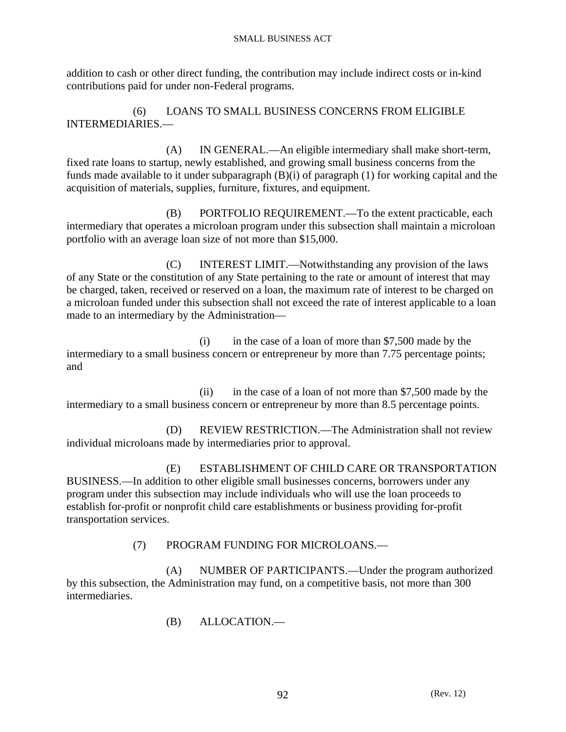addition to cash or other direct funding, the contribution may include indirect costs or in-kind contributions paid for under non-Federal programs.

 (6) LOANS TO SMALL BUSINESS CONCERNS FROM ELIGIBLE INTERMEDIARIES.—

 (A) IN GENERAL.—An eligible intermediary shall make short-term, fixed rate loans to startup, newly established, and growing small business concerns from the funds made available to it under subparagraph (B)(i) of paragraph (1) for working capital and the acquisition of materials, supplies, furniture, fixtures, and equipment.

 (B) PORTFOLIO REQUIREMENT.—To the extent practicable, each intermediary that operates a microloan program under this subsection shall maintain a microloan portfolio with an average loan size of not more than \$15,000.

 (C) INTEREST LIMIT.—Notwithstanding any provision of the laws of any State or the constitution of any State pertaining to the rate or amount of interest that may be charged, taken, received or reserved on a loan, the maximum rate of interest to be charged on a microloan funded under this subsection shall not exceed the rate of interest applicable to a loan made to an intermediary by the Administration—

 (i) in the case of a loan of more than \$7,500 made by the intermediary to a small business concern or entrepreneur by more than 7.75 percentage points; and

 (ii) in the case of a loan of not more than \$7,500 made by the intermediary to a small business concern or entrepreneur by more than 8.5 percentage points.

 (D) REVIEW RESTRICTION.—The Administration shall not review individual microloans made by intermediaries prior to approval.

 (E) ESTABLISHMENT OF CHILD CARE OR TRANSPORTATION BUSINESS.—In addition to other eligible small businesses concerns, borrowers under any program under this subsection may include individuals who will use the loan proceeds to establish for-profit or nonprofit child care establishments or business providing for-profit transportation services.

(7) PROGRAM FUNDING FOR MICROLOANS.—

 (A) NUMBER OF PARTICIPANTS.—Under the program authorized by this subsection, the Administration may fund, on a competitive basis, not more than 300 intermediaries.

(B) ALLOCATION.—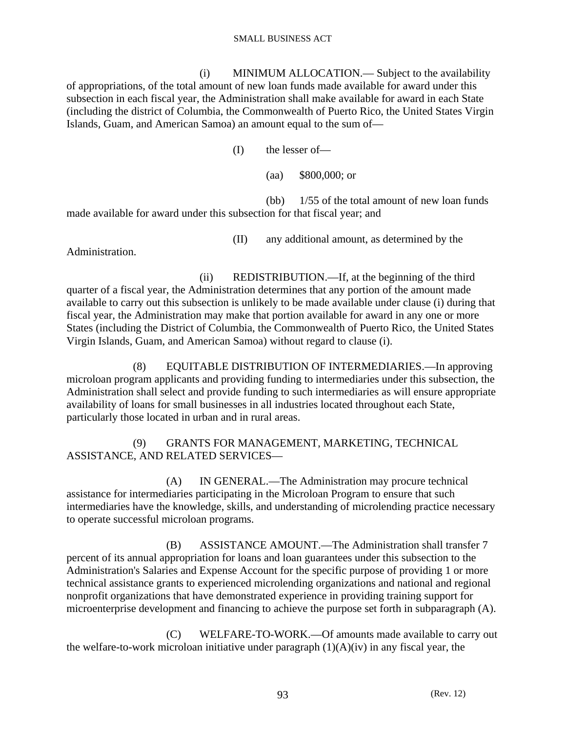(i) MINIMUM ALLOCATION.— Subject to the availability of appropriations, of the total amount of new loan funds made available for award under this subsection in each fiscal year, the Administration shall make available for award in each State (including the district of Columbia, the Commonwealth of Puerto Rico, the United States Virgin Islands, Guam, and American Samoa) an amount equal to the sum of—

(I) the lesser of—

(aa) \$800,000; or

 (bb) 1/55 of the total amount of new loan funds made available for award under this subsection for that fiscal year; and

(II) any additional amount, as determined by the

Administration.

 (ii) REDISTRIBUTION.—If, at the beginning of the third quarter of a fiscal year, the Administration determines that any portion of the amount made available to carry out this subsection is unlikely to be made available under clause (i) during that fiscal year, the Administration may make that portion available for award in any one or more States (including the District of Columbia, the Commonwealth of Puerto Rico, the United States Virgin Islands, Guam, and American Samoa) without regard to clause (i).

 (8) EQUITABLE DISTRIBUTION OF INTERMEDIARIES.—In approving microloan program applicants and providing funding to intermediaries under this subsection, the Administration shall select and provide funding to such intermediaries as will ensure appropriate availability of loans for small businesses in all industries located throughout each State, particularly those located in urban and in rural areas.

 (9) GRANTS FOR MANAGEMENT, MARKETING, TECHNICAL ASSISTANCE, AND RELATED SERVICES—

 (A) IN GENERAL.—The Administration may procure technical assistance for intermediaries participating in the Microloan Program to ensure that such intermediaries have the knowledge, skills, and understanding of microlending practice necessary to operate successful microloan programs.

 (B) ASSISTANCE AMOUNT.—The Administration shall transfer 7 percent of its annual appropriation for loans and loan guarantees under this subsection to the Administration's Salaries and Expense Account for the specific purpose of providing 1 or more technical assistance grants to experienced microlending organizations and national and regional nonprofit organizations that have demonstrated experience in providing training support for microenterprise development and financing to achieve the purpose set forth in subparagraph (A).

 (C) WELFARE-TO-WORK.—Of amounts made available to carry out the welfare-to-work microloan initiative under paragraph  $(1)(A)(iv)$  in any fiscal year, the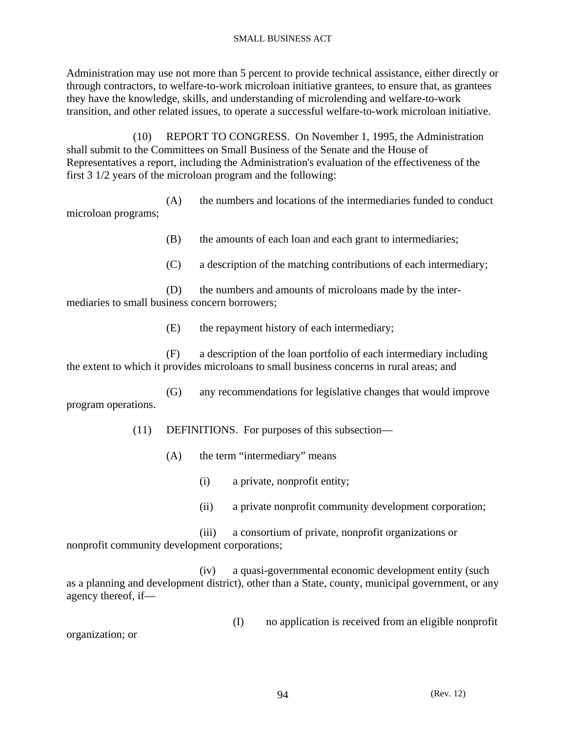Administration may use not more than 5 percent to provide technical assistance, either directly or through contractors, to welfare-to-work microloan initiative grantees, to ensure that, as grantees they have the knowledge, skills, and understanding of microlending and welfare-to-work transition, and other related issues, to operate a successful welfare-to-work microloan initiative.

 (10) REPORT TO CONGRESS. On November 1, 1995, the Administration shall submit to the Committees on Small Business of the Senate and the House of Representatives a report, including the Administration's evaluation of the effectiveness of the first 3 1/2 years of the microloan program and the following:

 (A) the numbers and locations of the intermediaries funded to conduct microloan programs;

(B) the amounts of each loan and each grant to intermediaries;

(C) a description of the matching contributions of each intermediary;

 (D) the numbers and amounts of microloans made by the intermediaries to small business concern borrowers;

(E) the repayment history of each intermediary;

 (F) a description of the loan portfolio of each intermediary including the extent to which it provides microloans to small business concerns in rural areas; and

 (G) any recommendations for legislative changes that would improve program operations.

(11) DEFINITIONS. For purposes of this subsection—

- (A) the term "intermediary" means
	- (i) a private, nonprofit entity;
	- (ii) a private nonprofit community development corporation;

 (iii) a consortium of private, nonprofit organizations or nonprofit community development corporations;

 (iv) a quasi-governmental economic development entity (such as a planning and development district), other than a State, county, municipal government, or any agency thereof, if—

(I) no application is received from an eligible nonprofit

organization; or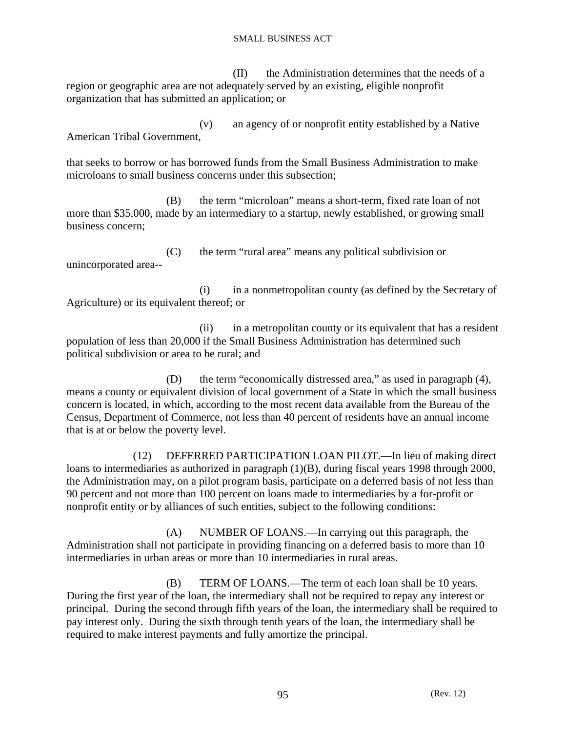(II) the Administration determines that the needs of a region or geographic area are not adequately served by an existing, eligible nonprofit organization that has submitted an application; or

 (v) an agency of or nonprofit entity established by a Native American Tribal Government,

that seeks to borrow or has borrowed funds from the Small Business Administration to make microloans to small business concerns under this subsection;

 (B) the term "microloan" means a short-term, fixed rate loan of not more than \$35,000, made by an intermediary to a startup, newly established, or growing small business concern;

 (C) the term "rural area" means any political subdivision or unincorporated area--

 (i) in a nonmetropolitan county (as defined by the Secretary of Agriculture) or its equivalent thereof; or

 (ii) in a metropolitan county or its equivalent that has a resident population of less than 20,000 if the Small Business Administration has determined such political subdivision or area to be rural; and

 (D) the term "economically distressed area," as used in paragraph (4), means a county or equivalent division of local government of a State in which the small business concern is located, in which, according to the most recent data available from the Bureau of the Census, Department of Commerce, not less than 40 percent of residents have an annual income that is at or below the poverty level.

 (12) DEFERRED PARTICIPATION LOAN PILOT.—In lieu of making direct loans to intermediaries as authorized in paragraph (1)(B), during fiscal years 1998 through 2000, the Administration may, on a pilot program basis, participate on a deferred basis of not less than 90 percent and not more than 100 percent on loans made to intermediaries by a for-profit or nonprofit entity or by alliances of such entities, subject to the following conditions:

 (A) NUMBER OF LOANS.—In carrying out this paragraph, the Administration shall not participate in providing financing on a deferred basis to more than 10 intermediaries in urban areas or more than 10 intermediaries in rural areas.

 (B) TERM OF LOANS.—The term of each loan shall be 10 years. During the first year of the loan, the intermediary shall not be required to repay any interest or principal. During the second through fifth years of the loan, the intermediary shall be required to pay interest only. During the sixth through tenth years of the loan, the intermediary shall be required to make interest payments and fully amortize the principal.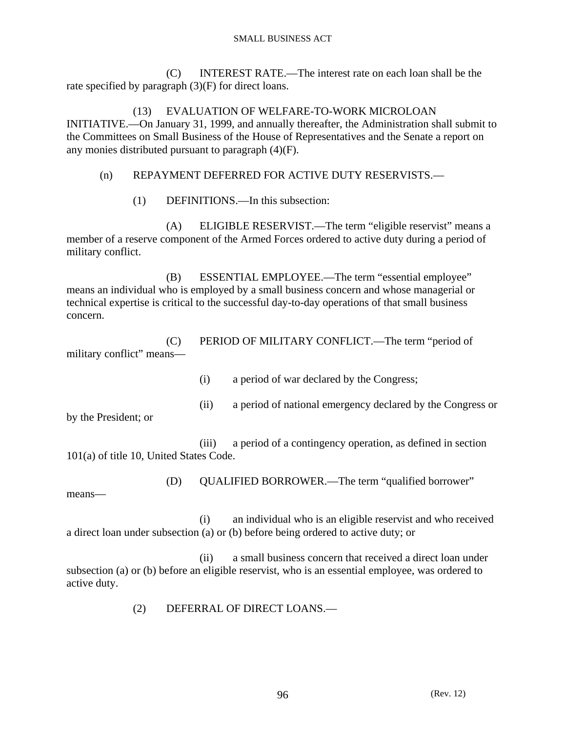(C) INTEREST RATE.—The interest rate on each loan shall be the rate specified by paragraph (3)(F) for direct loans.

 (13) EVALUATION OF WELFARE-TO-WORK MICROLOAN INITIATIVE.—On January 31, 1999, and annually thereafter, the Administration shall submit to the Committees on Small Business of the House of Representatives and the Senate a report on any monies distributed pursuant to paragraph (4)(F).

# (n) REPAYMENT DEFERRED FOR ACTIVE DUTY RESERVISTS.—

(1) DEFINITIONS.—In this subsection:

 (A) ELIGIBLE RESERVIST.—The term "eligible reservist" means a member of a reserve component of the Armed Forces ordered to active duty during a period of military conflict.

 (B) ESSENTIAL EMPLOYEE.—The term "essential employee" means an individual who is employed by a small business concern and whose managerial or technical expertise is critical to the successful day-to-day operations of that small business concern.

 (C) PERIOD OF MILITARY CONFLICT.—The term "period of military conflict" means—

(i) a period of war declared by the Congress;

(ii) a period of national emergency declared by the Congress or

by the President; or

 (iii) a period of a contingency operation, as defined in section 101(a) of title 10, United States Code.

(D) QUALIFIED BORROWER.—The term "qualified borrower"

means—

 (i) an individual who is an eligible reservist and who received a direct loan under subsection (a) or (b) before being ordered to active duty; or

 (ii) a small business concern that received a direct loan under subsection (a) or (b) before an eligible reservist, who is an essential employee, was ordered to active duty.

(2) DEFERRAL OF DIRECT LOANS.—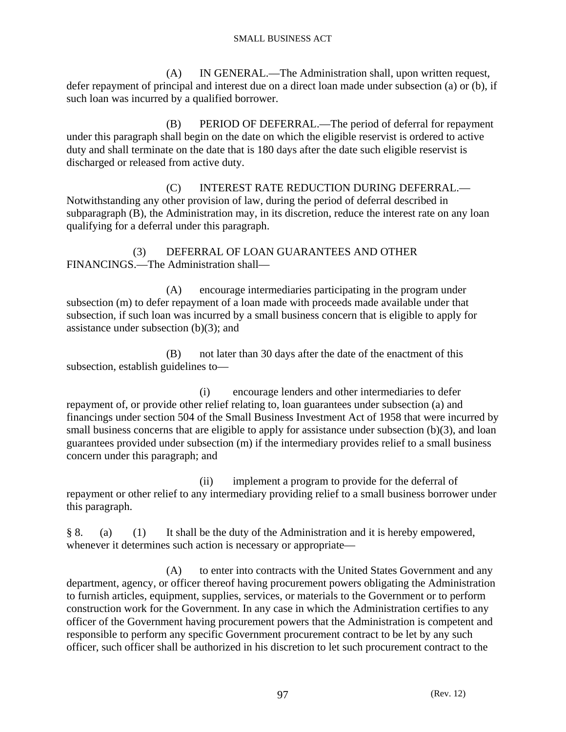(A) IN GENERAL.—The Administration shall, upon written request, defer repayment of principal and interest due on a direct loan made under subsection (a) or (b), if such loan was incurred by a qualified borrower.

 (B) PERIOD OF DEFERRAL.—The period of deferral for repayment under this paragraph shall begin on the date on which the eligible reservist is ordered to active duty and shall terminate on the date that is 180 days after the date such eligible reservist is discharged or released from active duty.

 (C) INTEREST RATE REDUCTION DURING DEFERRAL.— Notwithstanding any other provision of law, during the period of deferral described in subparagraph (B), the Administration may, in its discretion, reduce the interest rate on any loan qualifying for a deferral under this paragraph.

 (3) DEFERRAL OF LOAN GUARANTEES AND OTHER FINANCINGS.—The Administration shall—

 (A) encourage intermediaries participating in the program under subsection (m) to defer repayment of a loan made with proceeds made available under that subsection, if such loan was incurred by a small business concern that is eligible to apply for assistance under subsection  $(b)(3)$ ; and

 (B) not later than 30 days after the date of the enactment of this subsection, establish guidelines to—

 (i) encourage lenders and other intermediaries to defer repayment of, or provide other relief relating to, loan guarantees under subsection (a) and financings under section 504 of the Small Business Investment Act of 1958 that were incurred by small business concerns that are eligible to apply for assistance under subsection (b)(3), and loan guarantees provided under subsection (m) if the intermediary provides relief to a small business concern under this paragraph; and

 (ii) implement a program to provide for the deferral of repayment or other relief to any intermediary providing relief to a small business borrower under this paragraph.

§ 8. (a) (1) It shall be the duty of the Administration and it is hereby empowered, whenever it determines such action is necessary or appropriate—

 (A) to enter into contracts with the United States Government and any department, agency, or officer thereof having procurement powers obligating the Administration to furnish articles, equipment, supplies, services, or materials to the Government or to perform construction work for the Government. In any case in which the Administration certifies to any officer of the Government having procurement powers that the Administration is competent and responsible to perform any specific Government procurement contract to be let by any such officer, such officer shall be authorized in his discretion to let such procurement contract to the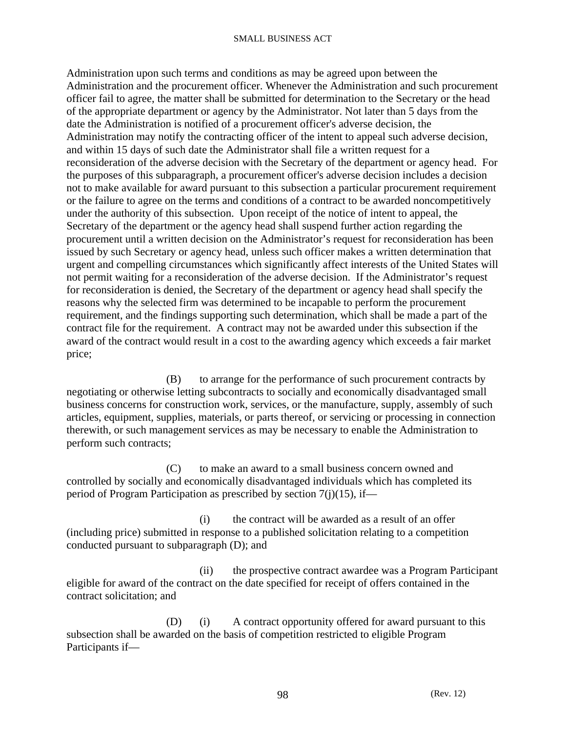Administration upon such terms and conditions as may be agreed upon between the Administration and the procurement officer. Whenever the Administration and such procurement officer fail to agree, the matter shall be submitted for determination to the Secretary or the head of the appropriate department or agency by the Administrator. Not later than 5 days from the date the Administration is notified of a procurement officer's adverse decision, the Administration may notify the contracting officer of the intent to appeal such adverse decision, and within 15 days of such date the Administrator shall file a written request for a reconsideration of the adverse decision with the Secretary of the department or agency head. For the purposes of this subparagraph, a procurement officer's adverse decision includes a decision not to make available for award pursuant to this subsection a particular procurement requirement or the failure to agree on the terms and conditions of a contract to be awarded noncompetitively under the authority of this subsection. Upon receipt of the notice of intent to appeal, the Secretary of the department or the agency head shall suspend further action regarding the procurement until a written decision on the Administrator's request for reconsideration has been issued by such Secretary or agency head, unless such officer makes a written determination that urgent and compelling circumstances which significantly affect interests of the United States will not permit waiting for a reconsideration of the adverse decision. If the Administrator's request for reconsideration is denied, the Secretary of the department or agency head shall specify the reasons why the selected firm was determined to be incapable to perform the procurement requirement, and the findings supporting such determination, which shall be made a part of the contract file for the requirement. A contract may not be awarded under this subsection if the award of the contract would result in a cost to the awarding agency which exceeds a fair market price;

 (B) to arrange for the performance of such procurement contracts by negotiating or otherwise letting subcontracts to socially and economically disadvantaged small business concerns for construction work, services, or the manufacture, supply, assembly of such articles, equipment, supplies, materials, or parts thereof, or servicing or processing in connection therewith, or such management services as may be necessary to enable the Administration to perform such contracts;

 (C) to make an award to a small business concern owned and controlled by socially and economically disadvantaged individuals which has completed its period of Program Participation as prescribed by section 7(j)(15), if—

 (i) the contract will be awarded as a result of an offer (including price) submitted in response to a published solicitation relating to a competition conducted pursuant to subparagraph (D); and

 (ii) the prospective contract awardee was a Program Participant eligible for award of the contract on the date specified for receipt of offers contained in the contract solicitation; and

 (D) (i) A contract opportunity offered for award pursuant to this subsection shall be awarded on the basis of competition restricted to eligible Program Participants if—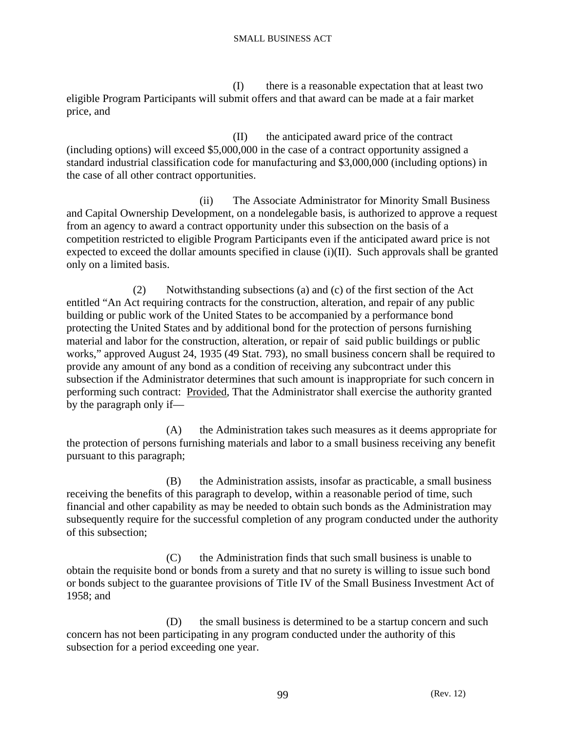(I) there is a reasonable expectation that at least two eligible Program Participants will submit offers and that award can be made at a fair market price, and

 (II) the anticipated award price of the contract (including options) will exceed \$5,000,000 in the case of a contract opportunity assigned a standard industrial classification code for manufacturing and \$3,000,000 (including options) in the case of all other contract opportunities.

 (ii) The Associate Administrator for Minority Small Business and Capital Ownership Development, on a nondelegable basis, is authorized to approve a request from an agency to award a contract opportunity under this subsection on the basis of a competition restricted to eligible Program Participants even if the anticipated award price is not expected to exceed the dollar amounts specified in clause (i)(II). Such approvals shall be granted only on a limited basis.

 (2) Notwithstanding subsections (a) and (c) of the first section of the Act entitled "An Act requiring contracts for the construction, alteration, and repair of any public building or public work of the United States to be accompanied by a performance bond protecting the United States and by additional bond for the protection of persons furnishing material and labor for the construction, alteration, or repair of said public buildings or public works," approved August 24, 1935 (49 Stat. 793), no small business concern shall be required to provide any amount of any bond as a condition of receiving any subcontract under this subsection if the Administrator determines that such amount is inappropriate for such concern in performing such contract: Provided, That the Administrator shall exercise the authority granted by the paragraph only if—

 (A) the Administration takes such measures as it deems appropriate for the protection of persons furnishing materials and labor to a small business receiving any benefit pursuant to this paragraph;

 (B) the Administration assists, insofar as practicable, a small business receiving the benefits of this paragraph to develop, within a reasonable period of time, such financial and other capability as may be needed to obtain such bonds as the Administration may subsequently require for the successful completion of any program conducted under the authority of this subsection;

 (C) the Administration finds that such small business is unable to obtain the requisite bond or bonds from a surety and that no surety is willing to issue such bond or bonds subject to the guarantee provisions of Title IV of the Small Business Investment Act of 1958; and

 (D) the small business is determined to be a startup concern and such concern has not been participating in any program conducted under the authority of this subsection for a period exceeding one year.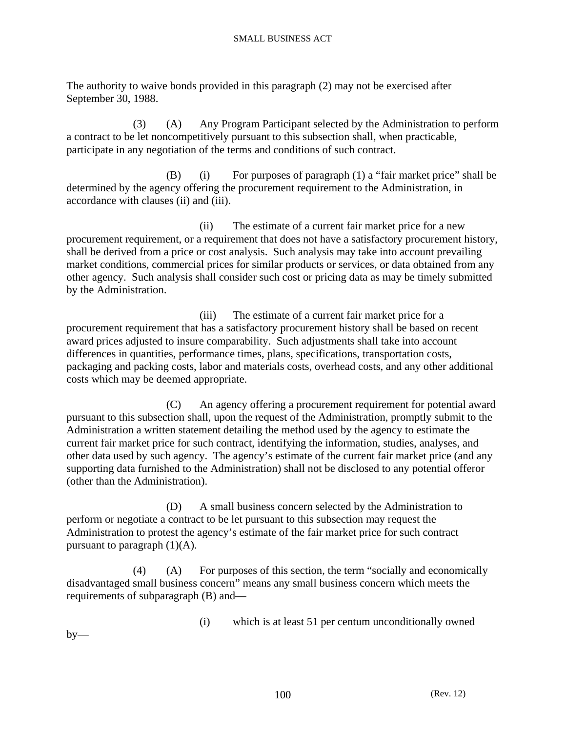The authority to waive bonds provided in this paragraph (2) may not be exercised after September 30, 1988.

 (3) (A) Any Program Participant selected by the Administration to perform a contract to be let noncompetitively pursuant to this subsection shall, when practicable, participate in any negotiation of the terms and conditions of such contract.

 (B) (i) For purposes of paragraph (1) a "fair market price" shall be determined by the agency offering the procurement requirement to the Administration, in accordance with clauses (ii) and (iii).

 (ii) The estimate of a current fair market price for a new procurement requirement, or a requirement that does not have a satisfactory procurement history, shall be derived from a price or cost analysis. Such analysis may take into account prevailing market conditions, commercial prices for similar products or services, or data obtained from any other agency. Such analysis shall consider such cost or pricing data as may be timely submitted by the Administration.

 (iii) The estimate of a current fair market price for a procurement requirement that has a satisfactory procurement history shall be based on recent award prices adjusted to insure comparability. Such adjustments shall take into account differences in quantities, performance times, plans, specifications, transportation costs, packaging and packing costs, labor and materials costs, overhead costs, and any other additional costs which may be deemed appropriate.

 (C) An agency offering a procurement requirement for potential award pursuant to this subsection shall, upon the request of the Administration, promptly submit to the Administration a written statement detailing the method used by the agency to estimate the current fair market price for such contract, identifying the information, studies, analyses, and other data used by such agency. The agency's estimate of the current fair market price (and any supporting data furnished to the Administration) shall not be disclosed to any potential offeror (other than the Administration).

 (D) A small business concern selected by the Administration to perform or negotiate a contract to be let pursuant to this subsection may request the Administration to protest the agency's estimate of the fair market price for such contract pursuant to paragraph  $(1)(A)$ .

 (4) (A) For purposes of this section, the term "socially and economically disadvantaged small business concern" means any small business concern which meets the requirements of subparagraph (B) and—

(i) which is at least 51 per centum unconditionally owned

 $by-$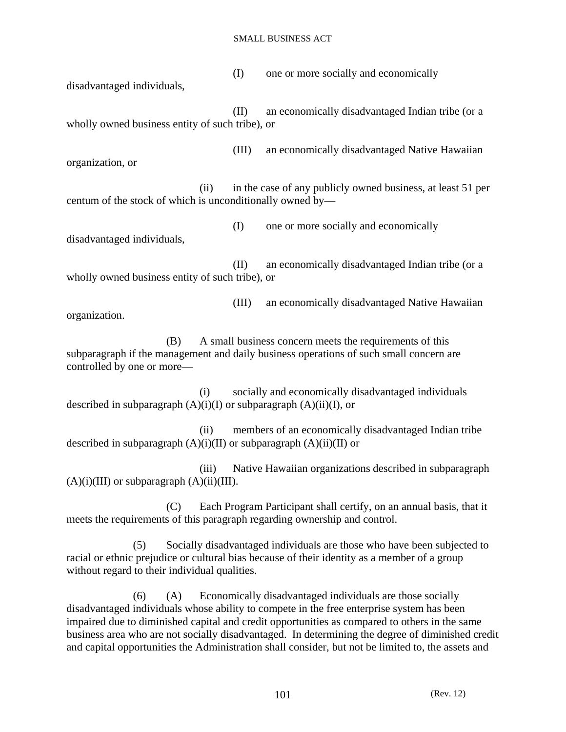(I) one or more socially and economically disadvantaged individuals,

 (II) an economically disadvantaged Indian tribe (or a wholly owned business entity of such tribe), or

(III) an economically disadvantaged Native Hawaiian

 (ii) in the case of any publicly owned business, at least 51 per centum of the stock of which is unconditionally owned by—

 (I) one or more socially and economically disadvantaged individuals,

organization, or

 (II) an economically disadvantaged Indian tribe (or a wholly owned business entity of such tribe), or

 (III) an economically disadvantaged Native Hawaiian organization.

 (B) A small business concern meets the requirements of this subparagraph if the management and daily business operations of such small concern are controlled by one or more—

 (i) socially and economically disadvantaged individuals described in subparagraph  $(A)(i)(I)$  or subparagraph  $(A)(ii)(I)$ , or

 (ii) members of an economically disadvantaged Indian tribe described in subparagraph  $(A)(i)(II)$  or subparagraph  $(A)(ii)(II)$  or

 (iii) Native Hawaiian organizations described in subparagraph  $(A)(i)(III)$  or subparagraph  $(A)(ii)(III)$ .

 (C) Each Program Participant shall certify, on an annual basis, that it meets the requirements of this paragraph regarding ownership and control.

 (5) Socially disadvantaged individuals are those who have been subjected to racial or ethnic prejudice or cultural bias because of their identity as a member of a group without regard to their individual qualities.

 (6) (A) Economically disadvantaged individuals are those socially disadvantaged individuals whose ability to compete in the free enterprise system has been impaired due to diminished capital and credit opportunities as compared to others in the same business area who are not socially disadvantaged. In determining the degree of diminished credit and capital opportunities the Administration shall consider, but not be limited to, the assets and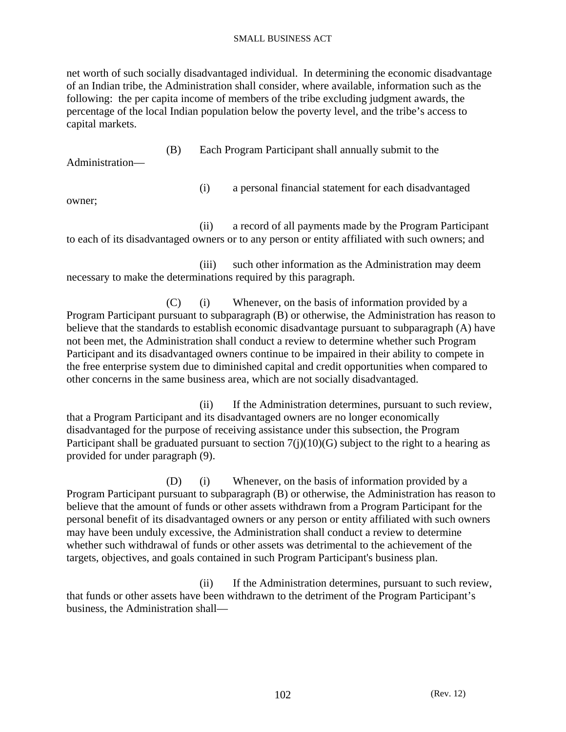net worth of such socially disadvantaged individual. In determining the economic disadvantage of an Indian tribe, the Administration shall consider, where available, information such as the following: the per capita income of members of the tribe excluding judgment awards, the percentage of the local Indian population below the poverty level, and the tribe's access to capital markets.

 (B) Each Program Participant shall annually submit to the Administration—

owner;

(i) a personal financial statement for each disadvantaged

 (ii) a record of all payments made by the Program Participant to each of its disadvantaged owners or to any person or entity affiliated with such owners; and

 (iii) such other information as the Administration may deem necessary to make the determinations required by this paragraph.

 (C) (i) Whenever, on the basis of information provided by a Program Participant pursuant to subparagraph (B) or otherwise, the Administration has reason to believe that the standards to establish economic disadvantage pursuant to subparagraph (A) have not been met, the Administration shall conduct a review to determine whether such Program Participant and its disadvantaged owners continue to be impaired in their ability to compete in the free enterprise system due to diminished capital and credit opportunities when compared to other concerns in the same business area, which are not socially disadvantaged.

 (ii) If the Administration determines, pursuant to such review, that a Program Participant and its disadvantaged owners are no longer economically disadvantaged for the purpose of receiving assistance under this subsection, the Program Participant shall be graduated pursuant to section  $7(j)(10)(G)$  subject to the right to a hearing as provided for under paragraph (9).

 (D) (i) Whenever, on the basis of information provided by a Program Participant pursuant to subparagraph (B) or otherwise, the Administration has reason to believe that the amount of funds or other assets withdrawn from a Program Participant for the personal benefit of its disadvantaged owners or any person or entity affiliated with such owners may have been unduly excessive, the Administration shall conduct a review to determine whether such withdrawal of funds or other assets was detrimental to the achievement of the targets, objectives, and goals contained in such Program Participant's business plan.

 (ii) If the Administration determines, pursuant to such review, that funds or other assets have been withdrawn to the detriment of the Program Participant's business, the Administration shall—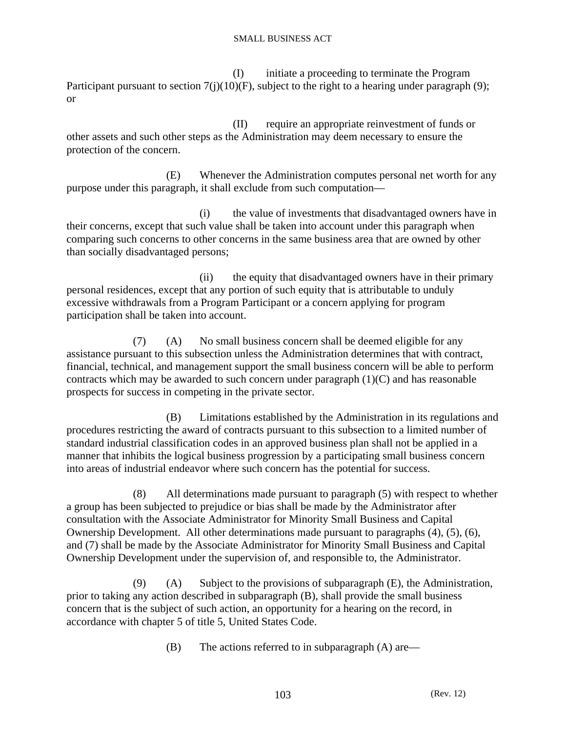(I) initiate a proceeding to terminate the Program Participant pursuant to section  $7(j)(10)(F)$ , subject to the right to a hearing under paragraph (9); or

 (II) require an appropriate reinvestment of funds or other assets and such other steps as the Administration may deem necessary to ensure the protection of the concern.

 (E) Whenever the Administration computes personal net worth for any purpose under this paragraph, it shall exclude from such computation—

 (i) the value of investments that disadvantaged owners have in their concerns, except that such value shall be taken into account under this paragraph when comparing such concerns to other concerns in the same business area that are owned by other than socially disadvantaged persons;

 (ii) the equity that disadvantaged owners have in their primary personal residences, except that any portion of such equity that is attributable to unduly excessive withdrawals from a Program Participant or a concern applying for program participation shall be taken into account.

 (7) (A) No small business concern shall be deemed eligible for any assistance pursuant to this subsection unless the Administration determines that with contract, financial, technical, and management support the small business concern will be able to perform contracts which may be awarded to such concern under paragraph  $(1)(C)$  and has reasonable prospects for success in competing in the private sector.

 (B) Limitations established by the Administration in its regulations and procedures restricting the award of contracts pursuant to this subsection to a limited number of standard industrial classification codes in an approved business plan shall not be applied in a manner that inhibits the logical business progression by a participating small business concern into areas of industrial endeavor where such concern has the potential for success.

 (8) All determinations made pursuant to paragraph (5) with respect to whether a group has been subjected to prejudice or bias shall be made by the Administrator after consultation with the Associate Administrator for Minority Small Business and Capital Ownership Development. All other determinations made pursuant to paragraphs (4), (5), (6), and (7) shall be made by the Associate Administrator for Minority Small Business and Capital Ownership Development under the supervision of, and responsible to, the Administrator.

 $(9)$  (A) Subject to the provisions of subparagraph  $(E)$ , the Administration, prior to taking any action described in subparagraph (B), shall provide the small business concern that is the subject of such action, an opportunity for a hearing on the record, in accordance with chapter 5 of title 5, United States Code.

(B) The actions referred to in subparagraph (A) are—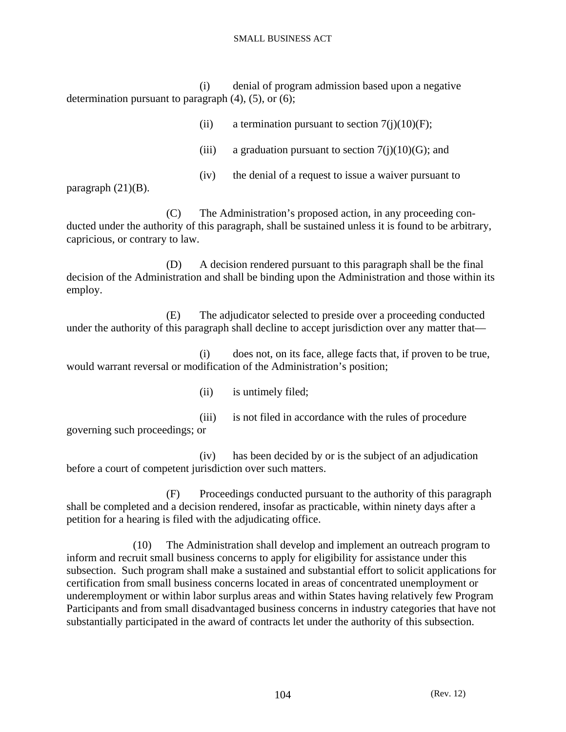(i) denial of program admission based upon a negative determination pursuant to paragraph  $(4)$ ,  $(5)$ , or  $(6)$ ;

| (i)   | a termination pursuant to section $7(i)(10)(F)$ ;     |
|-------|-------------------------------------------------------|
| (iii) | a graduation pursuant to section $7(i)(10)(G)$ ; and  |
| (iv)  | the denial of a request to issue a waiver pursuant to |

(iii) is not filed in accordance with the rules of procedure

paragraph  $(21)(B)$ .

 (C) The Administration's proposed action, in any proceeding conducted under the authority of this paragraph, shall be sustained unless it is found to be arbitrary, capricious, or contrary to law.

 (D) A decision rendered pursuant to this paragraph shall be the final decision of the Administration and shall be binding upon the Administration and those within its employ.

 (E) The adjudicator selected to preside over a proceeding conducted under the authority of this paragraph shall decline to accept jurisdiction over any matter that—

 (i) does not, on its face, allege facts that, if proven to be true, would warrant reversal or modification of the Administration's position;

(ii) is untimely filed;

governing such proceedings; or

 (iv) has been decided by or is the subject of an adjudication before a court of competent jurisdiction over such matters.

 (F) Proceedings conducted pursuant to the authority of this paragraph shall be completed and a decision rendered, insofar as practicable, within ninety days after a petition for a hearing is filed with the adjudicating office.

 (10) The Administration shall develop and implement an outreach program to inform and recruit small business concerns to apply for eligibility for assistance under this subsection. Such program shall make a sustained and substantial effort to solicit applications for certification from small business concerns located in areas of concentrated unemployment or underemployment or within labor surplus areas and within States having relatively few Program Participants and from small disadvantaged business concerns in industry categories that have not substantially participated in the award of contracts let under the authority of this subsection.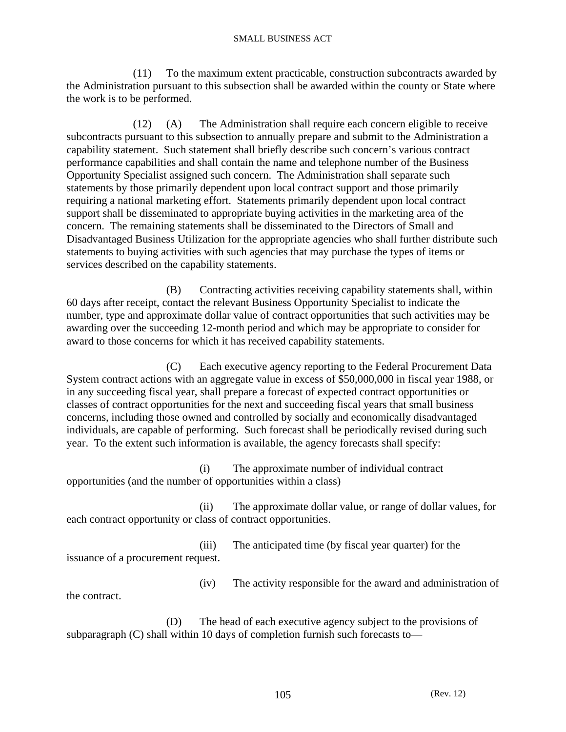(11) To the maximum extent practicable, construction subcontracts awarded by the Administration pursuant to this subsection shall be awarded within the county or State where the work is to be performed.

 (12) (A) The Administration shall require each concern eligible to receive subcontracts pursuant to this subsection to annually prepare and submit to the Administration a capability statement. Such statement shall briefly describe such concern's various contract performance capabilities and shall contain the name and telephone number of the Business Opportunity Specialist assigned such concern. The Administration shall separate such statements by those primarily dependent upon local contract support and those primarily requiring a national marketing effort. Statements primarily dependent upon local contract support shall be disseminated to appropriate buying activities in the marketing area of the concern. The remaining statements shall be disseminated to the Directors of Small and Disadvantaged Business Utilization for the appropriate agencies who shall further distribute such statements to buying activities with such agencies that may purchase the types of items or services described on the capability statements.

 (B) Contracting activities receiving capability statements shall, within 60 days after receipt, contact the relevant Business Opportunity Specialist to indicate the number, type and approximate dollar value of contract opportunities that such activities may be awarding over the succeeding 12-month period and which may be appropriate to consider for award to those concerns for which it has received capability statements.

 (C) Each executive agency reporting to the Federal Procurement Data System contract actions with an aggregate value in excess of \$50,000,000 in fiscal year 1988, or in any succeeding fiscal year, shall prepare a forecast of expected contract opportunities or classes of contract opportunities for the next and succeeding fiscal years that small business concerns, including those owned and controlled by socially and economically disadvantaged individuals, are capable of performing. Such forecast shall be periodically revised during such year. To the extent such information is available, the agency forecasts shall specify:

 (i) The approximate number of individual contract opportunities (and the number of opportunities within a class)

 (ii) The approximate dollar value, or range of dollar values, for each contract opportunity or class of contract opportunities.

 (iii) The anticipated time (by fiscal year quarter) for the issuance of a procurement request.

the contract.

(iv) The activity responsible for the award and administration of

 (D) The head of each executive agency subject to the provisions of subparagraph (C) shall within 10 days of completion furnish such forecasts to—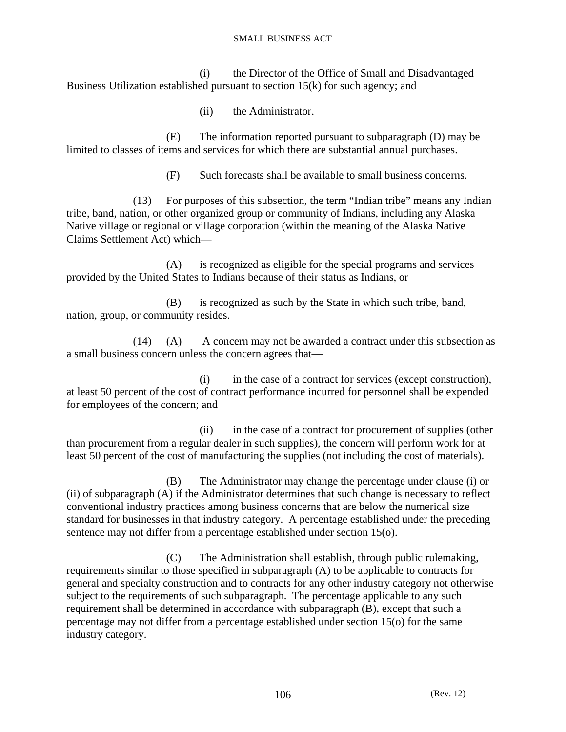(i) the Director of the Office of Small and Disadvantaged Business Utilization established pursuant to section 15(k) for such agency; and

(ii) the Administrator.

 (E) The information reported pursuant to subparagraph (D) may be limited to classes of items and services for which there are substantial annual purchases.

(F) Such forecasts shall be available to small business concerns.

 (13) For purposes of this subsection, the term "Indian tribe" means any Indian tribe, band, nation, or other organized group or community of Indians, including any Alaska Native village or regional or village corporation (within the meaning of the Alaska Native Claims Settlement Act) which—

 (A) is recognized as eligible for the special programs and services provided by the United States to Indians because of their status as Indians, or

 (B) is recognized as such by the State in which such tribe, band, nation, group, or community resides.

 (14) (A) A concern may not be awarded a contract under this subsection as a small business concern unless the concern agrees that—

 (i) in the case of a contract for services (except construction), at least 50 percent of the cost of contract performance incurred for personnel shall be expended for employees of the concern; and

 (ii) in the case of a contract for procurement of supplies (other than procurement from a regular dealer in such supplies), the concern will perform work for at least 50 percent of the cost of manufacturing the supplies (not including the cost of materials).

 (B) The Administrator may change the percentage under clause (i) or (ii) of subparagraph (A) if the Administrator determines that such change is necessary to reflect conventional industry practices among business concerns that are below the numerical size standard for businesses in that industry category. A percentage established under the preceding sentence may not differ from a percentage established under section 15(o).

 (C) The Administration shall establish, through public rulemaking, requirements similar to those specified in subparagraph (A) to be applicable to contracts for general and specialty construction and to contracts for any other industry category not otherwise subject to the requirements of such subparagraph. The percentage applicable to any such requirement shall be determined in accordance with subparagraph (B), except that such a percentage may not differ from a percentage established under section 15(o) for the same industry category.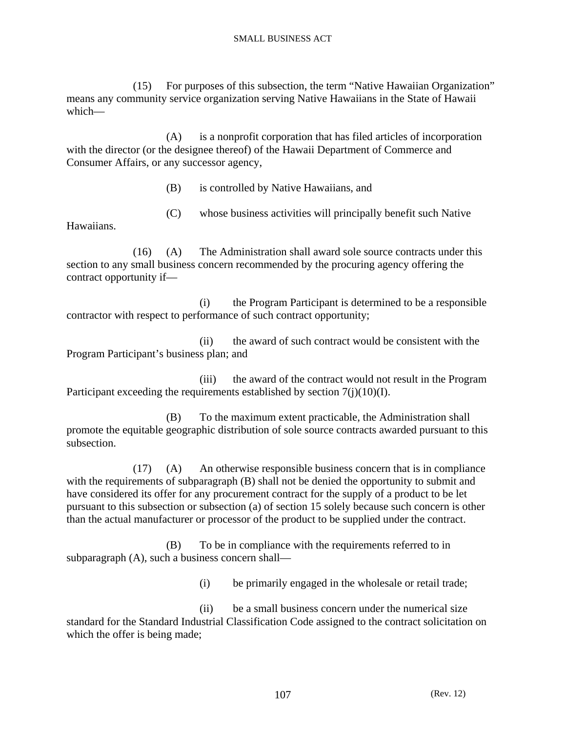(15) For purposes of this subsection, the term "Native Hawaiian Organization" means any community service organization serving Native Hawaiians in the State of Hawaii which—

 (A) is a nonprofit corporation that has filed articles of incorporation with the director (or the designee thereof) of the Hawaii Department of Commerce and Consumer Affairs, or any successor agency,

(B) is controlled by Native Hawaiians, and

(C) whose business activities will principally benefit such Native

Hawaiians.

 (16) (A) The Administration shall award sole source contracts under this section to any small business concern recommended by the procuring agency offering the contract opportunity if—

 (i) the Program Participant is determined to be a responsible contractor with respect to performance of such contract opportunity;

 (ii) the award of such contract would be consistent with the Program Participant's business plan; and

 (iii) the award of the contract would not result in the Program Participant exceeding the requirements established by section 7(j)(10)(I).

 (B) To the maximum extent practicable, the Administration shall promote the equitable geographic distribution of sole source contracts awarded pursuant to this subsection.

 (17) (A) An otherwise responsible business concern that is in compliance with the requirements of subparagraph (B) shall not be denied the opportunity to submit and have considered its offer for any procurement contract for the supply of a product to be let pursuant to this subsection or subsection (a) of section 15 solely because such concern is other than the actual manufacturer or processor of the product to be supplied under the contract.

 (B) To be in compliance with the requirements referred to in subparagraph (A), such a business concern shall—

(i) be primarily engaged in the wholesale or retail trade;

 (ii) be a small business concern under the numerical size standard for the Standard Industrial Classification Code assigned to the contract solicitation on which the offer is being made;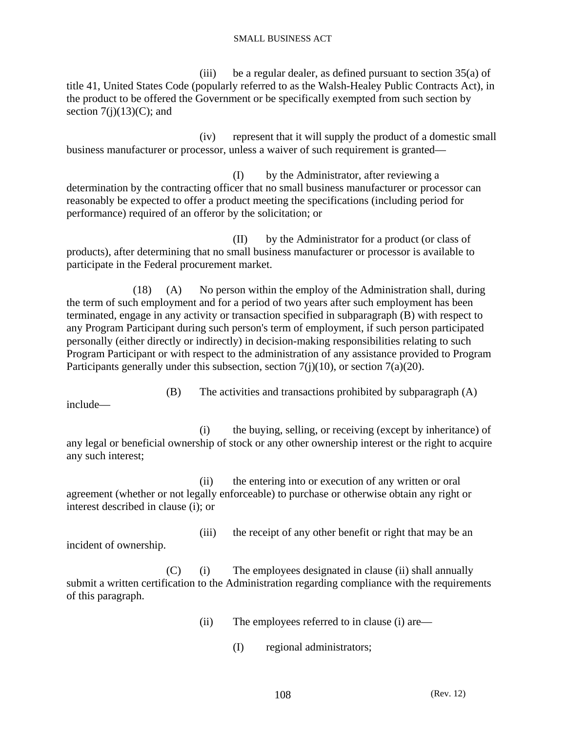(iii) be a regular dealer, as defined pursuant to section 35(a) of title 41, United States Code (popularly referred to as the Walsh-Healey Public Contracts Act), in the product to be offered the Government or be specifically exempted from such section by section  $7(j)(13)(C)$ ; and

 (iv) represent that it will supply the product of a domestic small business manufacturer or processor, unless a waiver of such requirement is granted—

 (I) by the Administrator, after reviewing a determination by the contracting officer that no small business manufacturer or processor can reasonably be expected to offer a product meeting the specifications (including period for performance) required of an offeror by the solicitation; or

 (II) by the Administrator for a product (or class of products), after determining that no small business manufacturer or processor is available to participate in the Federal procurement market.

 (18) (A) No person within the employ of the Administration shall, during the term of such employment and for a period of two years after such employment has been terminated, engage in any activity or transaction specified in subparagraph (B) with respect to any Program Participant during such person's term of employment, if such person participated personally (either directly or indirectly) in decision-making responsibilities relating to such Program Participant or with respect to the administration of any assistance provided to Program Participants generally under this subsection, section 7(j)(10), or section 7(a)(20).

(B) The activities and transactions prohibited by subparagraph (A)

include—

 (i) the buying, selling, or receiving (except by inheritance) of any legal or beneficial ownership of stock or any other ownership interest or the right to acquire any such interest;

 (ii) the entering into or execution of any written or oral agreement (whether or not legally enforceable) to purchase or otherwise obtain any right or interest described in clause (i); or

(iii) the receipt of any other benefit or right that may be an incident of ownership.

 (C) (i) The employees designated in clause (ii) shall annually submit a written certification to the Administration regarding compliance with the requirements of this paragraph.

- (ii) The employees referred to in clause (i) are—
	- (I) regional administrators;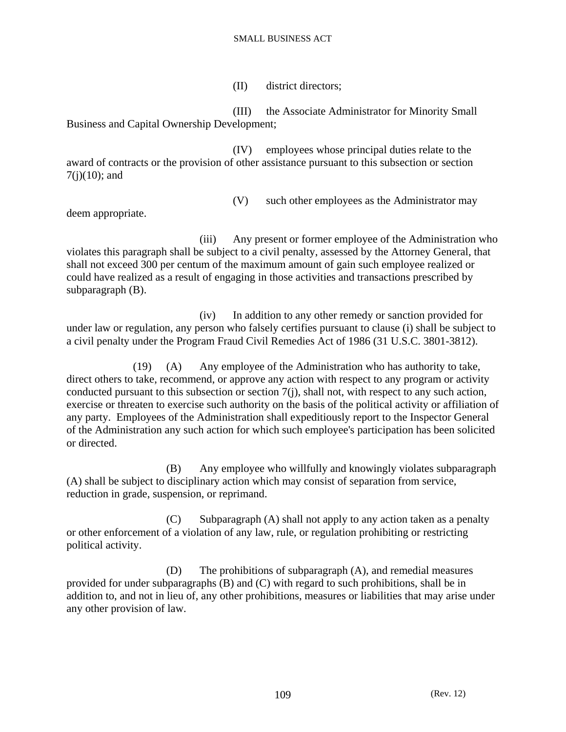(II) district directors;

 (III) the Associate Administrator for Minority Small Business and Capital Ownership Development;

 (IV) employees whose principal duties relate to the award of contracts or the provision of other assistance pursuant to this subsection or section  $7(i)(10)$ ; and

(V) such other employees as the Administrator may

deem appropriate.

 (iii) Any present or former employee of the Administration who violates this paragraph shall be subject to a civil penalty, assessed by the Attorney General, that shall not exceed 300 per centum of the maximum amount of gain such employee realized or could have realized as a result of engaging in those activities and transactions prescribed by subparagraph (B).

 (iv) In addition to any other remedy or sanction provided for under law or regulation, any person who falsely certifies pursuant to clause (i) shall be subject to a civil penalty under the Program Fraud Civil Remedies Act of 1986 (31 U.S.C. 3801-3812).

 (19) (A) Any employee of the Administration who has authority to take, direct others to take, recommend, or approve any action with respect to any program or activity conducted pursuant to this subsection or section 7(j), shall not, with respect to any such action, exercise or threaten to exercise such authority on the basis of the political activity or affiliation of any party. Employees of the Administration shall expeditiously report to the Inspector General of the Administration any such action for which such employee's participation has been solicited or directed.

 (B) Any employee who willfully and knowingly violates subparagraph (A) shall be subject to disciplinary action which may consist of separation from service, reduction in grade, suspension, or reprimand.

 (C) Subparagraph (A) shall not apply to any action taken as a penalty or other enforcement of a violation of any law, rule, or regulation prohibiting or restricting political activity.

 (D) The prohibitions of subparagraph (A), and remedial measures provided for under subparagraphs (B) and (C) with regard to such prohibitions, shall be in addition to, and not in lieu of, any other prohibitions, measures or liabilities that may arise under any other provision of law.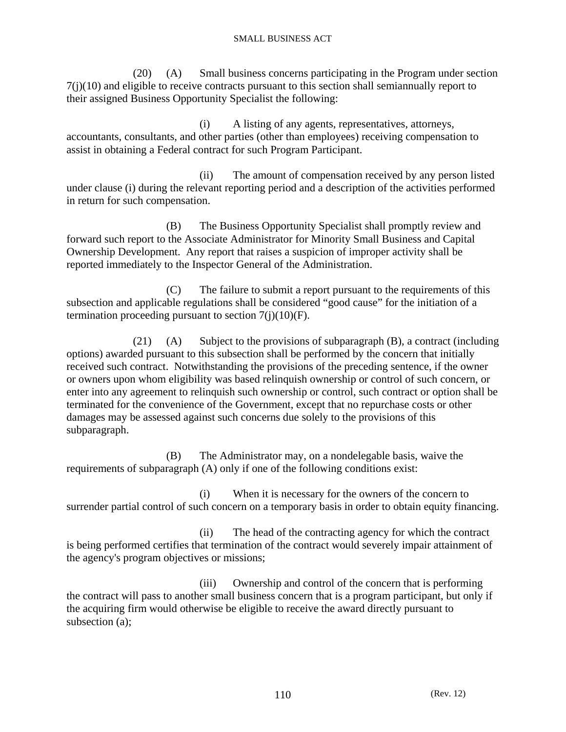(20) (A) Small business concerns participating in the Program under section 7(j)(10) and eligible to receive contracts pursuant to this section shall semiannually report to their assigned Business Opportunity Specialist the following:

 (i) A listing of any agents, representatives, attorneys, accountants, consultants, and other parties (other than employees) receiving compensation to assist in obtaining a Federal contract for such Program Participant.

 (ii) The amount of compensation received by any person listed under clause (i) during the relevant reporting period and a description of the activities performed in return for such compensation.

 (B) The Business Opportunity Specialist shall promptly review and forward such report to the Associate Administrator for Minority Small Business and Capital Ownership Development. Any report that raises a suspicion of improper activity shall be reported immediately to the Inspector General of the Administration.

 (C) The failure to submit a report pursuant to the requirements of this subsection and applicable regulations shall be considered "good cause" for the initiation of a termination proceeding pursuant to section  $7(i)(10)(F)$ .

 (21) (A) Subject to the provisions of subparagraph (B), a contract (including options) awarded pursuant to this subsection shall be performed by the concern that initially received such contract. Notwithstanding the provisions of the preceding sentence, if the owner or owners upon whom eligibility was based relinquish ownership or control of such concern, or enter into any agreement to relinquish such ownership or control, such contract or option shall be terminated for the convenience of the Government, except that no repurchase costs or other damages may be assessed against such concerns due solely to the provisions of this subparagraph.

 (B) The Administrator may, on a nondelegable basis, waive the requirements of subparagraph (A) only if one of the following conditions exist:

 (i) When it is necessary for the owners of the concern to surrender partial control of such concern on a temporary basis in order to obtain equity financing.

 (ii) The head of the contracting agency for which the contract is being performed certifies that termination of the contract would severely impair attainment of the agency's program objectives or missions;

 (iii) Ownership and control of the concern that is performing the contract will pass to another small business concern that is a program participant, but only if the acquiring firm would otherwise be eligible to receive the award directly pursuant to subsection (a);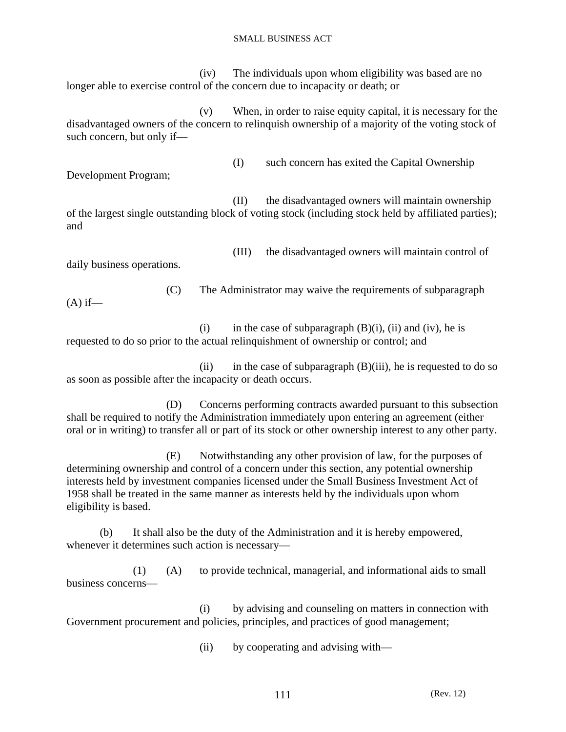(iv) The individuals upon whom eligibility was based are no longer able to exercise control of the concern due to incapacity or death; or

 (v) When, in order to raise equity capital, it is necessary for the disadvantaged owners of the concern to relinquish ownership of a majority of the voting stock of such concern, but only if—

Development Program;

(I) such concern has exited the Capital Ownership

 (II) the disadvantaged owners will maintain ownership of the largest single outstanding block of voting stock (including stock held by affiliated parties); and

daily business operations.

(III) the disadvantaged owners will maintain control of

(C) The Administrator may waive the requirements of subparagraph

 $(A)$  if—

(i) in the case of subparagraph  $(B)(i)$ , (ii) and (iv), he is requested to do so prior to the actual relinquishment of ownership or control; and

(ii) in the case of subparagraph  $(B)$ (iii), he is requested to do so as soon as possible after the incapacity or death occurs.

 (D) Concerns performing contracts awarded pursuant to this subsection shall be required to notify the Administration immediately upon entering an agreement (either oral or in writing) to transfer all or part of its stock or other ownership interest to any other party.

 (E) Notwithstanding any other provision of law, for the purposes of determining ownership and control of a concern under this section, any potential ownership interests held by investment companies licensed under the Small Business Investment Act of 1958 shall be treated in the same manner as interests held by the individuals upon whom eligibility is based.

 (b) It shall also be the duty of the Administration and it is hereby empowered, whenever it determines such action is necessary—

 (1) (A) to provide technical, managerial, and informational aids to small business concerns—

 (i) by advising and counseling on matters in connection with Government procurement and policies, principles, and practices of good management;

(ii) by cooperating and advising with—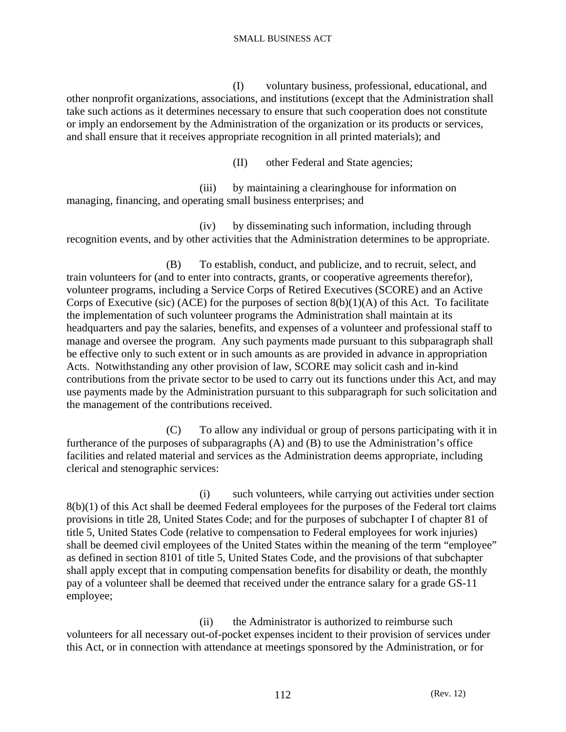(I) voluntary business, professional, educational, and other nonprofit organizations, associations, and institutions (except that the Administration shall take such actions as it determines necessary to ensure that such cooperation does not constitute or imply an endorsement by the Administration of the organization or its products or services, and shall ensure that it receives appropriate recognition in all printed materials); and

(II) other Federal and State agencies;

 (iii) by maintaining a clearinghouse for information on managing, financing, and operating small business enterprises; and

 (iv) by disseminating such information, including through recognition events, and by other activities that the Administration determines to be appropriate.

 (B) To establish, conduct, and publicize, and to recruit, select, and train volunteers for (and to enter into contracts, grants, or cooperative agreements therefor), volunteer programs, including a Service Corps of Retired Executives (SCORE) and an Active Corps of Executive (sic) (ACE) for the purposes of section  $8(b)(1)(A)$  of this Act. To facilitate the implementation of such volunteer programs the Administration shall maintain at its headquarters and pay the salaries, benefits, and expenses of a volunteer and professional staff to manage and oversee the program. Any such payments made pursuant to this subparagraph shall be effective only to such extent or in such amounts as are provided in advance in appropriation Acts. Notwithstanding any other provision of law, SCORE may solicit cash and in-kind contributions from the private sector to be used to carry out its functions under this Act, and may use payments made by the Administration pursuant to this subparagraph for such solicitation and the management of the contributions received.

 (C) To allow any individual or group of persons participating with it in furtherance of the purposes of subparagraphs (A) and (B) to use the Administration's office facilities and related material and services as the Administration deems appropriate, including clerical and stenographic services:

 (i) such volunteers, while carrying out activities under section 8(b)(1) of this Act shall be deemed Federal employees for the purposes of the Federal tort claims provisions in title 28, United States Code; and for the purposes of subchapter I of chapter 81 of title 5, United States Code (relative to compensation to Federal employees for work injuries) shall be deemed civil employees of the United States within the meaning of the term "employee" as defined in section 8101 of title 5, United States Code, and the provisions of that subchapter shall apply except that in computing compensation benefits for disability or death, the monthly pay of a volunteer shall be deemed that received under the entrance salary for a grade GS-11 employee;

 (ii) the Administrator is authorized to reimburse such volunteers for all necessary out-of-pocket expenses incident to their provision of services under this Act, or in connection with attendance at meetings sponsored by the Administration, or for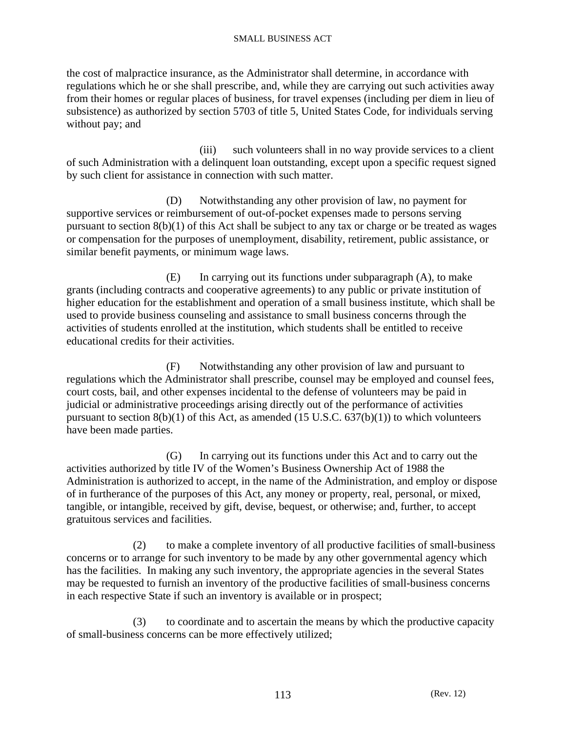the cost of malpractice insurance, as the Administrator shall determine, in accordance with regulations which he or she shall prescribe, and, while they are carrying out such activities away from their homes or regular places of business, for travel expenses (including per diem in lieu of subsistence) as authorized by section 5703 of title 5, United States Code, for individuals serving without pay; and

(iii) such volunteers shall in no way provide services to a client of such Administration with a delinquent loan outstanding, except upon a specific request signed by such client for assistance in connection with such matter.

 (D) Notwithstanding any other provision of law, no payment for supportive services or reimbursement of out-of-pocket expenses made to persons serving pursuant to section 8(b)(1) of this Act shall be subject to any tax or charge or be treated as wages or compensation for the purposes of unemployment, disability, retirement, public assistance, or similar benefit payments, or minimum wage laws.

 (E) In carrying out its functions under subparagraph (A), to make grants (including contracts and cooperative agreements) to any public or private institution of higher education for the establishment and operation of a small business institute, which shall be used to provide business counseling and assistance to small business concerns through the activities of students enrolled at the institution, which students shall be entitled to receive educational credits for their activities.

 (F) Notwithstanding any other provision of law and pursuant to regulations which the Administrator shall prescribe, counsel may be employed and counsel fees, court costs, bail, and other expenses incidental to the defense of volunteers may be paid in judicial or administrative proceedings arising directly out of the performance of activities pursuant to section  $8(b)(1)$  of this Act, as amended (15 U.S.C.  $637(b)(1)$ ) to which volunteers have been made parties.

 (G) In carrying out its functions under this Act and to carry out the activities authorized by title IV of the Women's Business Ownership Act of 1988 the Administration is authorized to accept, in the name of the Administration, and employ or dispose of in furtherance of the purposes of this Act, any money or property, real, personal, or mixed, tangible, or intangible, received by gift, devise, bequest, or otherwise; and, further, to accept gratuitous services and facilities.

 (2) to make a complete inventory of all productive facilities of small-business concerns or to arrange for such inventory to be made by any other governmental agency which has the facilities. In making any such inventory, the appropriate agencies in the several States may be requested to furnish an inventory of the productive facilities of small-business concerns in each respective State if such an inventory is available or in prospect;

 (3) to coordinate and to ascertain the means by which the productive capacity of small-business concerns can be more effectively utilized;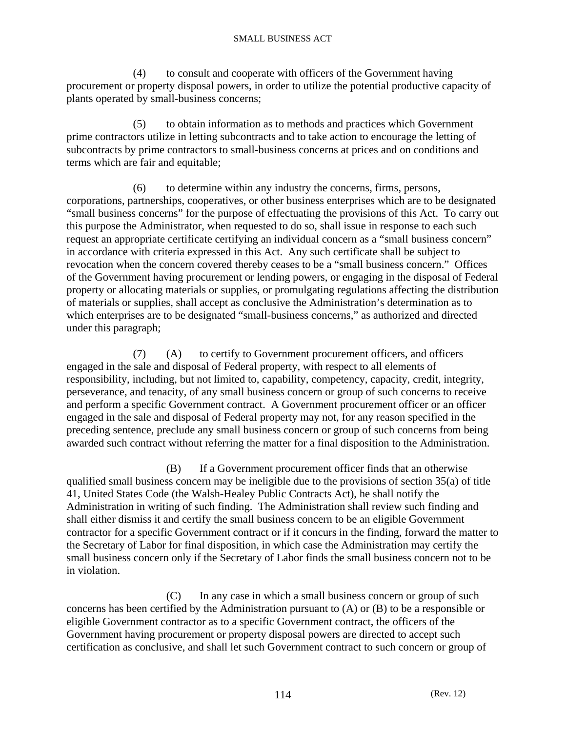(4) to consult and cooperate with officers of the Government having procurement or property disposal powers, in order to utilize the potential productive capacity of plants operated by small-business concerns;

 (5) to obtain information as to methods and practices which Government prime contractors utilize in letting subcontracts and to take action to encourage the letting of subcontracts by prime contractors to small-business concerns at prices and on conditions and terms which are fair and equitable;

 (6) to determine within any industry the concerns, firms, persons, corporations, partnerships, cooperatives, or other business enterprises which are to be designated "small business concerns" for the purpose of effectuating the provisions of this Act. To carry out this purpose the Administrator, when requested to do so, shall issue in response to each such request an appropriate certificate certifying an individual concern as a "small business concern" in accordance with criteria expressed in this Act. Any such certificate shall be subject to revocation when the concern covered thereby ceases to be a "small business concern." Offices of the Government having procurement or lending powers, or engaging in the disposal of Federal property or allocating materials or supplies, or promulgating regulations affecting the distribution of materials or supplies, shall accept as conclusive the Administration's determination as to which enterprises are to be designated "small-business concerns," as authorized and directed under this paragraph;

 (7) (A) to certify to Government procurement officers, and officers engaged in the sale and disposal of Federal property, with respect to all elements of responsibility, including, but not limited to, capability, competency, capacity, credit, integrity, perseverance, and tenacity, of any small business concern or group of such concerns to receive and perform a specific Government contract. A Government procurement officer or an officer engaged in the sale and disposal of Federal property may not, for any reason specified in the preceding sentence, preclude any small business concern or group of such concerns from being awarded such contract without referring the matter for a final disposition to the Administration.

 (B) If a Government procurement officer finds that an otherwise qualified small business concern may be ineligible due to the provisions of section 35(a) of title 41, United States Code (the Walsh-Healey Public Contracts Act), he shall notify the Administration in writing of such finding. The Administration shall review such finding and shall either dismiss it and certify the small business concern to be an eligible Government contractor for a specific Government contract or if it concurs in the finding, forward the matter to the Secretary of Labor for final disposition, in which case the Administration may certify the small business concern only if the Secretary of Labor finds the small business concern not to be in violation.

 (C) In any case in which a small business concern or group of such concerns has been certified by the Administration pursuant to (A) or (B) to be a responsible or eligible Government contractor as to a specific Government contract, the officers of the Government having procurement or property disposal powers are directed to accept such certification as conclusive, and shall let such Government contract to such concern or group of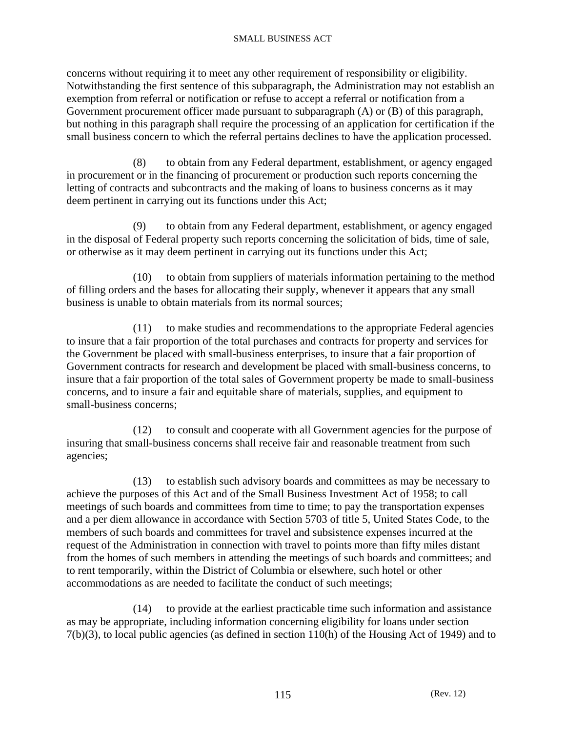concerns without requiring it to meet any other requirement of responsibility or eligibility. Notwithstanding the first sentence of this subparagraph, the Administration may not establish an exemption from referral or notification or refuse to accept a referral or notification from a Government procurement officer made pursuant to subparagraph (A) or (B) of this paragraph, but nothing in this paragraph shall require the processing of an application for certification if the small business concern to which the referral pertains declines to have the application processed.

 (8) to obtain from any Federal department, establishment, or agency engaged in procurement or in the financing of procurement or production such reports concerning the letting of contracts and subcontracts and the making of loans to business concerns as it may deem pertinent in carrying out its functions under this Act;

 (9) to obtain from any Federal department, establishment, or agency engaged in the disposal of Federal property such reports concerning the solicitation of bids, time of sale, or otherwise as it may deem pertinent in carrying out its functions under this Act;

 (10) to obtain from suppliers of materials information pertaining to the method of filling orders and the bases for allocating their supply, whenever it appears that any small business is unable to obtain materials from its normal sources;

 (11) to make studies and recommendations to the appropriate Federal agencies to insure that a fair proportion of the total purchases and contracts for property and services for the Government be placed with small-business enterprises, to insure that a fair proportion of Government contracts for research and development be placed with small-business concerns, to insure that a fair proportion of the total sales of Government property be made to small-business concerns, and to insure a fair and equitable share of materials, supplies, and equipment to small-business concerns;

 (12) to consult and cooperate with all Government agencies for the purpose of insuring that small-business concerns shall receive fair and reasonable treatment from such agencies;

 (13) to establish such advisory boards and committees as may be necessary to achieve the purposes of this Act and of the Small Business Investment Act of 1958; to call meetings of such boards and committees from time to time; to pay the transportation expenses and a per diem allowance in accordance with Section 5703 of title 5, United States Code, to the members of such boards and committees for travel and subsistence expenses incurred at the request of the Administration in connection with travel to points more than fifty miles distant from the homes of such members in attending the meetings of such boards and committees; and to rent temporarily, within the District of Columbia or elsewhere, such hotel or other accommodations as are needed to facilitate the conduct of such meetings;

 (14) to provide at the earliest practicable time such information and assistance as may be appropriate, including information concerning eligibility for loans under section 7(b)(3), to local public agencies (as defined in section 110(h) of the Housing Act of 1949) and to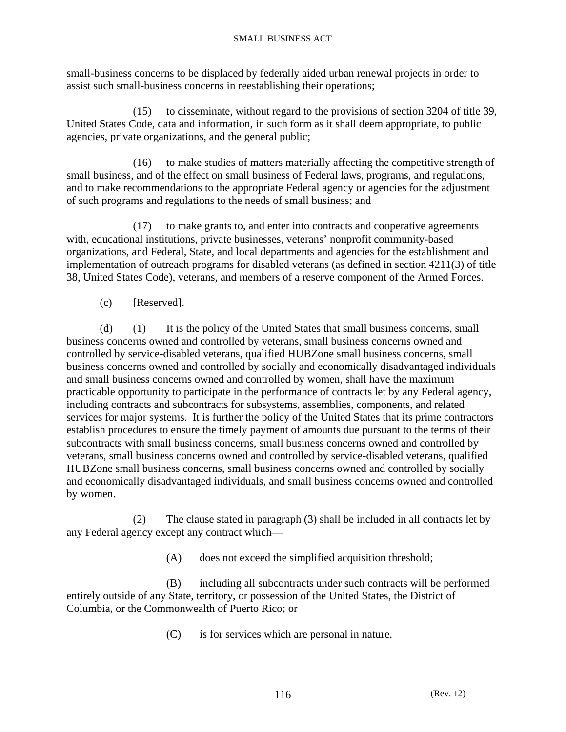small-business concerns to be displaced by federally aided urban renewal projects in order to assist such small-business concerns in reestablishing their operations;

 (15) to disseminate, without regard to the provisions of section 3204 of title 39, United States Code, data and information, in such form as it shall deem appropriate, to public agencies, private organizations, and the general public;

 (16) to make studies of matters materially affecting the competitive strength of small business, and of the effect on small business of Federal laws, programs, and regulations, and to make recommendations to the appropriate Federal agency or agencies for the adjustment of such programs and regulations to the needs of small business; and

 (17) to make grants to, and enter into contracts and cooperative agreements with, educational institutions, private businesses, veterans' nonprofit community-based organizations, and Federal, State, and local departments and agencies for the establishment and implementation of outreach programs for disabled veterans (as defined in section 4211(3) of title 38, United States Code), veterans, and members of a reserve component of the Armed Forces.

(c) [Reserved].

 (d) (1) It is the policy of the United States that small business concerns, small business concerns owned and controlled by veterans, small business concerns owned and controlled by service-disabled veterans, qualified HUBZone small business concerns, small business concerns owned and controlled by socially and economically disadvantaged individuals and small business concerns owned and controlled by women, shall have the maximum practicable opportunity to participate in the performance of contracts let by any Federal agency, including contracts and subcontracts for subsystems, assemblies, components, and related services for major systems. It is further the policy of the United States that its prime contractors establish procedures to ensure the timely payment of amounts due pursuant to the terms of their subcontracts with small business concerns, small business concerns owned and controlled by veterans, small business concerns owned and controlled by service-disabled veterans, qualified HUBZone small business concerns, small business concerns owned and controlled by socially and economically disadvantaged individuals, and small business concerns owned and controlled by women.

 (2) The clause stated in paragraph (3) shall be included in all contracts let by any Federal agency except any contract which—

(A) does not exceed the simplified acquisition threshold;

 (B) including all subcontracts under such contracts will be performed entirely outside of any State, territory, or possession of the United States, the District of Columbia, or the Commonwealth of Puerto Rico; or

(C) is for services which are personal in nature.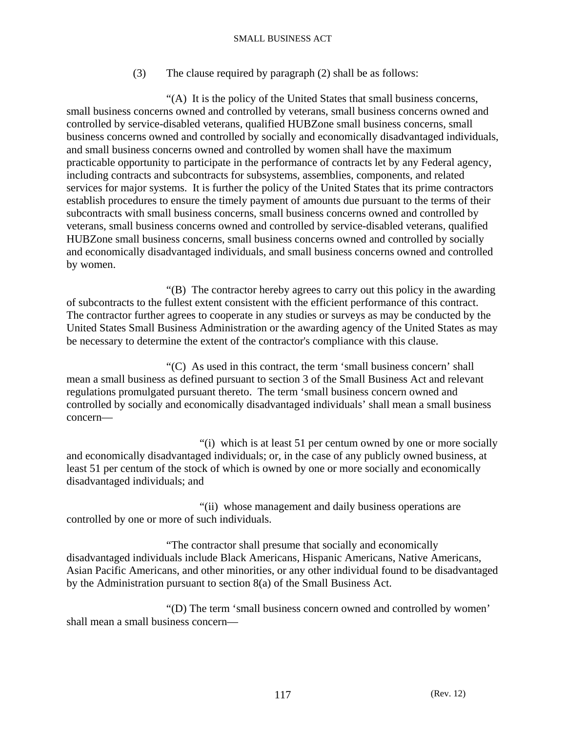(3) The clause required by paragraph (2) shall be as follows:

 "(A) It is the policy of the United States that small business concerns, small business concerns owned and controlled by veterans, small business concerns owned and controlled by service-disabled veterans, qualified HUBZone small business concerns, small business concerns owned and controlled by socially and economically disadvantaged individuals, and small business concerns owned and controlled by women shall have the maximum practicable opportunity to participate in the performance of contracts let by any Federal agency, including contracts and subcontracts for subsystems, assemblies, components, and related services for major systems. It is further the policy of the United States that its prime contractors establish procedures to ensure the timely payment of amounts due pursuant to the terms of their subcontracts with small business concerns, small business concerns owned and controlled by veterans, small business concerns owned and controlled by service-disabled veterans, qualified HUBZone small business concerns, small business concerns owned and controlled by socially and economically disadvantaged individuals, and small business concerns owned and controlled by women.

 "(B) The contractor hereby agrees to carry out this policy in the awarding of subcontracts to the fullest extent consistent with the efficient performance of this contract. The contractor further agrees to cooperate in any studies or surveys as may be conducted by the United States Small Business Administration or the awarding agency of the United States as may be necessary to determine the extent of the contractor's compliance with this clause.

 "(C) As used in this contract, the term 'small business concern' shall mean a small business as defined pursuant to section 3 of the Small Business Act and relevant regulations promulgated pursuant thereto. The term 'small business concern owned and controlled by socially and economically disadvantaged individuals' shall mean a small business concern—

 "(i) which is at least 51 per centum owned by one or more socially and economically disadvantaged individuals; or, in the case of any publicly owned business, at least 51 per centum of the stock of which is owned by one or more socially and economically disadvantaged individuals; and

 "(ii) whose management and daily business operations are controlled by one or more of such individuals.

 "The contractor shall presume that socially and economically disadvantaged individuals include Black Americans, Hispanic Americans, Native Americans, Asian Pacific Americans, and other minorities, or any other individual found to be disadvantaged by the Administration pursuant to section 8(a) of the Small Business Act.

 "(D) The term 'small business concern owned and controlled by women' shall mean a small business concern—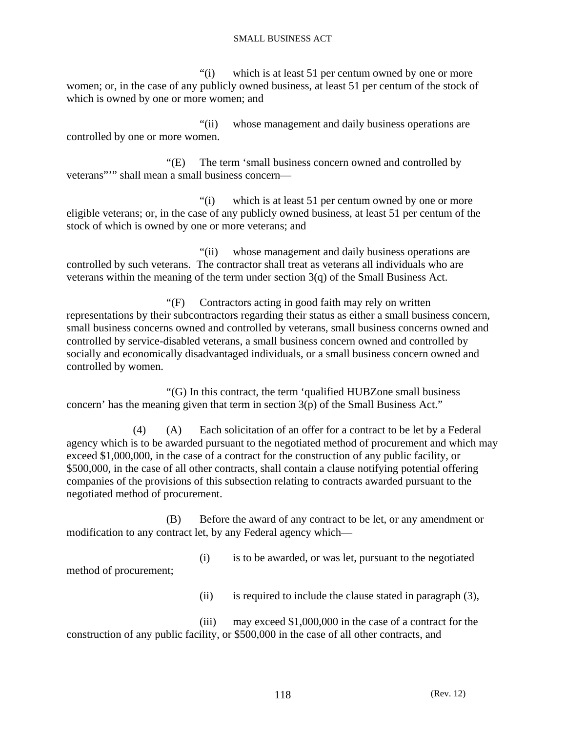"(i) which is at least 51 per centum owned by one or more women; or, in the case of any publicly owned business, at least 51 per centum of the stock of which is owned by one or more women; and

 "(ii) whose management and daily business operations are controlled by one or more women.

 "(E) The term 'small business concern owned and controlled by veterans"'" shall mean a small business concern—

 "(i) which is at least 51 per centum owned by one or more eligible veterans; or, in the case of any publicly owned business, at least 51 per centum of the stock of which is owned by one or more veterans; and

 "(ii) whose management and daily business operations are controlled by such veterans. The contractor shall treat as veterans all individuals who are veterans within the meaning of the term under section 3(q) of the Small Business Act.

 "(F) Contractors acting in good faith may rely on written representations by their subcontractors regarding their status as either a small business concern, small business concerns owned and controlled by veterans, small business concerns owned and controlled by service-disabled veterans, a small business concern owned and controlled by socially and economically disadvantaged individuals, or a small business concern owned and controlled by women.

 "(G) In this contract, the term 'qualified HUBZone small business concern' has the meaning given that term in section 3(p) of the Small Business Act."

 (4) (A) Each solicitation of an offer for a contract to be let by a Federal agency which is to be awarded pursuant to the negotiated method of procurement and which may exceed \$1,000,000, in the case of a contract for the construction of any public facility, or \$500,000, in the case of all other contracts, shall contain a clause notifying potential offering companies of the provisions of this subsection relating to contracts awarded pursuant to the negotiated method of procurement.

 (B) Before the award of any contract to be let, or any amendment or modification to any contract let, by any Federal agency which—

 (i) is to be awarded, or was let, pursuant to the negotiated method of procurement;

(ii) is required to include the clause stated in paragraph (3),

 (iii) may exceed \$1,000,000 in the case of a contract for the construction of any public facility, or \$500,000 in the case of all other contracts, and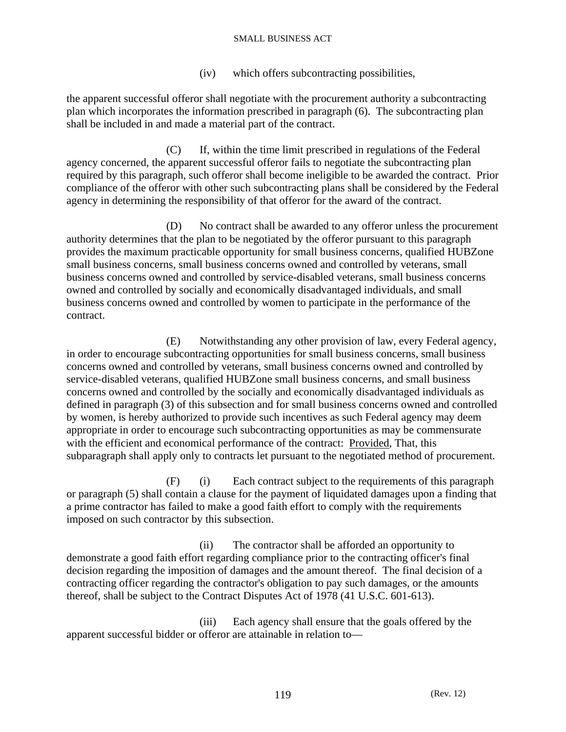(iv) which offers subcontracting possibilities,

the apparent successful offeror shall negotiate with the procurement authority a subcontracting plan which incorporates the information prescribed in paragraph (6). The subcontracting plan shall be included in and made a material part of the contract.

 (C) If, within the time limit prescribed in regulations of the Federal agency concerned, the apparent successful offeror fails to negotiate the subcontracting plan required by this paragraph, such offeror shall become ineligible to be awarded the contract. Prior compliance of the offeror with other such subcontracting plans shall be considered by the Federal agency in determining the responsibility of that offeror for the award of the contract.

 (D) No contract shall be awarded to any offeror unless the procurement authority determines that the plan to be negotiated by the offeror pursuant to this paragraph provides the maximum practicable opportunity for small business concerns, qualified HUBZone small business concerns, small business concerns owned and controlled by veterans, small business concerns owned and controlled by service-disabled veterans, small business concerns owned and controlled by socially and economically disadvantaged individuals, and small business concerns owned and controlled by women to participate in the performance of the contract.

 (E) Notwithstanding any other provision of law, every Federal agency, in order to encourage subcontracting opportunities for small business concerns, small business concerns owned and controlled by veterans, small business concerns owned and controlled by service-disabled veterans, qualified HUBZone small business concerns, and small business concerns owned and controlled by the socially and economically disadvantaged individuals as defined in paragraph (3) of this subsection and for small business concerns owned and controlled by women, is hereby authorized to provide such incentives as such Federal agency may deem appropriate in order to encourage such subcontracting opportunities as may be commensurate with the efficient and economical performance of the contract: Provided, That, this subparagraph shall apply only to contracts let pursuant to the negotiated method of procurement.

 (F) (i) Each contract subject to the requirements of this paragraph or paragraph (5) shall contain a clause for the payment of liquidated damages upon a finding that a prime contractor has failed to make a good faith effort to comply with the requirements imposed on such contractor by this subsection.

 (ii) The contractor shall be afforded an opportunity to demonstrate a good faith effort regarding compliance prior to the contracting officer's final decision regarding the imposition of damages and the amount thereof. The final decision of a contracting officer regarding the contractor's obligation to pay such damages, or the amounts thereof, shall be subject to the Contract Disputes Act of 1978 (41 U.S.C. 601-613).

 (iii) Each agency shall ensure that the goals offered by the apparent successful bidder or offeror are attainable in relation to—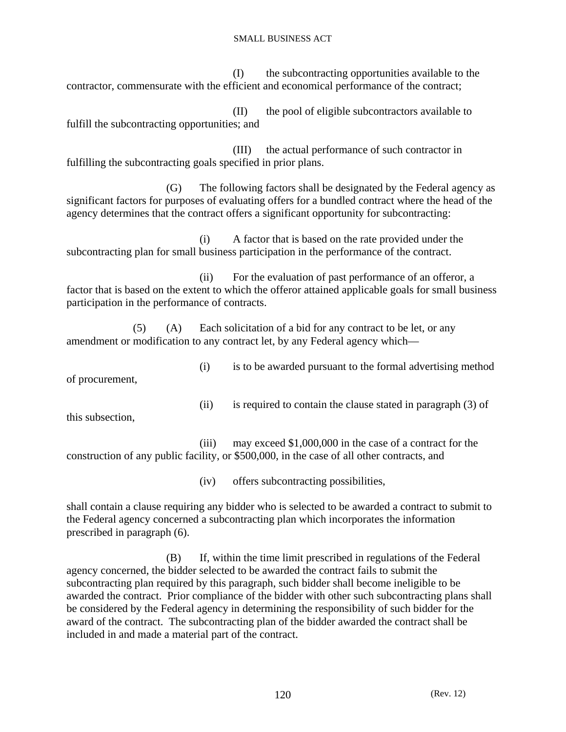(I) the subcontracting opportunities available to the contractor, commensurate with the efficient and economical performance of the contract;

 (II) the pool of eligible subcontractors available to fulfill the subcontracting opportunities; and

 (III) the actual performance of such contractor in fulfilling the subcontracting goals specified in prior plans.

 (G) The following factors shall be designated by the Federal agency as significant factors for purposes of evaluating offers for a bundled contract where the head of the agency determines that the contract offers a significant opportunity for subcontracting:

 (i) A factor that is based on the rate provided under the subcontracting plan for small business participation in the performance of the contract.

 (ii) For the evaluation of past performance of an offeror, a factor that is based on the extent to which the offeror attained applicable goals for small business participation in the performance of contracts.

 (5) (A) Each solicitation of a bid for any contract to be let, or any amendment or modification to any contract let, by any Federal agency which—

of procurement,

(i) is to be awarded pursuant to the formal advertising method

(ii) is required to contain the clause stated in paragraph (3) of

this subsection,

 (iii) may exceed \$1,000,000 in the case of a contract for the construction of any public facility, or \$500,000, in the case of all other contracts, and

(iv) offers subcontracting possibilities,

shall contain a clause requiring any bidder who is selected to be awarded a contract to submit to the Federal agency concerned a subcontracting plan which incorporates the information prescribed in paragraph (6).

 (B) If, within the time limit prescribed in regulations of the Federal agency concerned, the bidder selected to be awarded the contract fails to submit the subcontracting plan required by this paragraph, such bidder shall become ineligible to be awarded the contract. Prior compliance of the bidder with other such subcontracting plans shall be considered by the Federal agency in determining the responsibility of such bidder for the award of the contract. The subcontracting plan of the bidder awarded the contract shall be included in and made a material part of the contract.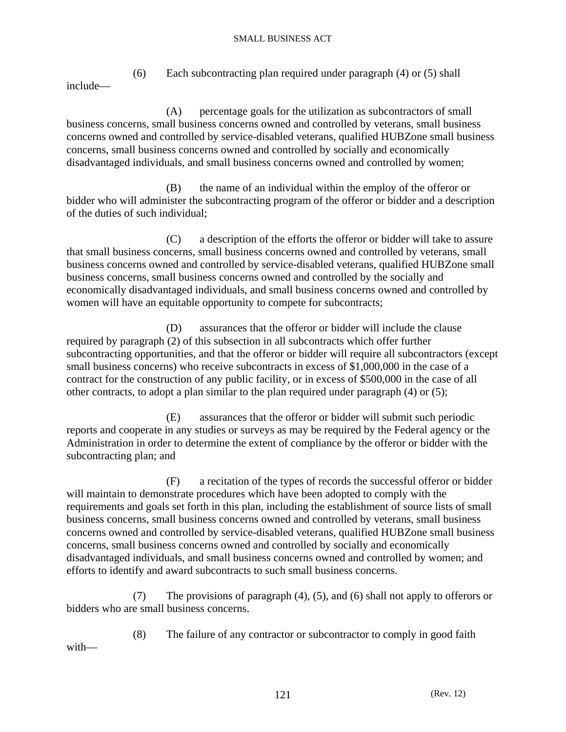(6) Each subcontracting plan required under paragraph (4) or (5) shall include—

 (A) percentage goals for the utilization as subcontractors of small business concerns, small business concerns owned and controlled by veterans, small business concerns owned and controlled by service-disabled veterans, qualified HUBZone small business concerns, small business concerns owned and controlled by socially and economically disadvantaged individuals, and small business concerns owned and controlled by women;

 (B) the name of an individual within the employ of the offeror or bidder who will administer the subcontracting program of the offeror or bidder and a description of the duties of such individual;

 (C) a description of the efforts the offeror or bidder will take to assure that small business concerns, small business concerns owned and controlled by veterans, small business concerns owned and controlled by service-disabled veterans, qualified HUBZone small business concerns, small business concerns owned and controlled by the socially and economically disadvantaged individuals, and small business concerns owned and controlled by women will have an equitable opportunity to compete for subcontracts;

 (D) assurances that the offeror or bidder will include the clause required by paragraph (2) of this subsection in all subcontracts which offer further subcontracting opportunities, and that the offeror or bidder will require all subcontractors (except small business concerns) who receive subcontracts in excess of \$1,000,000 in the case of a contract for the construction of any public facility, or in excess of \$500,000 in the case of all other contracts, to adopt a plan similar to the plan required under paragraph (4) or (5);

 (E) assurances that the offeror or bidder will submit such periodic reports and cooperate in any studies or surveys as may be required by the Federal agency or the Administration in order to determine the extent of compliance by the offeror or bidder with the subcontracting plan; and

 (F) a recitation of the types of records the successful offeror or bidder will maintain to demonstrate procedures which have been adopted to comply with the requirements and goals set forth in this plan, including the establishment of source lists of small business concerns, small business concerns owned and controlled by veterans, small business concerns owned and controlled by service-disabled veterans, qualified HUBZone small business concerns, small business concerns owned and controlled by socially and economically disadvantaged individuals, and small business concerns owned and controlled by women; and efforts to identify and award subcontracts to such small business concerns.

 (7) The provisions of paragraph (4), (5), and (6) shall not apply to offerors or bidders who are small business concerns.

 (8) The failure of any contractor or subcontractor to comply in good faith with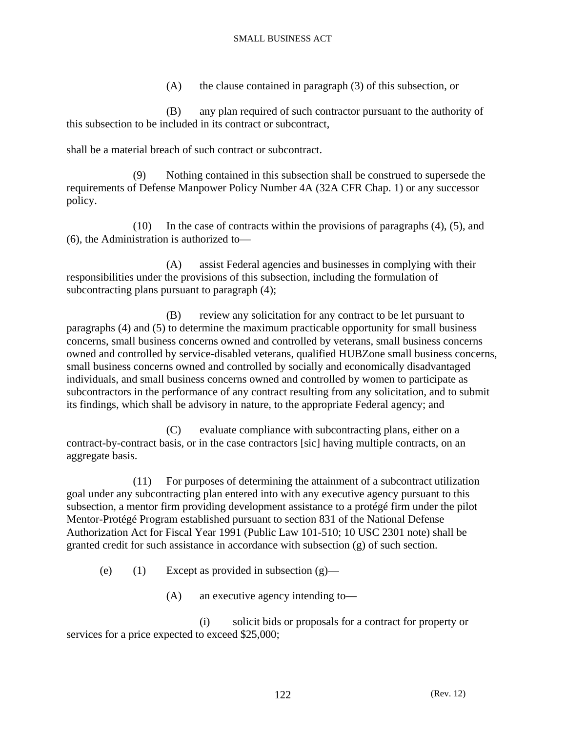(A) the clause contained in paragraph (3) of this subsection, or

 (B) any plan required of such contractor pursuant to the authority of this subsection to be included in its contract or subcontract,

shall be a material breach of such contract or subcontract.

 (9) Nothing contained in this subsection shall be construed to supersede the requirements of Defense Manpower Policy Number 4A (32A CFR Chap. 1) or any successor policy.

 (10) In the case of contracts within the provisions of paragraphs (4), (5), and (6), the Administration is authorized to—

 (A) assist Federal agencies and businesses in complying with their responsibilities under the provisions of this subsection, including the formulation of subcontracting plans pursuant to paragraph (4);

 (B) review any solicitation for any contract to be let pursuant to paragraphs (4) and (5) to determine the maximum practicable opportunity for small business concerns, small business concerns owned and controlled by veterans, small business concerns owned and controlled by service-disabled veterans, qualified HUBZone small business concerns, small business concerns owned and controlled by socially and economically disadvantaged individuals, and small business concerns owned and controlled by women to participate as subcontractors in the performance of any contract resulting from any solicitation, and to submit its findings, which shall be advisory in nature, to the appropriate Federal agency; and

 (C) evaluate compliance with subcontracting plans, either on a contract-by-contract basis, or in the case contractors [sic] having multiple contracts, on an aggregate basis.

 (11) For purposes of determining the attainment of a subcontract utilization goal under any subcontracting plan entered into with any executive agency pursuant to this subsection, a mentor firm providing development assistance to a protégé firm under the pilot Mentor-Protégé Program established pursuant to section 831 of the National Defense Authorization Act for Fiscal Year 1991 (Public Law 101-510; 10 USC 2301 note) shall be granted credit for such assistance in accordance with subsection (g) of such section.

(e) (1) Except as provided in subsection  $(g)$ —

(A) an executive agency intending to—

 (i) solicit bids or proposals for a contract for property or services for a price expected to exceed \$25,000;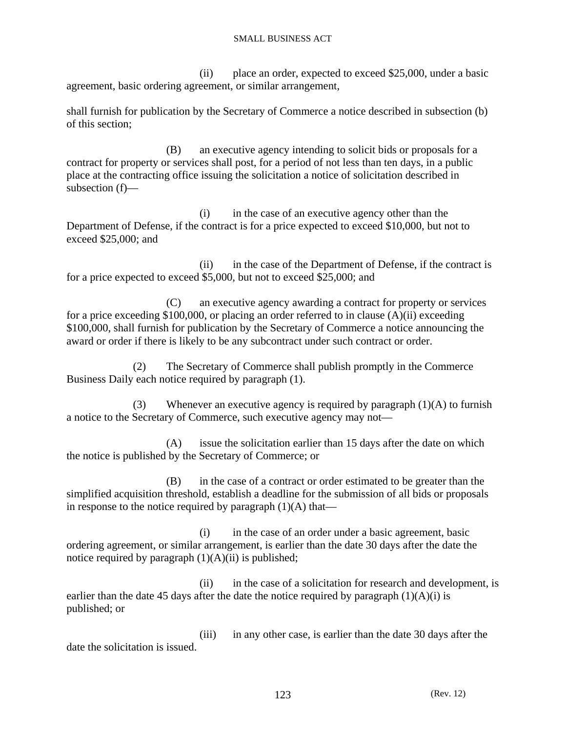(ii) place an order, expected to exceed \$25,000, under a basic agreement, basic ordering agreement, or similar arrangement,

shall furnish for publication by the Secretary of Commerce a notice described in subsection (b) of this section;

 (B) an executive agency intending to solicit bids or proposals for a contract for property or services shall post, for a period of not less than ten days, in a public place at the contracting office issuing the solicitation a notice of solicitation described in subsection (f)—

 (i) in the case of an executive agency other than the Department of Defense, if the contract is for a price expected to exceed \$10,000, but not to exceed \$25,000; and

 (ii) in the case of the Department of Defense, if the contract is for a price expected to exceed \$5,000, but not to exceed \$25,000; and

 (C) an executive agency awarding a contract for property or services for a price exceeding \$100,000, or placing an order referred to in clause (A)(ii) exceeding \$100,000, shall furnish for publication by the Secretary of Commerce a notice announcing the award or order if there is likely to be any subcontract under such contract or order.

 (2) The Secretary of Commerce shall publish promptly in the Commerce Business Daily each notice required by paragraph (1).

(3) Whenever an executive agency is required by paragraph  $(1)(A)$  to furnish a notice to the Secretary of Commerce, such executive agency may not—

 (A) issue the solicitation earlier than 15 days after the date on which the notice is published by the Secretary of Commerce; or

 (B) in the case of a contract or order estimated to be greater than the simplified acquisition threshold, establish a deadline for the submission of all bids or proposals in response to the notice required by paragraph  $(1)(A)$  that—

 (i) in the case of an order under a basic agreement, basic ordering agreement, or similar arrangement, is earlier than the date 30 days after the date the notice required by paragraph  $(1)(A)(ii)$  is published;

 (ii) in the case of a solicitation for research and development, is earlier than the date 45 days after the date the notice required by paragraph  $(1)(A)(i)$  is published; or

 (iii) in any other case, is earlier than the date 30 days after the date the solicitation is issued.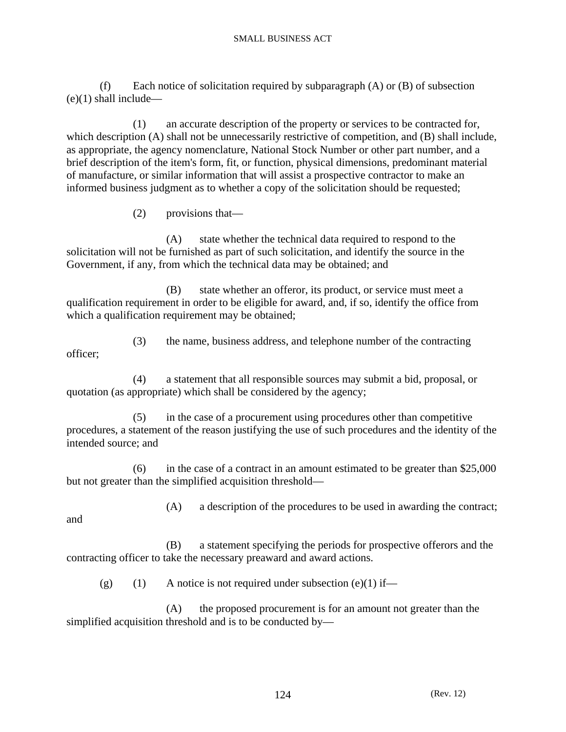(f) Each notice of solicitation required by subparagraph (A) or (B) of subsection  $(e)(1)$  shall include—

 (1) an accurate description of the property or services to be contracted for, which description (A) shall not be unnecessarily restrictive of competition, and (B) shall include, as appropriate, the agency nomenclature, National Stock Number or other part number, and a brief description of the item's form, fit, or function, physical dimensions, predominant material of manufacture, or similar information that will assist a prospective contractor to make an informed business judgment as to whether a copy of the solicitation should be requested;

(2) provisions that—

 (A) state whether the technical data required to respond to the solicitation will not be furnished as part of such solicitation, and identify the source in the Government, if any, from which the technical data may be obtained; and

 (B) state whether an offeror, its product, or service must meet a qualification requirement in order to be eligible for award, and, if so, identify the office from which a qualification requirement may be obtained;

 (3) the name, business address, and telephone number of the contracting officer;

 (4) a statement that all responsible sources may submit a bid, proposal, or quotation (as appropriate) which shall be considered by the agency;

 (5) in the case of a procurement using procedures other than competitive procedures, a statement of the reason justifying the use of such procedures and the identity of the intended source; and

 (6) in the case of a contract in an amount estimated to be greater than \$25,000 but not greater than the simplified acquisition threshold—

and

(A) a description of the procedures to be used in awarding the contract;

 (B) a statement specifying the periods for prospective offerors and the contracting officer to take the necessary preaward and award actions.

(g) (1) A notice is not required under subsection (e)(1) if—

 (A) the proposed procurement is for an amount not greater than the simplified acquisition threshold and is to be conducted by—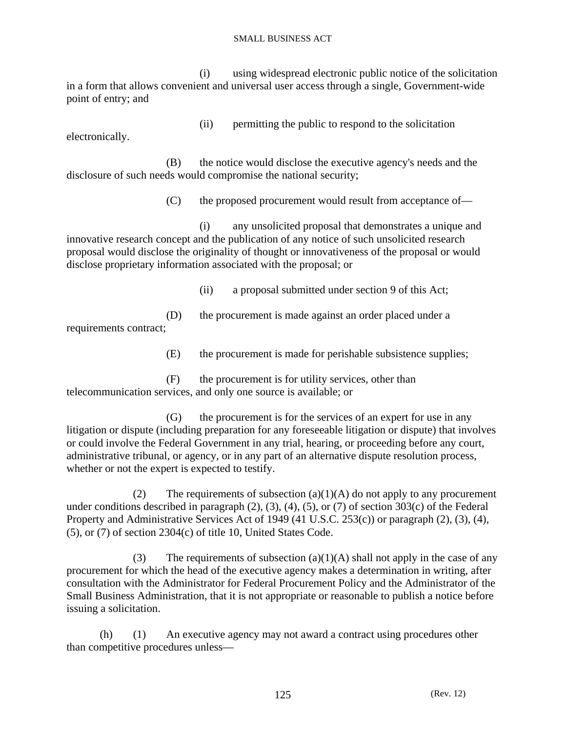(i) using widespread electronic public notice of the solicitation in a form that allows convenient and universal user access through a single, Government-wide point of entry; and

electronically.

(ii) permitting the public to respond to the solicitation

 (B) the notice would disclose the executive agency's needs and the disclosure of such needs would compromise the national security;

(C) the proposed procurement would result from acceptance of—

 (i) any unsolicited proposal that demonstrates a unique and innovative research concept and the publication of any notice of such unsolicited research proposal would disclose the originality of thought or innovativeness of the proposal or would disclose proprietary information associated with the proposal; or

(ii) a proposal submitted under section 9 of this Act;

 (D) the procurement is made against an order placed under a requirements contract;

(E) the procurement is made for perishable subsistence supplies;

 (F) the procurement is for utility services, other than telecommunication services, and only one source is available; or

 (G) the procurement is for the services of an expert for use in any litigation or dispute (including preparation for any foreseeable litigation or dispute) that involves or could involve the Federal Government in any trial, hearing, or proceeding before any court, administrative tribunal, or agency, or in any part of an alternative dispute resolution process, whether or not the expert is expected to testify.

(2) The requirements of subsection (a)(1)(A) do not apply to any procurement under conditions described in paragraph (2), (3), (4), (5), or (7) of section 303(c) of the Federal Property and Administrative Services Act of 1949 (41 U.S.C. 253(c)) or paragraph (2), (3), (4), (5), or (7) of section 2304(c) of title 10, United States Code.

(3) The requirements of subsection (a)(1)(A) shall not apply in the case of any procurement for which the head of the executive agency makes a determination in writing, after consultation with the Administrator for Federal Procurement Policy and the Administrator of the Small Business Administration, that it is not appropriate or reasonable to publish a notice before issuing a solicitation.

 (h) (1) An executive agency may not award a contract using procedures other than competitive procedures unless—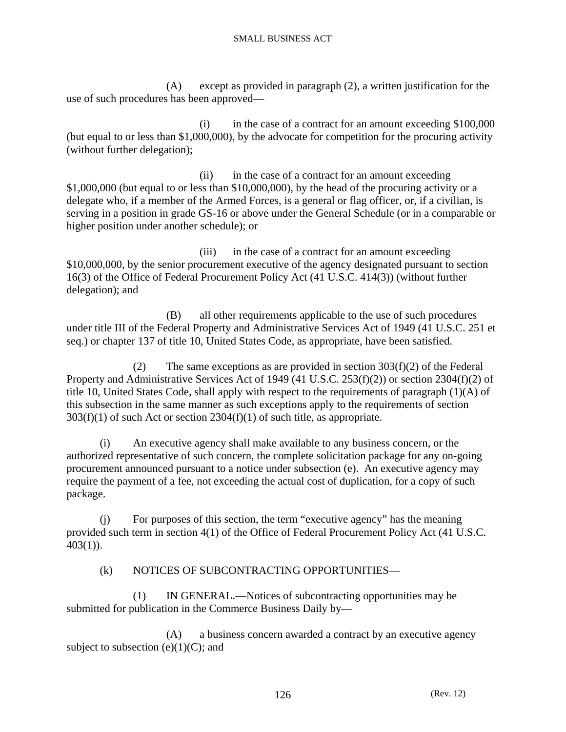(A) except as provided in paragraph (2), a written justification for the use of such procedures has been approved—

 $(i)$  in the case of a contract for an amount exceeding \$100,000 (but equal to or less than \$1,000,000), by the advocate for competition for the procuring activity (without further delegation);

 (ii) in the case of a contract for an amount exceeding \$1,000,000 (but equal to or less than \$10,000,000), by the head of the procuring activity or a delegate who, if a member of the Armed Forces, is a general or flag officer, or, if a civilian, is serving in a position in grade GS-16 or above under the General Schedule (or in a comparable or higher position under another schedule); or

 (iii) in the case of a contract for an amount exceeding \$10,000,000, by the senior procurement executive of the agency designated pursuant to section 16(3) of the Office of Federal Procurement Policy Act (41 U.S.C. 414(3)) (without further delegation); and

 (B) all other requirements applicable to the use of such procedures under title III of the Federal Property and Administrative Services Act of 1949 (41 U.S.C. 251 et seq.) or chapter 137 of title 10, United States Code, as appropriate, have been satisfied.

(2) The same exceptions as are provided in section  $303(f)(2)$  of the Federal Property and Administrative Services Act of 1949 (41 U.S.C. 253(f)(2)) or section 2304(f)(2) of title 10, United States Code, shall apply with respect to the requirements of paragraph (1)(A) of this subsection in the same manner as such exceptions apply to the requirements of section  $303(f)(1)$  of such Act or section  $2304(f)(1)$  of such title, as appropriate.

 (i) An executive agency shall make available to any business concern, or the authorized representative of such concern, the complete solicitation package for any on-going procurement announced pursuant to a notice under subsection (e). An executive agency may require the payment of a fee, not exceeding the actual cost of duplication, for a copy of such package.

 (j) For purposes of this section, the term "executive agency" has the meaning provided such term in section 4(1) of the Office of Federal Procurement Policy Act (41 U.S.C.  $403(1)$ ).

# (k) NOTICES OF SUBCONTRACTING OPPORTUNITIES—

 (1) IN GENERAL.—Notices of subcontracting opportunities may be submitted for publication in the Commerce Business Daily by—

 (A) a business concern awarded a contract by an executive agency subject to subsection  $(e)(1)(C)$ ; and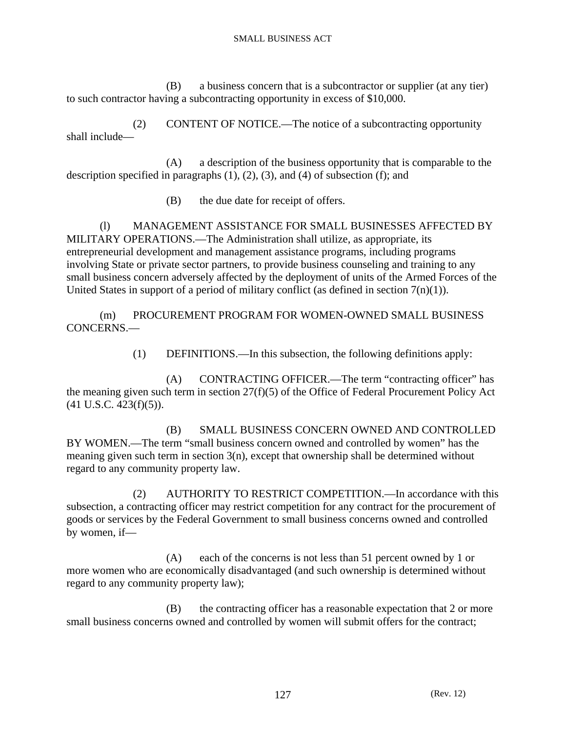(B) a business concern that is a subcontractor or supplier (at any tier) to such contractor having a subcontracting opportunity in excess of \$10,000.

 (2) CONTENT OF NOTICE.—The notice of a subcontracting opportunity shall include—

 (A) a description of the business opportunity that is comparable to the description specified in paragraphs  $(1)$ ,  $(2)$ ,  $(3)$ , and  $(4)$  of subsection  $(f)$ ; and

(B) the due date for receipt of offers.

 (l) MANAGEMENT ASSISTANCE FOR SMALL BUSINESSES AFFECTED BY MILITARY OPERATIONS.—The Administration shall utilize, as appropriate, its entrepreneurial development and management assistance programs, including programs involving State or private sector partners, to provide business counseling and training to any small business concern adversely affected by the deployment of units of the Armed Forces of the United States in support of a period of military conflict (as defined in section  $7(n)(1)$ ).

 (m) PROCUREMENT PROGRAM FOR WOMEN-OWNED SMALL BUSINESS CONCERNS.—

(1) DEFINITIONS.—In this subsection, the following definitions apply:

 (A) CONTRACTING OFFICER.—The term "contracting officer" has the meaning given such term in section 27(f)(5) of the Office of Federal Procurement Policy Act (41 U.S.C. 423(f)(5)).

 (B) SMALL BUSINESS CONCERN OWNED AND CONTROLLED BY WOMEN.—The term "small business concern owned and controlled by women" has the meaning given such term in section 3(n), except that ownership shall be determined without regard to any community property law.

 (2) AUTHORITY TO RESTRICT COMPETITION.—In accordance with this subsection, a contracting officer may restrict competition for any contract for the procurement of goods or services by the Federal Government to small business concerns owned and controlled by women, if—

 (A) each of the concerns is not less than 51 percent owned by 1 or more women who are economically disadvantaged (and such ownership is determined without regard to any community property law);

 (B) the contracting officer has a reasonable expectation that 2 or more small business concerns owned and controlled by women will submit offers for the contract;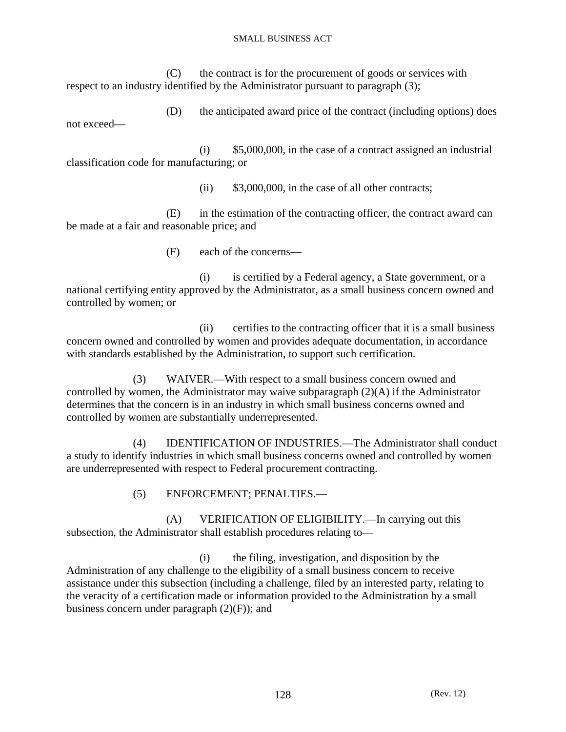(C) the contract is for the procurement of goods or services with respect to an industry identified by the Administrator pursuant to paragraph (3);

 (D) the anticipated award price of the contract (including options) does not exceed—

 $(i)$  \$5,000,000, in the case of a contract assigned an industrial classification code for manufacturing; or

(ii) \$3,000,000, in the case of all other contracts;

 (E) in the estimation of the contracting officer, the contract award can be made at a fair and reasonable price; and

(F) each of the concerns—

 (i) is certified by a Federal agency, a State government, or a national certifying entity approved by the Administrator, as a small business concern owned and controlled by women; or

 (ii) certifies to the contracting officer that it is a small business concern owned and controlled by women and provides adequate documentation, in accordance with standards established by the Administration, to support such certification.

 (3) WAIVER.—With respect to a small business concern owned and controlled by women, the Administrator may waive subparagraph (2)(A) if the Administrator determines that the concern is in an industry in which small business concerns owned and controlled by women are substantially underrepresented.

 (4) IDENTIFICATION OF INDUSTRIES.—The Administrator shall conduct a study to identify industries in which small business concerns owned and controlled by women are underrepresented with respect to Federal procurement contracting.

(5) ENFORCEMENT; PENALTIES.—

 (A) VERIFICATION OF ELIGIBILITY.—In carrying out this subsection, the Administrator shall establish procedures relating to—

 (i) the filing, investigation, and disposition by the Administration of any challenge to the eligibility of a small business concern to receive assistance under this subsection (including a challenge, filed by an interested party, relating to the veracity of a certification made or information provided to the Administration by a small business concern under paragraph  $(2)(F)$ ; and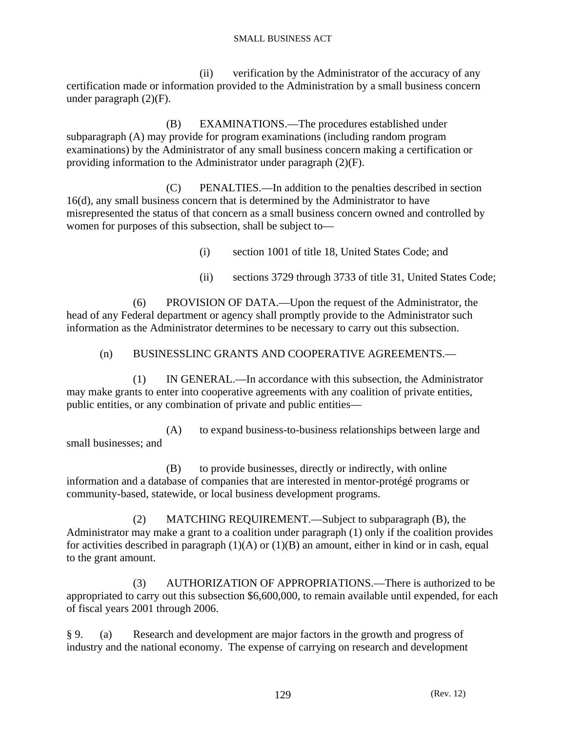(ii) verification by the Administrator of the accuracy of any certification made or information provided to the Administration by a small business concern under paragraph  $(2)(F)$ .

 (B) EXAMINATIONS.—The procedures established under subparagraph (A) may provide for program examinations (including random program examinations) by the Administrator of any small business concern making a certification or providing information to the Administrator under paragraph (2)(F).

 (C) PENALTIES.—In addition to the penalties described in section 16(d), any small business concern that is determined by the Administrator to have misrepresented the status of that concern as a small business concern owned and controlled by women for purposes of this subsection, shall be subject to—

(i) section 1001 of title 18, United States Code; and

(ii) sections 3729 through 3733 of title 31, United States Code;

 (6) PROVISION OF DATA.—Upon the request of the Administrator, the head of any Federal department or agency shall promptly provide to the Administrator such information as the Administrator determines to be necessary to carry out this subsection.

### (n) BUSINESSLINC GRANTS AND COOPERATIVE AGREEMENTS.—

 (1) IN GENERAL.—In accordance with this subsection, the Administrator may make grants to enter into cooperative agreements with any coalition of private entities, public entities, or any combination of private and public entities—

 (A) to expand business-to-business relationships between large and small businesses; and

 (B) to provide businesses, directly or indirectly, with online information and a database of companies that are interested in mentor-protégé programs or community-based, statewide, or local business development programs.

 (2) MATCHING REQUIREMENT.—Subject to subparagraph (B), the Administrator may make a grant to a coalition under paragraph (1) only if the coalition provides for activities described in paragraph  $(1)(A)$  or  $(1)(B)$  an amount, either in kind or in cash, equal to the grant amount.

 (3) AUTHORIZATION OF APPROPRIATIONS.—There is authorized to be appropriated to carry out this subsection \$6,600,000, to remain available until expended, for each of fiscal years 2001 through 2006.

§ 9. (a) Research and development are major factors in the growth and progress of industry and the national economy. The expense of carrying on research and development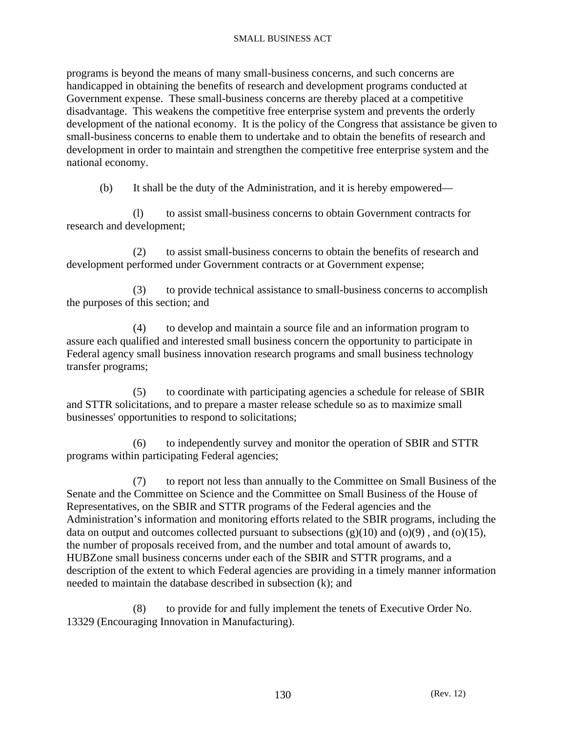programs is beyond the means of many small-business concerns, and such concerns are handicapped in obtaining the benefits of research and development programs conducted at Government expense. These small-business concerns are thereby placed at a competitive disadvantage. This weakens the competitive free enterprise system and prevents the orderly development of the national economy. It is the policy of the Congress that assistance be given to small-business concerns to enable them to undertake and to obtain the benefits of research and development in order to maintain and strengthen the competitive free enterprise system and the national economy.

(b) It shall be the duty of the Administration, and it is hereby empowered—

 (l) to assist small-business concerns to obtain Government contracts for research and development;

 (2) to assist small-business concerns to obtain the benefits of research and development performed under Government contracts or at Government expense;

 (3) to provide technical assistance to small-business concerns to accomplish the purposes of this section; and

 (4) to develop and maintain a source file and an information program to assure each qualified and interested small business concern the opportunity to participate in Federal agency small business innovation research programs and small business technology transfer programs;

 (5) to coordinate with participating agencies a schedule for release of SBIR and STTR solicitations, and to prepare a master release schedule so as to maximize small businesses' opportunities to respond to solicitations;

 (6) to independently survey and monitor the operation of SBIR and STTR programs within participating Federal agencies;

 (7) to report not less than annually to the Committee on Small Business of the Senate and the Committee on Science and the Committee on Small Business of the House of Representatives, on the SBIR and STTR programs of the Federal agencies and the Administration's information and monitoring efforts related to the SBIR programs, including the data on output and outcomes collected pursuant to subsections  $(g)(10)$  and  $(o)(9)$ , and  $(o)(15)$ , the number of proposals received from, and the number and total amount of awards to, HUBZone small business concerns under each of the SBIR and STTR programs, and a description of the extent to which Federal agencies are providing in a timely manner information needed to maintain the database described in subsection (k); and

 (8) to provide for and fully implement the tenets of Executive Order No. 13329 (Encouraging Innovation in Manufacturing).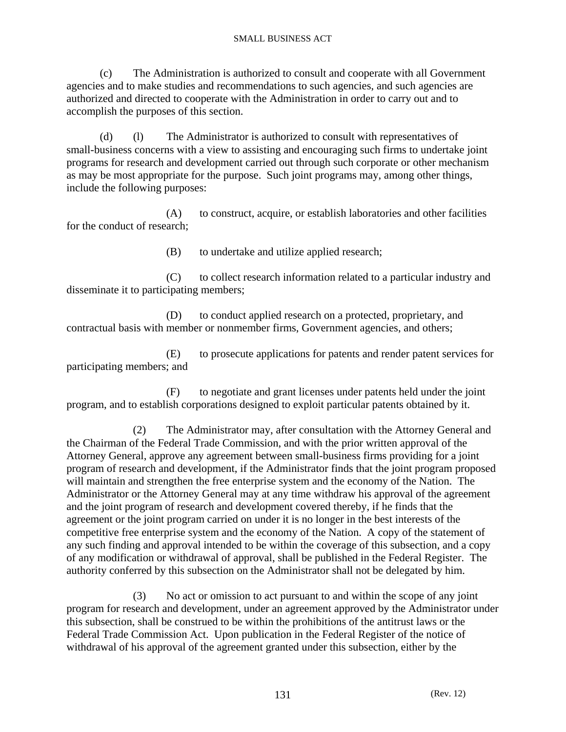(c) The Administration is authorized to consult and cooperate with all Government agencies and to make studies and recommendations to such agencies, and such agencies are authorized and directed to cooperate with the Administration in order to carry out and to accomplish the purposes of this section.

 (d) (l) The Administrator is authorized to consult with representatives of small-business concerns with a view to assisting and encouraging such firms to undertake joint programs for research and development carried out through such corporate or other mechanism as may be most appropriate for the purpose. Such joint programs may, among other things, include the following purposes:

 (A) to construct, acquire, or establish laboratories and other facilities for the conduct of research;

(B) to undertake and utilize applied research;

 (C) to collect research information related to a particular industry and disseminate it to participating members;

 (D) to conduct applied research on a protected, proprietary, and contractual basis with member or nonmember firms, Government agencies, and others;

 (E) to prosecute applications for patents and render patent services for participating members; and

 (F) to negotiate and grant licenses under patents held under the joint program, and to establish corporations designed to exploit particular patents obtained by it.

 (2) The Administrator may, after consultation with the Attorney General and the Chairman of the Federal Trade Commission, and with the prior written approval of the Attorney General, approve any agreement between small-business firms providing for a joint program of research and development, if the Administrator finds that the joint program proposed will maintain and strengthen the free enterprise system and the economy of the Nation. The Administrator or the Attorney General may at any time withdraw his approval of the agreement and the joint program of research and development covered thereby, if he finds that the agreement or the joint program carried on under it is no longer in the best interests of the competitive free enterprise system and the economy of the Nation. A copy of the statement of any such finding and approval intended to be within the coverage of this subsection, and a copy of any modification or withdrawal of approval, shall be published in the Federal Register. The authority conferred by this subsection on the Administrator shall not be delegated by him.

 (3) No act or omission to act pursuant to and within the scope of any joint program for research and development, under an agreement approved by the Administrator under this subsection, shall be construed to be within the prohibitions of the antitrust laws or the Federal Trade Commission Act. Upon publication in the Federal Register of the notice of withdrawal of his approval of the agreement granted under this subsection, either by the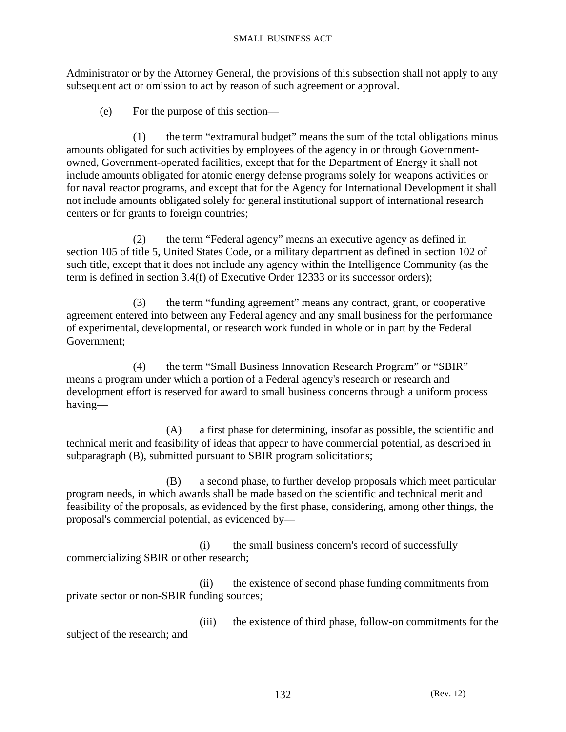Administrator or by the Attorney General, the provisions of this subsection shall not apply to any subsequent act or omission to act by reason of such agreement or approval.

(e) For the purpose of this section—

 (1) the term "extramural budget" means the sum of the total obligations minus amounts obligated for such activities by employees of the agency in or through Governmentowned, Government-operated facilities, except that for the Department of Energy it shall not include amounts obligated for atomic energy defense programs solely for weapons activities or for naval reactor programs, and except that for the Agency for International Development it shall not include amounts obligated solely for general institutional support of international research centers or for grants to foreign countries;

 (2) the term "Federal agency" means an executive agency as defined in section 105 of title 5, United States Code, or a military department as defined in section 102 of such title, except that it does not include any agency within the Intelligence Community (as the term is defined in section 3.4(f) of Executive Order 12333 or its successor orders);

 (3) the term "funding agreement" means any contract, grant, or cooperative agreement entered into between any Federal agency and any small business for the performance of experimental, developmental, or research work funded in whole or in part by the Federal Government;

 (4) the term "Small Business Innovation Research Program" or "SBIR" means a program under which a portion of a Federal agency's research or research and development effort is reserved for award to small business concerns through a uniform process having—

 (A) a first phase for determining, insofar as possible, the scientific and technical merit and feasibility of ideas that appear to have commercial potential, as described in subparagraph (B), submitted pursuant to SBIR program solicitations;

 (B) a second phase, to further develop proposals which meet particular program needs, in which awards shall be made based on the scientific and technical merit and feasibility of the proposals, as evidenced by the first phase, considering, among other things, the proposal's commercial potential, as evidenced by—

 (i) the small business concern's record of successfully commercializing SBIR or other research;

 (ii) the existence of second phase funding commitments from private sector or non-SBIR funding sources;

 (iii) the existence of third phase, follow-on commitments for the subject of the research; and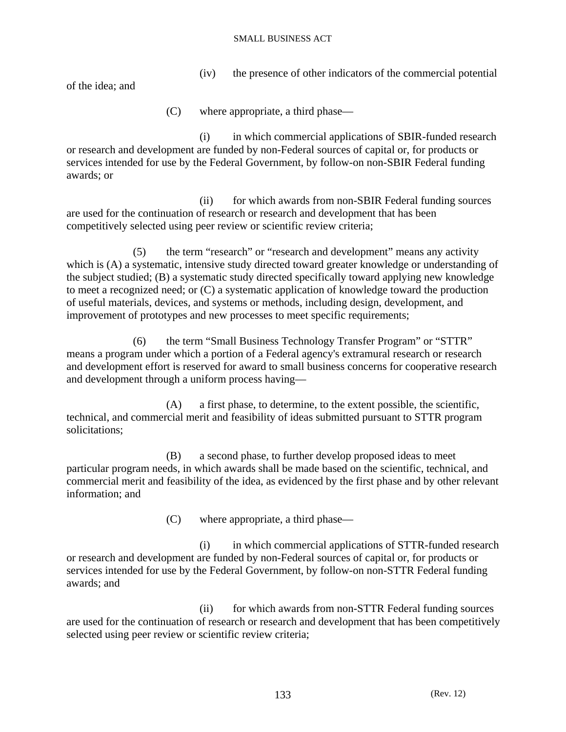(iv) the presence of other indicators of the commercial potential

of the idea; and

(C) where appropriate, a third phase—

 (i) in which commercial applications of SBIR-funded research or research and development are funded by non-Federal sources of capital or, for products or services intended for use by the Federal Government, by follow-on non-SBIR Federal funding awards; or

(ii) for which awards from non-SBIR Federal funding sources are used for the continuation of research or research and development that has been competitively selected using peer review or scientific review criteria;

 (5) the term "research" or "research and development" means any activity which is (A) a systematic, intensive study directed toward greater knowledge or understanding of the subject studied; (B) a systematic study directed specifically toward applying new knowledge to meet a recognized need; or (C) a systematic application of knowledge toward the production of useful materials, devices, and systems or methods, including design, development, and improvement of prototypes and new processes to meet specific requirements;

 (6) the term "Small Business Technology Transfer Program" or "STTR" means a program under which a portion of a Federal agency's extramural research or research and development effort is reserved for award to small business concerns for cooperative research and development through a uniform process having—

 (A) a first phase, to determine, to the extent possible, the scientific, technical, and commercial merit and feasibility of ideas submitted pursuant to STTR program solicitations;

 (B) a second phase, to further develop proposed ideas to meet particular program needs, in which awards shall be made based on the scientific, technical, and commercial merit and feasibility of the idea, as evidenced by the first phase and by other relevant information; and

(C) where appropriate, a third phase—

 (i) in which commercial applications of STTR-funded research or research and development are funded by non-Federal sources of capital or, for products or services intended for use by the Federal Government, by follow-on non-STTR Federal funding awards; and

(ii) for which awards from non-STTR Federal funding sources are used for the continuation of research or research and development that has been competitively selected using peer review or scientific review criteria;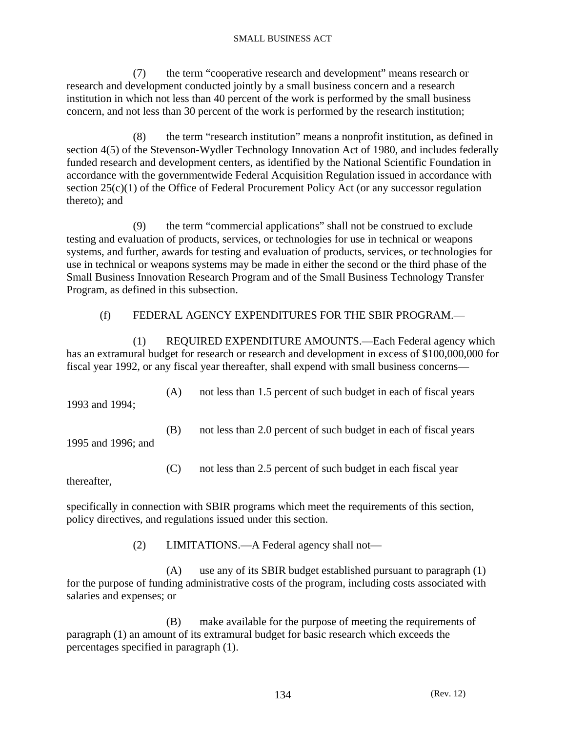(7) the term "cooperative research and development" means research or research and development conducted jointly by a small business concern and a research institution in which not less than 40 percent of the work is performed by the small business concern, and not less than 30 percent of the work is performed by the research institution;

 (8) the term "research institution" means a nonprofit institution, as defined in section 4(5) of the Stevenson-Wydler Technology Innovation Act of 1980, and includes federally funded research and development centers, as identified by the National Scientific Foundation in accordance with the governmentwide Federal Acquisition Regulation issued in accordance with section 25(c)(1) of the Office of Federal Procurement Policy Act (or any successor regulation thereto); and

 (9) the term "commercial applications" shall not be construed to exclude testing and evaluation of products, services, or technologies for use in technical or weapons systems, and further, awards for testing and evaluation of products, services, or technologies for use in technical or weapons systems may be made in either the second or the third phase of the Small Business Innovation Research Program and of the Small Business Technology Transfer Program, as defined in this subsection.

# (f) FEDERAL AGENCY EXPENDITURES FOR THE SBIR PROGRAM.—

 (1) REQUIRED EXPENDITURE AMOUNTS.—Each Federal agency which has an extramural budget for research or research and development in excess of \$100,000,000 for fiscal year 1992, or any fiscal year thereafter, shall expend with small business concerns—

 (A) not less than 1.5 percent of such budget in each of fiscal years 1993 and 1994;

1995 and 1996; and

(B) not less than 2.0 percent of such budget in each of fiscal years

(C) not less than 2.5 percent of such budget in each fiscal year

thereafter,

specifically in connection with SBIR programs which meet the requirements of this section, policy directives, and regulations issued under this section.

(2) LIMITATIONS.—A Federal agency shall not—

 (A) use any of its SBIR budget established pursuant to paragraph (1) for the purpose of funding administrative costs of the program, including costs associated with salaries and expenses; or

 (B) make available for the purpose of meeting the requirements of paragraph (1) an amount of its extramural budget for basic research which exceeds the percentages specified in paragraph (1).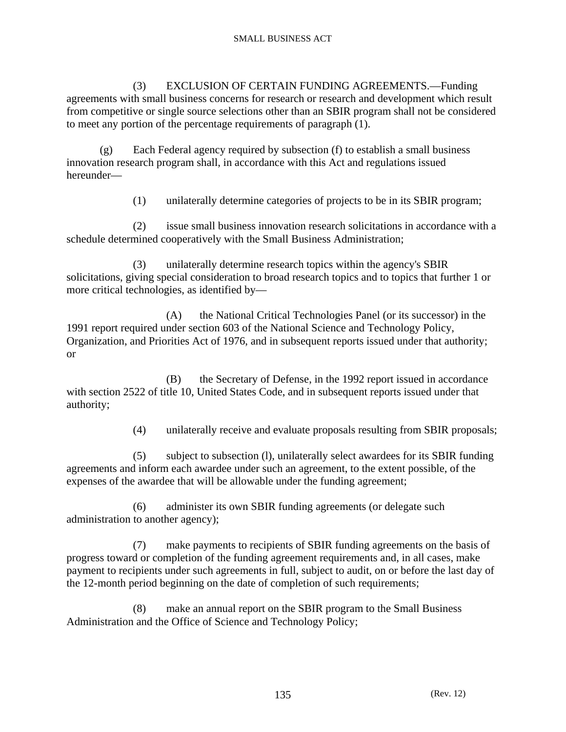(3) EXCLUSION OF CERTAIN FUNDING AGREEMENTS.—Funding agreements with small business concerns for research or research and development which result from competitive or single source selections other than an SBIR program shall not be considered to meet any portion of the percentage requirements of paragraph (1).

 (g) Each Federal agency required by subsection (f) to establish a small business innovation research program shall, in accordance with this Act and regulations issued hereunder—

(1) unilaterally determine categories of projects to be in its SBIR program;

 (2) issue small business innovation research solicitations in accordance with a schedule determined cooperatively with the Small Business Administration;

 (3) unilaterally determine research topics within the agency's SBIR solicitations, giving special consideration to broad research topics and to topics that further 1 or more critical technologies, as identified by—

 (A) the National Critical Technologies Panel (or its successor) in the 1991 report required under section 603 of the National Science and Technology Policy, Organization, and Priorities Act of 1976, and in subsequent reports issued under that authority; or

 (B) the Secretary of Defense, in the 1992 report issued in accordance with section 2522 of title 10, United States Code, and in subsequent reports issued under that authority;

(4) unilaterally receive and evaluate proposals resulting from SBIR proposals;

 (5) subject to subsection (l), unilaterally select awardees for its SBIR funding agreements and inform each awardee under such an agreement, to the extent possible, of the expenses of the awardee that will be allowable under the funding agreement;

 (6) administer its own SBIR funding agreements (or delegate such administration to another agency);

 (7) make payments to recipients of SBIR funding agreements on the basis of progress toward or completion of the funding agreement requirements and, in all cases, make payment to recipients under such agreements in full, subject to audit, on or before the last day of the 12-month period beginning on the date of completion of such requirements;

 (8) make an annual report on the SBIR program to the Small Business Administration and the Office of Science and Technology Policy;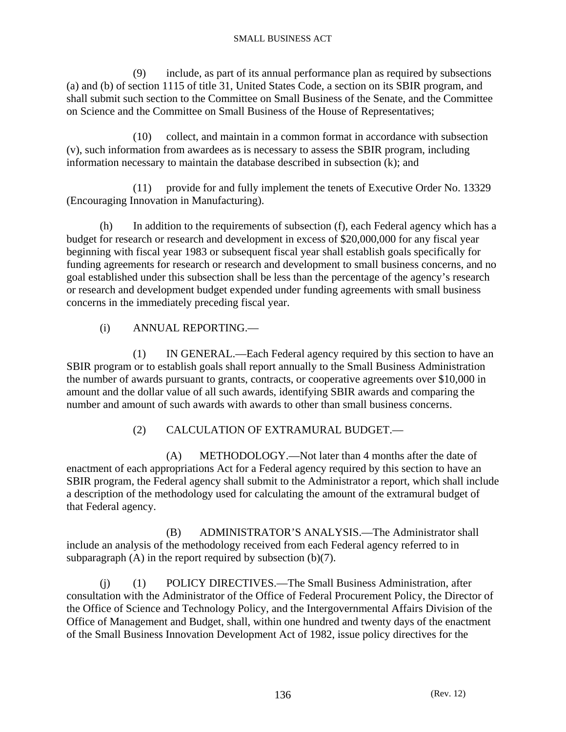(9) include, as part of its annual performance plan as required by subsections (a) and (b) of section 1115 of title 31, United States Code, a section on its SBIR program, and shall submit such section to the Committee on Small Business of the Senate, and the Committee on Science and the Committee on Small Business of the House of Representatives;

 (10) collect, and maintain in a common format in accordance with subsection (v), such information from awardees as is necessary to assess the SBIR program, including information necessary to maintain the database described in subsection (k); and

 (11) provide for and fully implement the tenets of Executive Order No. 13329 (Encouraging Innovation in Manufacturing).

 (h) In addition to the requirements of subsection (f), each Federal agency which has a budget for research or research and development in excess of \$20,000,000 for any fiscal year beginning with fiscal year 1983 or subsequent fiscal year shall establish goals specifically for funding agreements for research or research and development to small business concerns, and no goal established under this subsection shall be less than the percentage of the agency's research or research and development budget expended under funding agreements with small business concerns in the immediately preceding fiscal year.

# (i) ANNUAL REPORTING.—

 (1) IN GENERAL.—Each Federal agency required by this section to have an SBIR program or to establish goals shall report annually to the Small Business Administration the number of awards pursuant to grants, contracts, or cooperative agreements over \$10,000 in amount and the dollar value of all such awards, identifying SBIR awards and comparing the number and amount of such awards with awards to other than small business concerns.

# (2) CALCULATION OF EXTRAMURAL BUDGET.—

 (A) METHODOLOGY.—Not later than 4 months after the date of enactment of each appropriations Act for a Federal agency required by this section to have an SBIR program, the Federal agency shall submit to the Administrator a report, which shall include a description of the methodology used for calculating the amount of the extramural budget of that Federal agency.

 (B) ADMINISTRATOR'S ANALYSIS.—The Administrator shall include an analysis of the methodology received from each Federal agency referred to in subparagraph  $(A)$  in the report required by subsection  $(b)(7)$ .

 (j) (1) POLICY DIRECTIVES.—The Small Business Administration, after consultation with the Administrator of the Office of Federal Procurement Policy, the Director of the Office of Science and Technology Policy, and the Intergovernmental Affairs Division of the Office of Management and Budget, shall, within one hundred and twenty days of the enactment of the Small Business Innovation Development Act of 1982, issue policy directives for the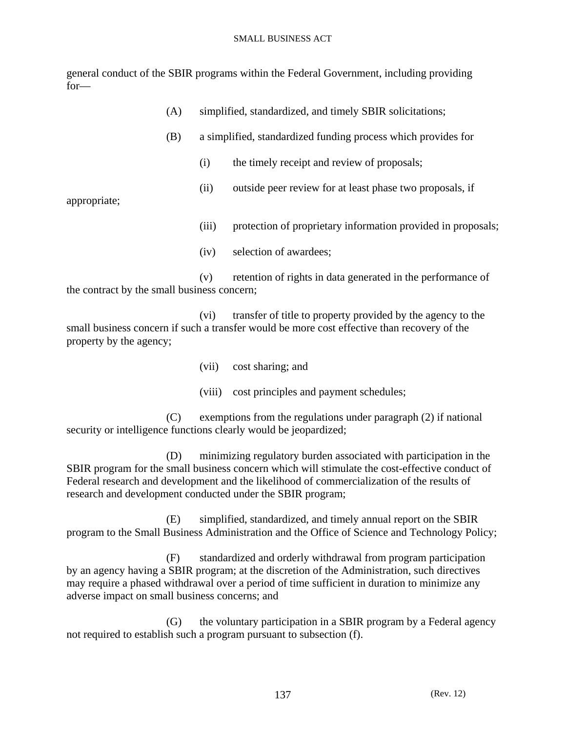general conduct of the SBIR programs within the Federal Government, including providing for—

|                                                                                                                   | (A) | simplified, standardized, and timely SBIR solicitations; |                                                                                                                                                            |  |
|-------------------------------------------------------------------------------------------------------------------|-----|----------------------------------------------------------|------------------------------------------------------------------------------------------------------------------------------------------------------------|--|
| (B)                                                                                                               |     |                                                          | a simplified, standardized funding process which provides for                                                                                              |  |
|                                                                                                                   |     | (i)                                                      | the timely receipt and review of proposals;                                                                                                                |  |
| appropriate;                                                                                                      |     | (ii)                                                     | outside peer review for at least phase two proposals, if                                                                                                   |  |
|                                                                                                                   |     | (iii)                                                    | protection of proprietary information provided in proposals;                                                                                               |  |
|                                                                                                                   |     | (iv)                                                     | selection of awardees;                                                                                                                                     |  |
| retention of rights in data generated in the performance of<br>(v)<br>the contract by the small business concern; |     |                                                          |                                                                                                                                                            |  |
|                                                                                                                   |     | (vi)                                                     | transfer of title to property provided by the agency to the<br>emall business concern if such a transfer would be more cost effective than recovery of the |  |

small business concern if such a transfer would be more cost effective than recovery of the property by the agency;

- (vii) cost sharing; and
- (viii) cost principles and payment schedules;

 (C) exemptions from the regulations under paragraph (2) if national security or intelligence functions clearly would be jeopardized;

 (D) minimizing regulatory burden associated with participation in the SBIR program for the small business concern which will stimulate the cost-effective conduct of Federal research and development and the likelihood of commercialization of the results of research and development conducted under the SBIR program;

 (E) simplified, standardized, and timely annual report on the SBIR program to the Small Business Administration and the Office of Science and Technology Policy;

 (F) standardized and orderly withdrawal from program participation by an agency having a SBIR program; at the discretion of the Administration, such directives may require a phased withdrawal over a period of time sufficient in duration to minimize any adverse impact on small business concerns; and

 (G) the voluntary participation in a SBIR program by a Federal agency not required to establish such a program pursuant to subsection (f).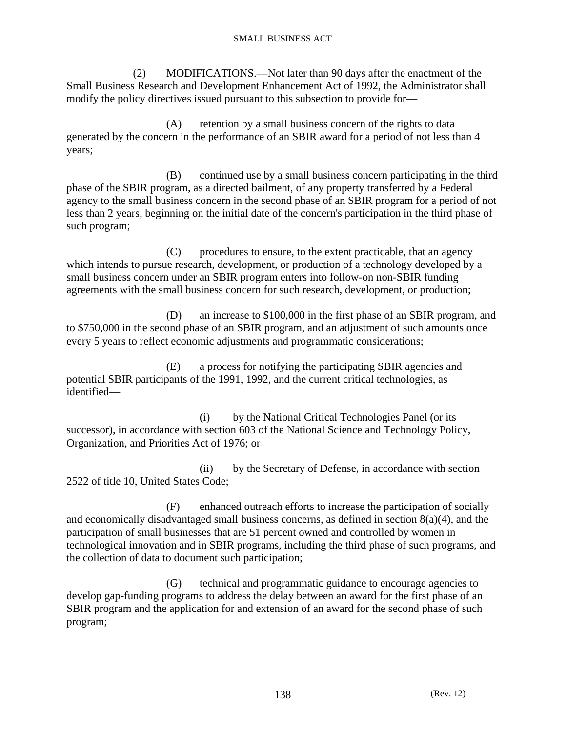(2) MODIFICATIONS.—Not later than 90 days after the enactment of the Small Business Research and Development Enhancement Act of 1992, the Administrator shall modify the policy directives issued pursuant to this subsection to provide for—

 (A) retention by a small business concern of the rights to data generated by the concern in the performance of an SBIR award for a period of not less than 4 years;

 (B) continued use by a small business concern participating in the third phase of the SBIR program, as a directed bailment, of any property transferred by a Federal agency to the small business concern in the second phase of an SBIR program for a period of not less than 2 years, beginning on the initial date of the concern's participation in the third phase of such program;

 (C) procedures to ensure, to the extent practicable, that an agency which intends to pursue research, development, or production of a technology developed by a small business concern under an SBIR program enters into follow-on non-SBIR funding agreements with the small business concern for such research, development, or production;

 (D) an increase to \$100,000 in the first phase of an SBIR program, and to \$750,000 in the second phase of an SBIR program, and an adjustment of such amounts once every 5 years to reflect economic adjustments and programmatic considerations;

 (E) a process for notifying the participating SBIR agencies and potential SBIR participants of the 1991, 1992, and the current critical technologies, as identified—

 (i) by the National Critical Technologies Panel (or its successor), in accordance with section 603 of the National Science and Technology Policy, Organization, and Priorities Act of 1976; or

 (ii) by the Secretary of Defense, in accordance with section 2522 of title 10, United States Code;

 (F) enhanced outreach efforts to increase the participation of socially and economically disadvantaged small business concerns, as defined in section 8(a)(4), and the participation of small businesses that are 51 percent owned and controlled by women in technological innovation and in SBIR programs, including the third phase of such programs, and the collection of data to document such participation;

 (G) technical and programmatic guidance to encourage agencies to develop gap-funding programs to address the delay between an award for the first phase of an SBIR program and the application for and extension of an award for the second phase of such program;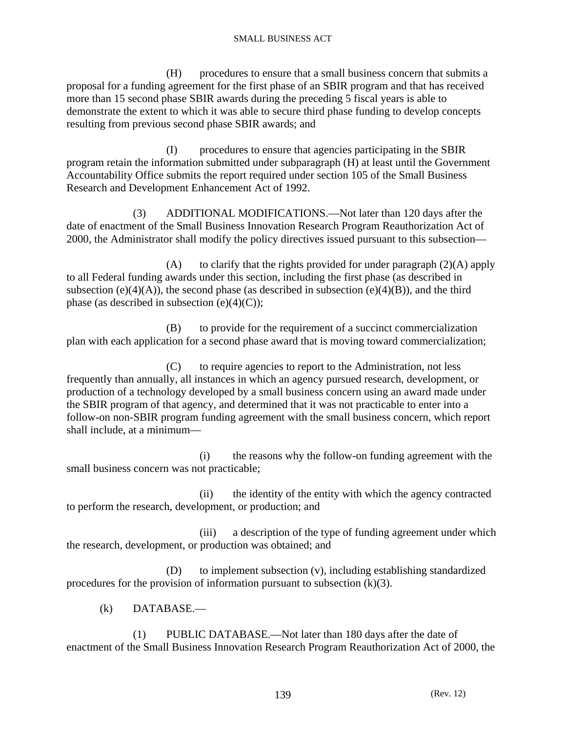(H) procedures to ensure that a small business concern that submits a proposal for a funding agreement for the first phase of an SBIR program and that has received more than 15 second phase SBIR awards during the preceding 5 fiscal years is able to demonstrate the extent to which it was able to secure third phase funding to develop concepts resulting from previous second phase SBIR awards; and

 (I) procedures to ensure that agencies participating in the SBIR program retain the information submitted under subparagraph (H) at least until the Government Accountability Office submits the report required under section 105 of the Small Business Research and Development Enhancement Act of 1992.

 (3) ADDITIONAL MODIFICATIONS.—Not later than 120 days after the date of enactment of the Small Business Innovation Research Program Reauthorization Act of 2000, the Administrator shall modify the policy directives issued pursuant to this subsection—

(A) to clarify that the rights provided for under paragraph  $(2)(A)$  apply to all Federal funding awards under this section, including the first phase (as described in subsection (e)(4)(A)), the second phase (as described in subsection (e)(4)(B)), and the third phase (as described in subsection  $(e)(4)(C)$ );

 (B) to provide for the requirement of a succinct commercialization plan with each application for a second phase award that is moving toward commercialization;

 (C) to require agencies to report to the Administration, not less frequently than annually, all instances in which an agency pursued research, development, or production of a technology developed by a small business concern using an award made under the SBIR program of that agency, and determined that it was not practicable to enter into a follow-on non-SBIR program funding agreement with the small business concern, which report shall include, at a minimum—

 (i) the reasons why the follow-on funding agreement with the small business concern was not practicable;

 (ii) the identity of the entity with which the agency contracted to perform the research, development, or production; and

 (iii) a description of the type of funding agreement under which the research, development, or production was obtained; and

 (D) to implement subsection (v), including establishing standardized procedures for the provision of information pursuant to subsection  $(k)(3)$ .

(k) DATABASE.—

 (1) PUBLIC DATABASE.—Not later than 180 days after the date of enactment of the Small Business Innovation Research Program Reauthorization Act of 2000, the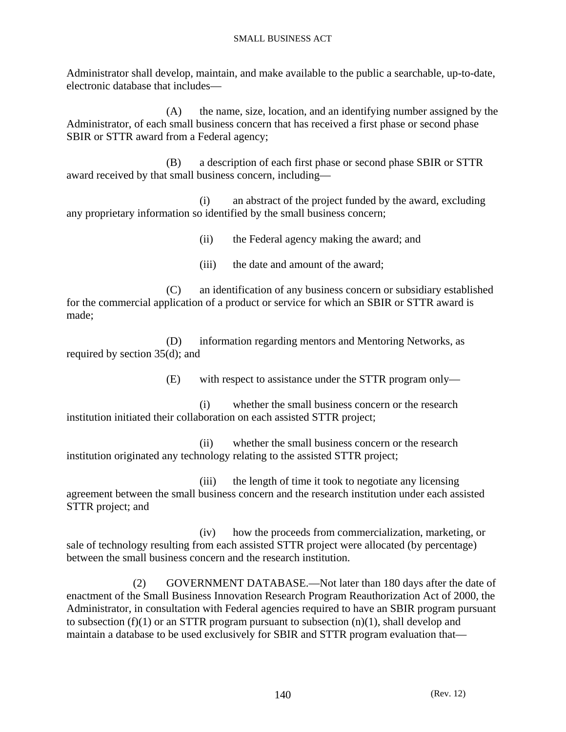Administrator shall develop, maintain, and make available to the public a searchable, up-to-date, electronic database that includes—

 (A) the name, size, location, and an identifying number assigned by the Administrator, of each small business concern that has received a first phase or second phase SBIR or STTR award from a Federal agency;

 (B) a description of each first phase or second phase SBIR or STTR award received by that small business concern, including—

 (i) an abstract of the project funded by the award, excluding any proprietary information so identified by the small business concern;

(ii) the Federal agency making the award; and

(iii) the date and amount of the award;

 (C) an identification of any business concern or subsidiary established for the commercial application of a product or service for which an SBIR or STTR award is made;

 (D) information regarding mentors and Mentoring Networks, as required by section 35(d); and

(E) with respect to assistance under the STTR program only—

 (i) whether the small business concern or the research institution initiated their collaboration on each assisted STTR project;

 (ii) whether the small business concern or the research institution originated any technology relating to the assisted STTR project;

 (iii) the length of time it took to negotiate any licensing agreement between the small business concern and the research institution under each assisted STTR project; and

 (iv) how the proceeds from commercialization, marketing, or sale of technology resulting from each assisted STTR project were allocated (by percentage) between the small business concern and the research institution.

 (2) GOVERNMENT DATABASE.—Not later than 180 days after the date of enactment of the Small Business Innovation Research Program Reauthorization Act of 2000, the Administrator, in consultation with Federal agencies required to have an SBIR program pursuant to subsection (f)(1) or an STTR program pursuant to subsection  $(n)(1)$ , shall develop and maintain a database to be used exclusively for SBIR and STTR program evaluation that—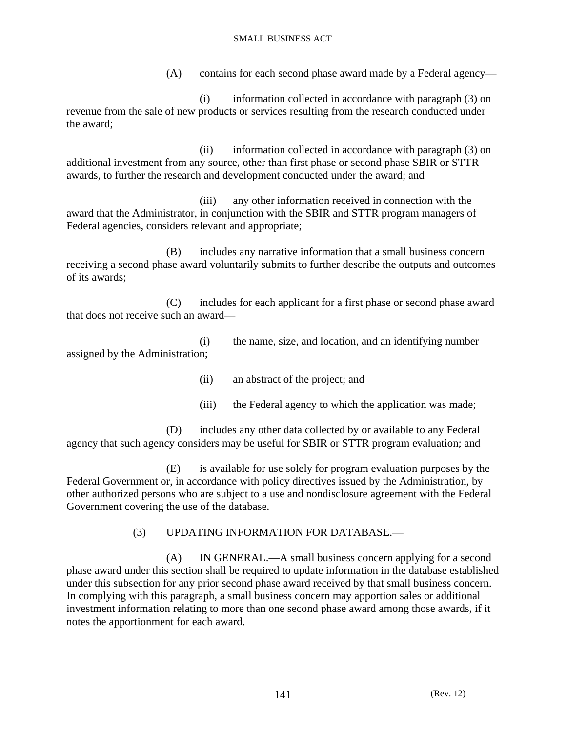(A) contains for each second phase award made by a Federal agency—

 (i) information collected in accordance with paragraph (3) on revenue from the sale of new products or services resulting from the research conducted under the award;

 (ii) information collected in accordance with paragraph (3) on additional investment from any source, other than first phase or second phase SBIR or STTR awards, to further the research and development conducted under the award; and

 (iii) any other information received in connection with the award that the Administrator, in conjunction with the SBIR and STTR program managers of Federal agencies, considers relevant and appropriate;

 (B) includes any narrative information that a small business concern receiving a second phase award voluntarily submits to further describe the outputs and outcomes of its awards;

 (C) includes for each applicant for a first phase or second phase award that does not receive such an award—

 (i) the name, size, and location, and an identifying number assigned by the Administration;

(ii) an abstract of the project; and

(iii) the Federal agency to which the application was made;

 (D) includes any other data collected by or available to any Federal agency that such agency considers may be useful for SBIR or STTR program evaluation; and

 (E) is available for use solely for program evaluation purposes by the Federal Government or, in accordance with policy directives issued by the Administration, by other authorized persons who are subject to a use and nondisclosure agreement with the Federal Government covering the use of the database.

# (3) UPDATING INFORMATION FOR DATABASE.—

 (A) IN GENERAL.—A small business concern applying for a second phase award under this section shall be required to update information in the database established under this subsection for any prior second phase award received by that small business concern. In complying with this paragraph, a small business concern may apportion sales or additional investment information relating to more than one second phase award among those awards, if it notes the apportionment for each award.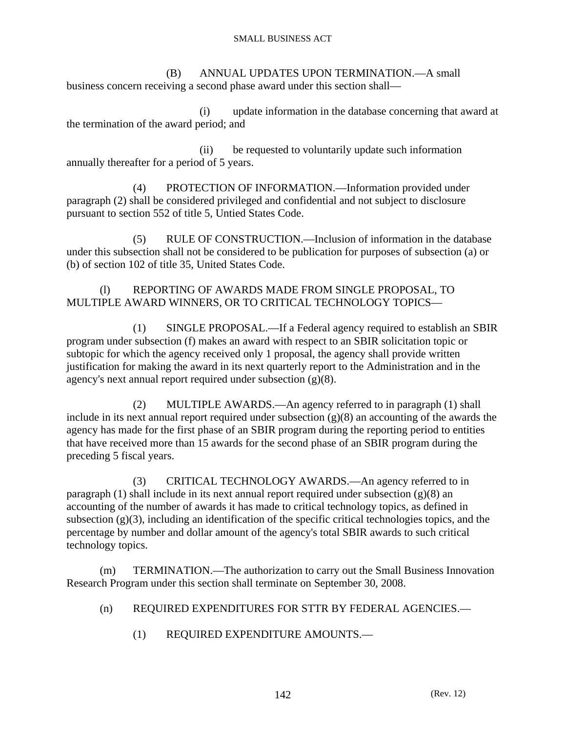(B) ANNUAL UPDATES UPON TERMINATION.—A small business concern receiving a second phase award under this section shall—

 (i) update information in the database concerning that award at the termination of the award period; and

 (ii) be requested to voluntarily update such information annually thereafter for a period of 5 years.

 (4) PROTECTION OF INFORMATION.—Information provided under paragraph (2) shall be considered privileged and confidential and not subject to disclosure pursuant to section 552 of title 5, Untied States Code.

 (5) RULE OF CONSTRUCTION.—Inclusion of information in the database under this subsection shall not be considered to be publication for purposes of subsection (a) or (b) of section 102 of title 35, United States Code.

# (l) REPORTING OF AWARDS MADE FROM SINGLE PROPOSAL, TO MULTIPLE AWARD WINNERS, OR TO CRITICAL TECHNOLOGY TOPICS—

 (1) SINGLE PROPOSAL.—If a Federal agency required to establish an SBIR program under subsection (f) makes an award with respect to an SBIR solicitation topic or subtopic for which the agency received only 1 proposal, the agency shall provide written justification for making the award in its next quarterly report to the Administration and in the agency's next annual report required under subsection (g)(8).

 (2) MULTIPLE AWARDS.—An agency referred to in paragraph (1) shall include in its next annual report required under subsection  $(g)(8)$  an accounting of the awards the agency has made for the first phase of an SBIR program during the reporting period to entities that have received more than 15 awards for the second phase of an SBIR program during the preceding 5 fiscal years.

 (3) CRITICAL TECHNOLOGY AWARDS.—An agency referred to in paragraph (1) shall include in its next annual report required under subsection (g)(8) an accounting of the number of awards it has made to critical technology topics, as defined in subsection  $(g)(3)$ , including an identification of the specific critical technologies topics, and the percentage by number and dollar amount of the agency's total SBIR awards to such critical technology topics.

 (m) TERMINATION.—The authorization to carry out the Small Business Innovation Research Program under this section shall terminate on September 30, 2008.

- (n) REQUIRED EXPENDITURES FOR STTR BY FEDERAL AGENCIES.—
	- (1) REQUIRED EXPENDITURE AMOUNTS.—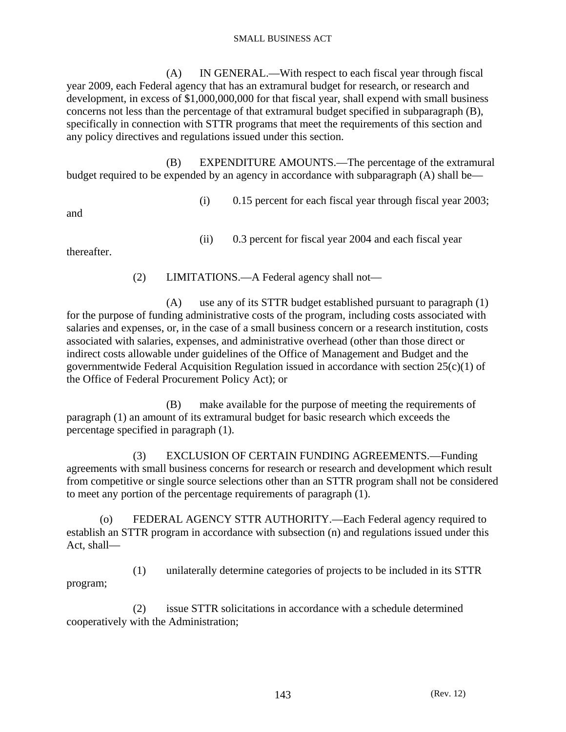(A) IN GENERAL.—With respect to each fiscal year through fiscal year 2009, each Federal agency that has an extramural budget for research, or research and development, in excess of \$1,000,000,000 for that fiscal year, shall expend with small business concerns not less than the percentage of that extramural budget specified in subparagraph (B), specifically in connection with STTR programs that meet the requirements of this section and any policy directives and regulations issued under this section.

 (B) EXPENDITURE AMOUNTS.—The percentage of the extramural budget required to be expended by an agency in accordance with subparagraph (A) shall be—

(i) 0.15 percent for each fiscal year through fiscal year 2003;

and

(ii) 0.3 percent for fiscal year 2004 and each fiscal year

thereafter.

(2) LIMITATIONS.—A Federal agency shall not—

 (A) use any of its STTR budget established pursuant to paragraph (1) for the purpose of funding administrative costs of the program, including costs associated with salaries and expenses, or, in the case of a small business concern or a research institution, costs associated with salaries, expenses, and administrative overhead (other than those direct or indirect costs allowable under guidelines of the Office of Management and Budget and the governmentwide Federal Acquisition Regulation issued in accordance with section  $25(c)(1)$  of the Office of Federal Procurement Policy Act); or

 (B) make available for the purpose of meeting the requirements of paragraph (1) an amount of its extramural budget for basic research which exceeds the percentage specified in paragraph (1).

 (3) EXCLUSION OF CERTAIN FUNDING AGREEMENTS.—Funding agreements with small business concerns for research or research and development which result from competitive or single source selections other than an STTR program shall not be considered to meet any portion of the percentage requirements of paragraph (1).

 (o) FEDERAL AGENCY STTR AUTHORITY.—Each Federal agency required to establish an STTR program in accordance with subsection (n) and regulations issued under this Act, shall—

 (1) unilaterally determine categories of projects to be included in its STTR program;

 (2) issue STTR solicitations in accordance with a schedule determined cooperatively with the Administration;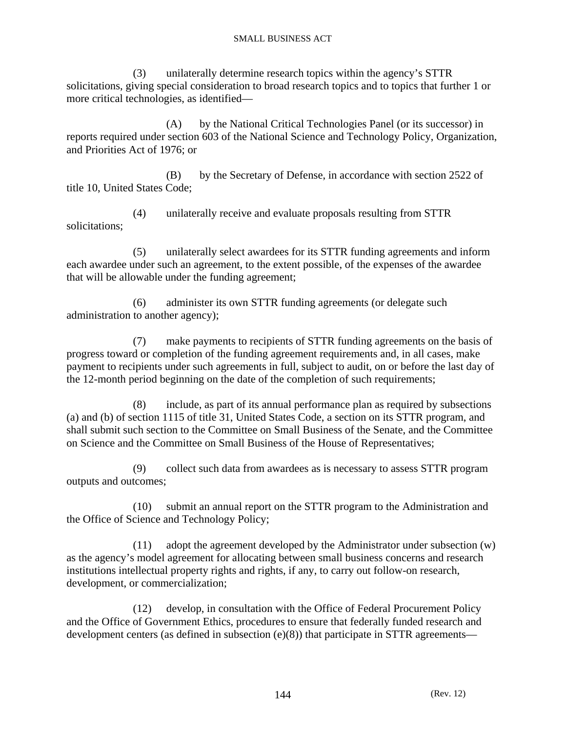(3) unilaterally determine research topics within the agency's STTR solicitations, giving special consideration to broad research topics and to topics that further 1 or more critical technologies, as identified—

 (A) by the National Critical Technologies Panel (or its successor) in reports required under section 603 of the National Science and Technology Policy, Organization, and Priorities Act of 1976; or

 (B) by the Secretary of Defense, in accordance with section 2522 of title 10, United States Code;

 (4) unilaterally receive and evaluate proposals resulting from STTR solicitations;

 (5) unilaterally select awardees for its STTR funding agreements and inform each awardee under such an agreement, to the extent possible, of the expenses of the awardee that will be allowable under the funding agreement;

 (6) administer its own STTR funding agreements (or delegate such administration to another agency);

 (7) make payments to recipients of STTR funding agreements on the basis of progress toward or completion of the funding agreement requirements and, in all cases, make payment to recipients under such agreements in full, subject to audit, on or before the last day of the 12-month period beginning on the date of the completion of such requirements;

 (8) include, as part of its annual performance plan as required by subsections (a) and (b) of section 1115 of title 31, United States Code, a section on its STTR program, and shall submit such section to the Committee on Small Business of the Senate, and the Committee on Science and the Committee on Small Business of the House of Representatives;

 (9) collect such data from awardees as is necessary to assess STTR program outputs and outcomes;

 (10) submit an annual report on the STTR program to the Administration and the Office of Science and Technology Policy;

 (11) adopt the agreement developed by the Administrator under subsection (w) as the agency's model agreement for allocating between small business concerns and research institutions intellectual property rights and rights, if any, to carry out follow-on research, development, or commercialization;

 (12) develop, in consultation with the Office of Federal Procurement Policy and the Office of Government Ethics, procedures to ensure that federally funded research and development centers (as defined in subsection (e)(8)) that participate in STTR agreements—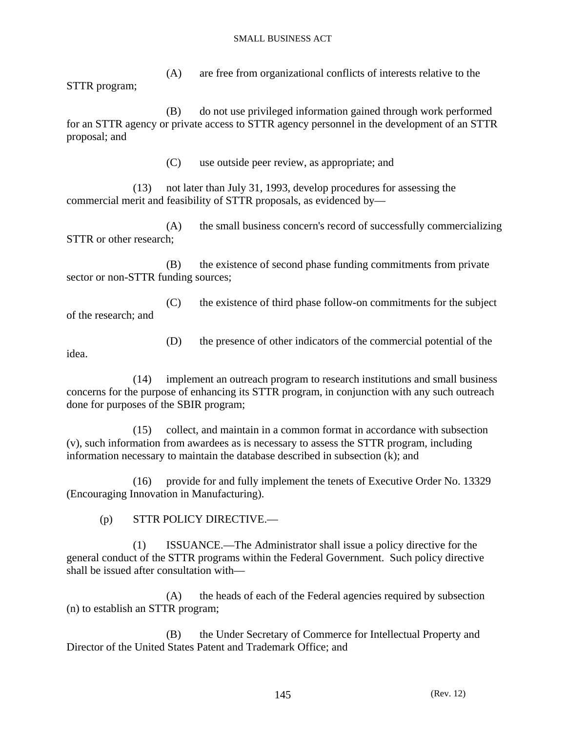(A) are free from organizational conflicts of interests relative to the STTR program;

 (B) do not use privileged information gained through work performed for an STTR agency or private access to STTR agency personnel in the development of an STTR proposal; and

(C) use outside peer review, as appropriate; and

 (13) not later than July 31, 1993, develop procedures for assessing the commercial merit and feasibility of STTR proposals, as evidenced by—

 (A) the small business concern's record of successfully commercializing STTR or other research;

 (B) the existence of second phase funding commitments from private sector or non-STTR funding sources;

 (C) the existence of third phase follow-on commitments for the subject of the research; and

(D) the presence of other indicators of the commercial potential of the

idea.

 (14) implement an outreach program to research institutions and small business concerns for the purpose of enhancing its STTR program, in conjunction with any such outreach done for purposes of the SBIR program;

 (15) collect, and maintain in a common format in accordance with subsection (v), such information from awardees as is necessary to assess the STTR program, including information necessary to maintain the database described in subsection (k); and

 (16) provide for and fully implement the tenets of Executive Order No. 13329 (Encouraging Innovation in Manufacturing).

(p) STTR POLICY DIRECTIVE.—

 (1) ISSUANCE.—The Administrator shall issue a policy directive for the general conduct of the STTR programs within the Federal Government. Such policy directive shall be issued after consultation with—

 (A) the heads of each of the Federal agencies required by subsection (n) to establish an STTR program;

 (B) the Under Secretary of Commerce for Intellectual Property and Director of the United States Patent and Trademark Office; and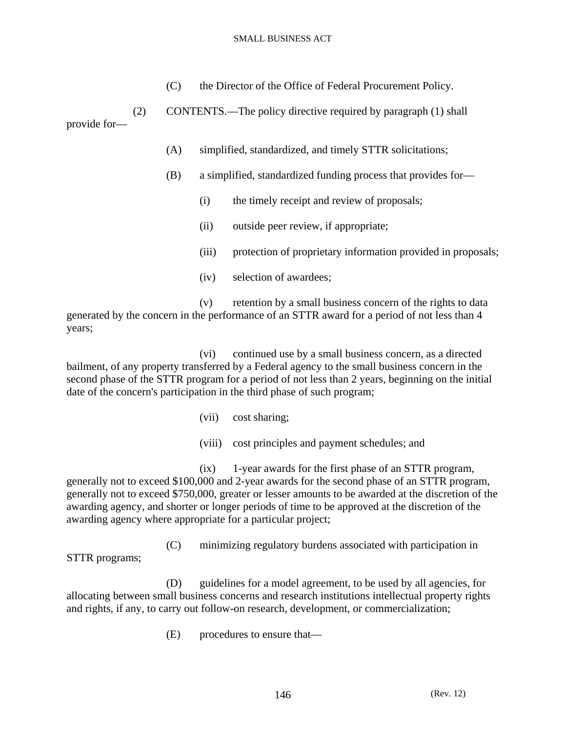(C) the Director of the Office of Federal Procurement Policy.

 (2) CONTENTS.—The policy directive required by paragraph (1) shall provide for—

- (A) simplified, standardized, and timely STTR solicitations;
- (B) a simplified, standardized funding process that provides for—
	- (i) the timely receipt and review of proposals;
	- (ii) outside peer review, if appropriate;
	- (iii) protection of proprietary information provided in proposals;
	- (iv) selection of awardees;

 (v) retention by a small business concern of the rights to data generated by the concern in the performance of an STTR award for a period of not less than 4 years;

 (vi) continued use by a small business concern, as a directed bailment, of any property transferred by a Federal agency to the small business concern in the second phase of the STTR program for a period of not less than 2 years, beginning on the initial date of the concern's participation in the third phase of such program;

- (vii) cost sharing;
- (viii) cost principles and payment schedules; and

 (ix) 1-year awards for the first phase of an STTR program, generally not to exceed \$100,000 and 2-year awards for the second phase of an STTR program, generally not to exceed \$750,000, greater or lesser amounts to be awarded at the discretion of the awarding agency, and shorter or longer periods of time to be approved at the discretion of the awarding agency where appropriate for a particular project;

 (C) minimizing regulatory burdens associated with participation in STTR programs;

 (D) guidelines for a model agreement, to be used by all agencies, for allocating between small business concerns and research institutions intellectual property rights and rights, if any, to carry out follow-on research, development, or commercialization;

(E) procedures to ensure that—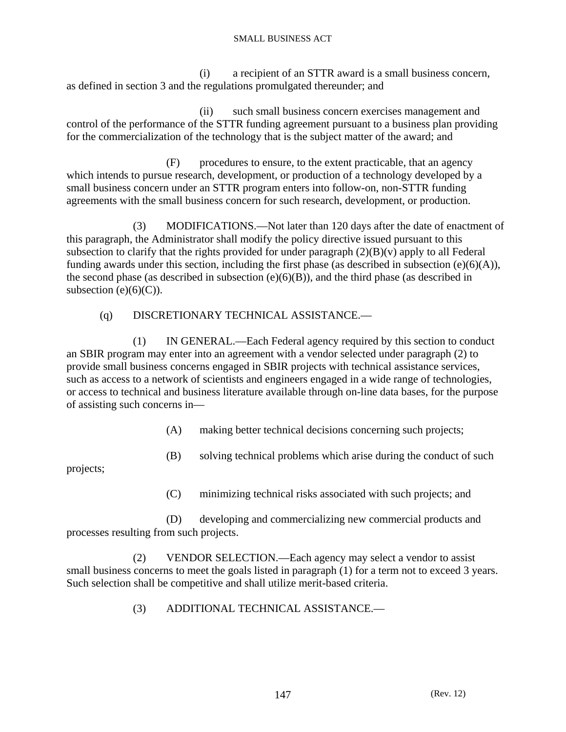(i) a recipient of an STTR award is a small business concern, as defined in section 3 and the regulations promulgated thereunder; and

 (ii) such small business concern exercises management and control of the performance of the STTR funding agreement pursuant to a business plan providing for the commercialization of the technology that is the subject matter of the award; and

 (F) procedures to ensure, to the extent practicable, that an agency which intends to pursue research, development, or production of a technology developed by a small business concern under an STTR program enters into follow-on, non-STTR funding agreements with the small business concern for such research, development, or production.

 (3) MODIFICATIONS.—Not later than 120 days after the date of enactment of this paragraph, the Administrator shall modify the policy directive issued pursuant to this subsection to clarify that the rights provided for under paragraph  $(2)(B)(v)$  apply to all Federal funding awards under this section, including the first phase (as described in subsection  $(e)(6)(A)$ ), the second phase (as described in subsection  $(e)(6)(B)$ ), and the third phase (as described in subsection  $(e)(6)(C)$ ).

## (q) DISCRETIONARY TECHNICAL ASSISTANCE.—

 (1) IN GENERAL.—Each Federal agency required by this section to conduct an SBIR program may enter into an agreement with a vendor selected under paragraph (2) to provide small business concerns engaged in SBIR projects with technical assistance services, such as access to a network of scientists and engineers engaged in a wide range of technologies, or access to technical and business literature available through on-line data bases, for the purpose of assisting such concerns in—

(A) making better technical decisions concerning such projects;

(B) solving technical problems which arise during the conduct of such

projects;

(C) minimizing technical risks associated with such projects; and

 (D) developing and commercializing new commercial products and processes resulting from such projects.

 (2) VENDOR SELECTION.—Each agency may select a vendor to assist small business concerns to meet the goals listed in paragraph (1) for a term not to exceed 3 years. Such selection shall be competitive and shall utilize merit-based criteria.

(3) ADDITIONAL TECHNICAL ASSISTANCE.—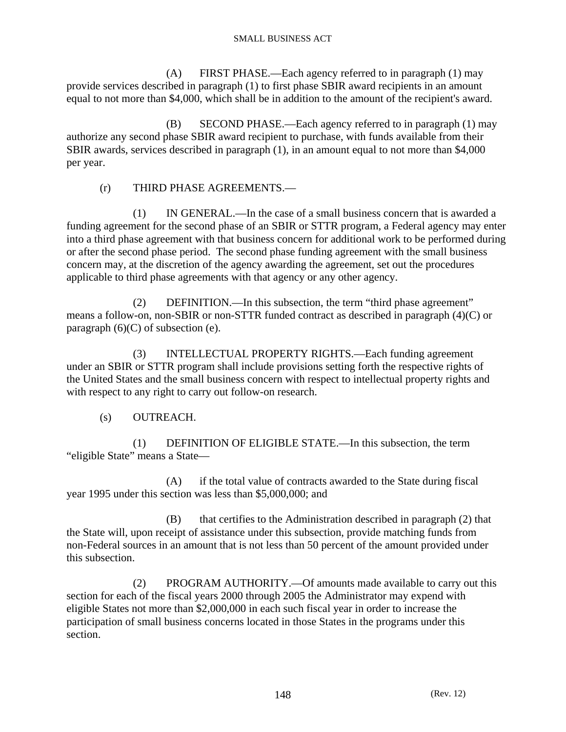(A) FIRST PHASE.—Each agency referred to in paragraph (1) may provide services described in paragraph (1) to first phase SBIR award recipients in an amount equal to not more than \$4,000, which shall be in addition to the amount of the recipient's award.

 (B) SECOND PHASE.—Each agency referred to in paragraph (1) may authorize any second phase SBIR award recipient to purchase, with funds available from their SBIR awards, services described in paragraph (1), in an amount equal to not more than \$4,000 per year.

## (r) THIRD PHASE AGREEMENTS.—

 (1) IN GENERAL.—In the case of a small business concern that is awarded a funding agreement for the second phase of an SBIR or STTR program, a Federal agency may enter into a third phase agreement with that business concern for additional work to be performed during or after the second phase period. The second phase funding agreement with the small business concern may, at the discretion of the agency awarding the agreement, set out the procedures applicable to third phase agreements with that agency or any other agency.

 (2) DEFINITION.—In this subsection, the term "third phase agreement" means a follow-on, non-SBIR or non-STTR funded contract as described in paragraph (4)(C) or paragraph  $(6)(C)$  of subsection (e).

 (3) INTELLECTUAL PROPERTY RIGHTS.—Each funding agreement under an SBIR or STTR program shall include provisions setting forth the respective rights of the United States and the small business concern with respect to intellectual property rights and with respect to any right to carry out follow-on research.

# (s) OUTREACH.

 (1) DEFINITION OF ELIGIBLE STATE.—In this subsection, the term "eligible State" means a State—

 (A) if the total value of contracts awarded to the State during fiscal year 1995 under this section was less than \$5,000,000; and

 (B) that certifies to the Administration described in paragraph (2) that the State will, upon receipt of assistance under this subsection, provide matching funds from non-Federal sources in an amount that is not less than 50 percent of the amount provided under this subsection.

 (2) PROGRAM AUTHORITY.—Of amounts made available to carry out this section for each of the fiscal years 2000 through 2005 the Administrator may expend with eligible States not more than \$2,000,000 in each such fiscal year in order to increase the participation of small business concerns located in those States in the programs under this section.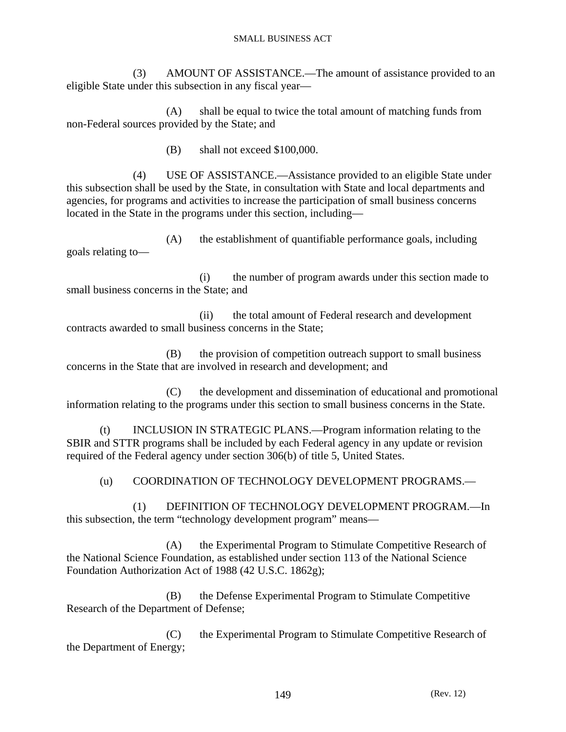(3) AMOUNT OF ASSISTANCE.—The amount of assistance provided to an eligible State under this subsection in any fiscal year—

 (A) shall be equal to twice the total amount of matching funds from non-Federal sources provided by the State; and

(B) shall not exceed \$100,000.

 (4) USE OF ASSISTANCE.—Assistance provided to an eligible State under this subsection shall be used by the State, in consultation with State and local departments and agencies, for programs and activities to increase the participation of small business concerns located in the State in the programs under this section, including—

 (A) the establishment of quantifiable performance goals, including goals relating to—

 (i) the number of program awards under this section made to small business concerns in the State; and

 (ii) the total amount of Federal research and development contracts awarded to small business concerns in the State;

 (B) the provision of competition outreach support to small business concerns in the State that are involved in research and development; and

 (C) the development and dissemination of educational and promotional information relating to the programs under this section to small business concerns in the State.

 (t) INCLUSION IN STRATEGIC PLANS.—Program information relating to the SBIR and STTR programs shall be included by each Federal agency in any update or revision required of the Federal agency under section 306(b) of title 5, United States.

(u) COORDINATION OF TECHNOLOGY DEVELOPMENT PROGRAMS.—

 (1) DEFINITION OF TECHNOLOGY DEVELOPMENT PROGRAM.—In this subsection, the term "technology development program" means—

 (A) the Experimental Program to Stimulate Competitive Research of the National Science Foundation, as established under section 113 of the National Science Foundation Authorization Act of 1988 (42 U.S.C. 1862g);

 (B) the Defense Experimental Program to Stimulate Competitive Research of the Department of Defense;

 (C) the Experimental Program to Stimulate Competitive Research of the Department of Energy;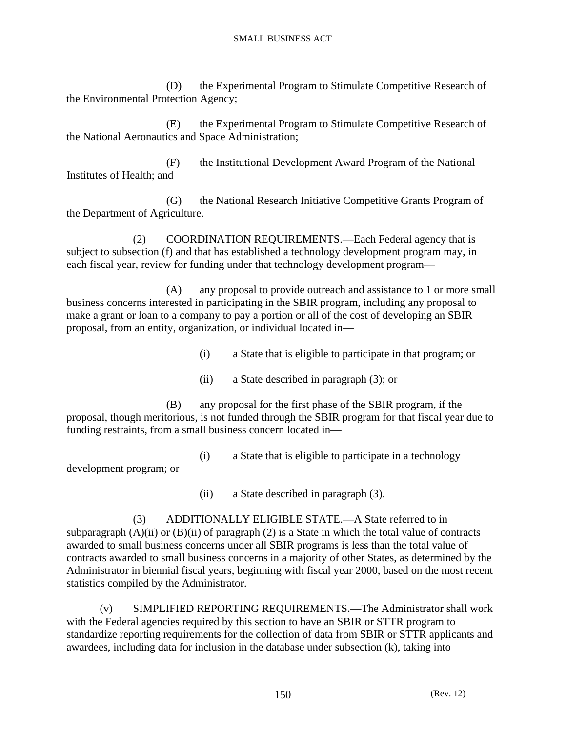(D) the Experimental Program to Stimulate Competitive Research of the Environmental Protection Agency;

 (E) the Experimental Program to Stimulate Competitive Research of the National Aeronautics and Space Administration;

 (F) the Institutional Development Award Program of the National Institutes of Health; and

 (G) the National Research Initiative Competitive Grants Program of the Department of Agriculture.

 (2) COORDINATION REQUIREMENTS.—Each Federal agency that is subject to subsection (f) and that has established a technology development program may, in each fiscal year, review for funding under that technology development program—

 (A) any proposal to provide outreach and assistance to 1 or more small business concerns interested in participating in the SBIR program, including any proposal to make a grant or loan to a company to pay a portion or all of the cost of developing an SBIR proposal, from an entity, organization, or individual located in—

(i) a State that is eligible to participate in that program; or

(ii) a State described in paragraph (3); or

 (B) any proposal for the first phase of the SBIR program, if the proposal, though meritorious, is not funded through the SBIR program for that fiscal year due to funding restraints, from a small business concern located in—

(i) a State that is eligible to participate in a technology

development program; or

(ii) a State described in paragraph (3).

 (3) ADDITIONALLY ELIGIBLE STATE.—A State referred to in subparagraph  $(A)(ii)$  or  $(B)(ii)$  of paragraph  $(2)$  is a State in which the total value of contracts awarded to small business concerns under all SBIR programs is less than the total value of contracts awarded to small business concerns in a majority of other States, as determined by the Administrator in biennial fiscal years, beginning with fiscal year 2000, based on the most recent statistics compiled by the Administrator.

 (v) SIMPLIFIED REPORTING REQUIREMENTS.—The Administrator shall work with the Federal agencies required by this section to have an SBIR or STTR program to standardize reporting requirements for the collection of data from SBIR or STTR applicants and awardees, including data for inclusion in the database under subsection (k), taking into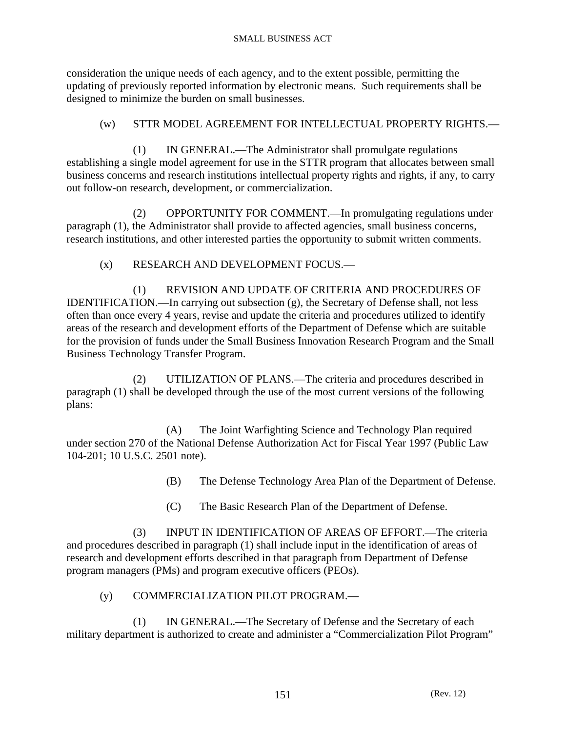consideration the unique needs of each agency, and to the extent possible, permitting the updating of previously reported information by electronic means. Such requirements shall be designed to minimize the burden on small businesses.

## (w) STTR MODEL AGREEMENT FOR INTELLECTUAL PROPERTY RIGHTS.—

 (1) IN GENERAL.—The Administrator shall promulgate regulations establishing a single model agreement for use in the STTR program that allocates between small business concerns and research institutions intellectual property rights and rights, if any, to carry out follow-on research, development, or commercialization.

 (2) OPPORTUNITY FOR COMMENT.—In promulgating regulations under paragraph (1), the Administrator shall provide to affected agencies, small business concerns, research institutions, and other interested parties the opportunity to submit written comments.

(x) RESEARCH AND DEVELOPMENT FOCUS.—

 (1) REVISION AND UPDATE OF CRITERIA AND PROCEDURES OF IDENTIFICATION.—In carrying out subsection (g), the Secretary of Defense shall, not less often than once every 4 years, revise and update the criteria and procedures utilized to identify areas of the research and development efforts of the Department of Defense which are suitable for the provision of funds under the Small Business Innovation Research Program and the Small Business Technology Transfer Program.

 (2) UTILIZATION OF PLANS.—The criteria and procedures described in paragraph (1) shall be developed through the use of the most current versions of the following plans:

 (A) The Joint Warfighting Science and Technology Plan required under section 270 of the National Defense Authorization Act for Fiscal Year 1997 (Public Law 104-201; 10 U.S.C. 2501 note).

- (B) The Defense Technology Area Plan of the Department of Defense.
- (C) The Basic Research Plan of the Department of Defense.

 (3) INPUT IN IDENTIFICATION OF AREAS OF EFFORT.—The criteria and procedures described in paragraph (1) shall include input in the identification of areas of research and development efforts described in that paragraph from Department of Defense program managers (PMs) and program executive officers (PEOs).

## (y) COMMERCIALIZATION PILOT PROGRAM.—

 (1) IN GENERAL.—The Secretary of Defense and the Secretary of each military department is authorized to create and administer a "Commercialization Pilot Program"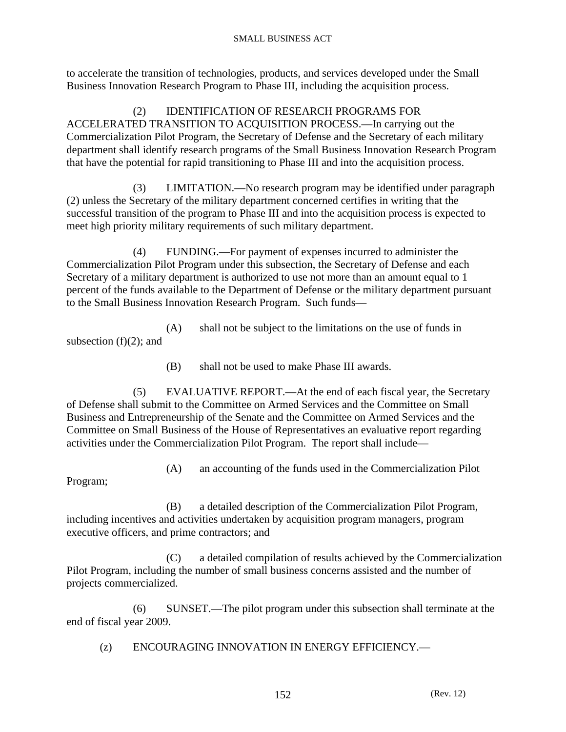to accelerate the transition of technologies, products, and services developed under the Small Business Innovation Research Program to Phase III, including the acquisition process.

 (2) IDENTIFICATION OF RESEARCH PROGRAMS FOR ACCELERATED TRANSITION TO ACQUISITION PROCESS.—In carrying out the Commercialization Pilot Program, the Secretary of Defense and the Secretary of each military department shall identify research programs of the Small Business Innovation Research Program that have the potential for rapid transitioning to Phase III and into the acquisition process.

 (3) LIMITATION.—No research program may be identified under paragraph (2) unless the Secretary of the military department concerned certifies in writing that the successful transition of the program to Phase III and into the acquisition process is expected to meet high priority military requirements of such military department.

 (4) FUNDING.—For payment of expenses incurred to administer the Commercialization Pilot Program under this subsection, the Secretary of Defense and each Secretary of a military department is authorized to use not more than an amount equal to 1 percent of the funds available to the Department of Defense or the military department pursuant to the Small Business Innovation Research Program. Such funds—

 (A) shall not be subject to the limitations on the use of funds in subsection  $(f)(2)$ ; and

(B) shall not be used to make Phase III awards.

 (5) EVALUATIVE REPORT.—At the end of each fiscal year, the Secretary of Defense shall submit to the Committee on Armed Services and the Committee on Small Business and Entrepreneurship of the Senate and the Committee on Armed Services and the Committee on Small Business of the House of Representatives an evaluative report regarding activities under the Commercialization Pilot Program. The report shall include—

(A) an accounting of the funds used in the Commercialization Pilot

Program;

 (B) a detailed description of the Commercialization Pilot Program, including incentives and activities undertaken by acquisition program managers, program executive officers, and prime contractors; and

 (C) a detailed compilation of results achieved by the Commercialization Pilot Program, including the number of small business concerns assisted and the number of projects commercialized.

 (6) SUNSET.—The pilot program under this subsection shall terminate at the end of fiscal year 2009.

(z) ENCOURAGING INNOVATION IN ENERGY EFFICIENCY.—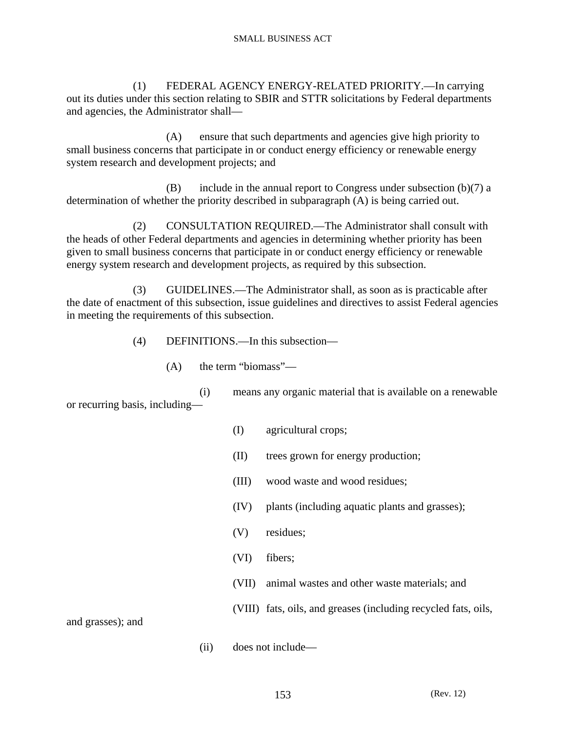(1) FEDERAL AGENCY ENERGY-RELATED PRIORITY.—In carrying out its duties under this section relating to SBIR and STTR solicitations by Federal departments and agencies, the Administrator shall—

 (A) ensure that such departments and agencies give high priority to small business concerns that participate in or conduct energy efficiency or renewable energy system research and development projects; and

 $(B)$  include in the annual report to Congress under subsection  $(b)(7)$  a determination of whether the priority described in subparagraph (A) is being carried out.

 (2) CONSULTATION REQUIRED.—The Administrator shall consult with the heads of other Federal departments and agencies in determining whether priority has been given to small business concerns that participate in or conduct energy efficiency or renewable energy system research and development projects, as required by this subsection.

 (3) GUIDELINES.—The Administrator shall, as soon as is practicable after the date of enactment of this subsection, issue guidelines and directives to assist Federal agencies in meeting the requirements of this subsection.

(4) DEFINITIONS.—In this subsection—

(A) the term "biomass"—

 (i) means any organic material that is available on a renewable or recurring basis, including—

- (I) agricultural crops;
- (II) trees grown for energy production;
- (III) wood waste and wood residues;
- (IV) plants (including aquatic plants and grasses);
- (V) residues;
- (VI) fibers;
- (VII) animal wastes and other waste materials; and

(VIII) fats, oils, and greases (including recycled fats, oils,

and grasses); and

(ii) does not include—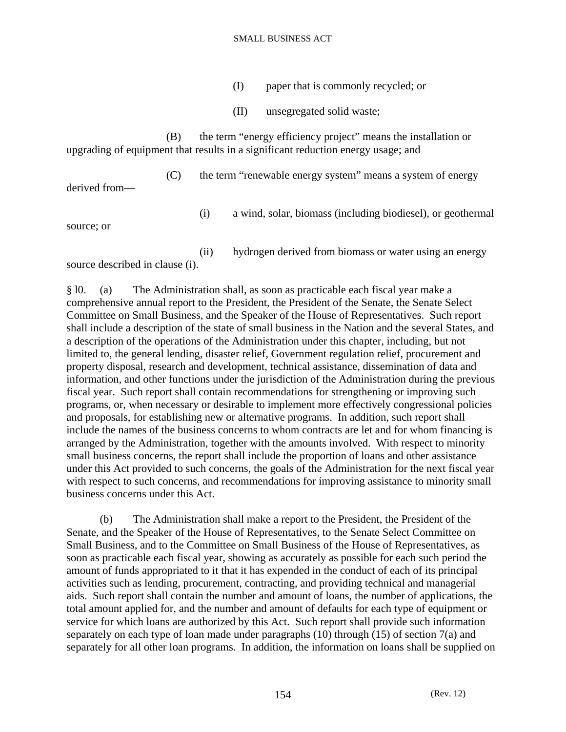- (I) paper that is commonly recycled; or
- (II) unsegregated solid waste;

 (B) the term "energy efficiency project" means the installation or upgrading of equipment that results in a significant reduction energy usage; and

derived from—

(C) the term "renewable energy system" means a system of energy

(i) a wind, solar, biomass (including biodiesel), or geothermal

source; or

(ii) hydrogen derived from biomass or water using an energy

source described in clause (i).

§ l0. (a) The Administration shall, as soon as practicable each fiscal year make a comprehensive annual report to the President, the President of the Senate, the Senate Select Committee on Small Business, and the Speaker of the House of Representatives. Such report shall include a description of the state of small business in the Nation and the several States, and a description of the operations of the Administration under this chapter, including, but not limited to, the general lending, disaster relief, Government regulation relief, procurement and property disposal, research and development, technical assistance, dissemination of data and information, and other functions under the jurisdiction of the Administration during the previous fiscal year. Such report shall contain recommendations for strengthening or improving such programs, or, when necessary or desirable to implement more effectively congressional policies and proposals, for establishing new or alternative programs. In addition, such report shall include the names of the business concerns to whom contracts are let and for whom financing is arranged by the Administration, together with the amounts involved. With respect to minority small business concerns, the report shall include the proportion of loans and other assistance under this Act provided to such concerns, the goals of the Administration for the next fiscal year with respect to such concerns, and recommendations for improving assistance to minority small business concerns under this Act.

 (b) The Administration shall make a report to the President, the President of the Senate, and the Speaker of the House of Representatives, to the Senate Select Committee on Small Business, and to the Committee on Small Business of the House of Representatives, as soon as practicable each fiscal year, showing as accurately as possible for each such period the amount of funds appropriated to it that it has expended in the conduct of each of its principal activities such as lending, procurement, contracting, and providing technical and managerial aids. Such report shall contain the number and amount of loans, the number of applications, the total amount applied for, and the number and amount of defaults for each type of equipment or service for which loans are authorized by this Act. Such report shall provide such information separately on each type of loan made under paragraphs (10) through (15) of section 7(a) and separately for all other loan programs. In addition, the information on loans shall be supplied on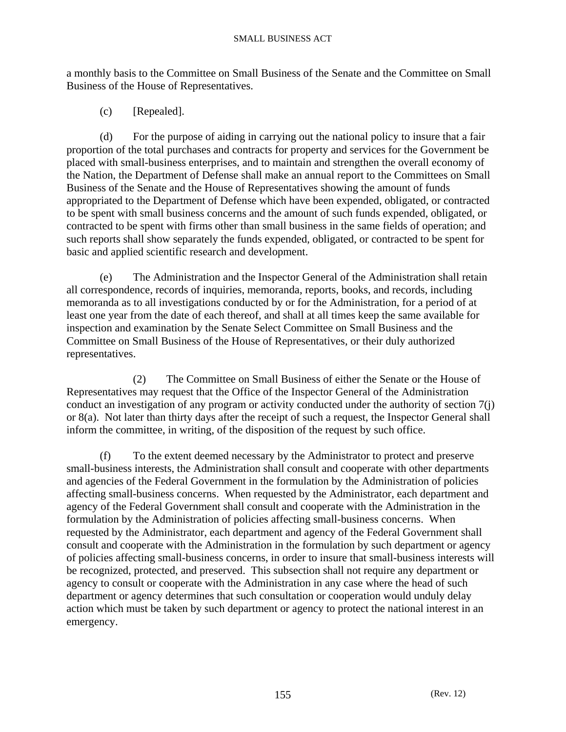a monthly basis to the Committee on Small Business of the Senate and the Committee on Small Business of the House of Representatives.

(c) [Repealed].

 (d) For the purpose of aiding in carrying out the national policy to insure that a fair proportion of the total purchases and contracts for property and services for the Government be placed with small-business enterprises, and to maintain and strengthen the overall economy of the Nation, the Department of Defense shall make an annual report to the Committees on Small Business of the Senate and the House of Representatives showing the amount of funds appropriated to the Department of Defense which have been expended, obligated, or contracted to be spent with small business concerns and the amount of such funds expended, obligated, or contracted to be spent with firms other than small business in the same fields of operation; and such reports shall show separately the funds expended, obligated, or contracted to be spent for basic and applied scientific research and development.

 (e) The Administration and the Inspector General of the Administration shall retain all correspondence, records of inquiries, memoranda, reports, books, and records, including memoranda as to all investigations conducted by or for the Administration, for a period of at least one year from the date of each thereof, and shall at all times keep the same available for inspection and examination by the Senate Select Committee on Small Business and the Committee on Small Business of the House of Representatives, or their duly authorized representatives.

 (2) The Committee on Small Business of either the Senate or the House of Representatives may request that the Office of the Inspector General of the Administration conduct an investigation of any program or activity conducted under the authority of section 7(j) or 8(a). Not later than thirty days after the receipt of such a request, the Inspector General shall inform the committee, in writing, of the disposition of the request by such office.

 (f) To the extent deemed necessary by the Administrator to protect and preserve small-business interests, the Administration shall consult and cooperate with other departments and agencies of the Federal Government in the formulation by the Administration of policies affecting small-business concerns. When requested by the Administrator, each department and agency of the Federal Government shall consult and cooperate with the Administration in the formulation by the Administration of policies affecting small-business concerns. When requested by the Administrator, each department and agency of the Federal Government shall consult and cooperate with the Administration in the formulation by such department or agency of policies affecting small-business concerns, in order to insure that small-business interests will be recognized, protected, and preserved. This subsection shall not require any department or agency to consult or cooperate with the Administration in any case where the head of such department or agency determines that such consultation or cooperation would unduly delay action which must be taken by such department or agency to protect the national interest in an emergency.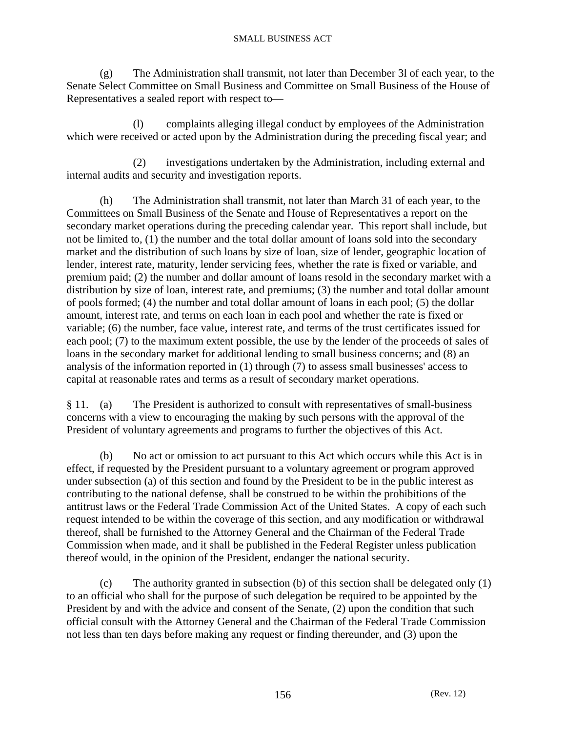(g) The Administration shall transmit, not later than December 3l of each year, to the Senate Select Committee on Small Business and Committee on Small Business of the House of Representatives a sealed report with respect to—

 (l) complaints alleging illegal conduct by employees of the Administration which were received or acted upon by the Administration during the preceding fiscal year; and

 (2) investigations undertaken by the Administration, including external and internal audits and security and investigation reports.

 (h) The Administration shall transmit, not later than March 31 of each year, to the Committees on Small Business of the Senate and House of Representatives a report on the secondary market operations during the preceding calendar year. This report shall include, but not be limited to, (1) the number and the total dollar amount of loans sold into the secondary market and the distribution of such loans by size of loan, size of lender, geographic location of lender, interest rate, maturity, lender servicing fees, whether the rate is fixed or variable, and premium paid; (2) the number and dollar amount of loans resold in the secondary market with a distribution by size of loan, interest rate, and premiums; (3) the number and total dollar amount of pools formed; (4) the number and total dollar amount of loans in each pool; (5) the dollar amount, interest rate, and terms on each loan in each pool and whether the rate is fixed or variable; (6) the number, face value, interest rate, and terms of the trust certificates issued for each pool; (7) to the maximum extent possible, the use by the lender of the proceeds of sales of loans in the secondary market for additional lending to small business concerns; and (8) an analysis of the information reported in (1) through (7) to assess small businesses' access to capital at reasonable rates and terms as a result of secondary market operations.

§ 11. (a) The President is authorized to consult with representatives of small-business concerns with a view to encouraging the making by such persons with the approval of the President of voluntary agreements and programs to further the objectives of this Act.

 (b) No act or omission to act pursuant to this Act which occurs while this Act is in effect, if requested by the President pursuant to a voluntary agreement or program approved under subsection (a) of this section and found by the President to be in the public interest as contributing to the national defense, shall be construed to be within the prohibitions of the antitrust laws or the Federal Trade Commission Act of the United States. A copy of each such request intended to be within the coverage of this section, and any modification or withdrawal thereof, shall be furnished to the Attorney General and the Chairman of the Federal Trade Commission when made, and it shall be published in the Federal Register unless publication thereof would, in the opinion of the President, endanger the national security.

 (c) The authority granted in subsection (b) of this section shall be delegated only (1) to an official who shall for the purpose of such delegation be required to be appointed by the President by and with the advice and consent of the Senate, (2) upon the condition that such official consult with the Attorney General and the Chairman of the Federal Trade Commission not less than ten days before making any request or finding thereunder, and (3) upon the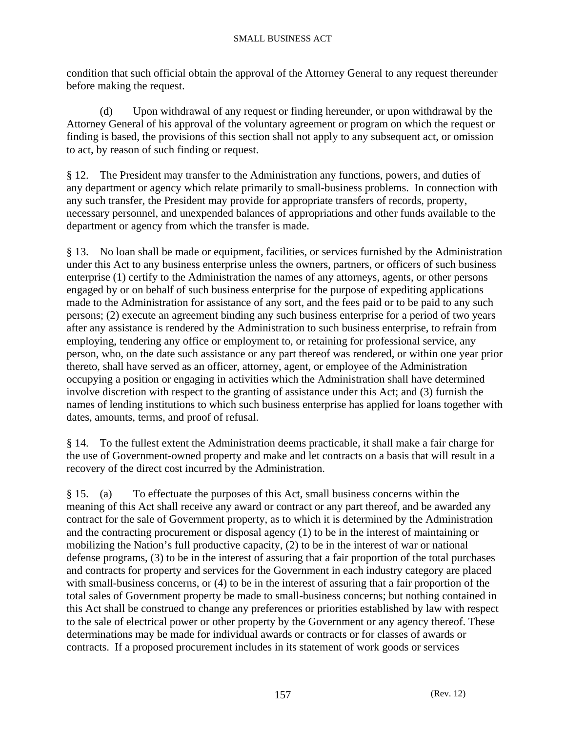condition that such official obtain the approval of the Attorney General to any request thereunder before making the request.

 (d) Upon withdrawal of any request or finding hereunder, or upon withdrawal by the Attorney General of his approval of the voluntary agreement or program on which the request or finding is based, the provisions of this section shall not apply to any subsequent act, or omission to act, by reason of such finding or request.

§ 12. The President may transfer to the Administration any functions, powers, and duties of any department or agency which relate primarily to small-business problems. In connection with any such transfer, the President may provide for appropriate transfers of records, property, necessary personnel, and unexpended balances of appropriations and other funds available to the department or agency from which the transfer is made.

§ 13. No loan shall be made or equipment, facilities, or services furnished by the Administration under this Act to any business enterprise unless the owners, partners, or officers of such business enterprise (1) certify to the Administration the names of any attorneys, agents, or other persons engaged by or on behalf of such business enterprise for the purpose of expediting applications made to the Administration for assistance of any sort, and the fees paid or to be paid to any such persons; (2) execute an agreement binding any such business enterprise for a period of two years after any assistance is rendered by the Administration to such business enterprise, to refrain from employing, tendering any office or employment to, or retaining for professional service, any person, who, on the date such assistance or any part thereof was rendered, or within one year prior thereto, shall have served as an officer, attorney, agent, or employee of the Administration occupying a position or engaging in activities which the Administration shall have determined involve discretion with respect to the granting of assistance under this Act; and (3) furnish the names of lending institutions to which such business enterprise has applied for loans together with dates, amounts, terms, and proof of refusal.

§ 14. To the fullest extent the Administration deems practicable, it shall make a fair charge for the use of Government-owned property and make and let contracts on a basis that will result in a recovery of the direct cost incurred by the Administration.

§ 15. (a) To effectuate the purposes of this Act, small business concerns within the meaning of this Act shall receive any award or contract or any part thereof, and be awarded any contract for the sale of Government property, as to which it is determined by the Administration and the contracting procurement or disposal agency (1) to be in the interest of maintaining or mobilizing the Nation's full productive capacity, (2) to be in the interest of war or national defense programs, (3) to be in the interest of assuring that a fair proportion of the total purchases and contracts for property and services for the Government in each industry category are placed with small-business concerns, or (4) to be in the interest of assuring that a fair proportion of the total sales of Government property be made to small-business concerns; but nothing contained in this Act shall be construed to change any preferences or priorities established by law with respect to the sale of electrical power or other property by the Government or any agency thereof. These determinations may be made for individual awards or contracts or for classes of awards or contracts. If a proposed procurement includes in its statement of work goods or services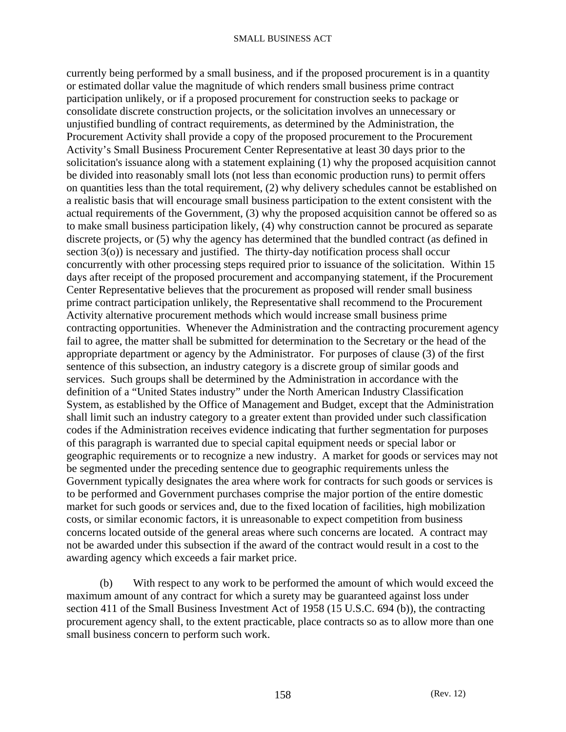currently being performed by a small business, and if the proposed procurement is in a quantity or estimated dollar value the magnitude of which renders small business prime contract participation unlikely, or if a proposed procurement for construction seeks to package or consolidate discrete construction projects, or the solicitation involves an unnecessary or unjustified bundling of contract requirements, as determined by the Administration, the Procurement Activity shall provide a copy of the proposed procurement to the Procurement Activity's Small Business Procurement Center Representative at least 30 days prior to the solicitation's issuance along with a statement explaining (1) why the proposed acquisition cannot be divided into reasonably small lots (not less than economic production runs) to permit offers on quantities less than the total requirement, (2) why delivery schedules cannot be established on a realistic basis that will encourage small business participation to the extent consistent with the actual requirements of the Government, (3) why the proposed acquisition cannot be offered so as to make small business participation likely, (4) why construction cannot be procured as separate discrete projects, or (5) why the agency has determined that the bundled contract (as defined in section 3(o)) is necessary and justified. The thirty-day notification process shall occur concurrently with other processing steps required prior to issuance of the solicitation. Within 15 days after receipt of the proposed procurement and accompanying statement, if the Procurement Center Representative believes that the procurement as proposed will render small business prime contract participation unlikely, the Representative shall recommend to the Procurement Activity alternative procurement methods which would increase small business prime contracting opportunities. Whenever the Administration and the contracting procurement agency fail to agree, the matter shall be submitted for determination to the Secretary or the head of the appropriate department or agency by the Administrator. For purposes of clause (3) of the first sentence of this subsection, an industry category is a discrete group of similar goods and services. Such groups shall be determined by the Administration in accordance with the definition of a "United States industry" under the North American Industry Classification System, as established by the Office of Management and Budget, except that the Administration shall limit such an industry category to a greater extent than provided under such classification codes if the Administration receives evidence indicating that further segmentation for purposes of this paragraph is warranted due to special capital equipment needs or special labor or geographic requirements or to recognize a new industry. A market for goods or services may not be segmented under the preceding sentence due to geographic requirements unless the Government typically designates the area where work for contracts for such goods or services is to be performed and Government purchases comprise the major portion of the entire domestic market for such goods or services and, due to the fixed location of facilities, high mobilization costs, or similar economic factors, it is unreasonable to expect competition from business concerns located outside of the general areas where such concerns are located. A contract may not be awarded under this subsection if the award of the contract would result in a cost to the awarding agency which exceeds a fair market price.

 (b) With respect to any work to be performed the amount of which would exceed the maximum amount of any contract for which a surety may be guaranteed against loss under section 411 of the Small Business Investment Act of 1958 (15 U.S.C. 694 (b)), the contracting procurement agency shall, to the extent practicable, place contracts so as to allow more than one small business concern to perform such work.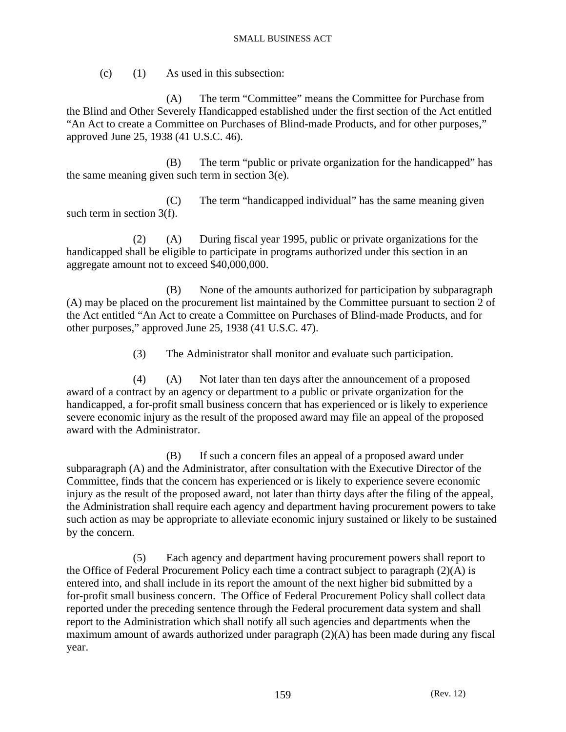$(c)$  (1) As used in this subsection:

 (A) The term "Committee" means the Committee for Purchase from the Blind and Other Severely Handicapped established under the first section of the Act entitled "An Act to create a Committee on Purchases of Blind-made Products, and for other purposes," approved June 25, 1938 (41 U.S.C. 46).

 (B) The term "public or private organization for the handicapped" has the same meaning given such term in section 3(e).

 (C) The term "handicapped individual" has the same meaning given such term in section 3(f).

 (2) (A) During fiscal year 1995, public or private organizations for the handicapped shall be eligible to participate in programs authorized under this section in an aggregate amount not to exceed \$40,000,000.

 (B) None of the amounts authorized for participation by subparagraph (A) may be placed on the procurement list maintained by the Committee pursuant to section 2 of the Act entitled "An Act to create a Committee on Purchases of Blind-made Products, and for other purposes," approved June 25, 1938 (41 U.S.C. 47).

(3) The Administrator shall monitor and evaluate such participation.

 (4) (A) Not later than ten days after the announcement of a proposed award of a contract by an agency or department to a public or private organization for the handicapped, a for-profit small business concern that has experienced or is likely to experience severe economic injury as the result of the proposed award may file an appeal of the proposed award with the Administrator.

 (B) If such a concern files an appeal of a proposed award under subparagraph (A) and the Administrator, after consultation with the Executive Director of the Committee, finds that the concern has experienced or is likely to experience severe economic injury as the result of the proposed award, not later than thirty days after the filing of the appeal, the Administration shall require each agency and department having procurement powers to take such action as may be appropriate to alleviate economic injury sustained or likely to be sustained by the concern.

 (5) Each agency and department having procurement powers shall report to the Office of Federal Procurement Policy each time a contract subject to paragraph (2)(A) is entered into, and shall include in its report the amount of the next higher bid submitted by a for-profit small business concern. The Office of Federal Procurement Policy shall collect data reported under the preceding sentence through the Federal procurement data system and shall report to the Administration which shall notify all such agencies and departments when the maximum amount of awards authorized under paragraph (2)(A) has been made during any fiscal year.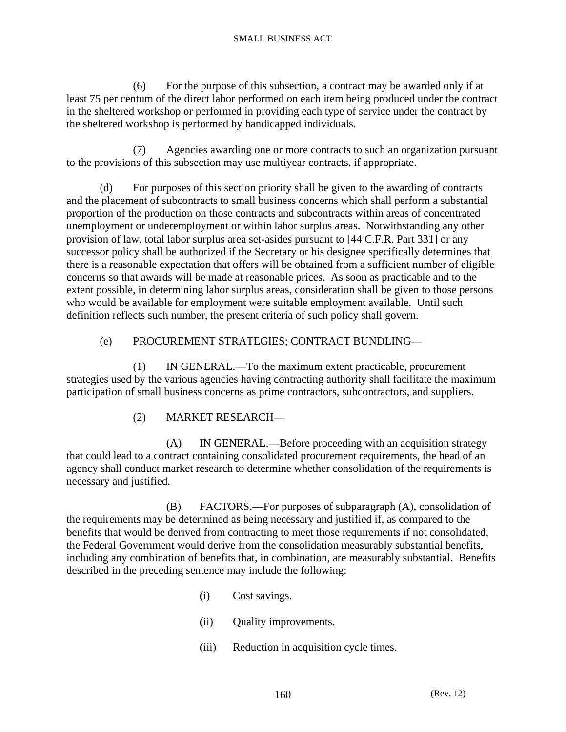(6) For the purpose of this subsection, a contract may be awarded only if at least 75 per centum of the direct labor performed on each item being produced under the contract in the sheltered workshop or performed in providing each type of service under the contract by the sheltered workshop is performed by handicapped individuals.

 (7) Agencies awarding one or more contracts to such an organization pursuant to the provisions of this subsection may use multiyear contracts, if appropriate.

 (d) For purposes of this section priority shall be given to the awarding of contracts and the placement of subcontracts to small business concerns which shall perform a substantial proportion of the production on those contracts and subcontracts within areas of concentrated unemployment or underemployment or within labor surplus areas. Notwithstanding any other provision of law, total labor surplus area set-asides pursuant to [44 C.F.R. Part 331] or any successor policy shall be authorized if the Secretary or his designee specifically determines that there is a reasonable expectation that offers will be obtained from a sufficient number of eligible concerns so that awards will be made at reasonable prices. As soon as practicable and to the extent possible, in determining labor surplus areas, consideration shall be given to those persons who would be available for employment were suitable employment available. Until such definition reflects such number, the present criteria of such policy shall govern.

## (e) PROCUREMENT STRATEGIES; CONTRACT BUNDLING—

 (1) IN GENERAL.—To the maximum extent practicable, procurement strategies used by the various agencies having contracting authority shall facilitate the maximum participation of small business concerns as prime contractors, subcontractors, and suppliers.

(2) MARKET RESEARCH—

 (A) IN GENERAL.—Before proceeding with an acquisition strategy that could lead to a contract containing consolidated procurement requirements, the head of an agency shall conduct market research to determine whether consolidation of the requirements is necessary and justified.

 (B) FACTORS.—For purposes of subparagraph (A), consolidation of the requirements may be determined as being necessary and justified if, as compared to the benefits that would be derived from contracting to meet those requirements if not consolidated, the Federal Government would derive from the consolidation measurably substantial benefits, including any combination of benefits that, in combination, are measurably substantial. Benefits described in the preceding sentence may include the following:

- (i) Cost savings.
- (ii) Quality improvements.
- (iii) Reduction in acquisition cycle times.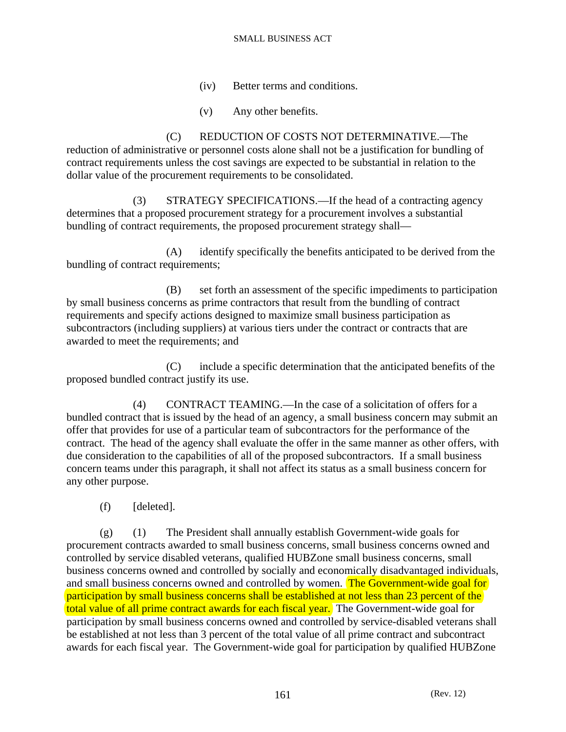- (iv) Better terms and conditions.
- (v) Any other benefits.

 (C) REDUCTION OF COSTS NOT DETERMINATIVE.—The reduction of administrative or personnel costs alone shall not be a justification for bundling of contract requirements unless the cost savings are expected to be substantial in relation to the dollar value of the procurement requirements to be consolidated.

 (3) STRATEGY SPECIFICATIONS.—If the head of a contracting agency determines that a proposed procurement strategy for a procurement involves a substantial bundling of contract requirements, the proposed procurement strategy shall—

 (A) identify specifically the benefits anticipated to be derived from the bundling of contract requirements;

 (B) set forth an assessment of the specific impediments to participation by small business concerns as prime contractors that result from the bundling of contract requirements and specify actions designed to maximize small business participation as subcontractors (including suppliers) at various tiers under the contract or contracts that are awarded to meet the requirements; and

 (C) include a specific determination that the anticipated benefits of the proposed bundled contract justify its use.

 (4) CONTRACT TEAMING.—In the case of a solicitation of offers for a bundled contract that is issued by the head of an agency, a small business concern may submit an offer that provides for use of a particular team of subcontractors for the performance of the contract. The head of the agency shall evaluate the offer in the same manner as other offers, with due consideration to the capabilities of all of the proposed subcontractors. If a small business concern teams under this paragraph, it shall not affect its status as a small business concern for any other purpose.

(f) [deleted].

 (g) (1) The President shall annually establish Government-wide goals for procurement contracts awarded to small business concerns, small business concerns owned and controlled by service disabled veterans, qualified HUBZone small business concerns, small business concerns owned and controlled by socially and economically disadvantaged individuals, and small business concerns owned and controlled by women. The Government-wide goal for participation by small business concerns shall be established at not less than 23 percent of the total value of all prime contract awards for each fiscal year. The Government-wide goal for participation by small business concerns owned and controlled by service-disabled veterans shall be established at not less than 3 percent of the total value of all prime contract and subcontract awards for each fiscal year. The Government-wide goal for participation by qualified HUBZone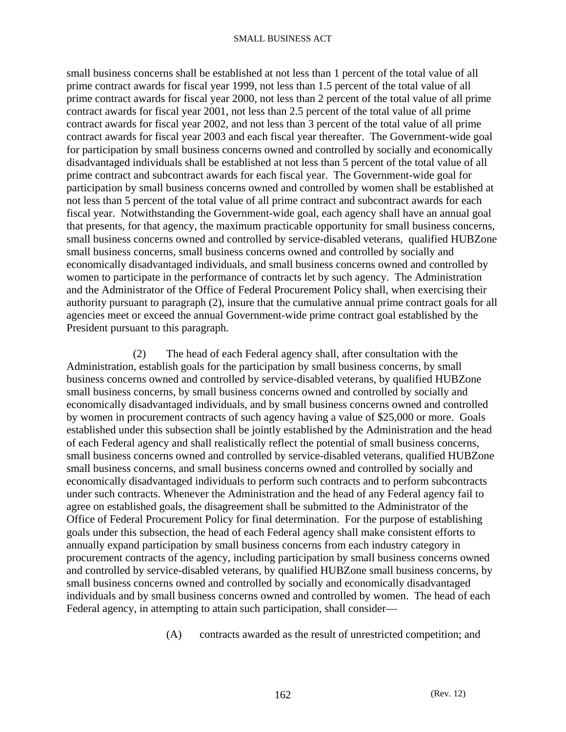small business concerns shall be established at not less than 1 percent of the total value of all prime contract awards for fiscal year 1999, not less than 1.5 percent of the total value of all prime contract awards for fiscal year 2000, not less than 2 percent of the total value of all prime contract awards for fiscal year 2001, not less than 2.5 percent of the total value of all prime contract awards for fiscal year 2002, and not less than 3 percent of the total value of all prime contract awards for fiscal year 2003 and each fiscal year thereafter. The Government-wide goal for participation by small business concerns owned and controlled by socially and economically disadvantaged individuals shall be established at not less than 5 percent of the total value of all prime contract and subcontract awards for each fiscal year. The Government-wide goal for participation by small business concerns owned and controlled by women shall be established at not less than 5 percent of the total value of all prime contract and subcontract awards for each fiscal year. Notwithstanding the Government-wide goal, each agency shall have an annual goal that presents, for that agency, the maximum practicable opportunity for small business concerns, small business concerns owned and controlled by service-disabled veterans, qualified HUBZone small business concerns, small business concerns owned and controlled by socially and economically disadvantaged individuals, and small business concerns owned and controlled by women to participate in the performance of contracts let by such agency. The Administration and the Administrator of the Office of Federal Procurement Policy shall, when exercising their authority pursuant to paragraph (2), insure that the cumulative annual prime contract goals for all agencies meet or exceed the annual Government-wide prime contract goal established by the President pursuant to this paragraph.

 (2) The head of each Federal agency shall, after consultation with the Administration, establish goals for the participation by small business concerns, by small business concerns owned and controlled by service-disabled veterans, by qualified HUBZone small business concerns, by small business concerns owned and controlled by socially and economically disadvantaged individuals, and by small business concerns owned and controlled by women in procurement contracts of such agency having a value of \$25,000 or more. Goals established under this subsection shall be jointly established by the Administration and the head of each Federal agency and shall realistically reflect the potential of small business concerns, small business concerns owned and controlled by service-disabled veterans, qualified HUBZone small business concerns, and small business concerns owned and controlled by socially and economically disadvantaged individuals to perform such contracts and to perform subcontracts under such contracts. Whenever the Administration and the head of any Federal agency fail to agree on established goals, the disagreement shall be submitted to the Administrator of the Office of Federal Procurement Policy for final determination. For the purpose of establishing goals under this subsection, the head of each Federal agency shall make consistent efforts to annually expand participation by small business concerns from each industry category in procurement contracts of the agency, including participation by small business concerns owned and controlled by service-disabled veterans, by qualified HUBZone small business concerns, by small business concerns owned and controlled by socially and economically disadvantaged individuals and by small business concerns owned and controlled by women. The head of each Federal agency, in attempting to attain such participation, shall consider—

(A) contracts awarded as the result of unrestricted competition; and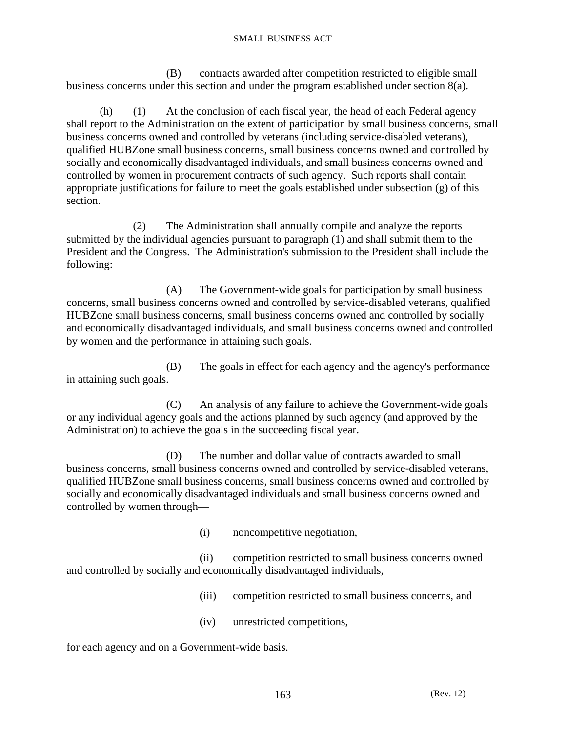(B) contracts awarded after competition restricted to eligible small business concerns under this section and under the program established under section 8(a).

 (h) (1) At the conclusion of each fiscal year, the head of each Federal agency shall report to the Administration on the extent of participation by small business concerns, small business concerns owned and controlled by veterans (including service-disabled veterans), qualified HUBZone small business concerns, small business concerns owned and controlled by socially and economically disadvantaged individuals, and small business concerns owned and controlled by women in procurement contracts of such agency. Such reports shall contain appropriate justifications for failure to meet the goals established under subsection (g) of this section.

 (2) The Administration shall annually compile and analyze the reports submitted by the individual agencies pursuant to paragraph (1) and shall submit them to the President and the Congress. The Administration's submission to the President shall include the following:

 (A) The Government-wide goals for participation by small business concerns, small business concerns owned and controlled by service-disabled veterans, qualified HUBZone small business concerns, small business concerns owned and controlled by socially and economically disadvantaged individuals, and small business concerns owned and controlled by women and the performance in attaining such goals.

 (B) The goals in effect for each agency and the agency's performance in attaining such goals.

 (C) An analysis of any failure to achieve the Government-wide goals or any individual agency goals and the actions planned by such agency (and approved by the Administration) to achieve the goals in the succeeding fiscal year.

 (D) The number and dollar value of contracts awarded to small business concerns, small business concerns owned and controlled by service-disabled veterans, qualified HUBZone small business concerns, small business concerns owned and controlled by socially and economically disadvantaged individuals and small business concerns owned and controlled by women through—

(i) noncompetitive negotiation,

 (ii) competition restricted to small business concerns owned and controlled by socially and economically disadvantaged individuals,

(iii) competition restricted to small business concerns, and

(iv) unrestricted competitions,

for each agency and on a Government-wide basis.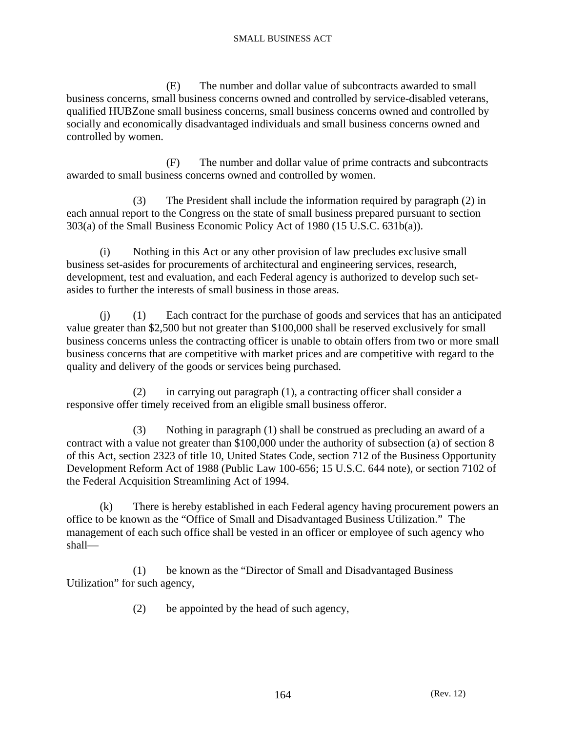(E) The number and dollar value of subcontracts awarded to small business concerns, small business concerns owned and controlled by service-disabled veterans, qualified HUBZone small business concerns, small business concerns owned and controlled by socially and economically disadvantaged individuals and small business concerns owned and controlled by women.

 (F) The number and dollar value of prime contracts and subcontracts awarded to small business concerns owned and controlled by women.

 (3) The President shall include the information required by paragraph (2) in each annual report to the Congress on the state of small business prepared pursuant to section 303(a) of the Small Business Economic Policy Act of 1980 (15 U.S.C. 631b(a)).

 (i) Nothing in this Act or any other provision of law precludes exclusive small business set-asides for procurements of architectural and engineering services, research, development, test and evaluation, and each Federal agency is authorized to develop such setasides to further the interests of small business in those areas.

 (j) (1) Each contract for the purchase of goods and services that has an anticipated value greater than \$2,500 but not greater than \$100,000 shall be reserved exclusively for small business concerns unless the contracting officer is unable to obtain offers from two or more small business concerns that are competitive with market prices and are competitive with regard to the quality and delivery of the goods or services being purchased.

 (2) in carrying out paragraph (1), a contracting officer shall consider a responsive offer timely received from an eligible small business offeror.

 (3) Nothing in paragraph (1) shall be construed as precluding an award of a contract with a value not greater than \$100,000 under the authority of subsection (a) of section 8 of this Act, section 2323 of title 10, United States Code, section 712 of the Business Opportunity Development Reform Act of 1988 (Public Law 100-656; 15 U.S.C. 644 note), or section 7102 of the Federal Acquisition Streamlining Act of 1994.

 (k) There is hereby established in each Federal agency having procurement powers an office to be known as the "Office of Small and Disadvantaged Business Utilization." The management of each such office shall be vested in an officer or employee of such agency who shall—

 (1) be known as the "Director of Small and Disadvantaged Business Utilization" for such agency,

(2) be appointed by the head of such agency,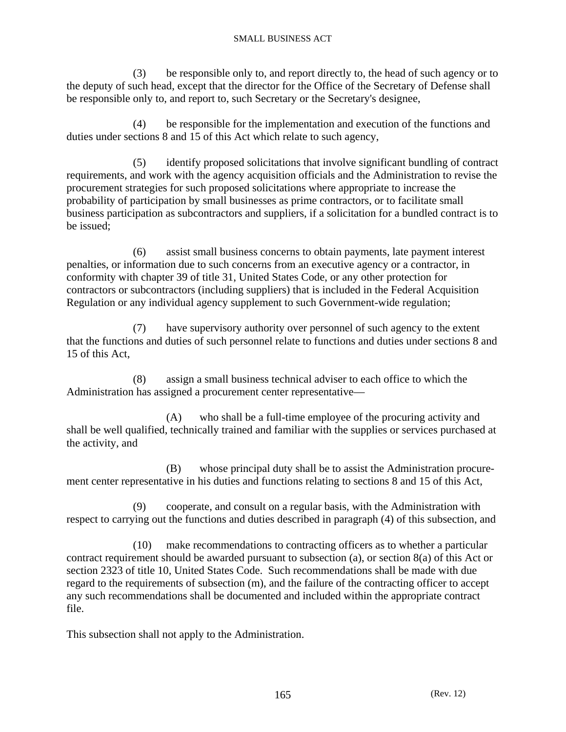(3) be responsible only to, and report directly to, the head of such agency or to the deputy of such head, except that the director for the Office of the Secretary of Defense shall be responsible only to, and report to, such Secretary or the Secretary's designee,

 (4) be responsible for the implementation and execution of the functions and duties under sections 8 and 15 of this Act which relate to such agency,

 (5) identify proposed solicitations that involve significant bundling of contract requirements, and work with the agency acquisition officials and the Administration to revise the procurement strategies for such proposed solicitations where appropriate to increase the probability of participation by small businesses as prime contractors, or to facilitate small business participation as subcontractors and suppliers, if a solicitation for a bundled contract is to be issued;

 (6) assist small business concerns to obtain payments, late payment interest penalties, or information due to such concerns from an executive agency or a contractor, in conformity with chapter 39 of title 31, United States Code, or any other protection for contractors or subcontractors (including suppliers) that is included in the Federal Acquisition Regulation or any individual agency supplement to such Government-wide regulation;

 (7) have supervisory authority over personnel of such agency to the extent that the functions and duties of such personnel relate to functions and duties under sections 8 and 15 of this Act,

 (8) assign a small business technical adviser to each office to which the Administration has assigned a procurement center representative—

 (A) who shall be a full-time employee of the procuring activity and shall be well qualified, technically trained and familiar with the supplies or services purchased at the activity, and

 (B) whose principal duty shall be to assist the Administration procurement center representative in his duties and functions relating to sections 8 and 15 of this Act,

 (9) cooperate, and consult on a regular basis, with the Administration with respect to carrying out the functions and duties described in paragraph (4) of this subsection, and

 (10) make recommendations to contracting officers as to whether a particular contract requirement should be awarded pursuant to subsection (a), or section 8(a) of this Act or section 2323 of title 10, United States Code. Such recommendations shall be made with due regard to the requirements of subsection (m), and the failure of the contracting officer to accept any such recommendations shall be documented and included within the appropriate contract file.

This subsection shall not apply to the Administration.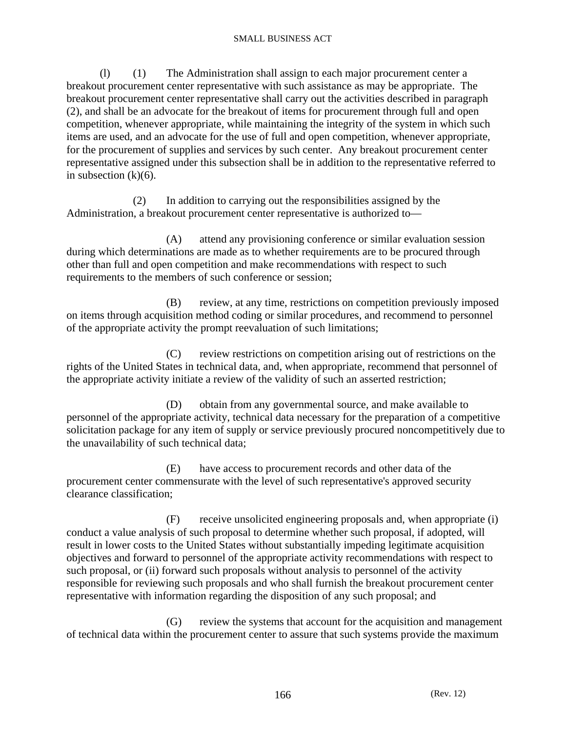(l) (1) The Administration shall assign to each major procurement center a breakout procurement center representative with such assistance as may be appropriate. The breakout procurement center representative shall carry out the activities described in paragraph (2), and shall be an advocate for the breakout of items for procurement through full and open competition, whenever appropriate, while maintaining the integrity of the system in which such items are used, and an advocate for the use of full and open competition, whenever appropriate, for the procurement of supplies and services by such center. Any breakout procurement center representative assigned under this subsection shall be in addition to the representative referred to in subsection  $(k)(6)$ .

 (2) In addition to carrying out the responsibilities assigned by the Administration, a breakout procurement center representative is authorized to—

 (A) attend any provisioning conference or similar evaluation session during which determinations are made as to whether requirements are to be procured through other than full and open competition and make recommendations with respect to such requirements to the members of such conference or session;

 (B) review, at any time, restrictions on competition previously imposed on items through acquisition method coding or similar procedures, and recommend to personnel of the appropriate activity the prompt reevaluation of such limitations;

 (C) review restrictions on competition arising out of restrictions on the rights of the United States in technical data, and, when appropriate, recommend that personnel of the appropriate activity initiate a review of the validity of such an asserted restriction;

 (D) obtain from any governmental source, and make available to personnel of the appropriate activity, technical data necessary for the preparation of a competitive solicitation package for any item of supply or service previously procured noncompetitively due to the unavailability of such technical data;

 (E) have access to procurement records and other data of the procurement center commensurate with the level of such representative's approved security clearance classification;

 (F) receive unsolicited engineering proposals and, when appropriate (i) conduct a value analysis of such proposal to determine whether such proposal, if adopted, will result in lower costs to the United States without substantially impeding legitimate acquisition objectives and forward to personnel of the appropriate activity recommendations with respect to such proposal, or (ii) forward such proposals without analysis to personnel of the activity responsible for reviewing such proposals and who shall furnish the breakout procurement center representative with information regarding the disposition of any such proposal; and

 (G) review the systems that account for the acquisition and management of technical data within the procurement center to assure that such systems provide the maximum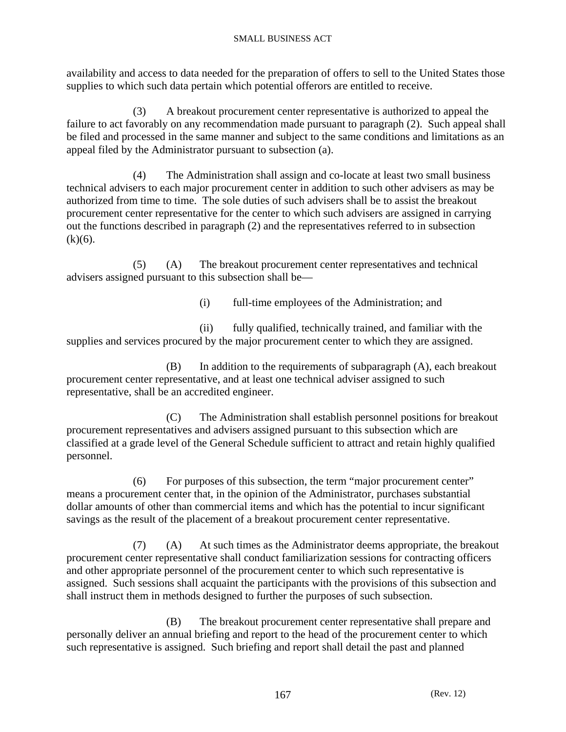availability and access to data needed for the preparation of offers to sell to the United States those supplies to which such data pertain which potential offerors are entitled to receive.

 (3) A breakout procurement center representative is authorized to appeal the failure to act favorably on any recommendation made pursuant to paragraph (2). Such appeal shall be filed and processed in the same manner and subject to the same conditions and limitations as an appeal filed by the Administrator pursuant to subsection (a).

 (4) The Administration shall assign and co-locate at least two small business technical advisers to each major procurement center in addition to such other advisers as may be authorized from time to time. The sole duties of such advisers shall be to assist the breakout procurement center representative for the center to which such advisers are assigned in carrying out the functions described in paragraph (2) and the representatives referred to in subsection  $(k)(6)$ .

 (5) (A) The breakout procurement center representatives and technical advisers assigned pursuant to this subsection shall be—

(i) full-time employees of the Administration; and

 (ii) fully qualified, technically trained, and familiar with the supplies and services procured by the major procurement center to which they are assigned.

 (B) In addition to the requirements of subparagraph (A), each breakout procurement center representative, and at least one technical adviser assigned to such representative, shall be an accredited engineer.

 (C) The Administration shall establish personnel positions for breakout procurement representatives and advisers assigned pursuant to this subsection which are classified at a grade level of the General Schedule sufficient to attract and retain highly qualified personnel.

 (6) For purposes of this subsection, the term "major procurement center" means a procurement center that, in the opinion of the Administrator, purchases substantial dollar amounts of other than commercial items and which has the potential to incur significant savings as the result of the placement of a breakout procurement center representative.

 (7) (A) At such times as the Administrator deems appropriate, the breakout procurement center representative shall conduct familiarization sessions for contracting officers and other appropriate personnel of the procurement center to which such representative is assigned. Such sessions shall acquaint the participants with the provisions of this subsection and shall instruct them in methods designed to further the purposes of such subsection.

 (B) The breakout procurement center representative shall prepare and personally deliver an annual briefing and report to the head of the procurement center to which such representative is assigned. Such briefing and report shall detail the past and planned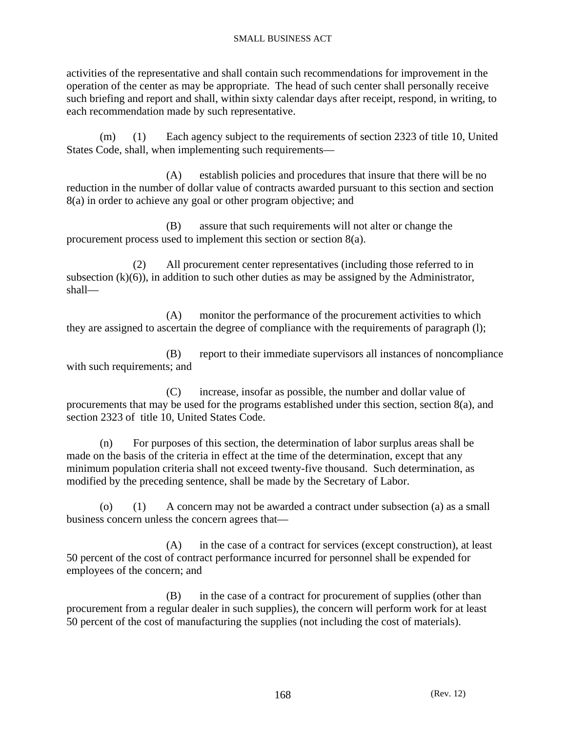activities of the representative and shall contain such recommendations for improvement in the operation of the center as may be appropriate. The head of such center shall personally receive such briefing and report and shall, within sixty calendar days after receipt, respond, in writing, to each recommendation made by such representative.

 (m) (1) Each agency subject to the requirements of section 2323 of title 10, United States Code, shall, when implementing such requirements—

 (A) establish policies and procedures that insure that there will be no reduction in the number of dollar value of contracts awarded pursuant to this section and section 8(a) in order to achieve any goal or other program objective; and

 (B) assure that such requirements will not alter or change the procurement process used to implement this section or section 8(a).

 (2) All procurement center representatives (including those referred to in subsection  $(k)(6)$ , in addition to such other duties as may be assigned by the Administrator, shall—

 (A) monitor the performance of the procurement activities to which they are assigned to ascertain the degree of compliance with the requirements of paragraph (l);

 (B) report to their immediate supervisors all instances of noncompliance with such requirements; and

 (C) increase, insofar as possible, the number and dollar value of procurements that may be used for the programs established under this section, section  $8(a)$ , and section 2323 of title 10, United States Code.

 (n) For purposes of this section, the determination of labor surplus areas shall be made on the basis of the criteria in effect at the time of the determination, except that any minimum population criteria shall not exceed twenty-five thousand. Such determination, as modified by the preceding sentence, shall be made by the Secretary of Labor.

 (o) (1) A concern may not be awarded a contract under subsection (a) as a small business concern unless the concern agrees that—

 (A) in the case of a contract for services (except construction), at least 50 percent of the cost of contract performance incurred for personnel shall be expended for employees of the concern; and

 (B) in the case of a contract for procurement of supplies (other than procurement from a regular dealer in such supplies), the concern will perform work for at least 50 percent of the cost of manufacturing the supplies (not including the cost of materials).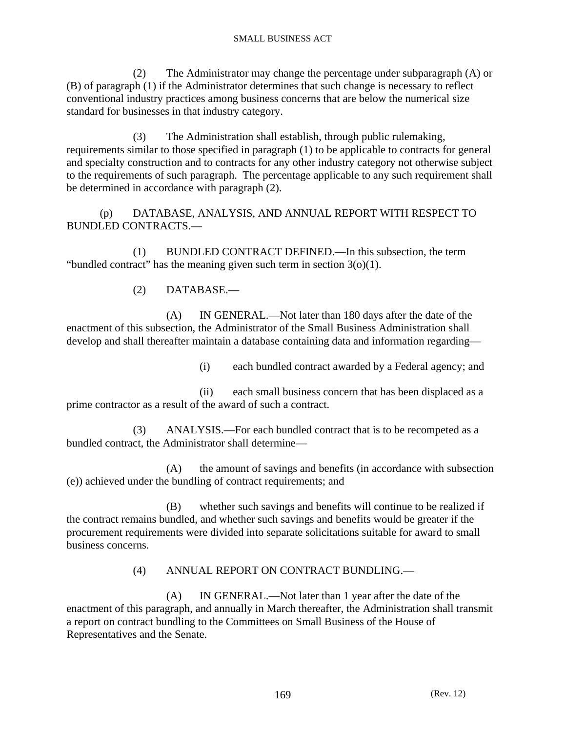(2) The Administrator may change the percentage under subparagraph (A) or (B) of paragraph (1) if the Administrator determines that such change is necessary to reflect conventional industry practices among business concerns that are below the numerical size standard for businesses in that industry category.

 (3) The Administration shall establish, through public rulemaking, requirements similar to those specified in paragraph (1) to be applicable to contracts for general and specialty construction and to contracts for any other industry category not otherwise subject to the requirements of such paragraph. The percentage applicable to any such requirement shall be determined in accordance with paragraph (2).

 (p) DATABASE, ANALYSIS, AND ANNUAL REPORT WITH RESPECT TO BUNDLED CONTRACTS.—

 (1) BUNDLED CONTRACT DEFINED.—In this subsection, the term "bundled contract" has the meaning given such term in section  $3(0)(1)$ .

(2) DATABASE.—

 (A) IN GENERAL.—Not later than 180 days after the date of the enactment of this subsection, the Administrator of the Small Business Administration shall develop and shall thereafter maintain a database containing data and information regarding—

(i) each bundled contract awarded by a Federal agency; and

 (ii) each small business concern that has been displaced as a prime contractor as a result of the award of such a contract.

 (3) ANALYSIS.—For each bundled contract that is to be recompeted as a bundled contract, the Administrator shall determine—

 (A) the amount of savings and benefits (in accordance with subsection (e)) achieved under the bundling of contract requirements; and

 (B) whether such savings and benefits will continue to be realized if the contract remains bundled, and whether such savings and benefits would be greater if the procurement requirements were divided into separate solicitations suitable for award to small business concerns.

## (4) ANNUAL REPORT ON CONTRACT BUNDLING.—

 (A) IN GENERAL.—Not later than 1 year after the date of the enactment of this paragraph, and annually in March thereafter, the Administration shall transmit a report on contract bundling to the Committees on Small Business of the House of Representatives and the Senate.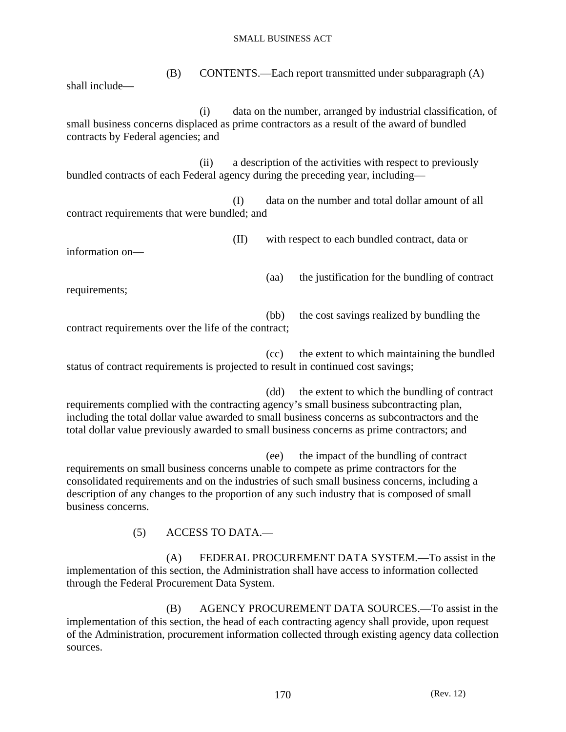(B) CONTENTS.—Each report transmitted under subparagraph (A) shall include— (i) data on the number, arranged by industrial classification, of small business concerns displaced as prime contractors as a result of the award of bundled contracts by Federal agencies; and (ii) a description of the activities with respect to previously bundled contracts of each Federal agency during the preceding year, including— (I) data on the number and total dollar amount of all contract requirements that were bundled; and (II) with respect to each bundled contract, data or information on— (aa) the justification for the bundling of contract requirements; (bb) the cost savings realized by bundling the contract requirements over the life of the contract;

 (cc) the extent to which maintaining the bundled status of contract requirements is projected to result in continued cost savings;

 (dd) the extent to which the bundling of contract requirements complied with the contracting agency's small business subcontracting plan, including the total dollar value awarded to small business concerns as subcontractors and the total dollar value previously awarded to small business concerns as prime contractors; and

 (ee) the impact of the bundling of contract requirements on small business concerns unable to compete as prime contractors for the consolidated requirements and on the industries of such small business concerns, including a description of any changes to the proportion of any such industry that is composed of small business concerns.

(5) ACCESS TO DATA.—

 (A) FEDERAL PROCUREMENT DATA SYSTEM.—To assist in the implementation of this section, the Administration shall have access to information collected through the Federal Procurement Data System.

 (B) AGENCY PROCUREMENT DATA SOURCES.—To assist in the implementation of this section, the head of each contracting agency shall provide, upon request of the Administration, procurement information collected through existing agency data collection sources.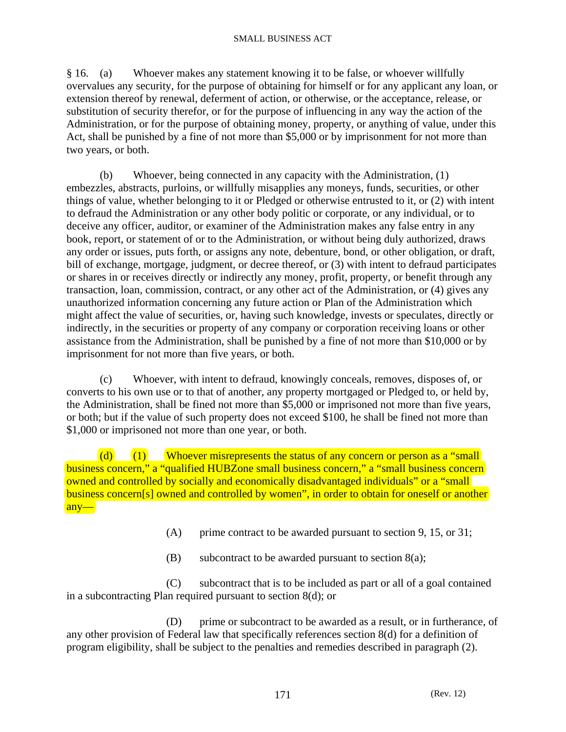§ 16. (a) Whoever makes any statement knowing it to be false, or whoever willfully overvalues any security, for the purpose of obtaining for himself or for any applicant any loan, or extension thereof by renewal, deferment of action, or otherwise, or the acceptance, release, or substitution of security therefor, or for the purpose of influencing in any way the action of the Administration, or for the purpose of obtaining money, property, or anything of value, under this Act, shall be punished by a fine of not more than \$5,000 or by imprisonment for not more than two years, or both.

 (b) Whoever, being connected in any capacity with the Administration, (1) embezzles, abstracts, purloins, or willfully misapplies any moneys, funds, securities, or other things of value, whether belonging to it or Pledged or otherwise entrusted to it, or (2) with intent to defraud the Administration or any other body politic or corporate, or any individual, or to deceive any officer, auditor, or examiner of the Administration makes any false entry in any book, report, or statement of or to the Administration, or without being duly authorized, draws any order or issues, puts forth, or assigns any note, debenture, bond, or other obligation, or draft, bill of exchange, mortgage, judgment, or decree thereof, or (3) with intent to defraud participates or shares in or receives directly or indirectly any money, profit, property, or benefit through any transaction, loan, commission, contract, or any other act of the Administration, or (4) gives any unauthorized information concerning any future action or Plan of the Administration which might affect the value of securities, or, having such knowledge, invests or speculates, directly or indirectly, in the securities or property of any company or corporation receiving loans or other assistance from the Administration, shall be punished by a fine of not more than \$10,000 or by imprisonment for not more than five years, or both.

 (c) Whoever, with intent to defraud, knowingly conceals, removes, disposes of, or converts to his own use or to that of another, any property mortgaged or Pledged to, or held by, the Administration, shall be fined not more than \$5,000 or imprisoned not more than five years, or both; but if the value of such property does not exceed \$100, he shall be fined not more than \$1,000 or imprisoned not more than one year, or both.

(d)  $(1)$  Whoever misrepresents the status of any concern or person as a "small business concern," a "qualified HUBZone small business concern," a "small business concern owned and controlled by socially and economically disadvantaged individuals" or a "small business concern<sup>[s]</sup> owned and controlled by women", in order to obtain for oneself or another any—

(A) prime contract to be awarded pursuant to section 9, 15, or 31;

(B) subcontract to be awarded pursuant to section  $8(a)$ ;

 (C) subcontract that is to be included as part or all of a goal contained in a subcontracting Plan required pursuant to section 8(d); or

 (D) prime or subcontract to be awarded as a result, or in furtherance, of any other provision of Federal law that specifically references section 8(d) for a definition of program eligibility, shall be subject to the penalties and remedies described in paragraph (2).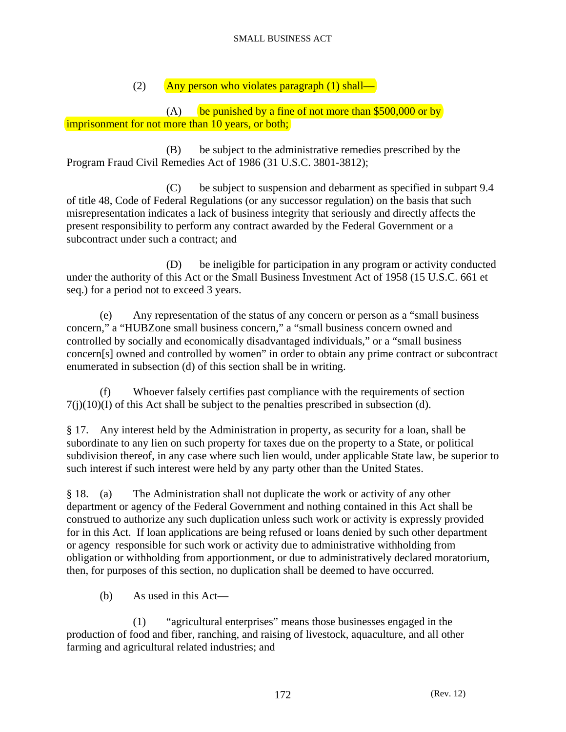(2) Any person who violates paragraph (1) shall—

(A) be punished by a fine of not more than  $$500,000$  or by imprisonment for not more than 10 years, or both;

 (B) be subject to the administrative remedies prescribed by the Program Fraud Civil Remedies Act of 1986 (31 U.S.C. 3801-3812);

 (C) be subject to suspension and debarment as specified in subpart 9.4 of title 48, Code of Federal Regulations (or any successor regulation) on the basis that such misrepresentation indicates a lack of business integrity that seriously and directly affects the present responsibility to perform any contract awarded by the Federal Government or a subcontract under such a contract; and

 (D) be ineligible for participation in any program or activity conducted under the authority of this Act or the Small Business Investment Act of 1958 (15 U.S.C. 661 et seq.) for a period not to exceed 3 years.

 (e) Any representation of the status of any concern or person as a "small business concern," a "HUBZone small business concern," a "small business concern owned and controlled by socially and economically disadvantaged individuals," or a "small business concern[s] owned and controlled by women" in order to obtain any prime contract or subcontract enumerated in subsection (d) of this section shall be in writing.

 (f) Whoever falsely certifies past compliance with the requirements of section  $7(j)(10)(I)$  of this Act shall be subject to the penalties prescribed in subsection (d).

§ 17. Any interest held by the Administration in property, as security for a loan, shall be subordinate to any lien on such property for taxes due on the property to a State, or political subdivision thereof, in any case where such lien would, under applicable State law, be superior to such interest if such interest were held by any party other than the United States.

§ 18. (a) The Administration shall not duplicate the work or activity of any other department or agency of the Federal Government and nothing contained in this Act shall be construed to authorize any such duplication unless such work or activity is expressly provided for in this Act. If loan applications are being refused or loans denied by such other department or agency responsible for such work or activity due to administrative withholding from obligation or withholding from apportionment, or due to administratively declared moratorium, then, for purposes of this section, no duplication shall be deemed to have occurred.

(b) As used in this Act—

 (1) "agricultural enterprises" means those businesses engaged in the production of food and fiber, ranching, and raising of livestock, aquaculture, and all other farming and agricultural related industries; and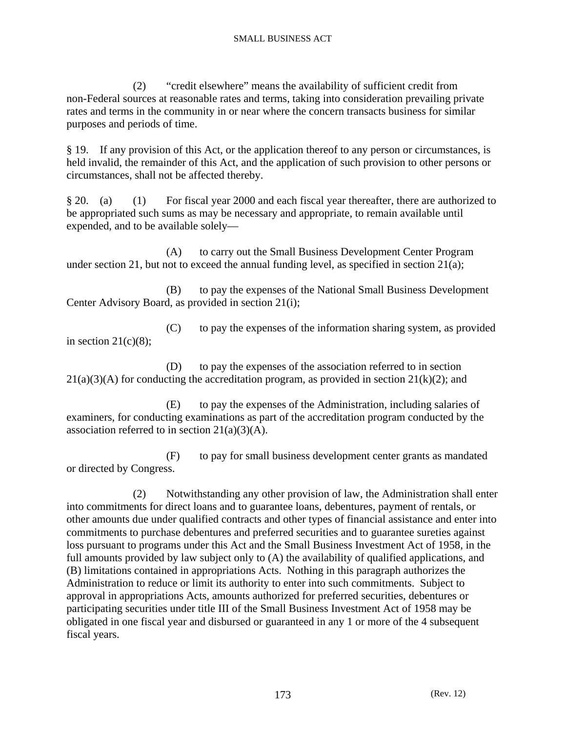(2) "credit elsewhere" means the availability of sufficient credit from non-Federal sources at reasonable rates and terms, taking into consideration prevailing private rates and terms in the community in or near where the concern transacts business for similar purposes and periods of time.

§ 19. If any provision of this Act, or the application thereof to any person or circumstances, is held invalid, the remainder of this Act, and the application of such provision to other persons or circumstances, shall not be affected thereby.

§ 20. (a) (1) For fiscal year 2000 and each fiscal year thereafter, there are authorized to be appropriated such sums as may be necessary and appropriate, to remain available until expended, and to be available solely—

 (A) to carry out the Small Business Development Center Program under section 21, but not to exceed the annual funding level, as specified in section 21(a);

 (B) to pay the expenses of the National Small Business Development Center Advisory Board, as provided in section 21(i);

 (C) to pay the expenses of the information sharing system, as provided in section  $21(c)(8)$ ;

 (D) to pay the expenses of the association referred to in section  $21(a)(3)(A)$  for conducting the accreditation program, as provided in section  $21(k)(2)$ ; and

 (E) to pay the expenses of the Administration, including salaries of examiners, for conducting examinations as part of the accreditation program conducted by the association referred to in section  $21(a)(3)(A)$ .

 (F) to pay for small business development center grants as mandated or directed by Congress.

 (2) Notwithstanding any other provision of law, the Administration shall enter into commitments for direct loans and to guarantee loans, debentures, payment of rentals, or other amounts due under qualified contracts and other types of financial assistance and enter into commitments to purchase debentures and preferred securities and to guarantee sureties against loss pursuant to programs under this Act and the Small Business Investment Act of 1958, in the full amounts provided by law subject only to (A) the availability of qualified applications, and (B) limitations contained in appropriations Acts. Nothing in this paragraph authorizes the Administration to reduce or limit its authority to enter into such commitments. Subject to approval in appropriations Acts, amounts authorized for preferred securities, debentures or participating securities under title III of the Small Business Investment Act of 1958 may be obligated in one fiscal year and disbursed or guaranteed in any 1 or more of the 4 subsequent fiscal years.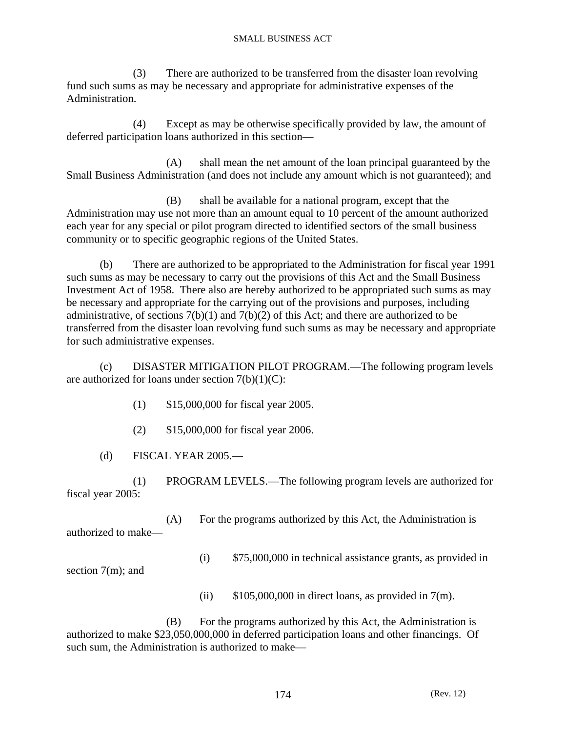(3) There are authorized to be transferred from the disaster loan revolving fund such sums as may be necessary and appropriate for administrative expenses of the Administration.

 (4) Except as may be otherwise specifically provided by law, the amount of deferred participation loans authorized in this section—

 (A) shall mean the net amount of the loan principal guaranteed by the Small Business Administration (and does not include any amount which is not guaranteed); and

 (B) shall be available for a national program, except that the Administration may use not more than an amount equal to 10 percent of the amount authorized each year for any special or pilot program directed to identified sectors of the small business community or to specific geographic regions of the United States.

 (b) There are authorized to be appropriated to the Administration for fiscal year 1991 such sums as may be necessary to carry out the provisions of this Act and the Small Business Investment Act of 1958. There also are hereby authorized to be appropriated such sums as may be necessary and appropriate for the carrying out of the provisions and purposes, including administrative, of sections  $7(b)(1)$  and  $7(b)(2)$  of this Act; and there are authorized to be transferred from the disaster loan revolving fund such sums as may be necessary and appropriate for such administrative expenses.

 (c) DISASTER MITIGATION PILOT PROGRAM.—The following program levels are authorized for loans under section  $7(b)(1)(C)$ :

- (1) \$15,000,000 for fiscal year 2005.
- (2) \$15,000,000 for fiscal year 2006.

(d) FISCAL YEAR 2005.—

 (1) PROGRAM LEVELS.—The following program levels are authorized for fiscal year 2005:

 (A) For the programs authorized by this Act, the Administration is authorized to make—

(i) \$75,000,000 in technical assistance grants, as provided in

section 7(m); and

(ii)  $$105,000,000$  in direct loans, as provided in 7(m).

 (B) For the programs authorized by this Act, the Administration is authorized to make \$23,050,000,000 in deferred participation loans and other financings. Of such sum, the Administration is authorized to make—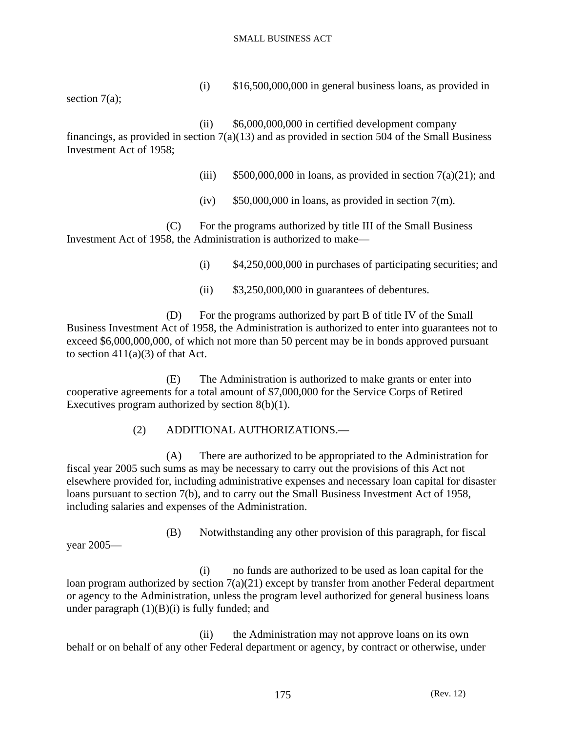(i) \$16,500,000,000 in general business loans, as provided in

section 7(a);

 (ii) \$6,000,000,000 in certified development company financings, as provided in section  $7(a)(13)$  and as provided in section 504 of the Small Business Investment Act of 1958;

- (iii)  $$500,000,000$  in loans, as provided in section  $7(a)(21)$ ; and
- (iv)  $$50,000,000$  in loans, as provided in section 7(m).

 (C) For the programs authorized by title III of the Small Business Investment Act of 1958, the Administration is authorized to make—

(i) \$4,250,000,000 in purchases of participating securities; and

 $(ii)$  \$3,250,000,000 in guarantees of debentures.

 (D) For the programs authorized by part B of title IV of the Small Business Investment Act of 1958, the Administration is authorized to enter into guarantees not to exceed \$6,000,000,000, of which not more than 50 percent may be in bonds approved pursuant to section  $411(a)(3)$  of that Act.

 (E) The Administration is authorized to make grants or enter into cooperative agreements for a total amount of \$7,000,000 for the Service Corps of Retired Executives program authorized by section 8(b)(1).

(2) ADDITIONAL AUTHORIZATIONS.—

 (A) There are authorized to be appropriated to the Administration for fiscal year 2005 such sums as may be necessary to carry out the provisions of this Act not elsewhere provided for, including administrative expenses and necessary loan capital for disaster loans pursuant to section 7(b), and to carry out the Small Business Investment Act of 1958, including salaries and expenses of the Administration.

year 2005—

(B) Notwithstanding any other provision of this paragraph, for fiscal

 (i) no funds are authorized to be used as loan capital for the loan program authorized by section  $7(a)(21)$  except by transfer from another Federal department or agency to the Administration, unless the program level authorized for general business loans under paragraph  $(1)(B)(i)$  is fully funded; and

 (ii) the Administration may not approve loans on its own behalf or on behalf of any other Federal department or agency, by contract or otherwise, under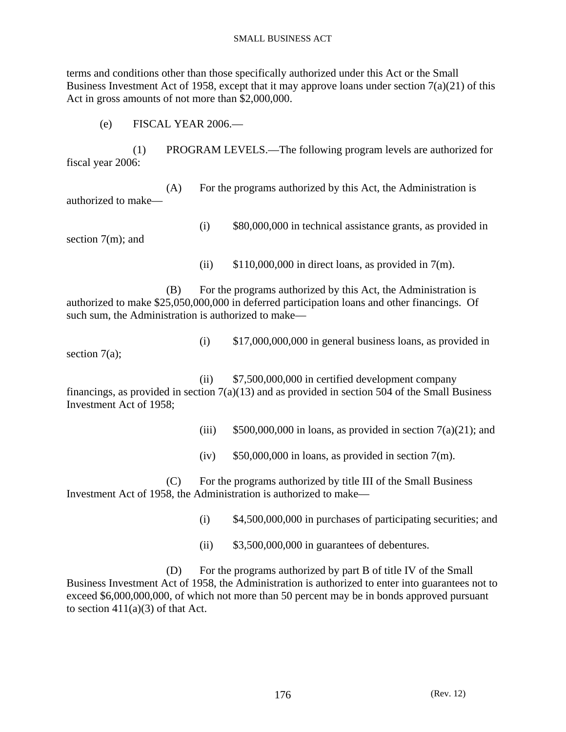terms and conditions other than those specifically authorized under this Act or the Small Business Investment Act of 1958, except that it may approve loans under section  $7(a)(21)$  of this Act in gross amounts of not more than \$2,000,000.

(e) FISCAL YEAR 2006.—

 (1) PROGRAM LEVELS.—The following program levels are authorized for fiscal year 2006:

 (A) For the programs authorized by this Act, the Administration is authorized to make—

section 7(m); and

(i) \$80,000,000 in technical assistance grants, as provided in

(ii)  $$110,000,000$  in direct loans, as provided in 7(m).

 (B) For the programs authorized by this Act, the Administration is authorized to make \$25,050,000,000 in deferred participation loans and other financings. Of such sum, the Administration is authorized to make—

section 7(a);

 $(i)$  \$17,000,000,000 in general business loans, as provided in

 (ii) \$7,500,000,000 in certified development company financings, as provided in section  $7(a)(13)$  and as provided in section 504 of the Small Business Investment Act of 1958;

(iii)  $$500,000,000$  in loans, as provided in section  $7(a)(21)$ ; and

(iv)  $$50,000,000$  in loans, as provided in section 7(m).

 (C) For the programs authorized by title III of the Small Business Investment Act of 1958, the Administration is authorized to make—

(i) \$4,500,000,000 in purchases of participating securities; and

 $(iii)$  \$3,500,000,000 in guarantees of debentures.

 (D) For the programs authorized by part B of title IV of the Small Business Investment Act of 1958, the Administration is authorized to enter into guarantees not to exceed \$6,000,000,000, of which not more than 50 percent may be in bonds approved pursuant to section  $411(a)(3)$  of that Act.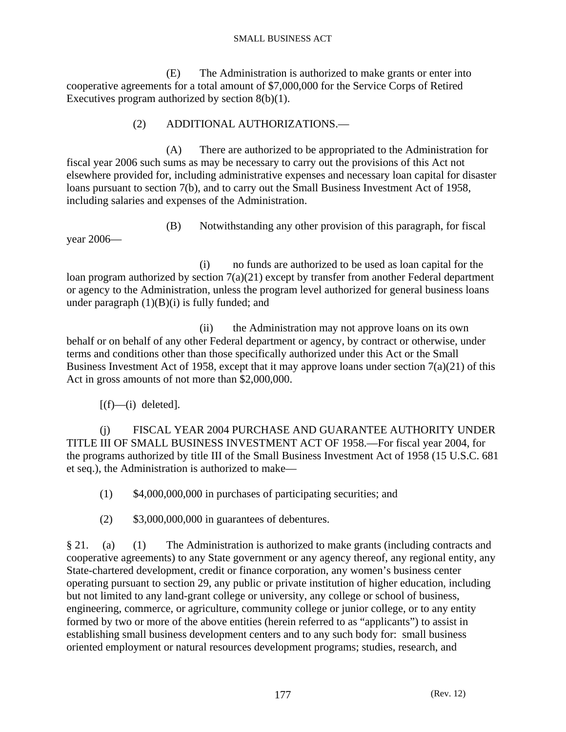(E) The Administration is authorized to make grants or enter into cooperative agreements for a total amount of \$7,000,000 for the Service Corps of Retired Executives program authorized by section 8(b)(1).

### (2) ADDITIONAL AUTHORIZATIONS.—

 (A) There are authorized to be appropriated to the Administration for fiscal year 2006 such sums as may be necessary to carry out the provisions of this Act not elsewhere provided for, including administrative expenses and necessary loan capital for disaster loans pursuant to section 7(b), and to carry out the Small Business Investment Act of 1958, including salaries and expenses of the Administration.

year 2006—

(B) Notwithstanding any other provision of this paragraph, for fiscal

 (i) no funds are authorized to be used as loan capital for the loan program authorized by section  $7(a)(21)$  except by transfer from another Federal department or agency to the Administration, unless the program level authorized for general business loans under paragraph  $(1)(B)(i)$  is fully funded; and

 (ii) the Administration may not approve loans on its own behalf or on behalf of any other Federal department or agency, by contract or otherwise, under terms and conditions other than those specifically authorized under this Act or the Small Business Investment Act of 1958, except that it may approve loans under section  $7(a)(21)$  of this Act in gross amounts of not more than \$2,000,000.

 $[(f)$ —(i) deleted].

 (j) FISCAL YEAR 2004 PURCHASE AND GUARANTEE AUTHORITY UNDER TITLE III OF SMALL BUSINESS INVESTMENT ACT OF 1958.—For fiscal year 2004, for the programs authorized by title III of the Small Business Investment Act of 1958 (15 U.S.C. 681 et seq.), the Administration is authorized to make—

(1) \$4,000,000,000 in purchases of participating securities; and

 $(2)$  \$3,000,000,000 in guarantees of debentures.

§ 21. (a) (1) The Administration is authorized to make grants (including contracts and cooperative agreements) to any State government or any agency thereof, any regional entity, any State-chartered development, credit or finance corporation, any women's business center operating pursuant to section 29, any public or private institution of higher education, including but not limited to any land-grant college or university, any college or school of business, engineering, commerce, or agriculture, community college or junior college, or to any entity formed by two or more of the above entities (herein referred to as "applicants") to assist in establishing small business development centers and to any such body for: small business oriented employment or natural resources development programs; studies, research, and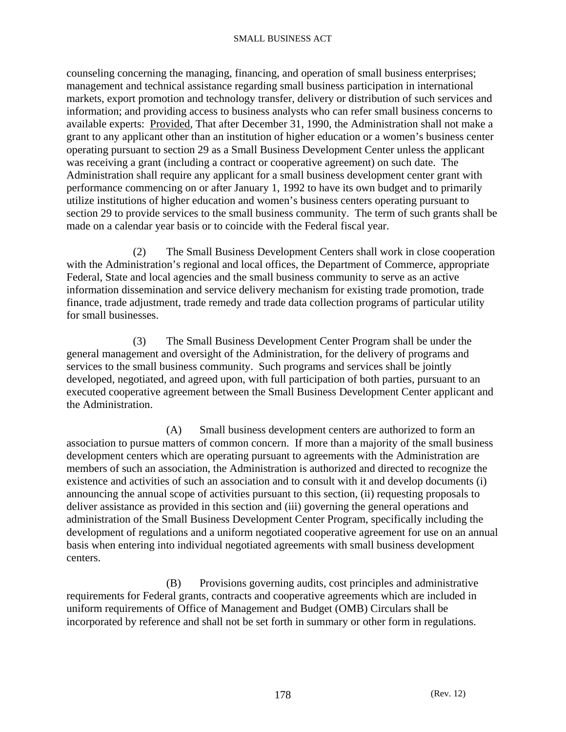counseling concerning the managing, financing, and operation of small business enterprises; management and technical assistance regarding small business participation in international markets, export promotion and technology transfer, delivery or distribution of such services and information; and providing access to business analysts who can refer small business concerns to available experts: Provided, That after December 31, 1990, the Administration shall not make a grant to any applicant other than an institution of higher education or a women's business center operating pursuant to section 29 as a Small Business Development Center unless the applicant was receiving a grant (including a contract or cooperative agreement) on such date. The Administration shall require any applicant for a small business development center grant with performance commencing on or after January 1, 1992 to have its own budget and to primarily utilize institutions of higher education and women's business centers operating pursuant to section 29 to provide services to the small business community. The term of such grants shall be made on a calendar year basis or to coincide with the Federal fiscal year.

 (2) The Small Business Development Centers shall work in close cooperation with the Administration's regional and local offices, the Department of Commerce, appropriate Federal, State and local agencies and the small business community to serve as an active information dissemination and service delivery mechanism for existing trade promotion, trade finance, trade adjustment, trade remedy and trade data collection programs of particular utility for small businesses.

 (3) The Small Business Development Center Program shall be under the general management and oversight of the Administration, for the delivery of programs and services to the small business community. Such programs and services shall be jointly developed, negotiated, and agreed upon, with full participation of both parties, pursuant to an executed cooperative agreement between the Small Business Development Center applicant and the Administration.

 (A) Small business development centers are authorized to form an association to pursue matters of common concern. If more than a majority of the small business development centers which are operating pursuant to agreements with the Administration are members of such an association, the Administration is authorized and directed to recognize the existence and activities of such an association and to consult with it and develop documents (i) announcing the annual scope of activities pursuant to this section, (ii) requesting proposals to deliver assistance as provided in this section and (iii) governing the general operations and administration of the Small Business Development Center Program, specifically including the development of regulations and a uniform negotiated cooperative agreement for use on an annual basis when entering into individual negotiated agreements with small business development centers.

 (B) Provisions governing audits, cost principles and administrative requirements for Federal grants, contracts and cooperative agreements which are included in uniform requirements of Office of Management and Budget (OMB) Circulars shall be incorporated by reference and shall not be set forth in summary or other form in regulations.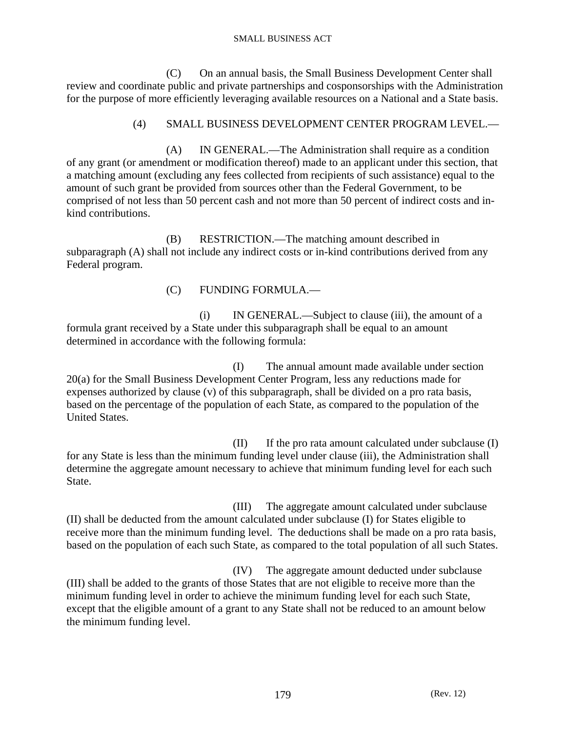(C) On an annual basis, the Small Business Development Center shall review and coordinate public and private partnerships and cosponsorships with the Administration for the purpose of more efficiently leveraging available resources on a National and a State basis.

### (4) SMALL BUSINESS DEVELOPMENT CENTER PROGRAM LEVEL.—

 (A) IN GENERAL.—The Administration shall require as a condition of any grant (or amendment or modification thereof) made to an applicant under this section, that a matching amount (excluding any fees collected from recipients of such assistance) equal to the amount of such grant be provided from sources other than the Federal Government, to be comprised of not less than 50 percent cash and not more than 50 percent of indirect costs and inkind contributions.

 (B) RESTRICTION.—The matching amount described in subparagraph (A) shall not include any indirect costs or in-kind contributions derived from any Federal program.

(C) FUNDING FORMULA.—

 (i) IN GENERAL.—Subject to clause (iii), the amount of a formula grant received by a State under this subparagraph shall be equal to an amount determined in accordance with the following formula:

 (I) The annual amount made available under section 20(a) for the Small Business Development Center Program, less any reductions made for expenses authorized by clause (v) of this subparagraph, shall be divided on a pro rata basis, based on the percentage of the population of each State, as compared to the population of the United States.

 (II) If the pro rata amount calculated under subclause (I) for any State is less than the minimum funding level under clause (iii), the Administration shall determine the aggregate amount necessary to achieve that minimum funding level for each such State.

 (III) The aggregate amount calculated under subclause (II) shall be deducted from the amount calculated under subclause (I) for States eligible to receive more than the minimum funding level. The deductions shall be made on a pro rata basis, based on the population of each such State, as compared to the total population of all such States.

 (IV) The aggregate amount deducted under subclause (III) shall be added to the grants of those States that are not eligible to receive more than the minimum funding level in order to achieve the minimum funding level for each such State, except that the eligible amount of a grant to any State shall not be reduced to an amount below the minimum funding level.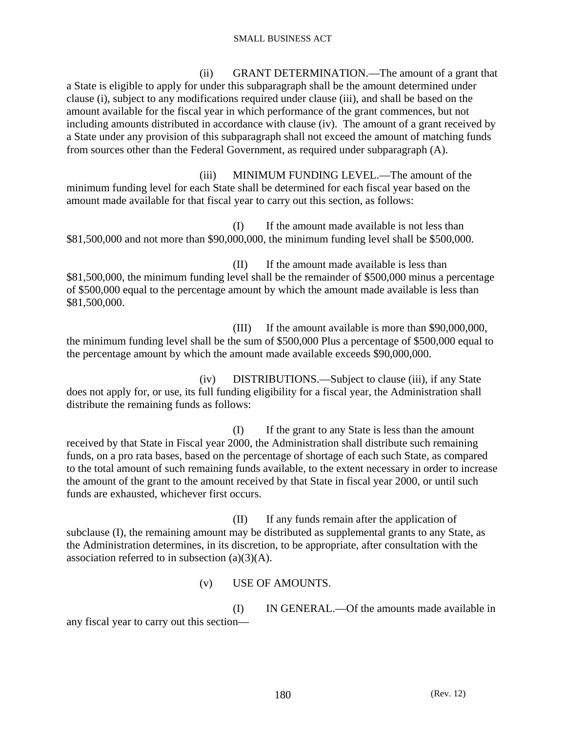(ii) GRANT DETERMINATION.—The amount of a grant that a State is eligible to apply for under this subparagraph shall be the amount determined under clause (i), subject to any modifications required under clause (iii), and shall be based on the amount available for the fiscal year in which performance of the grant commences, but not including amounts distributed in accordance with clause (iv). The amount of a grant received by a State under any provision of this subparagraph shall not exceed the amount of matching funds from sources other than the Federal Government, as required under subparagraph (A).

 (iii) MINIMUM FUNDING LEVEL.—The amount of the minimum funding level for each State shall be determined for each fiscal year based on the amount made available for that fiscal year to carry out this section, as follows:

 (I) If the amount made available is not less than \$81,500,000 and not more than \$90,000,000, the minimum funding level shall be \$500,000.

 (II) If the amount made available is less than \$81,500,000, the minimum funding level shall be the remainder of \$500,000 minus a percentage of \$500,000 equal to the percentage amount by which the amount made available is less than \$81,500,000.

 (III) If the amount available is more than \$90,000,000, the minimum funding level shall be the sum of \$500,000 Plus a percentage of \$500,000 equal to the percentage amount by which the amount made available exceeds \$90,000,000.

 (iv) DISTRIBUTIONS.—Subject to clause (iii), if any State does not apply for, or use, its full funding eligibility for a fiscal year, the Administration shall distribute the remaining funds as follows:

 (I) If the grant to any State is less than the amount received by that State in Fiscal year 2000, the Administration shall distribute such remaining funds, on a pro rata bases, based on the percentage of shortage of each such State, as compared to the total amount of such remaining funds available, to the extent necessary in order to increase the amount of the grant to the amount received by that State in fiscal year 2000, or until such funds are exhausted, whichever first occurs.

 (II) If any funds remain after the application of subclause (I), the remaining amount may be distributed as supplemental grants to any State, as the Administration determines, in its discretion, to be appropriate, after consultation with the association referred to in subsection  $(a)(3)(A)$ .

(v) USE OF AMOUNTS.

 (I) IN GENERAL.—Of the amounts made available in any fiscal year to carry out this section—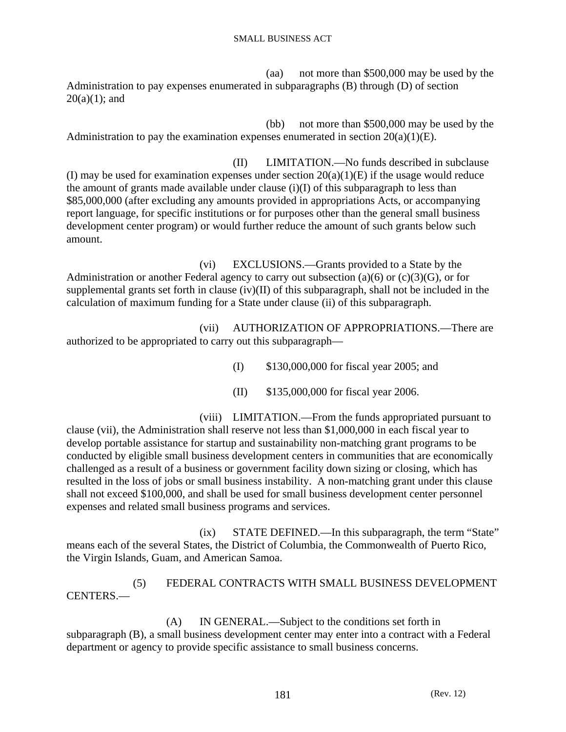(aa) not more than \$500,000 may be used by the Administration to pay expenses enumerated in subparagraphs (B) through (D) of section  $20(a)(1)$ ; and

 (bb) not more than \$500,000 may be used by the Administration to pay the examination expenses enumerated in section  $20(a)(1)(E)$ .

 (II) LIMITATION.—No funds described in subclause (I) may be used for examination expenses under section  $20(a)(1)(E)$  if the usage would reduce the amount of grants made available under clause (i)(I) of this subparagraph to less than \$85,000,000 (after excluding any amounts provided in appropriations Acts, or accompanying report language, for specific institutions or for purposes other than the general small business development center program) or would further reduce the amount of such grants below such amount.

 (vi) EXCLUSIONS.—Grants provided to a State by the Administration or another Federal agency to carry out subsection (a)(6) or (c)(3)(G), or for supplemental grants set forth in clause (iv)(II) of this subparagraph, shall not be included in the calculation of maximum funding for a State under clause (ii) of this subparagraph.

 (vii) AUTHORIZATION OF APPROPRIATIONS.—There are authorized to be appropriated to carry out this subparagraph—

- (I) \$130,000,000 for fiscal year 2005; and
- (II) \$135,000,000 for fiscal year 2006.

 (viii) LIMITATION.—From the funds appropriated pursuant to clause (vii), the Administration shall reserve not less than \$1,000,000 in each fiscal year to develop portable assistance for startup and sustainability non-matching grant programs to be conducted by eligible small business development centers in communities that are economically challenged as a result of a business or government facility down sizing or closing, which has resulted in the loss of jobs or small business instability. A non-matching grant under this clause shall not exceed \$100,000, and shall be used for small business development center personnel expenses and related small business programs and services.

 (ix) STATE DEFINED.—In this subparagraph, the term "State" means each of the several States, the District of Columbia, the Commonwealth of Puerto Rico, the Virgin Islands, Guam, and American Samoa.

 (5) FEDERAL CONTRACTS WITH SMALL BUSINESS DEVELOPMENT CENTERS.—

 (A) IN GENERAL.—Subject to the conditions set forth in subparagraph (B), a small business development center may enter into a contract with a Federal department or agency to provide specific assistance to small business concerns.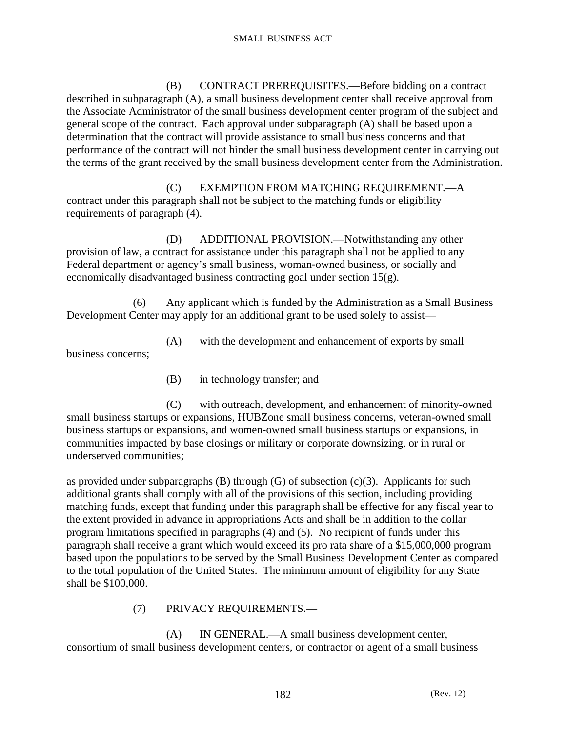(B) CONTRACT PREREQUISITES.—Before bidding on a contract described in subparagraph (A), a small business development center shall receive approval from the Associate Administrator of the small business development center program of the subject and general scope of the contract. Each approval under subparagraph (A) shall be based upon a determination that the contract will provide assistance to small business concerns and that performance of the contract will not hinder the small business development center in carrying out the terms of the grant received by the small business development center from the Administration.

 (C) EXEMPTION FROM MATCHING REQUIREMENT.—A contract under this paragraph shall not be subject to the matching funds or eligibility requirements of paragraph (4).

 (D) ADDITIONAL PROVISION.—Notwithstanding any other provision of law, a contract for assistance under this paragraph shall not be applied to any Federal department or agency's small business, woman-owned business, or socially and economically disadvantaged business contracting goal under section 15(g).

 (6) Any applicant which is funded by the Administration as a Small Business Development Center may apply for an additional grant to be used solely to assist—

(A) with the development and enhancement of exports by small

business concerns;

(B) in technology transfer; and

 (C) with outreach, development, and enhancement of minority-owned small business startups or expansions, HUBZone small business concerns, veteran-owned small business startups or expansions, and women-owned small business startups or expansions, in communities impacted by base closings or military or corporate downsizing, or in rural or underserved communities;

as provided under subparagraphs  $(B)$  through  $(G)$  of subsection  $(c)(3)$ . Applicants for such additional grants shall comply with all of the provisions of this section, including providing matching funds, except that funding under this paragraph shall be effective for any fiscal year to the extent provided in advance in appropriations Acts and shall be in addition to the dollar program limitations specified in paragraphs (4) and (5). No recipient of funds under this paragraph shall receive a grant which would exceed its pro rata share of a \$15,000,000 program based upon the populations to be served by the Small Business Development Center as compared to the total population of the United States. The minimum amount of eligibility for any State shall be \$100,000.

### (7) PRIVACY REQUIREMENTS.—

 (A) IN GENERAL.—A small business development center, consortium of small business development centers, or contractor or agent of a small business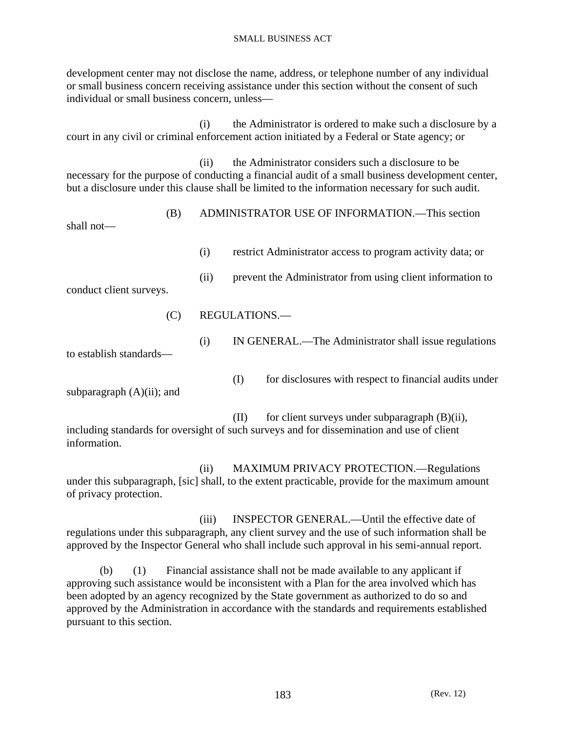development center may not disclose the name, address, or telephone number of any individual or small business concern receiving assistance under this section without the consent of such individual or small business concern, unless—

 (i) the Administrator is ordered to make such a disclosure by a court in any civil or criminal enforcement action initiated by a Federal or State agency; or

 (ii) the Administrator considers such a disclosure to be necessary for the purpose of conducting a financial audit of a small business development center, but a disclosure under this clause shall be limited to the information necessary for such audit.

| shall not—              | (B) | ADMINISTRATOR USE OF INFORMATION.—This section                                                                                         |
|-------------------------|-----|----------------------------------------------------------------------------------------------------------------------------------------|
|                         |     | restrict Administrator access to program activity data; or<br>(i)<br>prevent the Administrator from using client information to<br>(i) |
| conduct client surveys. |     |                                                                                                                                        |
|                         | (C) | REGULATIONS.—                                                                                                                          |
| to establish standards— |     | IN GENERAL.—The Administrator shall issue regulations<br>(i)                                                                           |

(I) for disclosures with respect to financial audits under

subparagraph  $(A)(ii)$ ; and

 $(II)$  for client surveys under subparagraph  $(B)(ii)$ , including standards for oversight of such surveys and for dissemination and use of client information.

 (ii) MAXIMUM PRIVACY PROTECTION.—Regulations under this subparagraph, [sic] shall, to the extent practicable, provide for the maximum amount of privacy protection.

 (iii) INSPECTOR GENERAL.—Until the effective date of regulations under this subparagraph, any client survey and the use of such information shall be approved by the Inspector General who shall include such approval in his semi-annual report.

 (b) (1) Financial assistance shall not be made available to any applicant if approving such assistance would be inconsistent with a Plan for the area involved which has been adopted by an agency recognized by the State government as authorized to do so and approved by the Administration in accordance with the standards and requirements established pursuant to this section.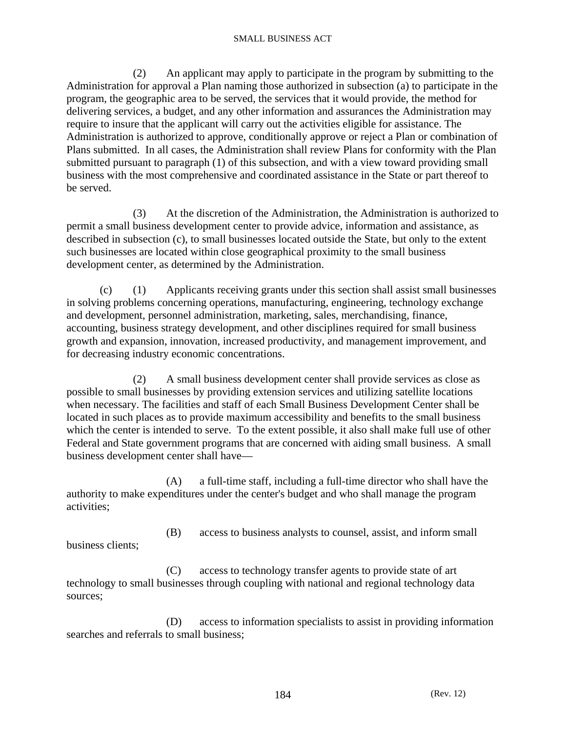(2) An applicant may apply to participate in the program by submitting to the Administration for approval a Plan naming those authorized in subsection (a) to participate in the program, the geographic area to be served, the services that it would provide, the method for delivering services, a budget, and any other information and assurances the Administration may require to insure that the applicant will carry out the activities eligible for assistance. The Administration is authorized to approve, conditionally approve or reject a Plan or combination of Plans submitted. In all cases, the Administration shall review Plans for conformity with the Plan submitted pursuant to paragraph (1) of this subsection, and with a view toward providing small business with the most comprehensive and coordinated assistance in the State or part thereof to be served.

 (3) At the discretion of the Administration, the Administration is authorized to permit a small business development center to provide advice, information and assistance, as described in subsection (c), to small businesses located outside the State, but only to the extent such businesses are located within close geographical proximity to the small business development center, as determined by the Administration.

 (c) (1) Applicants receiving grants under this section shall assist small businesses in solving problems concerning operations, manufacturing, engineering, technology exchange and development, personnel administration, marketing, sales, merchandising, finance, accounting, business strategy development, and other disciplines required for small business growth and expansion, innovation, increased productivity, and management improvement, and for decreasing industry economic concentrations.

 (2) A small business development center shall provide services as close as possible to small businesses by providing extension services and utilizing satellite locations when necessary. The facilities and staff of each Small Business Development Center shall be located in such places as to provide maximum accessibility and benefits to the small business which the center is intended to serve. To the extent possible, it also shall make full use of other Federal and State government programs that are concerned with aiding small business. A small business development center shall have—

 (A) a full-time staff, including a full-time director who shall have the authority to make expenditures under the center's budget and who shall manage the program activities;

 (B) access to business analysts to counsel, assist, and inform small business clients;

 (C) access to technology transfer agents to provide state of art technology to small businesses through coupling with national and regional technology data sources;

 (D) access to information specialists to assist in providing information searches and referrals to small business;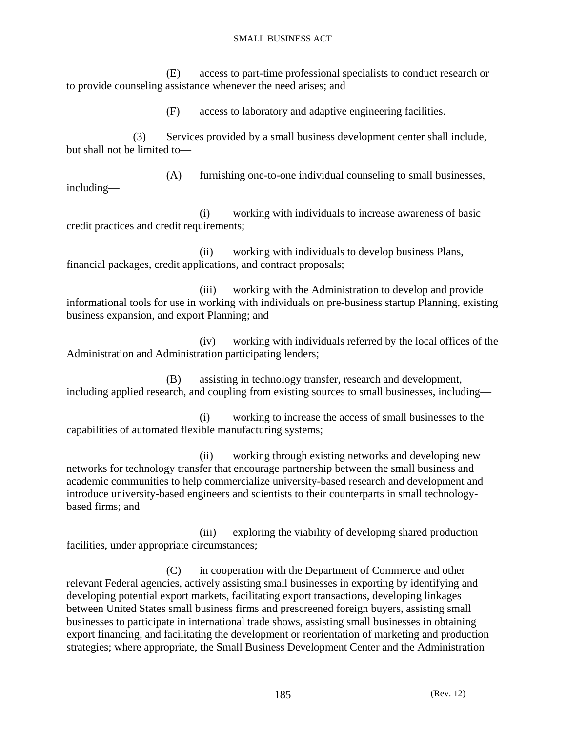(E) access to part-time professional specialists to conduct research or to provide counseling assistance whenever the need arises; and

(F) access to laboratory and adaptive engineering facilities.

 (3) Services provided by a small business development center shall include, but shall not be limited to—

 (A) furnishing one-to-one individual counseling to small businesses, including—

 (i) working with individuals to increase awareness of basic credit practices and credit requirements;

 (ii) working with individuals to develop business Plans, financial packages, credit applications, and contract proposals;

 (iii) working with the Administration to develop and provide informational tools for use in working with individuals on pre-business startup Planning, existing business expansion, and export Planning; and

 (iv) working with individuals referred by the local offices of the Administration and Administration participating lenders;

 (B) assisting in technology transfer, research and development, including applied research, and coupling from existing sources to small businesses, including—

 (i) working to increase the access of small businesses to the capabilities of automated flexible manufacturing systems;

 (ii) working through existing networks and developing new networks for technology transfer that encourage partnership between the small business and academic communities to help commercialize university-based research and development and introduce university-based engineers and scientists to their counterparts in small technologybased firms; and

 (iii) exploring the viability of developing shared production facilities, under appropriate circumstances;

 (C) in cooperation with the Department of Commerce and other relevant Federal agencies, actively assisting small businesses in exporting by identifying and developing potential export markets, facilitating export transactions, developing linkages between United States small business firms and prescreened foreign buyers, assisting small businesses to participate in international trade shows, assisting small businesses in obtaining export financing, and facilitating the development or reorientation of marketing and production strategies; where appropriate, the Small Business Development Center and the Administration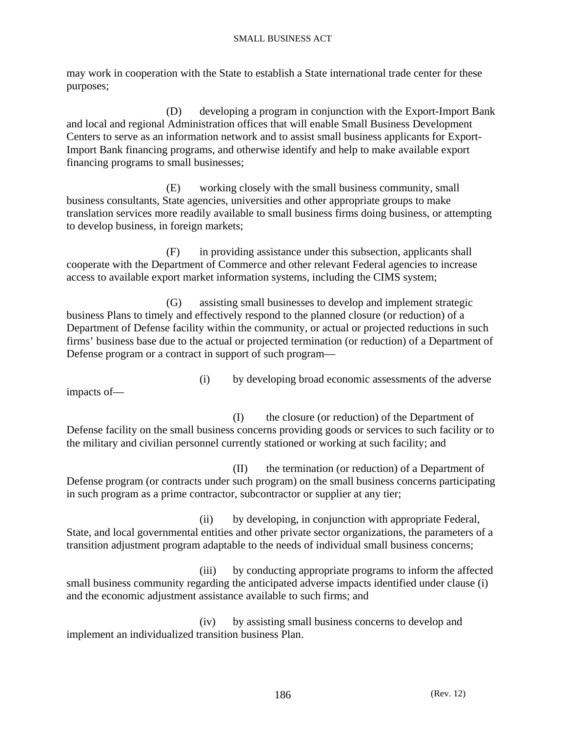may work in cooperation with the State to establish a State international trade center for these purposes;

 (D) developing a program in conjunction with the Export-Import Bank and local and regional Administration offices that will enable Small Business Development Centers to serve as an information network and to assist small business applicants for Export-Import Bank financing programs, and otherwise identify and help to make available export financing programs to small businesses;

 (E) working closely with the small business community, small business consultants, State agencies, universities and other appropriate groups to make translation services more readily available to small business firms doing business, or attempting to develop business, in foreign markets;

 (F) in providing assistance under this subsection, applicants shall cooperate with the Department of Commerce and other relevant Federal agencies to increase access to available export market information systems, including the CIMS system;

 (G) assisting small businesses to develop and implement strategic business Plans to timely and effectively respond to the planned closure (or reduction) of a Department of Defense facility within the community, or actual or projected reductions in such firms' business base due to the actual or projected termination (or reduction) of a Department of Defense program or a contract in support of such program—

(i) by developing broad economic assessments of the adverse

impacts of—

 (I) the closure (or reduction) of the Department of Defense facility on the small business concerns providing goods or services to such facility or to the military and civilian personnel currently stationed or working at such facility; and

 (II) the termination (or reduction) of a Department of Defense program (or contracts under such program) on the small business concerns participating in such program as a prime contractor, subcontractor or supplier at any tier;

 (ii) by developing, in conjunction with appropriate Federal, State, and local governmental entities and other private sector organizations, the parameters of a transition adjustment program adaptable to the needs of individual small business concerns;

 (iii) by conducting appropriate programs to inform the affected small business community regarding the anticipated adverse impacts identified under clause (i) and the economic adjustment assistance available to such firms; and

 (iv) by assisting small business concerns to develop and implement an individualized transition business Plan.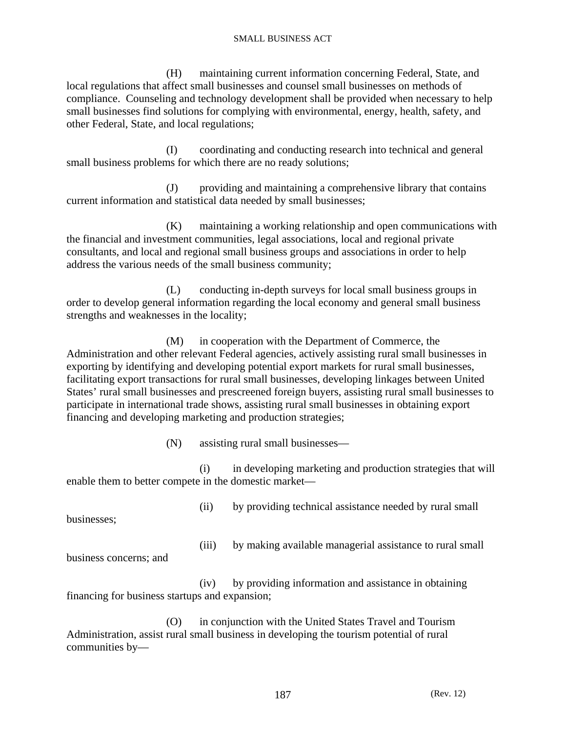(H) maintaining current information concerning Federal, State, and local regulations that affect small businesses and counsel small businesses on methods of compliance. Counseling and technology development shall be provided when necessary to help small businesses find solutions for complying with environmental, energy, health, safety, and other Federal, State, and local regulations;

 (I) coordinating and conducting research into technical and general small business problems for which there are no ready solutions;

 (J) providing and maintaining a comprehensive library that contains current information and statistical data needed by small businesses;

 (K) maintaining a working relationship and open communications with the financial and investment communities, legal associations, local and regional private consultants, and local and regional small business groups and associations in order to help address the various needs of the small business community;

 (L) conducting in-depth surveys for local small business groups in order to develop general information regarding the local economy and general small business strengths and weaknesses in the locality;

 (M) in cooperation with the Department of Commerce, the Administration and other relevant Federal agencies, actively assisting rural small businesses in exporting by identifying and developing potential export markets for rural small businesses, facilitating export transactions for rural small businesses, developing linkages between United States' rural small businesses and prescreened foreign buyers, assisting rural small businesses to participate in international trade shows, assisting rural small businesses in obtaining export financing and developing marketing and production strategies;

(N) assisting rural small businesses—

 (i) in developing marketing and production strategies that will enable them to better compete in the domestic market—

(ii) by providing technical assistance needed by rural small

businesses;

(iii) by making available managerial assistance to rural small

business concerns; and

 (iv) by providing information and assistance in obtaining financing for business startups and expansion;

 (O) in conjunction with the United States Travel and Tourism Administration, assist rural small business in developing the tourism potential of rural communities by—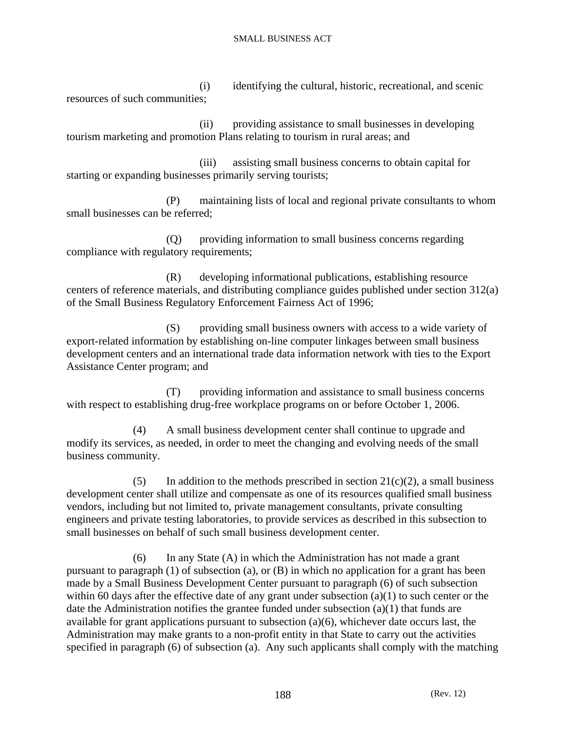(i) identifying the cultural, historic, recreational, and scenic resources of such communities;

 (ii) providing assistance to small businesses in developing tourism marketing and promotion Plans relating to tourism in rural areas; and

 (iii) assisting small business concerns to obtain capital for starting or expanding businesses primarily serving tourists;

 (P) maintaining lists of local and regional private consultants to whom small businesses can be referred;

 (Q) providing information to small business concerns regarding compliance with regulatory requirements;

 (R) developing informational publications, establishing resource centers of reference materials, and distributing compliance guides published under section 312(a) of the Small Business Regulatory Enforcement Fairness Act of 1996;

 (S) providing small business owners with access to a wide variety of export-related information by establishing on-line computer linkages between small business development centers and an international trade data information network with ties to the Export Assistance Center program; and

 (T) providing information and assistance to small business concerns with respect to establishing drug-free workplace programs on or before October 1, 2006.

 (4) A small business development center shall continue to upgrade and modify its services, as needed, in order to meet the changing and evolving needs of the small business community.

(5) In addition to the methods prescribed in section  $21(c)(2)$ , a small business development center shall utilize and compensate as one of its resources qualified small business vendors, including but not limited to, private management consultants, private consulting engineers and private testing laboratories, to provide services as described in this subsection to small businesses on behalf of such small business development center.

 (6) In any State (A) in which the Administration has not made a grant pursuant to paragraph  $(1)$  of subsection  $(a)$ , or  $(B)$  in which no application for a grant has been made by a Small Business Development Center pursuant to paragraph (6) of such subsection within 60 days after the effective date of any grant under subsection (a)(1) to such center or the date the Administration notifies the grantee funded under subsection (a)(1) that funds are available for grant applications pursuant to subsection (a)(6), whichever date occurs last, the Administration may make grants to a non-profit entity in that State to carry out the activities specified in paragraph (6) of subsection (a). Any such applicants shall comply with the matching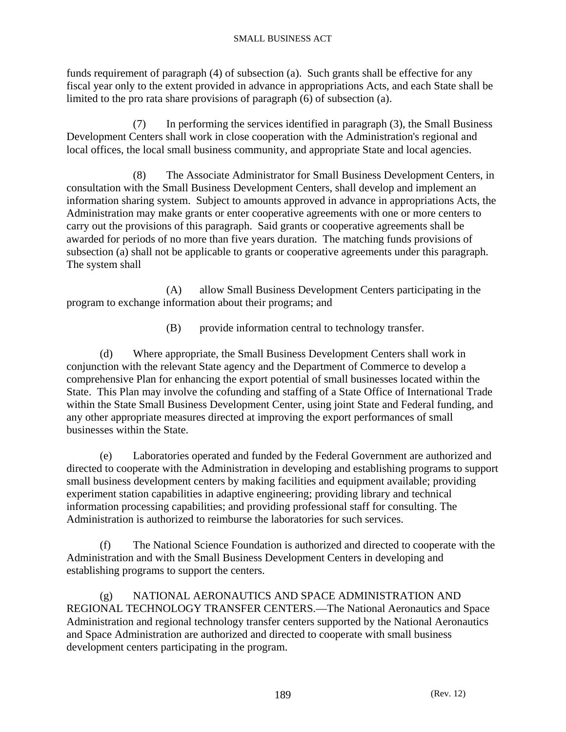funds requirement of paragraph (4) of subsection (a). Such grants shall be effective for any fiscal year only to the extent provided in advance in appropriations Acts, and each State shall be limited to the pro rata share provisions of paragraph (6) of subsection (a).

 (7) In performing the services identified in paragraph (3), the Small Business Development Centers shall work in close cooperation with the Administration's regional and local offices, the local small business community, and appropriate State and local agencies.

 (8) The Associate Administrator for Small Business Development Centers, in consultation with the Small Business Development Centers, shall develop and implement an information sharing system. Subject to amounts approved in advance in appropriations Acts, the Administration may make grants or enter cooperative agreements with one or more centers to carry out the provisions of this paragraph. Said grants or cooperative agreements shall be awarded for periods of no more than five years duration. The matching funds provisions of subsection (a) shall not be applicable to grants or cooperative agreements under this paragraph. The system shall

 (A) allow Small Business Development Centers participating in the program to exchange information about their programs; and

(B) provide information central to technology transfer.

 (d) Where appropriate, the Small Business Development Centers shall work in conjunction with the relevant State agency and the Department of Commerce to develop a comprehensive Plan for enhancing the export potential of small businesses located within the State. This Plan may involve the cofunding and staffing of a State Office of International Trade within the State Small Business Development Center, using joint State and Federal funding, and any other appropriate measures directed at improving the export performances of small businesses within the State.

 (e) Laboratories operated and funded by the Federal Government are authorized and directed to cooperate with the Administration in developing and establishing programs to support small business development centers by making facilities and equipment available; providing experiment station capabilities in adaptive engineering; providing library and technical information processing capabilities; and providing professional staff for consulting. The Administration is authorized to reimburse the laboratories for such services.

 (f) The National Science Foundation is authorized and directed to cooperate with the Administration and with the Small Business Development Centers in developing and establishing programs to support the centers.

 (g) NATIONAL AERONAUTICS AND SPACE ADMINISTRATION AND REGIONAL TECHNOLOGY TRANSFER CENTERS.—The National Aeronautics and Space Administration and regional technology transfer centers supported by the National Aeronautics and Space Administration are authorized and directed to cooperate with small business development centers participating in the program.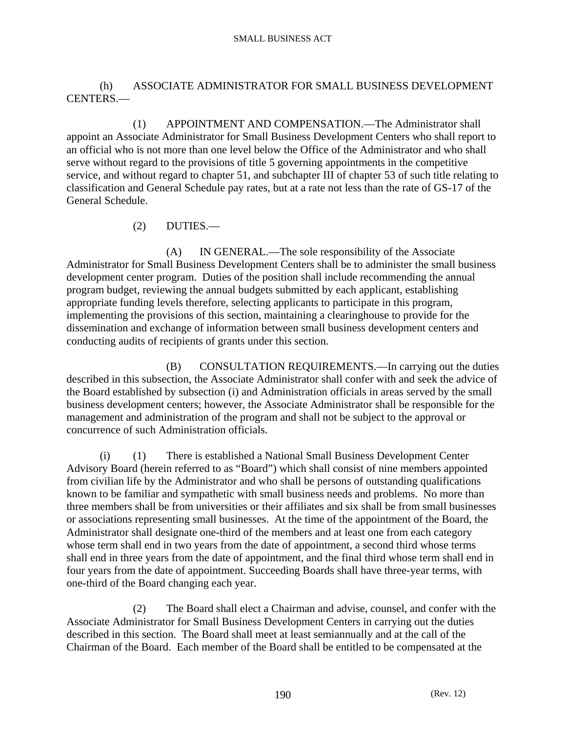## (h) ASSOCIATE ADMINISTRATOR FOR SMALL BUSINESS DEVELOPMENT CENTERS.—

 (1) APPOINTMENT AND COMPENSATION.—The Administrator shall appoint an Associate Administrator for Small Business Development Centers who shall report to an official who is not more than one level below the Office of the Administrator and who shall serve without regard to the provisions of title 5 governing appointments in the competitive service, and without regard to chapter 51, and subchapter III of chapter 53 of such title relating to classification and General Schedule pay rates, but at a rate not less than the rate of GS-17 of the General Schedule.

(2) DUTIES.—

 (A) IN GENERAL.—The sole responsibility of the Associate Administrator for Small Business Development Centers shall be to administer the small business development center program. Duties of the position shall include recommending the annual program budget, reviewing the annual budgets submitted by each applicant, establishing appropriate funding levels therefore, selecting applicants to participate in this program, implementing the provisions of this section, maintaining a clearinghouse to provide for the dissemination and exchange of information between small business development centers and conducting audits of recipients of grants under this section.

 (B) CONSULTATION REQUIREMENTS.—In carrying out the duties described in this subsection, the Associate Administrator shall confer with and seek the advice of the Board established by subsection (i) and Administration officials in areas served by the small business development centers; however, the Associate Administrator shall be responsible for the management and administration of the program and shall not be subject to the approval or concurrence of such Administration officials.

 (i) (1) There is established a National Small Business Development Center Advisory Board (herein referred to as "Board") which shall consist of nine members appointed from civilian life by the Administrator and who shall be persons of outstanding qualifications known to be familiar and sympathetic with small business needs and problems. No more than three members shall be from universities or their affiliates and six shall be from small businesses or associations representing small businesses. At the time of the appointment of the Board, the Administrator shall designate one-third of the members and at least one from each category whose term shall end in two years from the date of appointment, a second third whose terms shall end in three years from the date of appointment, and the final third whose term shall end in four years from the date of appointment. Succeeding Boards shall have three-year terms, with one-third of the Board changing each year.

 (2) The Board shall elect a Chairman and advise, counsel, and confer with the Associate Administrator for Small Business Development Centers in carrying out the duties described in this section. The Board shall meet at least semiannually and at the call of the Chairman of the Board. Each member of the Board shall be entitled to be compensated at the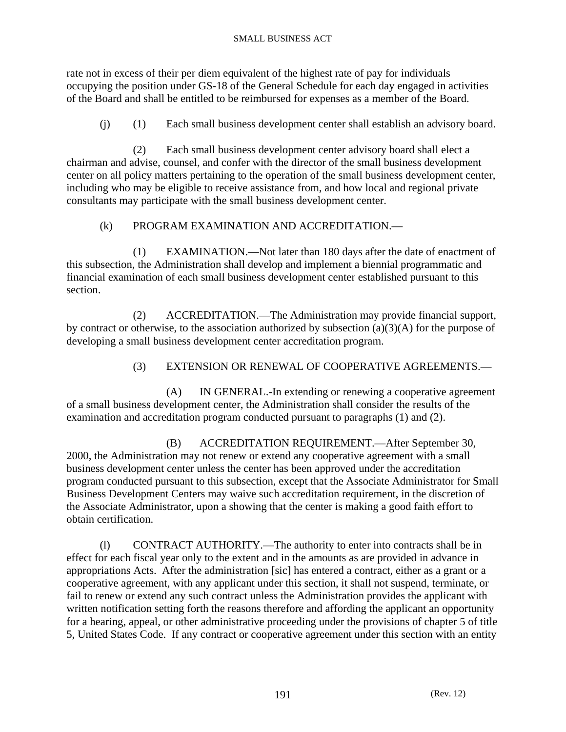rate not in excess of their per diem equivalent of the highest rate of pay for individuals occupying the position under GS-18 of the General Schedule for each day engaged in activities of the Board and shall be entitled to be reimbursed for expenses as a member of the Board.

(j) (1) Each small business development center shall establish an advisory board.

 (2) Each small business development center advisory board shall elect a chairman and advise, counsel, and confer with the director of the small business development center on all policy matters pertaining to the operation of the small business development center, including who may be eligible to receive assistance from, and how local and regional private consultants may participate with the small business development center.

## (k) PROGRAM EXAMINATION AND ACCREDITATION.—

 (1) EXAMINATION.—Not later than 180 days after the date of enactment of this subsection, the Administration shall develop and implement a biennial programmatic and financial examination of each small business development center established pursuant to this section.

 (2) ACCREDITATION.—The Administration may provide financial support, by contract or otherwise, to the association authorized by subsection (a)(3)(A) for the purpose of developing a small business development center accreditation program.

# (3) EXTENSION OR RENEWAL OF COOPERATIVE AGREEMENTS.—

 (A) IN GENERAL.-In extending or renewing a cooperative agreement of a small business development center, the Administration shall consider the results of the examination and accreditation program conducted pursuant to paragraphs (1) and (2).

 (B) ACCREDITATION REQUIREMENT.—After September 30, 2000, the Administration may not renew or extend any cooperative agreement with a small business development center unless the center has been approved under the accreditation program conducted pursuant to this subsection, except that the Associate Administrator for Small Business Development Centers may waive such accreditation requirement, in the discretion of the Associate Administrator, upon a showing that the center is making a good faith effort to obtain certification.

 (l) CONTRACT AUTHORITY.—The authority to enter into contracts shall be in effect for each fiscal year only to the extent and in the amounts as are provided in advance in appropriations Acts. After the administration [sic] has entered a contract, either as a grant or a cooperative agreement, with any applicant under this section, it shall not suspend, terminate, or fail to renew or extend any such contract unless the Administration provides the applicant with written notification setting forth the reasons therefore and affording the applicant an opportunity for a hearing, appeal, or other administrative proceeding under the provisions of chapter 5 of title 5, United States Code. If any contract or cooperative agreement under this section with an entity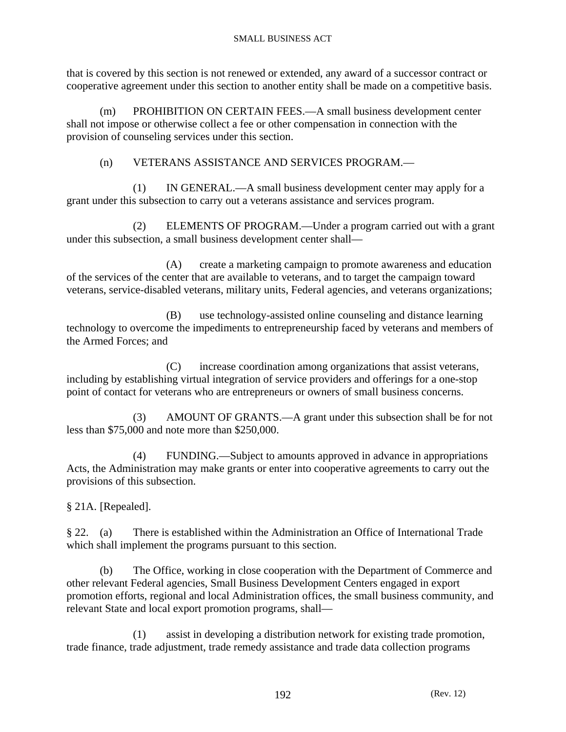that is covered by this section is not renewed or extended, any award of a successor contract or cooperative agreement under this section to another entity shall be made on a competitive basis.

 (m) PROHIBITION ON CERTAIN FEES.—A small business development center shall not impose or otherwise collect a fee or other compensation in connection with the provision of counseling services under this section.

(n) VETERANS ASSISTANCE AND SERVICES PROGRAM.—

 (1) IN GENERAL.—A small business development center may apply for a grant under this subsection to carry out a veterans assistance and services program.

 (2) ELEMENTS OF PROGRAM.—Under a program carried out with a grant under this subsection, a small business development center shall—

 (A) create a marketing campaign to promote awareness and education of the services of the center that are available to veterans, and to target the campaign toward veterans, service-disabled veterans, military units, Federal agencies, and veterans organizations;

 (B) use technology-assisted online counseling and distance learning technology to overcome the impediments to entrepreneurship faced by veterans and members of the Armed Forces; and

 (C) increase coordination among organizations that assist veterans, including by establishing virtual integration of service providers and offerings for a one-stop point of contact for veterans who are entrepreneurs or owners of small business concerns.

 (3) AMOUNT OF GRANTS.—A grant under this subsection shall be for not less than \$75,000 and note more than \$250,000.

 (4) FUNDING.—Subject to amounts approved in advance in appropriations Acts, the Administration may make grants or enter into cooperative agreements to carry out the provisions of this subsection.

§ 21A. [Repealed].

§ 22. (a) There is established within the Administration an Office of International Trade which shall implement the programs pursuant to this section.

 (b) The Office, working in close cooperation with the Department of Commerce and other relevant Federal agencies, Small Business Development Centers engaged in export promotion efforts, regional and local Administration offices, the small business community, and relevant State and local export promotion programs, shall—

 (1) assist in developing a distribution network for existing trade promotion, trade finance, trade adjustment, trade remedy assistance and trade data collection programs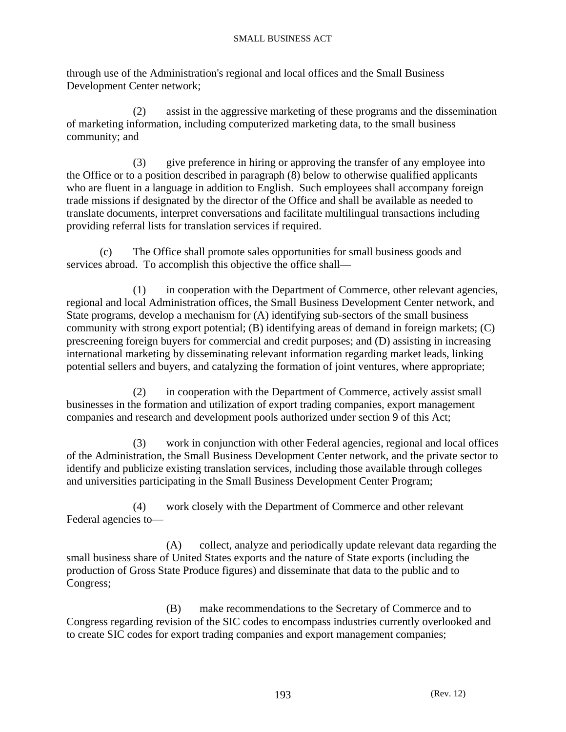through use of the Administration's regional and local offices and the Small Business Development Center network;

 (2) assist in the aggressive marketing of these programs and the dissemination of marketing information, including computerized marketing data, to the small business community; and

 (3) give preference in hiring or approving the transfer of any employee into the Office or to a position described in paragraph (8) below to otherwise qualified applicants who are fluent in a language in addition to English. Such employees shall accompany foreign trade missions if designated by the director of the Office and shall be available as needed to translate documents, interpret conversations and facilitate multilingual transactions including providing referral lists for translation services if required.

 (c) The Office shall promote sales opportunities for small business goods and services abroad. To accomplish this objective the office shall—

 (1) in cooperation with the Department of Commerce, other relevant agencies, regional and local Administration offices, the Small Business Development Center network, and State programs, develop a mechanism for (A) identifying sub-sectors of the small business community with strong export potential; (B) identifying areas of demand in foreign markets; (C) prescreening foreign buyers for commercial and credit purposes; and (D) assisting in increasing international marketing by disseminating relevant information regarding market leads, linking potential sellers and buyers, and catalyzing the formation of joint ventures, where appropriate;

 (2) in cooperation with the Department of Commerce, actively assist small businesses in the formation and utilization of export trading companies, export management companies and research and development pools authorized under section 9 of this Act;

 (3) work in conjunction with other Federal agencies, regional and local offices of the Administration, the Small Business Development Center network, and the private sector to identify and publicize existing translation services, including those available through colleges and universities participating in the Small Business Development Center Program;

 (4) work closely with the Department of Commerce and other relevant Federal agencies to—

 (A) collect, analyze and periodically update relevant data regarding the small business share of United States exports and the nature of State exports (including the production of Gross State Produce figures) and disseminate that data to the public and to Congress;

 (B) make recommendations to the Secretary of Commerce and to Congress regarding revision of the SIC codes to encompass industries currently overlooked and to create SIC codes for export trading companies and export management companies;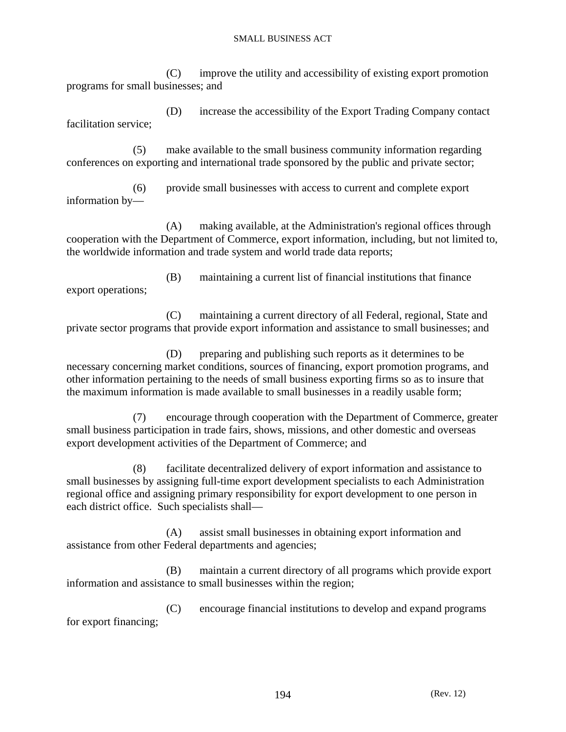(C) improve the utility and accessibility of existing export promotion programs for small businesses; and

 (D) increase the accessibility of the Export Trading Company contact facilitation service;

 (5) make available to the small business community information regarding conferences on exporting and international trade sponsored by the public and private sector;

 (6) provide small businesses with access to current and complete export information by—

 (A) making available, at the Administration's regional offices through cooperation with the Department of Commerce, export information, including, but not limited to, the worldwide information and trade system and world trade data reports;

export operations;

(B) maintaining a current list of financial institutions that finance

 (C) maintaining a current directory of all Federal, regional, State and private sector programs that provide export information and assistance to small businesses; and

 (D) preparing and publishing such reports as it determines to be necessary concerning market conditions, sources of financing, export promotion programs, and other information pertaining to the needs of small business exporting firms so as to insure that the maximum information is made available to small businesses in a readily usable form;

 (7) encourage through cooperation with the Department of Commerce, greater small business participation in trade fairs, shows, missions, and other domestic and overseas export development activities of the Department of Commerce; and

 (8) facilitate decentralized delivery of export information and assistance to small businesses by assigning full-time export development specialists to each Administration regional office and assigning primary responsibility for export development to one person in each district office. Such specialists shall—

 (A) assist small businesses in obtaining export information and assistance from other Federal departments and agencies;

 (B) maintain a current directory of all programs which provide export information and assistance to small businesses within the region;

 (C) encourage financial institutions to develop and expand programs for export financing;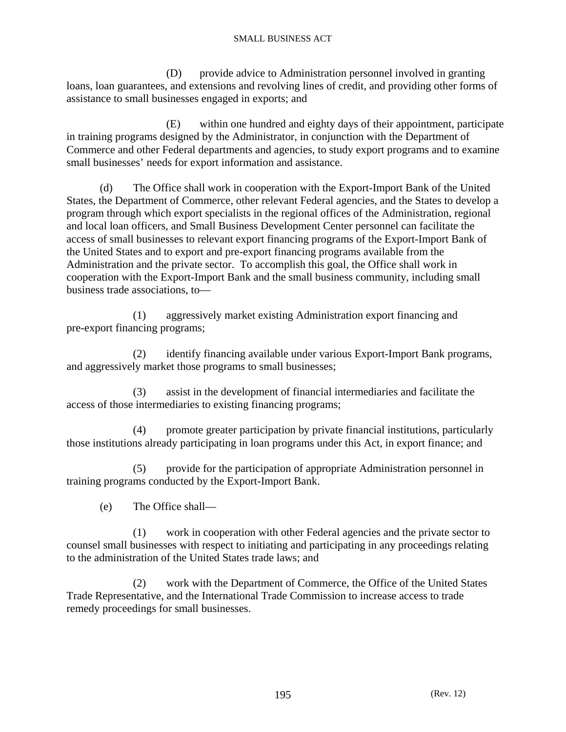(D) provide advice to Administration personnel involved in granting loans, loan guarantees, and extensions and revolving lines of credit, and providing other forms of assistance to small businesses engaged in exports; and

 (E) within one hundred and eighty days of their appointment, participate in training programs designed by the Administrator, in conjunction with the Department of Commerce and other Federal departments and agencies, to study export programs and to examine small businesses' needs for export information and assistance.

 (d) The Office shall work in cooperation with the Export-Import Bank of the United States, the Department of Commerce, other relevant Federal agencies, and the States to develop a program through which export specialists in the regional offices of the Administration, regional and local loan officers, and Small Business Development Center personnel can facilitate the access of small businesses to relevant export financing programs of the Export-Import Bank of the United States and to export and pre-export financing programs available from the Administration and the private sector. To accomplish this goal, the Office shall work in cooperation with the Export-Import Bank and the small business community, including small business trade associations, to—

 (1) aggressively market existing Administration export financing and pre-export financing programs;

 (2) identify financing available under various Export-Import Bank programs, and aggressively market those programs to small businesses;

 (3) assist in the development of financial intermediaries and facilitate the access of those intermediaries to existing financing programs;

 (4) promote greater participation by private financial institutions, particularly those institutions already participating in loan programs under this Act, in export finance; and

 (5) provide for the participation of appropriate Administration personnel in training programs conducted by the Export-Import Bank.

(e) The Office shall—

 (1) work in cooperation with other Federal agencies and the private sector to counsel small businesses with respect to initiating and participating in any proceedings relating to the administration of the United States trade laws; and

 (2) work with the Department of Commerce, the Office of the United States Trade Representative, and the International Trade Commission to increase access to trade remedy proceedings for small businesses.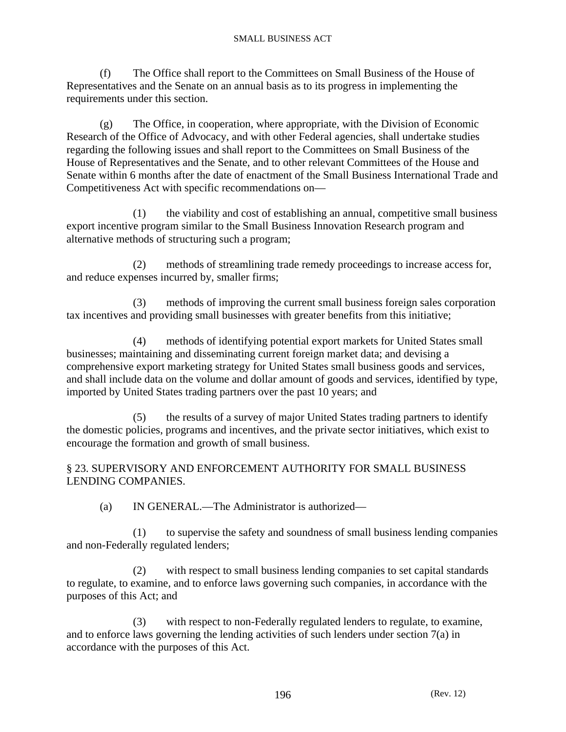(f) The Office shall report to the Committees on Small Business of the House of Representatives and the Senate on an annual basis as to its progress in implementing the requirements under this section.

 (g) The Office, in cooperation, where appropriate, with the Division of Economic Research of the Office of Advocacy, and with other Federal agencies, shall undertake studies regarding the following issues and shall report to the Committees on Small Business of the House of Representatives and the Senate, and to other relevant Committees of the House and Senate within 6 months after the date of enactment of the Small Business International Trade and Competitiveness Act with specific recommendations on—

 (1) the viability and cost of establishing an annual, competitive small business export incentive program similar to the Small Business Innovation Research program and alternative methods of structuring such a program;

 (2) methods of streamlining trade remedy proceedings to increase access for, and reduce expenses incurred by, smaller firms;

 (3) methods of improving the current small business foreign sales corporation tax incentives and providing small businesses with greater benefits from this initiative;

 (4) methods of identifying potential export markets for United States small businesses; maintaining and disseminating current foreign market data; and devising a comprehensive export marketing strategy for United States small business goods and services, and shall include data on the volume and dollar amount of goods and services, identified by type, imported by United States trading partners over the past 10 years; and

 (5) the results of a survey of major United States trading partners to identify the domestic policies, programs and incentives, and the private sector initiatives, which exist to encourage the formation and growth of small business.

## § 23. SUPERVISORY AND ENFORCEMENT AUTHORITY FOR SMALL BUSINESS LENDING COMPANIES.

(a) IN GENERAL.—The Administrator is authorized—

 (1) to supervise the safety and soundness of small business lending companies and non-Federally regulated lenders;

 (2) with respect to small business lending companies to set capital standards to regulate, to examine, and to enforce laws governing such companies, in accordance with the purposes of this Act; and

with respect to non-Federally regulated lenders to regulate, to examine, and to enforce laws governing the lending activities of such lenders under section 7(a) in accordance with the purposes of this Act.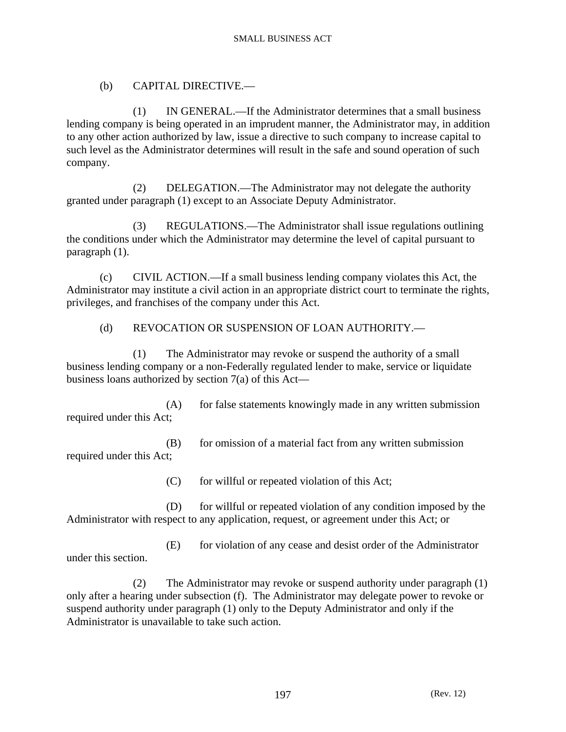## (b) CAPITAL DIRECTIVE.—

 (1) IN GENERAL.—If the Administrator determines that a small business lending company is being operated in an imprudent manner, the Administrator may, in addition to any other action authorized by law, issue a directive to such company to increase capital to such level as the Administrator determines will result in the safe and sound operation of such company.

 (2) DELEGATION.—The Administrator may not delegate the authority granted under paragraph (1) except to an Associate Deputy Administrator.

 (3) REGULATIONS.—The Administrator shall issue regulations outlining the conditions under which the Administrator may determine the level of capital pursuant to paragraph (1).

 (c) CIVIL ACTION.—If a small business lending company violates this Act, the Administrator may institute a civil action in an appropriate district court to terminate the rights, privileges, and franchises of the company under this Act.

## (d) REVOCATION OR SUSPENSION OF LOAN AUTHORITY.—

 (1) The Administrator may revoke or suspend the authority of a small business lending company or a non-Federally regulated lender to make, service or liquidate business loans authorized by section 7(a) of this Act—

(A) for false statements knowingly made in any written submission required under this Act;

(B) for omission of a material fact from any written submission required under this Act;

(C) for willful or repeated violation of this Act;

 (D) for willful or repeated violation of any condition imposed by the Administrator with respect to any application, request, or agreement under this Act; or

 (E) for violation of any cease and desist order of the Administrator under this section.

 (2) The Administrator may revoke or suspend authority under paragraph (1) only after a hearing under subsection (f). The Administrator may delegate power to revoke or suspend authority under paragraph (1) only to the Deputy Administrator and only if the Administrator is unavailable to take such action.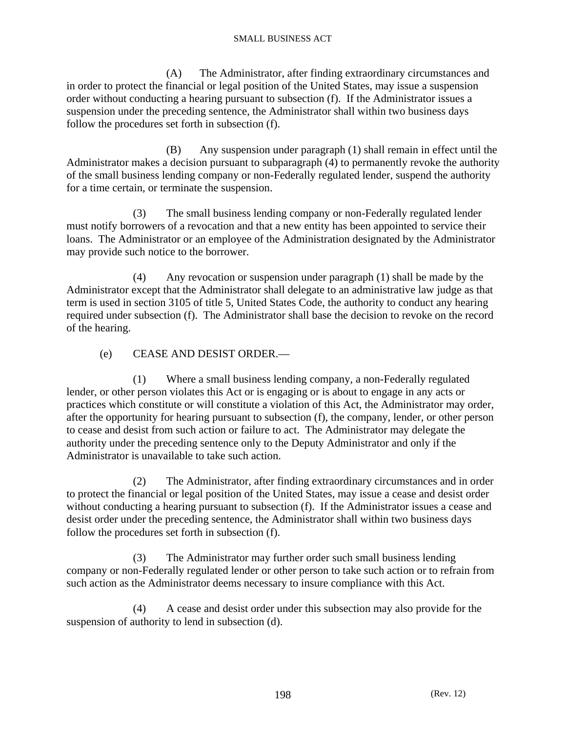(A) The Administrator, after finding extraordinary circumstances and in order to protect the financial or legal position of the United States, may issue a suspension order without conducting a hearing pursuant to subsection (f). If the Administrator issues a suspension under the preceding sentence, the Administrator shall within two business days follow the procedures set forth in subsection (f).

 (B) Any suspension under paragraph (1) shall remain in effect until the Administrator makes a decision pursuant to subparagraph (4) to permanently revoke the authority of the small business lending company or non-Federally regulated lender, suspend the authority for a time certain, or terminate the suspension.

 (3) The small business lending company or non-Federally regulated lender must notify borrowers of a revocation and that a new entity has been appointed to service their loans. The Administrator or an employee of the Administration designated by the Administrator may provide such notice to the borrower.

 (4) Any revocation or suspension under paragraph (1) shall be made by the Administrator except that the Administrator shall delegate to an administrative law judge as that term is used in section 3105 of title 5, United States Code, the authority to conduct any hearing required under subsection (f). The Administrator shall base the decision to revoke on the record of the hearing.

### (e) CEASE AND DESIST ORDER.—

 (1) Where a small business lending company, a non-Federally regulated lender, or other person violates this Act or is engaging or is about to engage in any acts or practices which constitute or will constitute a violation of this Act, the Administrator may order, after the opportunity for hearing pursuant to subsection (f), the company, lender, or other person to cease and desist from such action or failure to act. The Administrator may delegate the authority under the preceding sentence only to the Deputy Administrator and only if the Administrator is unavailable to take such action.

 (2) The Administrator, after finding extraordinary circumstances and in order to protect the financial or legal position of the United States, may issue a cease and desist order without conducting a hearing pursuant to subsection (f). If the Administrator issues a cease and desist order under the preceding sentence, the Administrator shall within two business days follow the procedures set forth in subsection (f).

 (3) The Administrator may further order such small business lending company or non-Federally regulated lender or other person to take such action or to refrain from such action as the Administrator deems necessary to insure compliance with this Act.

 (4) A cease and desist order under this subsection may also provide for the suspension of authority to lend in subsection (d).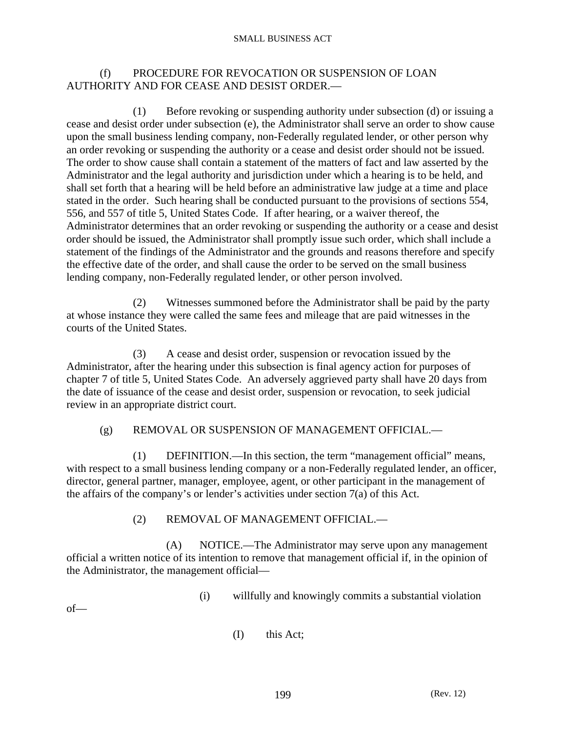### (f) PROCEDURE FOR REVOCATION OR SUSPENSION OF LOAN AUTHORITY AND FOR CEASE AND DESIST ORDER.—

 (1) Before revoking or suspending authority under subsection (d) or issuing a cease and desist order under subsection (e), the Administrator shall serve an order to show cause upon the small business lending company, non-Federally regulated lender, or other person why an order revoking or suspending the authority or a cease and desist order should not be issued. The order to show cause shall contain a statement of the matters of fact and law asserted by the Administrator and the legal authority and jurisdiction under which a hearing is to be held, and shall set forth that a hearing will be held before an administrative law judge at a time and place stated in the order. Such hearing shall be conducted pursuant to the provisions of sections 554, 556, and 557 of title 5, United States Code. If after hearing, or a waiver thereof, the Administrator determines that an order revoking or suspending the authority or a cease and desist order should be issued, the Administrator shall promptly issue such order, which shall include a statement of the findings of the Administrator and the grounds and reasons therefore and specify the effective date of the order, and shall cause the order to be served on the small business lending company, non-Federally regulated lender, or other person involved.

 (2) Witnesses summoned before the Administrator shall be paid by the party at whose instance they were called the same fees and mileage that are paid witnesses in the courts of the United States.

 (3) A cease and desist order, suspension or revocation issued by the Administrator, after the hearing under this subsection is final agency action for purposes of chapter 7 of title 5, United States Code. An adversely aggrieved party shall have 20 days from the date of issuance of the cease and desist order, suspension or revocation, to seek judicial review in an appropriate district court.

### (g) REMOVAL OR SUSPENSION OF MANAGEMENT OFFICIAL.—

 (1) DEFINITION.—In this section, the term "management official" means, with respect to a small business lending company or a non-Federally regulated lender, an officer, director, general partner, manager, employee, agent, or other participant in the management of the affairs of the company's or lender's activities under section 7(a) of this Act.

### (2) REMOVAL OF MANAGEMENT OFFICIAL.—

 (A) NOTICE.—The Administrator may serve upon any management official a written notice of its intention to remove that management official if, in the opinion of the Administrator, the management official—

(i) willfully and knowingly commits a substantial violation

 $of$ —

(I) this Act;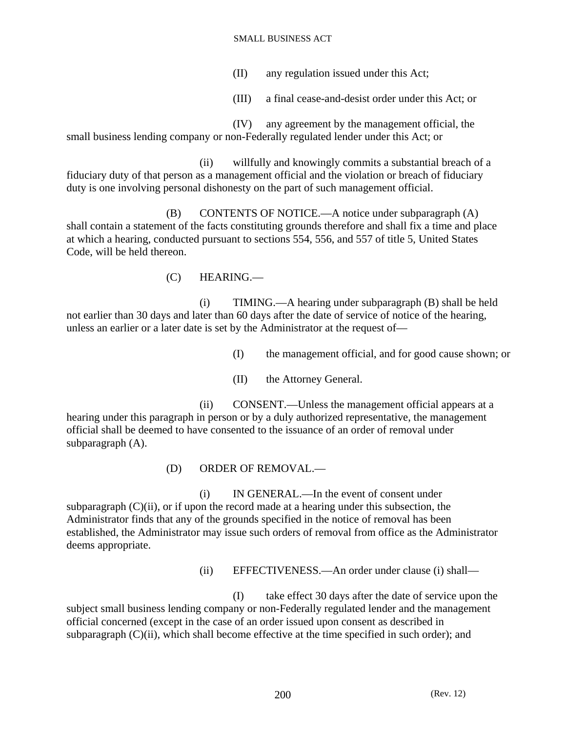- (II) any regulation issued under this Act;
- (III) a final cease-and-desist order under this Act; or

 (IV) any agreement by the management official, the small business lending company or non-Federally regulated lender under this Act; or

 (ii) willfully and knowingly commits a substantial breach of a fiduciary duty of that person as a management official and the violation or breach of fiduciary duty is one involving personal dishonesty on the part of such management official.

 (B) CONTENTS OF NOTICE.—A notice under subparagraph (A) shall contain a statement of the facts constituting grounds therefore and shall fix a time and place at which a hearing, conducted pursuant to sections 554, 556, and 557 of title 5, United States Code, will be held thereon.

(C) HEARING.—

 (i) TIMING.—A hearing under subparagraph (B) shall be held not earlier than 30 days and later than 60 days after the date of service of notice of the hearing, unless an earlier or a later date is set by the Administrator at the request of—

(I) the management official, and for good cause shown; or

(II) the Attorney General.

 (ii) CONSENT.—Unless the management official appears at a hearing under this paragraph in person or by a duly authorized representative, the management official shall be deemed to have consented to the issuance of an order of removal under subparagraph (A).

(D) ORDER OF REMOVAL.—

 (i) IN GENERAL.—In the event of consent under subparagraph  $(C)(ii)$ , or if upon the record made at a hearing under this subsection, the Administrator finds that any of the grounds specified in the notice of removal has been established, the Administrator may issue such orders of removal from office as the Administrator deems appropriate.

(ii) EFFECTIVENESS.—An order under clause (i) shall—

 (I) take effect 30 days after the date of service upon the subject small business lending company or non-Federally regulated lender and the management official concerned (except in the case of an order issued upon consent as described in subparagraph  $(C)(ii)$ , which shall become effective at the time specified in such order); and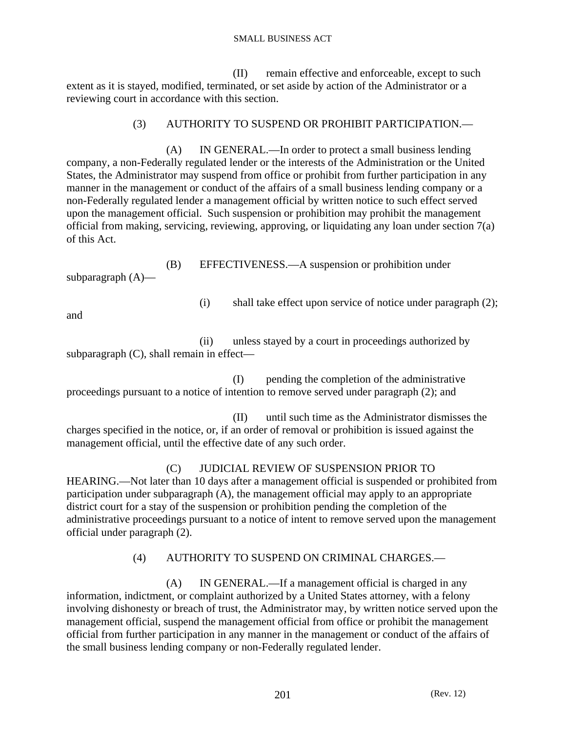(II) remain effective and enforceable, except to such extent as it is stayed, modified, terminated, or set aside by action of the Administrator or a reviewing court in accordance with this section.

## (3) AUTHORITY TO SUSPEND OR PROHIBIT PARTICIPATION.—

 (A) IN GENERAL.—In order to protect a small business lending company, a non-Federally regulated lender or the interests of the Administration or the United States, the Administrator may suspend from office or prohibit from further participation in any manner in the management or conduct of the affairs of a small business lending company or a non-Federally regulated lender a management official by written notice to such effect served upon the management official. Such suspension or prohibition may prohibit the management official from making, servicing, reviewing, approving, or liquidating any loan under section 7(a) of this Act.

 (B) EFFECTIVENESS.—A suspension or prohibition under subparagraph (A)—

(i) shall take effect upon service of notice under paragraph (2);

and

 (ii) unless stayed by a court in proceedings authorized by subparagraph (C), shall remain in effect—

 (I) pending the completion of the administrative proceedings pursuant to a notice of intention to remove served under paragraph (2); and

 (II) until such time as the Administrator dismisses the charges specified in the notice, or, if an order of removal or prohibition is issued against the management official, until the effective date of any such order.

## (C) JUDICIAL REVIEW OF SUSPENSION PRIOR TO

HEARING.—Not later than 10 days after a management official is suspended or prohibited from participation under subparagraph (A), the management official may apply to an appropriate district court for a stay of the suspension or prohibition pending the completion of the administrative proceedings pursuant to a notice of intent to remove served upon the management official under paragraph (2).

# (4) AUTHORITY TO SUSPEND ON CRIMINAL CHARGES.—

 (A) IN GENERAL.—If a management official is charged in any information, indictment, or complaint authorized by a United States attorney, with a felony involving dishonesty or breach of trust, the Administrator may, by written notice served upon the management official, suspend the management official from office or prohibit the management official from further participation in any manner in the management or conduct of the affairs of the small business lending company or non-Federally regulated lender.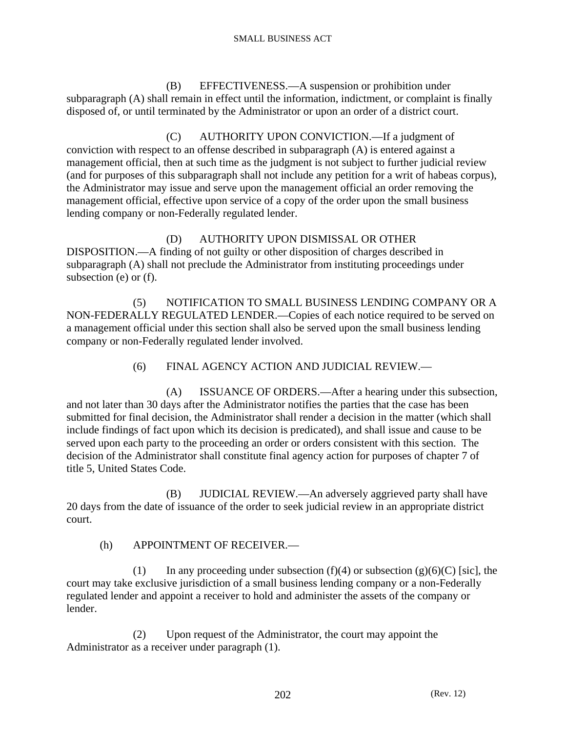(B) EFFECTIVENESS.—A suspension or prohibition under subparagraph (A) shall remain in effect until the information, indictment, or complaint is finally disposed of, or until terminated by the Administrator or upon an order of a district court.

 (C) AUTHORITY UPON CONVICTION.—If a judgment of conviction with respect to an offense described in subparagraph (A) is entered against a management official, then at such time as the judgment is not subject to further judicial review (and for purposes of this subparagraph shall not include any petition for a writ of habeas corpus), the Administrator may issue and serve upon the management official an order removing the management official, effective upon service of a copy of the order upon the small business lending company or non-Federally regulated lender.

## (D) AUTHORITY UPON DISMISSAL OR OTHER

DISPOSITION.—A finding of not guilty or other disposition of charges described in subparagraph (A) shall not preclude the Administrator from instituting proceedings under subsection (e) or (f).

 (5) NOTIFICATION TO SMALL BUSINESS LENDING COMPANY OR A NON-FEDERALLY REGULATED LENDER.—Copies of each notice required to be served on a management official under this section shall also be served upon the small business lending company or non-Federally regulated lender involved.

(6) FINAL AGENCY ACTION AND JUDICIAL REVIEW.—

 (A) ISSUANCE OF ORDERS.—After a hearing under this subsection, and not later than 30 days after the Administrator notifies the parties that the case has been submitted for final decision, the Administrator shall render a decision in the matter (which shall include findings of fact upon which its decision is predicated), and shall issue and cause to be served upon each party to the proceeding an order or orders consistent with this section. The decision of the Administrator shall constitute final agency action for purposes of chapter 7 of title 5, United States Code.

 (B) JUDICIAL REVIEW.—An adversely aggrieved party shall have 20 days from the date of issuance of the order to seek judicial review in an appropriate district court.

(h) APPOINTMENT OF RECEIVER.—

(1) In any proceeding under subsection (f)(4) or subsection (g)(6)(C) [sic], the court may take exclusive jurisdiction of a small business lending company or a non-Federally regulated lender and appoint a receiver to hold and administer the assets of the company or lender.

 (2) Upon request of the Administrator, the court may appoint the Administrator as a receiver under paragraph (1).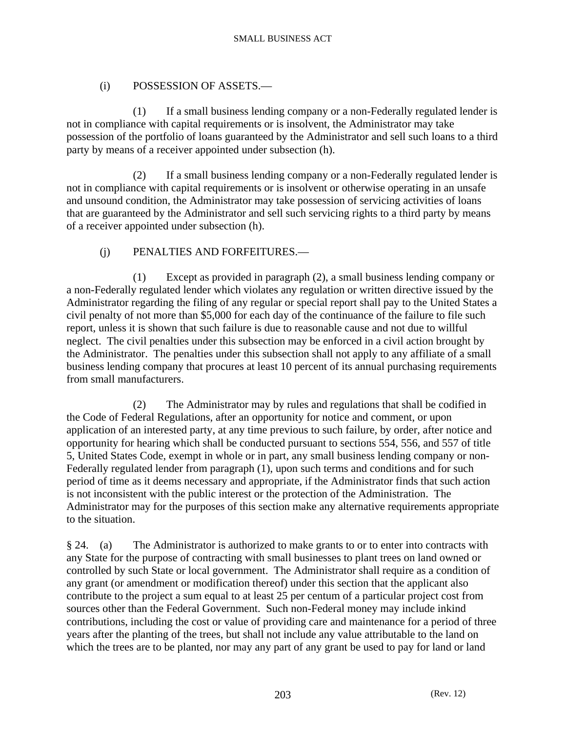## (i) POSSESSION OF ASSETS.—

 (1) If a small business lending company or a non-Federally regulated lender is not in compliance with capital requirements or is insolvent, the Administrator may take possession of the portfolio of loans guaranteed by the Administrator and sell such loans to a third party by means of a receiver appointed under subsection (h).

 (2) If a small business lending company or a non-Federally regulated lender is not in compliance with capital requirements or is insolvent or otherwise operating in an unsafe and unsound condition, the Administrator may take possession of servicing activities of loans that are guaranteed by the Administrator and sell such servicing rights to a third party by means of a receiver appointed under subsection (h).

# (j) PENALTIES AND FORFEITURES.—

 (1) Except as provided in paragraph (2), a small business lending company or a non-Federally regulated lender which violates any regulation or written directive issued by the Administrator regarding the filing of any regular or special report shall pay to the United States a civil penalty of not more than \$5,000 for each day of the continuance of the failure to file such report, unless it is shown that such failure is due to reasonable cause and not due to willful neglect. The civil penalties under this subsection may be enforced in a civil action brought by the Administrator. The penalties under this subsection shall not apply to any affiliate of a small business lending company that procures at least 10 percent of its annual purchasing requirements from small manufacturers.

 (2) The Administrator may by rules and regulations that shall be codified in the Code of Federal Regulations, after an opportunity for notice and comment, or upon application of an interested party, at any time previous to such failure, by order, after notice and opportunity for hearing which shall be conducted pursuant to sections 554, 556, and 557 of title 5, United States Code, exempt in whole or in part, any small business lending company or non-Federally regulated lender from paragraph (1), upon such terms and conditions and for such period of time as it deems necessary and appropriate, if the Administrator finds that such action is not inconsistent with the public interest or the protection of the Administration. The Administrator may for the purposes of this section make any alternative requirements appropriate to the situation.

§ 24. (a) The Administrator is authorized to make grants to or to enter into contracts with any State for the purpose of contracting with small businesses to plant trees on land owned or controlled by such State or local government. The Administrator shall require as a condition of any grant (or amendment or modification thereof) under this section that the applicant also contribute to the project a sum equal to at least 25 per centum of a particular project cost from sources other than the Federal Government. Such non-Federal money may include inkind contributions, including the cost or value of providing care and maintenance for a period of three years after the planting of the trees, but shall not include any value attributable to the land on which the trees are to be planted, nor may any part of any grant be used to pay for land or land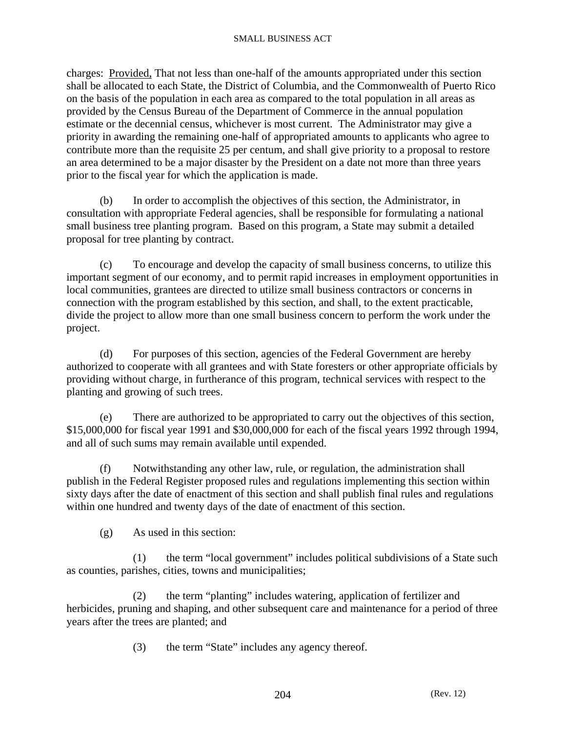charges: Provided, That not less than one-half of the amounts appropriated under this section shall be allocated to each State, the District of Columbia, and the Commonwealth of Puerto Rico on the basis of the population in each area as compared to the total population in all areas as provided by the Census Bureau of the Department of Commerce in the annual population estimate or the decennial census, whichever is most current. The Administrator may give a priority in awarding the remaining one-half of appropriated amounts to applicants who agree to contribute more than the requisite 25 per centum, and shall give priority to a proposal to restore an area determined to be a major disaster by the President on a date not more than three years prior to the fiscal year for which the application is made.

 (b) In order to accomplish the objectives of this section, the Administrator, in consultation with appropriate Federal agencies, shall be responsible for formulating a national small business tree planting program. Based on this program, a State may submit a detailed proposal for tree planting by contract.

 (c) To encourage and develop the capacity of small business concerns, to utilize this important segment of our economy, and to permit rapid increases in employment opportunities in local communities, grantees are directed to utilize small business contractors or concerns in connection with the program established by this section, and shall, to the extent practicable, divide the project to allow more than one small business concern to perform the work under the project.

 (d) For purposes of this section, agencies of the Federal Government are hereby authorized to cooperate with all grantees and with State foresters or other appropriate officials by providing without charge, in furtherance of this program, technical services with respect to the planting and growing of such trees.

 (e) There are authorized to be appropriated to carry out the objectives of this section, \$15,000,000 for fiscal year 1991 and \$30,000,000 for each of the fiscal years 1992 through 1994, and all of such sums may remain available until expended.

 (f) Notwithstanding any other law, rule, or regulation, the administration shall publish in the Federal Register proposed rules and regulations implementing this section within sixty days after the date of enactment of this section and shall publish final rules and regulations within one hundred and twenty days of the date of enactment of this section.

(g) As used in this section:

 (1) the term "local government" includes political subdivisions of a State such as counties, parishes, cities, towns and municipalities;

 (2) the term "planting" includes watering, application of fertilizer and herbicides, pruning and shaping, and other subsequent care and maintenance for a period of three years after the trees are planted; and

(3) the term "State" includes any agency thereof.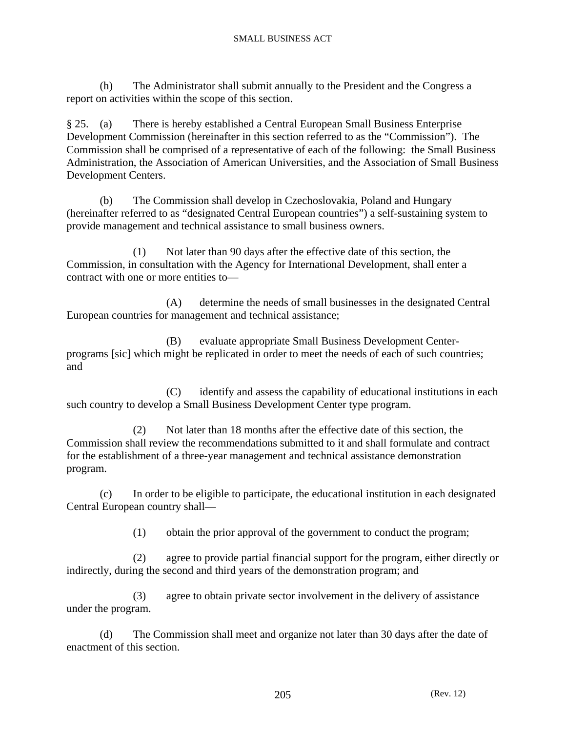(h) The Administrator shall submit annually to the President and the Congress a report on activities within the scope of this section.

§ 25. (a) There is hereby established a Central European Small Business Enterprise Development Commission (hereinafter in this section referred to as the "Commission"). The Commission shall be comprised of a representative of each of the following: the Small Business Administration, the Association of American Universities, and the Association of Small Business Development Centers.

 (b) The Commission shall develop in Czechoslovakia, Poland and Hungary (hereinafter referred to as "designated Central European countries") a self-sustaining system to provide management and technical assistance to small business owners.

 (1) Not later than 90 days after the effective date of this section, the Commission, in consultation with the Agency for International Development, shall enter a contract with one or more entities to—

 (A) determine the needs of small businesses in the designated Central European countries for management and technical assistance;

 (B) evaluate appropriate Small Business Development Centerprograms [sic] which might be replicated in order to meet the needs of each of such countries; and

 (C) identify and assess the capability of educational institutions in each such country to develop a Small Business Development Center type program.

 (2) Not later than 18 months after the effective date of this section, the Commission shall review the recommendations submitted to it and shall formulate and contract for the establishment of a three-year management and technical assistance demonstration program.

 (c) In order to be eligible to participate, the educational institution in each designated Central European country shall—

(1) obtain the prior approval of the government to conduct the program;

 (2) agree to provide partial financial support for the program, either directly or indirectly, during the second and third years of the demonstration program; and

 (3) agree to obtain private sector involvement in the delivery of assistance under the program.

 (d) The Commission shall meet and organize not later than 30 days after the date of enactment of this section.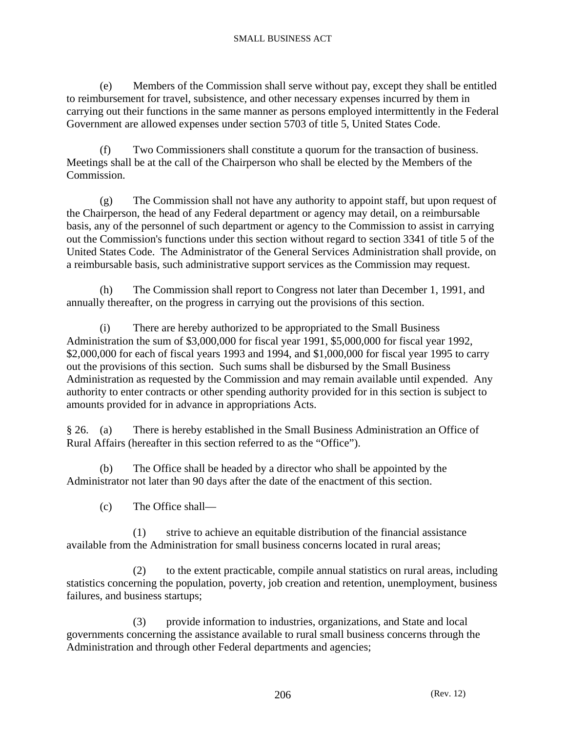(e) Members of the Commission shall serve without pay, except they shall be entitled to reimbursement for travel, subsistence, and other necessary expenses incurred by them in carrying out their functions in the same manner as persons employed intermittently in the Federal Government are allowed expenses under section 5703 of title 5, United States Code.

 (f) Two Commissioners shall constitute a quorum for the transaction of business. Meetings shall be at the call of the Chairperson who shall be elected by the Members of the Commission.

 (g) The Commission shall not have any authority to appoint staff, but upon request of the Chairperson, the head of any Federal department or agency may detail, on a reimbursable basis, any of the personnel of such department or agency to the Commission to assist in carrying out the Commission's functions under this section without regard to section 3341 of title 5 of the United States Code. The Administrator of the General Services Administration shall provide, on a reimbursable basis, such administrative support services as the Commission may request.

 (h) The Commission shall report to Congress not later than December 1, 1991, and annually thereafter, on the progress in carrying out the provisions of this section.

 (i) There are hereby authorized to be appropriated to the Small Business Administration the sum of \$3,000,000 for fiscal year 1991, \$5,000,000 for fiscal year 1992, \$2,000,000 for each of fiscal years 1993 and 1994, and \$1,000,000 for fiscal year 1995 to carry out the provisions of this section. Such sums shall be disbursed by the Small Business Administration as requested by the Commission and may remain available until expended. Any authority to enter contracts or other spending authority provided for in this section is subject to amounts provided for in advance in appropriations Acts.

§ 26. (a) There is hereby established in the Small Business Administration an Office of Rural Affairs (hereafter in this section referred to as the "Office").

 (b) The Office shall be headed by a director who shall be appointed by the Administrator not later than 90 days after the date of the enactment of this section.

(c) The Office shall—

 (1) strive to achieve an equitable distribution of the financial assistance available from the Administration for small business concerns located in rural areas;

 (2) to the extent practicable, compile annual statistics on rural areas, including statistics concerning the population, poverty, job creation and retention, unemployment, business failures, and business startups;

 (3) provide information to industries, organizations, and State and local governments concerning the assistance available to rural small business concerns through the Administration and through other Federal departments and agencies;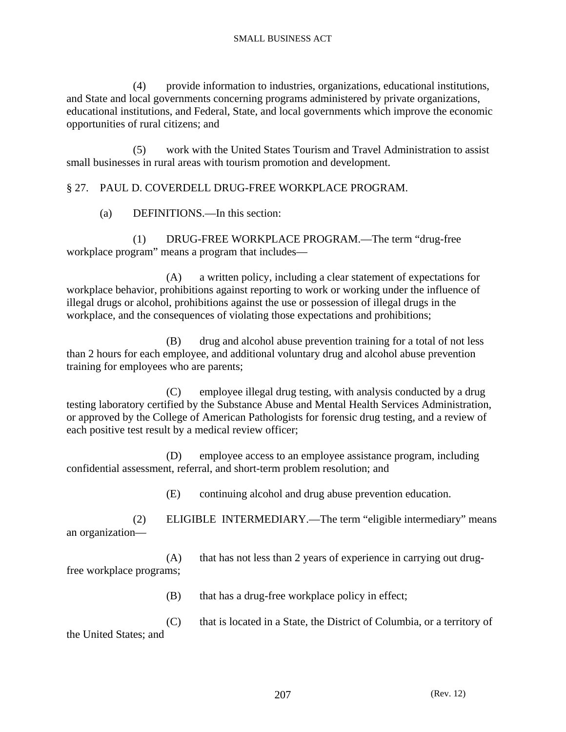(4) provide information to industries, organizations, educational institutions, and State and local governments concerning programs administered by private organizations, educational institutions, and Federal, State, and local governments which improve the economic opportunities of rural citizens; and

 (5) work with the United States Tourism and Travel Administration to assist small businesses in rural areas with tourism promotion and development.

## § 27. PAUL D. COVERDELL DRUG-FREE WORKPLACE PROGRAM.

(a) DEFINITIONS.—In this section:

 (1) DRUG-FREE WORKPLACE PROGRAM.—The term "drug-free workplace program" means a program that includes—

 (A) a written policy, including a clear statement of expectations for workplace behavior, prohibitions against reporting to work or working under the influence of illegal drugs or alcohol, prohibitions against the use or possession of illegal drugs in the workplace, and the consequences of violating those expectations and prohibitions;

 (B) drug and alcohol abuse prevention training for a total of not less than 2 hours for each employee, and additional voluntary drug and alcohol abuse prevention training for employees who are parents;

 (C) employee illegal drug testing, with analysis conducted by a drug testing laboratory certified by the Substance Abuse and Mental Health Services Administration, or approved by the College of American Pathologists for forensic drug testing, and a review of each positive test result by a medical review officer;

 (D) employee access to an employee assistance program, including confidential assessment, referral, and short-term problem resolution; and

(E) continuing alcohol and drug abuse prevention education.

 (2) ELIGIBLE INTERMEDIARY.—The term "eligible intermediary" means an organization—

 (A) that has not less than 2 years of experience in carrying out drugfree workplace programs;

(B) that has a drug-free workplace policy in effect;

 (C) that is located in a State, the District of Columbia, or a territory of the United States; and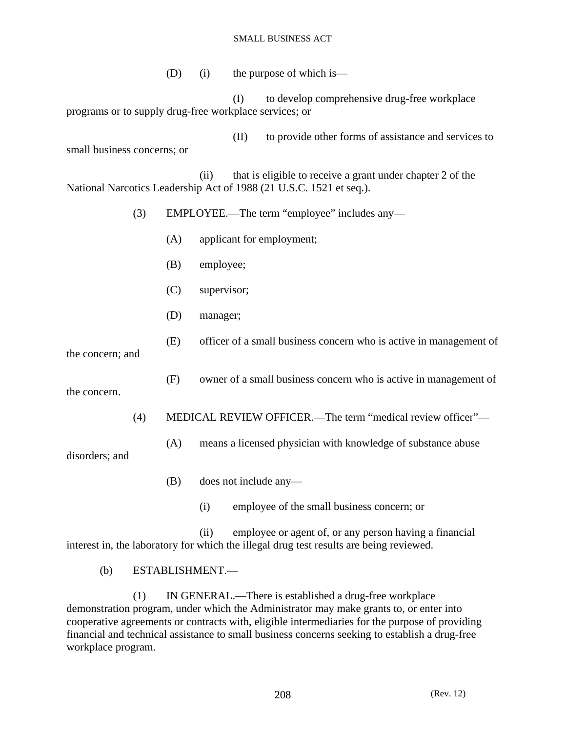(D) (i) the purpose of which is—

 (I) to develop comprehensive drug-free workplace programs or to supply drug-free workplace services; or

 (II) to provide other forms of assistance and services to small business concerns; or

 (ii) that is eligible to receive a grant under chapter 2 of the National Narcotics Leadership Act of 1988 (21 U.S.C. 1521 et seq.).

- (3) EMPLOYEE.—The term "employee" includes any—
	- (A) applicant for employment;
	- (B) employee;
	- (C) supervisor;
	- (D) manager;
	- (E) officer of a small business concern who is active in management of

the concern; and

(F) owner of a small business concern who is active in management of

(4) MEDICAL REVIEW OFFICER.—The term "medical review officer"—

(A) means a licensed physician with knowledge of substance abuse

disorders; and

the concern.

- (B) does not include any—
	- (i) employee of the small business concern; or

 (ii) employee or agent of, or any person having a financial interest in, the laboratory for which the illegal drug test results are being reviewed.

(b) ESTABLISHMENT.—

 (1) IN GENERAL.—There is established a drug-free workplace demonstration program, under which the Administrator may make grants to, or enter into cooperative agreements or contracts with, eligible intermediaries for the purpose of providing financial and technical assistance to small business concerns seeking to establish a drug-free workplace program.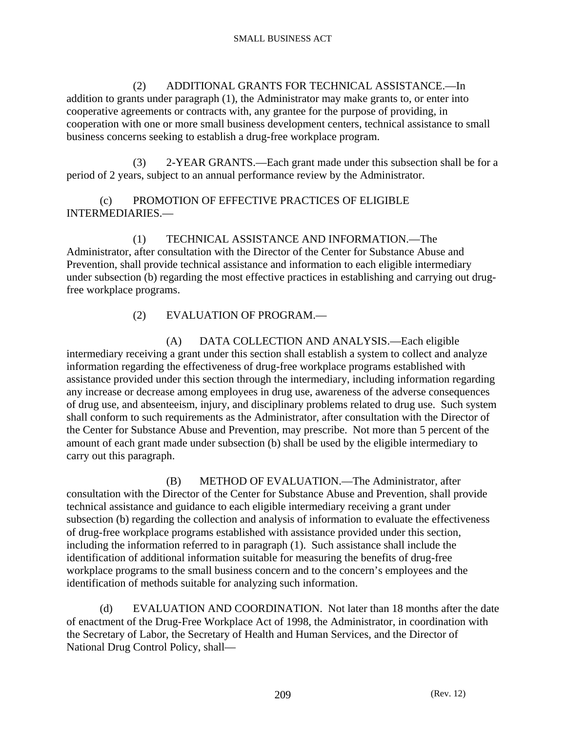(2) ADDITIONAL GRANTS FOR TECHNICAL ASSISTANCE.—In addition to grants under paragraph (1), the Administrator may make grants to, or enter into cooperative agreements or contracts with, any grantee for the purpose of providing, in cooperation with one or more small business development centers, technical assistance to small business concerns seeking to establish a drug-free workplace program.

 (3) 2-YEAR GRANTS.—Each grant made under this subsection shall be for a period of 2 years, subject to an annual performance review by the Administrator.

 (c) PROMOTION OF EFFECTIVE PRACTICES OF ELIGIBLE INTERMEDIARIES.—

 (1) TECHNICAL ASSISTANCE AND INFORMATION.—The Administrator, after consultation with the Director of the Center for Substance Abuse and Prevention, shall provide technical assistance and information to each eligible intermediary under subsection (b) regarding the most effective practices in establishing and carrying out drugfree workplace programs.

(2) EVALUATION OF PROGRAM.—

 (A) DATA COLLECTION AND ANALYSIS.—Each eligible intermediary receiving a grant under this section shall establish a system to collect and analyze information regarding the effectiveness of drug-free workplace programs established with assistance provided under this section through the intermediary, including information regarding any increase or decrease among employees in drug use, awareness of the adverse consequences of drug use, and absenteeism, injury, and disciplinary problems related to drug use. Such system shall conform to such requirements as the Administrator, after consultation with the Director of the Center for Substance Abuse and Prevention, may prescribe. Not more than 5 percent of the amount of each grant made under subsection (b) shall be used by the eligible intermediary to carry out this paragraph.

 (B) METHOD OF EVALUATION.—The Administrator, after consultation with the Director of the Center for Substance Abuse and Prevention, shall provide technical assistance and guidance to each eligible intermediary receiving a grant under subsection (b) regarding the collection and analysis of information to evaluate the effectiveness of drug-free workplace programs established with assistance provided under this section, including the information referred to in paragraph (1). Such assistance shall include the identification of additional information suitable for measuring the benefits of drug-free workplace programs to the small business concern and to the concern's employees and the identification of methods suitable for analyzing such information.

 (d) EVALUATION AND COORDINATION. Not later than 18 months after the date of enactment of the Drug-Free Workplace Act of 1998, the Administrator, in coordination with the Secretary of Labor, the Secretary of Health and Human Services, and the Director of National Drug Control Policy, shall—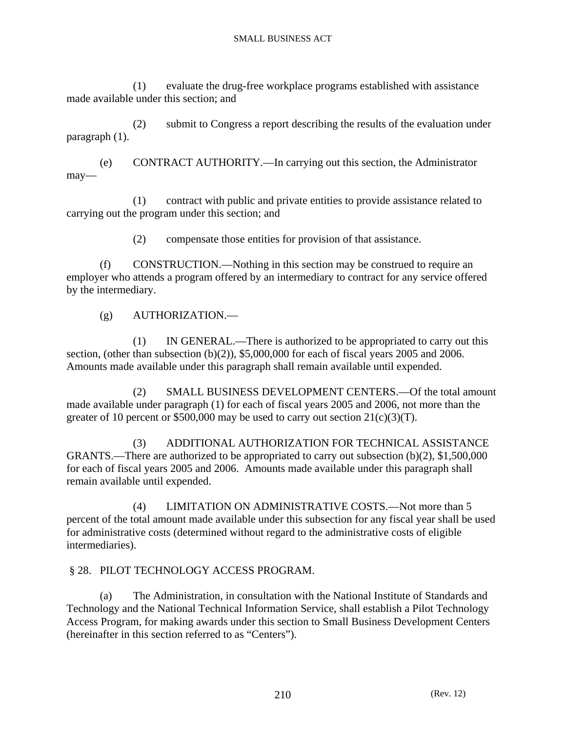(1) evaluate the drug-free workplace programs established with assistance made available under this section; and

 (2) submit to Congress a report describing the results of the evaluation under paragraph (1).

 (e) CONTRACT AUTHORITY.—In carrying out this section, the Administrator may—

 (1) contract with public and private entities to provide assistance related to carrying out the program under this section; and

(2) compensate those entities for provision of that assistance.

 (f) CONSTRUCTION.—Nothing in this section may be construed to require an employer who attends a program offered by an intermediary to contract for any service offered by the intermediary.

(g) AUTHORIZATION.—

 (1) IN GENERAL.—There is authorized to be appropriated to carry out this section, (other than subsection (b)(2)), \$5,000,000 for each of fiscal years 2005 and 2006. Amounts made available under this paragraph shall remain available until expended.

 (2) SMALL BUSINESS DEVELOPMENT CENTERS.—Of the total amount made available under paragraph (1) for each of fiscal years 2005 and 2006, not more than the greater of 10 percent or \$500,000 may be used to carry out section  $21(c)(3)(T)$ .

 (3) ADDITIONAL AUTHORIZATION FOR TECHNICAL ASSISTANCE GRANTS.—There are authorized to be appropriated to carry out subsection  $(b)(2)$ , \$1,500,000 for each of fiscal years 2005 and 2006. Amounts made available under this paragraph shall remain available until expended.

 (4) LIMITATION ON ADMINISTRATIVE COSTS.—Not more than 5 percent of the total amount made available under this subsection for any fiscal year shall be used for administrative costs (determined without regard to the administrative costs of eligible intermediaries).

### § 28. PILOT TECHNOLOGY ACCESS PROGRAM.

 (a) The Administration, in consultation with the National Institute of Standards and Technology and the National Technical Information Service, shall establish a Pilot Technology Access Program, for making awards under this section to Small Business Development Centers (hereinafter in this section referred to as "Centers").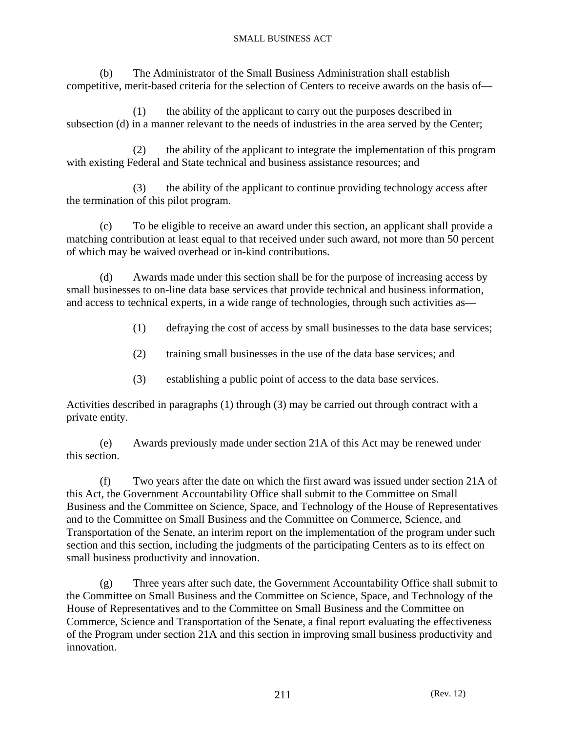(b) The Administrator of the Small Business Administration shall establish competitive, merit-based criteria for the selection of Centers to receive awards on the basis of—

 (1) the ability of the applicant to carry out the purposes described in subsection (d) in a manner relevant to the needs of industries in the area served by the Center;

 (2) the ability of the applicant to integrate the implementation of this program with existing Federal and State technical and business assistance resources; and

 (3) the ability of the applicant to continue providing technology access after the termination of this pilot program.

 (c) To be eligible to receive an award under this section, an applicant shall provide a matching contribution at least equal to that received under such award, not more than 50 percent of which may be waived overhead or in-kind contributions.

 (d) Awards made under this section shall be for the purpose of increasing access by small businesses to on-line data base services that provide technical and business information, and access to technical experts, in a wide range of technologies, through such activities as—

- (1) defraying the cost of access by small businesses to the data base services;
- (2) training small businesses in the use of the data base services; and
- (3) establishing a public point of access to the data base services.

Activities described in paragraphs (1) through (3) may be carried out through contract with a private entity.

 (e) Awards previously made under section 21A of this Act may be renewed under this section.

 (f) Two years after the date on which the first award was issued under section 21A of this Act, the Government Accountability Office shall submit to the Committee on Small Business and the Committee on Science, Space, and Technology of the House of Representatives and to the Committee on Small Business and the Committee on Commerce, Science, and Transportation of the Senate, an interim report on the implementation of the program under such section and this section, including the judgments of the participating Centers as to its effect on small business productivity and innovation.

 (g) Three years after such date, the Government Accountability Office shall submit to the Committee on Small Business and the Committee on Science, Space, and Technology of the House of Representatives and to the Committee on Small Business and the Committee on Commerce, Science and Transportation of the Senate, a final report evaluating the effectiveness of the Program under section 21A and this section in improving small business productivity and innovation.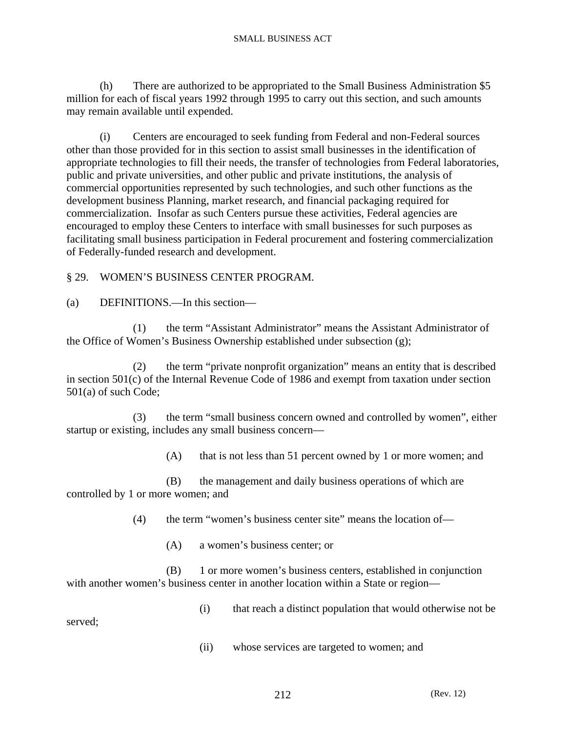(h) There are authorized to be appropriated to the Small Business Administration \$5 million for each of fiscal years 1992 through 1995 to carry out this section, and such amounts may remain available until expended.

 (i) Centers are encouraged to seek funding from Federal and non-Federal sources other than those provided for in this section to assist small businesses in the identification of appropriate technologies to fill their needs, the transfer of technologies from Federal laboratories, public and private universities, and other public and private institutions, the analysis of commercial opportunities represented by such technologies, and such other functions as the development business Planning, market research, and financial packaging required for commercialization. Insofar as such Centers pursue these activities, Federal agencies are encouraged to employ these Centers to interface with small businesses for such purposes as facilitating small business participation in Federal procurement and fostering commercialization of Federally-funded research and development.

### § 29. WOMEN'S BUSINESS CENTER PROGRAM.

(a) DEFINITIONS.—In this section—

 (1) the term "Assistant Administrator" means the Assistant Administrator of the Office of Women's Business Ownership established under subsection (g);

 (2) the term "private nonprofit organization" means an entity that is described in section 501(c) of the Internal Revenue Code of 1986 and exempt from taxation under section 501(a) of such Code;

 (3) the term "small business concern owned and controlled by women", either startup or existing, includes any small business concern—

(A) that is not less than 51 percent owned by 1 or more women; and

 (B) the management and daily business operations of which are controlled by 1 or more women; and

(4) the term "women's business center site" means the location of—

(A) a women's business center; or

 (B) 1 or more women's business centers, established in conjunction with another women's business center in another location within a State or region—

(i) that reach a distinct population that would otherwise not be

served;

(ii) whose services are targeted to women; and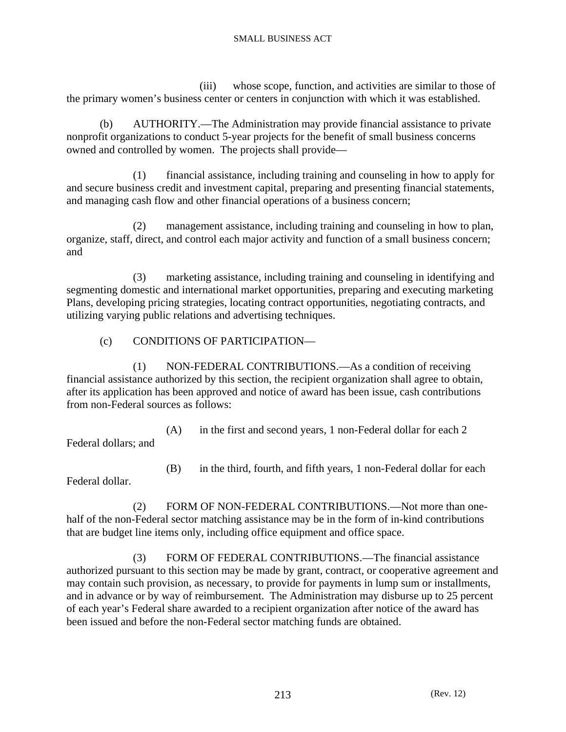(iii) whose scope, function, and activities are similar to those of the primary women's business center or centers in conjunction with which it was established.

 (b) AUTHORITY.—The Administration may provide financial assistance to private nonprofit organizations to conduct 5-year projects for the benefit of small business concerns owned and controlled by women. The projects shall provide—

 (1) financial assistance, including training and counseling in how to apply for and secure business credit and investment capital, preparing and presenting financial statements, and managing cash flow and other financial operations of a business concern;

 (2) management assistance, including training and counseling in how to plan, organize, staff, direct, and control each major activity and function of a small business concern; and

 (3) marketing assistance, including training and counseling in identifying and segmenting domestic and international market opportunities, preparing and executing marketing Plans, developing pricing strategies, locating contract opportunities, negotiating contracts, and utilizing varying public relations and advertising techniques.

(c) CONDITIONS OF PARTICIPATION—

 (1) NON-FEDERAL CONTRIBUTIONS.—As a condition of receiving financial assistance authorized by this section, the recipient organization shall agree to obtain, after its application has been approved and notice of award has been issue, cash contributions from non-Federal sources as follows:

 (A) in the first and second years, 1 non-Federal dollar for each 2 Federal dollars; and

(B) in the third, fourth, and fifth years, 1 non-Federal dollar for each

Federal dollar.

 (2) FORM OF NON-FEDERAL CONTRIBUTIONS.—Not more than onehalf of the non-Federal sector matching assistance may be in the form of in-kind contributions that are budget line items only, including office equipment and office space.

 (3) FORM OF FEDERAL CONTRIBUTIONS.—The financial assistance authorized pursuant to this section may be made by grant, contract, or cooperative agreement and may contain such provision, as necessary, to provide for payments in lump sum or installments, and in advance or by way of reimbursement. The Administration may disburse up to 25 percent of each year's Federal share awarded to a recipient organization after notice of the award has been issued and before the non-Federal sector matching funds are obtained.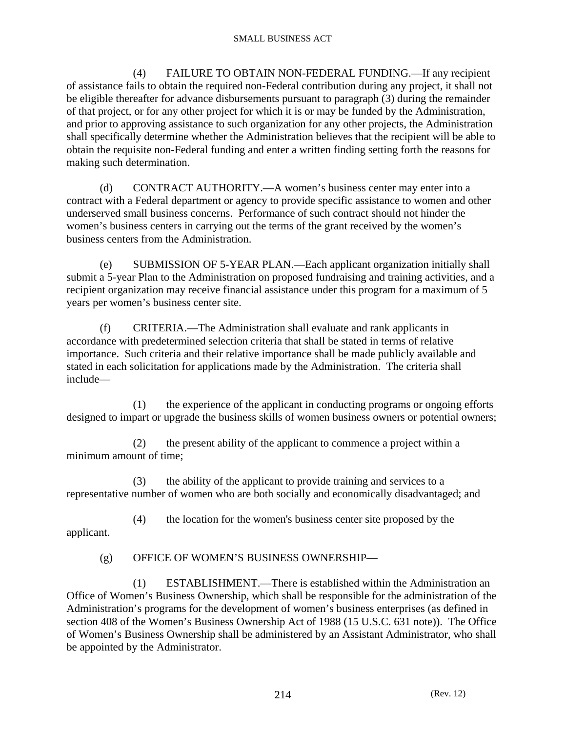(4) FAILURE TO OBTAIN NON-FEDERAL FUNDING.—If any recipient of assistance fails to obtain the required non-Federal contribution during any project, it shall not be eligible thereafter for advance disbursements pursuant to paragraph (3) during the remainder of that project, or for any other project for which it is or may be funded by the Administration, and prior to approving assistance to such organization for any other projects, the Administration shall specifically determine whether the Administration believes that the recipient will be able to obtain the requisite non-Federal funding and enter a written finding setting forth the reasons for making such determination.

 (d) CONTRACT AUTHORITY.—A women's business center may enter into a contract with a Federal department or agency to provide specific assistance to women and other underserved small business concerns. Performance of such contract should not hinder the women's business centers in carrying out the terms of the grant received by the women's business centers from the Administration.

 (e) SUBMISSION OF 5-YEAR PLAN.—Each applicant organization initially shall submit a 5-year Plan to the Administration on proposed fundraising and training activities, and a recipient organization may receive financial assistance under this program for a maximum of 5 years per women's business center site.

 (f) CRITERIA.—The Administration shall evaluate and rank applicants in accordance with predetermined selection criteria that shall be stated in terms of relative importance. Such criteria and their relative importance shall be made publicly available and stated in each solicitation for applications made by the Administration. The criteria shall include—

 (1) the experience of the applicant in conducting programs or ongoing efforts designed to impart or upgrade the business skills of women business owners or potential owners;

 (2) the present ability of the applicant to commence a project within a minimum amount of time;

 (3) the ability of the applicant to provide training and services to a representative number of women who are both socially and economically disadvantaged; and

 (4) the location for the women's business center site proposed by the applicant.

## (g) OFFICE OF WOMEN'S BUSINESS OWNERSHIP—

 (1) ESTABLISHMENT.—There is established within the Administration an Office of Women's Business Ownership, which shall be responsible for the administration of the Administration's programs for the development of women's business enterprises (as defined in section 408 of the Women's Business Ownership Act of 1988 (15 U.S.C. 631 note)). The Office of Women's Business Ownership shall be administered by an Assistant Administrator, who shall be appointed by the Administrator.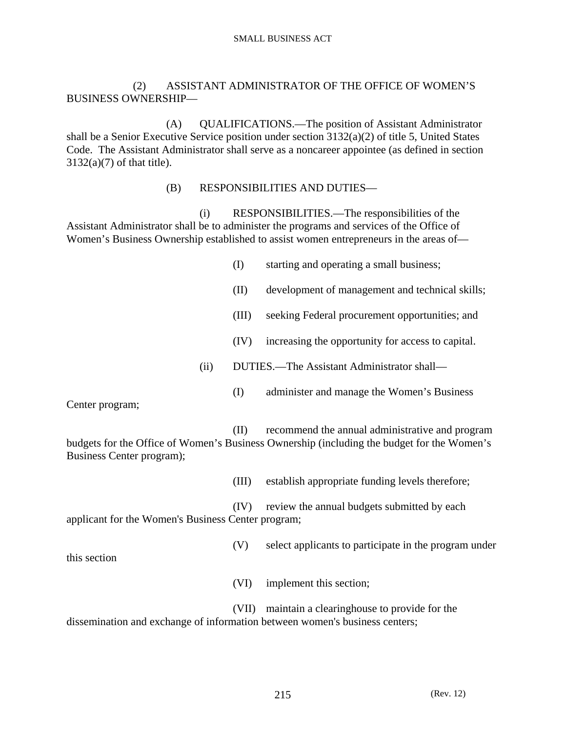### (2) ASSISTANT ADMINISTRATOR OF THE OFFICE OF WOMEN'S BUSINESS OWNERSHIP—

 (A) QUALIFICATIONS.—The position of Assistant Administrator shall be a Senior Executive Service position under section 3132(a)(2) of title 5, United States Code. The Assistant Administrator shall serve as a noncareer appointee (as defined in section  $3132(a)(7)$  of that title).

### (B) RESPONSIBILITIES AND DUTIES—

 (i) RESPONSIBILITIES.—The responsibilities of the Assistant Administrator shall be to administer the programs and services of the Office of Women's Business Ownership established to assist women entrepreneurs in the areas of—

- (I) starting and operating a small business;
- (II) development of management and technical skills;
- (III) seeking Federal procurement opportunities; and
- (IV) increasing the opportunity for access to capital.
- (ii) DUTIES.—The Assistant Administrator shall—
	- (I) administer and manage the Women's Business

Center program;

this section

 (II) recommend the annual administrative and program budgets for the Office of Women's Business Ownership (including the budget for the Women's Business Center program);

(III) establish appropriate funding levels therefore;

 (IV) review the annual budgets submitted by each applicant for the Women's Business Center program;

(V) select applicants to participate in the program under

(VI) implement this section;

 (VII) maintain a clearinghouse to provide for the dissemination and exchange of information between women's business centers;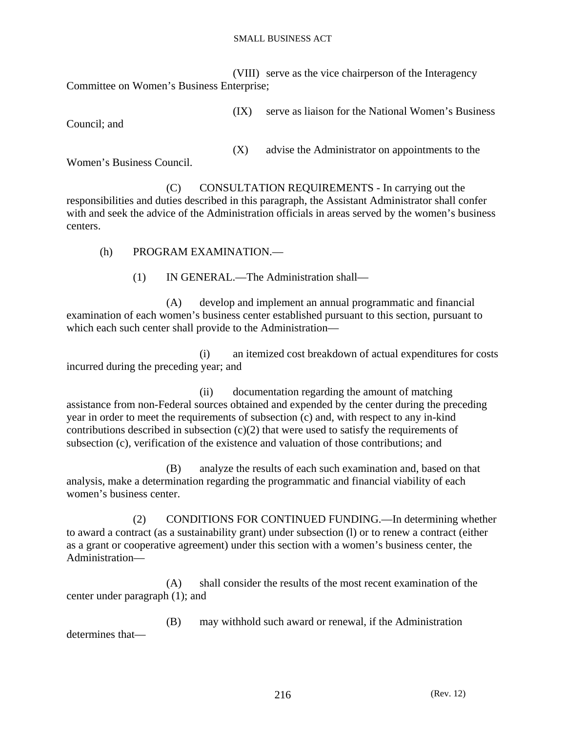(VIII) serve as the vice chairperson of the Interagency Committee on Women's Business Enterprise;

(IX) serve as liaison for the National Women's Business

Council; and

(X) advise the Administrator on appointments to the

Women's Business Council.

 (C) CONSULTATION REQUIREMENTS - In carrying out the responsibilities and duties described in this paragraph, the Assistant Administrator shall confer with and seek the advice of the Administration officials in areas served by the women's business centers.

(h) PROGRAM EXAMINATION —

(1) IN GENERAL.—The Administration shall—

 (A) develop and implement an annual programmatic and financial examination of each women's business center established pursuant to this section, pursuant to which each such center shall provide to the Administration—

 (i) an itemized cost breakdown of actual expenditures for costs incurred during the preceding year; and

 (ii) documentation regarding the amount of matching assistance from non-Federal sources obtained and expended by the center during the preceding year in order to meet the requirements of subsection (c) and, with respect to any in-kind contributions described in subsection  $(c)(2)$  that were used to satisfy the requirements of subsection (c), verification of the existence and valuation of those contributions; and

 (B) analyze the results of each such examination and, based on that analysis, make a determination regarding the programmatic and financial viability of each women's business center.

 (2) CONDITIONS FOR CONTINUED FUNDING.—In determining whether to award a contract (as a sustainability grant) under subsection (l) or to renew a contract (either as a grant or cooperative agreement) under this section with a women's business center, the Administration—

 (A) shall consider the results of the most recent examination of the center under paragraph (1); and

 (B) may withhold such award or renewal, if the Administration determines that—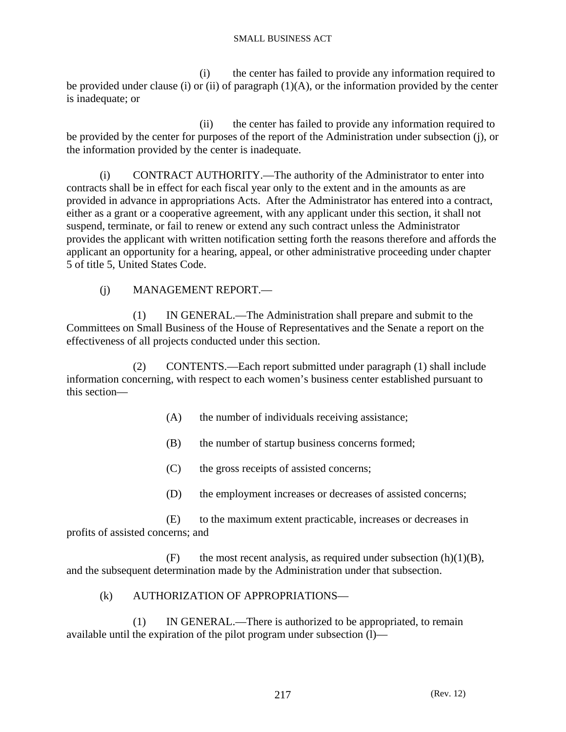(i) the center has failed to provide any information required to be provided under clause (i) or (ii) of paragraph  $(1)(A)$ , or the information provided by the center is inadequate; or

 (ii) the center has failed to provide any information required to be provided by the center for purposes of the report of the Administration under subsection (j), or the information provided by the center is inadequate.

 (i) CONTRACT AUTHORITY.—The authority of the Administrator to enter into contracts shall be in effect for each fiscal year only to the extent and in the amounts as are provided in advance in appropriations Acts. After the Administrator has entered into a contract, either as a grant or a cooperative agreement, with any applicant under this section, it shall not suspend, terminate, or fail to renew or extend any such contract unless the Administrator provides the applicant with written notification setting forth the reasons therefore and affords the applicant an opportunity for a hearing, appeal, or other administrative proceeding under chapter 5 of title 5, United States Code.

## (j) MANAGEMENT REPORT.—

 (1) IN GENERAL.—The Administration shall prepare and submit to the Committees on Small Business of the House of Representatives and the Senate a report on the effectiveness of all projects conducted under this section.

 (2) CONTENTS.—Each report submitted under paragraph (1) shall include information concerning, with respect to each women's business center established pursuant to this section—

- (A) the number of individuals receiving assistance;
- (B) the number of startup business concerns formed;
- (C) the gross receipts of assisted concerns;
- (D) the employment increases or decreases of assisted concerns;

 (E) to the maximum extent practicable, increases or decreases in profits of assisted concerns; and

(F) the most recent analysis, as required under subsection  $(h)(1)(B)$ , and the subsequent determination made by the Administration under that subsection.

### (k) AUTHORIZATION OF APPROPRIATIONS—

 (1) IN GENERAL.—There is authorized to be appropriated, to remain available until the expiration of the pilot program under subsection (l)—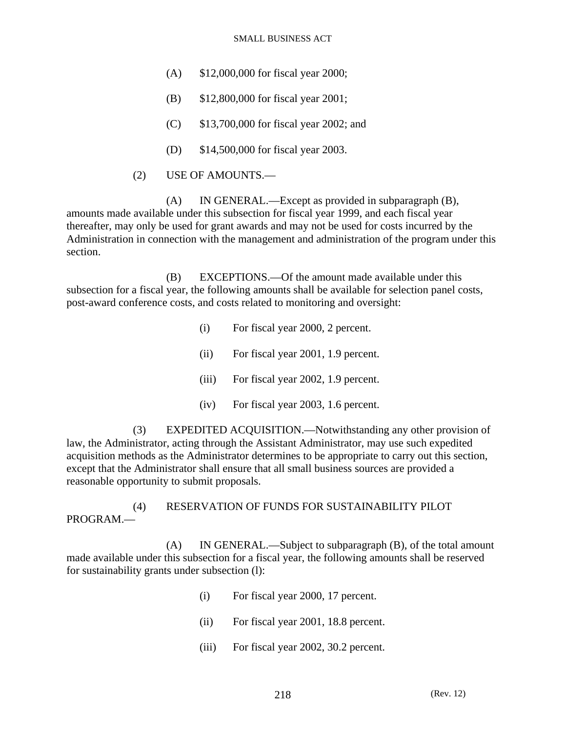- (A) \$12,000,000 for fiscal year 2000;
- (B) \$12,800,000 for fiscal year 2001;
- (C) \$13,700,000 for fiscal year 2002; and
- (D) \$14,500,000 for fiscal year 2003.
- (2) USE OF AMOUNTS.—

 (A) IN GENERAL.—Except as provided in subparagraph (B), amounts made available under this subsection for fiscal year 1999, and each fiscal year thereafter, may only be used for grant awards and may not be used for costs incurred by the Administration in connection with the management and administration of the program under this section.

 (B) EXCEPTIONS.—Of the amount made available under this subsection for a fiscal year, the following amounts shall be available for selection panel costs, post-award conference costs, and costs related to monitoring and oversight:

- (i) For fiscal year 2000, 2 percent.
- (ii) For fiscal year 2001, 1.9 percent.
- (iii) For fiscal year 2002, 1.9 percent.
- (iv) For fiscal year 2003, 1.6 percent.

 (3) EXPEDITED ACQUISITION.—Notwithstanding any other provision of law, the Administrator, acting through the Assistant Administrator, may use such expedited acquisition methods as the Administrator determines to be appropriate to carry out this section, except that the Administrator shall ensure that all small business sources are provided a reasonable opportunity to submit proposals.

 (4) RESERVATION OF FUNDS FOR SUSTAINABILITY PILOT PROGRAM.—

 (A) IN GENERAL.—Subject to subparagraph (B), of the total amount made available under this subsection for a fiscal year, the following amounts shall be reserved for sustainability grants under subsection (l):

- (i) For fiscal year 2000, 17 percent.
- (ii) For fiscal year 2001, 18.8 percent.
- (iii) For fiscal year 2002, 30.2 percent.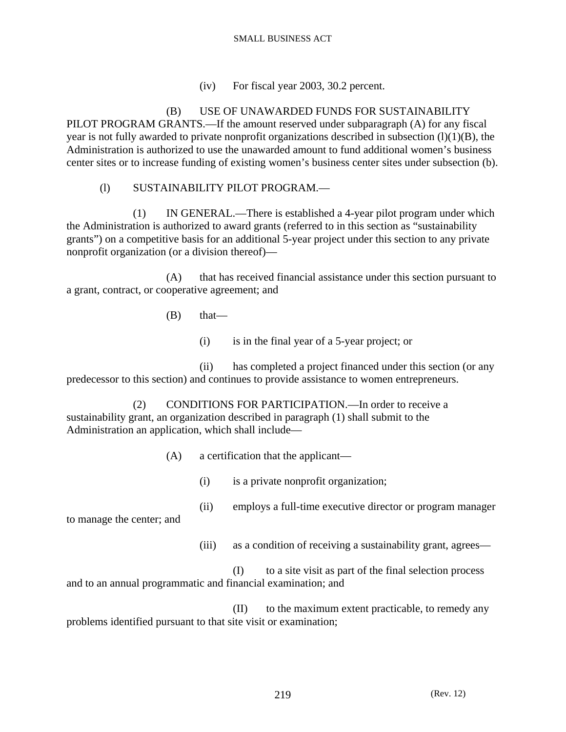(iv) For fiscal year 2003, 30.2 percent.

 (B) USE OF UNAWARDED FUNDS FOR SUSTAINABILITY PILOT PROGRAM GRANTS.—If the amount reserved under subparagraph (A) for any fiscal year is not fully awarded to private nonprofit organizations described in subsection  $(l)(1)(B)$ , the Administration is authorized to use the unawarded amount to fund additional women's business center sites or to increase funding of existing women's business center sites under subsection (b).

# (l) SUSTAINABILITY PILOT PROGRAM.—

 (1) IN GENERAL.—There is established a 4-year pilot program under which the Administration is authorized to award grants (referred to in this section as "sustainability grants") on a competitive basis for an additional 5-year project under this section to any private nonprofit organization (or a division thereof)—

 (A) that has received financial assistance under this section pursuant to a grant, contract, or cooperative agreement; and

 $(B)$  that—

(i) is in the final year of a 5-year project; or

 (ii) has completed a project financed under this section (or any predecessor to this section) and continues to provide assistance to women entrepreneurs.

 (2) CONDITIONS FOR PARTICIPATION.—In order to receive a sustainability grant, an organization described in paragraph (1) shall submit to the Administration an application, which shall include—

- (A) a certification that the applicant—
	- (i) is a private nonprofit organization;
	- (ii) employs a full-time executive director or program manager

to manage the center; and

(iii) as a condition of receiving a sustainability grant, agrees—

 (I) to a site visit as part of the final selection process and to an annual programmatic and financial examination; and

 (II) to the maximum extent practicable, to remedy any problems identified pursuant to that site visit or examination;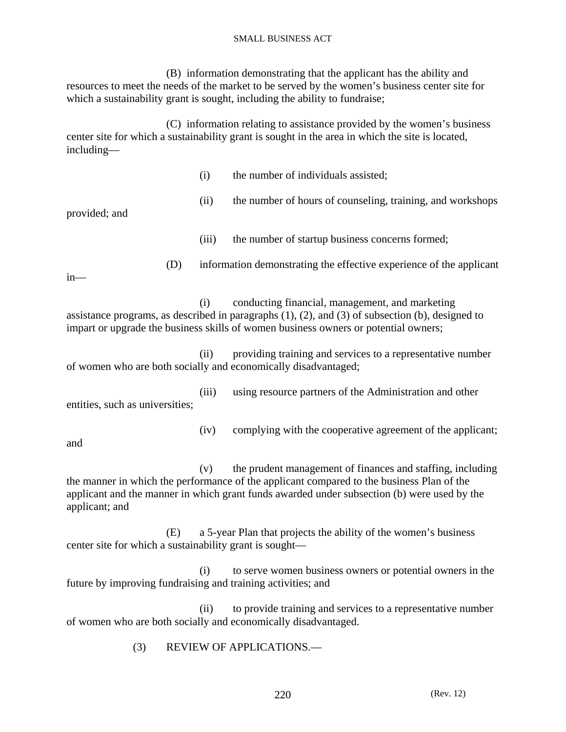(B) information demonstrating that the applicant has the ability and resources to meet the needs of the market to be served by the women's business center site for which a sustainability grant is sought, including the ability to fundraise;

 (C) information relating to assistance provided by the women's business center site for which a sustainability grant is sought in the area in which the site is located, including—

|                                                                                                                                                                                                                                                              | (i)   | the number of individuals assisted;                                                                                                                                                                                                                    |
|--------------------------------------------------------------------------------------------------------------------------------------------------------------------------------------------------------------------------------------------------------------|-------|--------------------------------------------------------------------------------------------------------------------------------------------------------------------------------------------------------------------------------------------------------|
| provided; and                                                                                                                                                                                                                                                | (ii)  | the number of hours of counseling, training, and workshops                                                                                                                                                                                             |
|                                                                                                                                                                                                                                                              | (iii) | the number of startup business concerns formed;                                                                                                                                                                                                        |
| $in$ —                                                                                                                                                                                                                                                       | (D)   | information demonstrating the effective experience of the applicant                                                                                                                                                                                    |
| conducting financial, management, and marketing<br>(i)<br>assistance programs, as described in paragraphs $(1)$ , $(2)$ , and $(3)$ of subsection $(b)$ , designed to<br>impart or upgrade the business skills of women business owners or potential owners; |       |                                                                                                                                                                                                                                                        |
| providing training and services to a representative number<br>(ii)<br>of women who are both socially and economically disadvantaged;                                                                                                                         |       |                                                                                                                                                                                                                                                        |
| entities, such as universities;                                                                                                                                                                                                                              | (iii) | using resource partners of the Administration and other                                                                                                                                                                                                |
| and                                                                                                                                                                                                                                                          | (iv)  | complying with the cooperative agreement of the applicant;                                                                                                                                                                                             |
| applicant; and                                                                                                                                                                                                                                               | (v)   | the prudent management of finances and staffing, including<br>the manner in which the performance of the applicant compared to the business Plan of the<br>applicant and the manner in which grant funds awarded under subsection (b) were used by the |

 (E) a 5-year Plan that projects the ability of the women's business center site for which a sustainability grant is sought—

 (i) to serve women business owners or potential owners in the future by improving fundraising and training activities; and

 (ii) to provide training and services to a representative number of women who are both socially and economically disadvantaged.

(3) REVIEW OF APPLICATIONS.—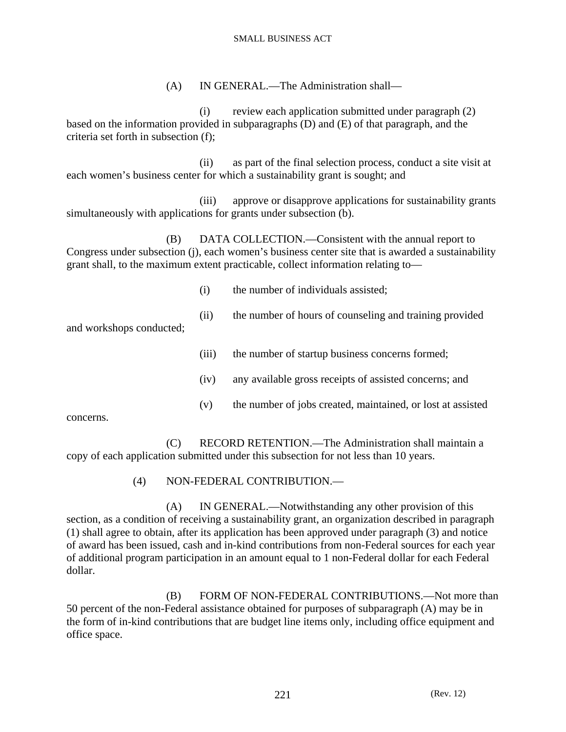(A) IN GENERAL.—The Administration shall—

 (i) review each application submitted under paragraph (2) based on the information provided in subparagraphs (D) and (E) of that paragraph, and the criteria set forth in subsection (f);

 (ii) as part of the final selection process, conduct a site visit at each women's business center for which a sustainability grant is sought; and

 (iii) approve or disapprove applications for sustainability grants simultaneously with applications for grants under subsection (b).

 (B) DATA COLLECTION.—Consistent with the annual report to Congress under subsection (j), each women's business center site that is awarded a sustainability grant shall, to the maximum extent practicable, collect information relating to—

- (i) the number of individuals assisted;
- (ii) the number of hours of counseling and training provided

and workshops conducted;

- (iii) the number of startup business concerns formed;
- (iv) any available gross receipts of assisted concerns; and
- (v) the number of jobs created, maintained, or lost at assisted

concerns.

 (C) RECORD RETENTION.—The Administration shall maintain a copy of each application submitted under this subsection for not less than 10 years.

(4) NON-FEDERAL CONTRIBUTION.—

 (A) IN GENERAL.—Notwithstanding any other provision of this section, as a condition of receiving a sustainability grant, an organization described in paragraph (1) shall agree to obtain, after its application has been approved under paragraph (3) and notice of award has been issued, cash and in-kind contributions from non-Federal sources for each year of additional program participation in an amount equal to 1 non-Federal dollar for each Federal dollar.

 (B) FORM OF NON-FEDERAL CONTRIBUTIONS.—Not more than 50 percent of the non-Federal assistance obtained for purposes of subparagraph (A) may be in the form of in-kind contributions that are budget line items only, including office equipment and office space.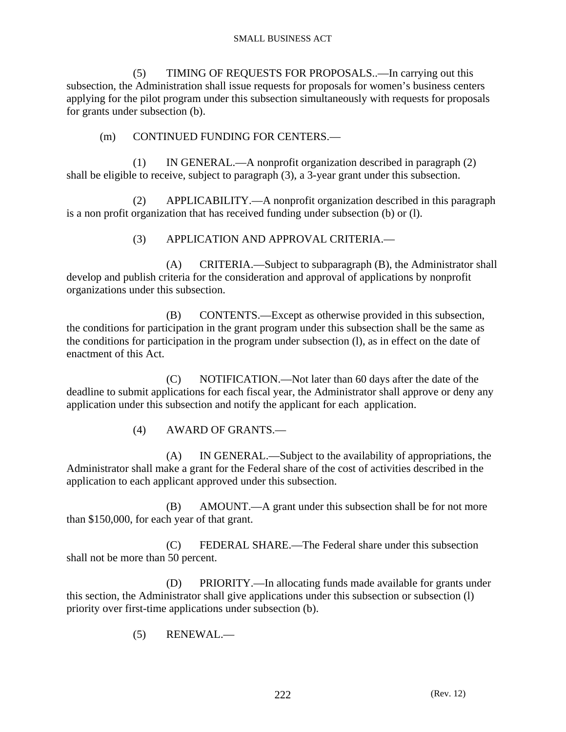(5) TIMING OF REQUESTS FOR PROPOSALS..—In carrying out this subsection, the Administration shall issue requests for proposals for women's business centers applying for the pilot program under this subsection simultaneously with requests for proposals for grants under subsection (b).

# (m) CONTINUED FUNDING FOR CENTERS.—

 (1) IN GENERAL.—A nonprofit organization described in paragraph (2) shall be eligible to receive, subject to paragraph (3), a 3-year grant under this subsection.

 (2) APPLICABILITY.—A nonprofit organization described in this paragraph is a non profit organization that has received funding under subsection (b) or (l).

(3) APPLICATION AND APPROVAL CRITERIA.—

 (A) CRITERIA.—Subject to subparagraph (B), the Administrator shall develop and publish criteria for the consideration and approval of applications by nonprofit organizations under this subsection.

 (B) CONTENTS.—Except as otherwise provided in this subsection, the conditions for participation in the grant program under this subsection shall be the same as the conditions for participation in the program under subsection (l), as in effect on the date of enactment of this Act.

 (C) NOTIFICATION.—Not later than 60 days after the date of the deadline to submit applications for each fiscal year, the Administrator shall approve or deny any application under this subsection and notify the applicant for each application.

(4) AWARD OF GRANTS.—

 (A) IN GENERAL.—Subject to the availability of appropriations, the Administrator shall make a grant for the Federal share of the cost of activities described in the application to each applicant approved under this subsection.

 (B) AMOUNT.—A grant under this subsection shall be for not more than \$150,000, for each year of that grant.

 (C) FEDERAL SHARE.—The Federal share under this subsection shall not be more than 50 percent.

 (D) PRIORITY.—In allocating funds made available for grants under this section, the Administrator shall give applications under this subsection or subsection (l) priority over first-time applications under subsection (b).

(5) RENEWAL.—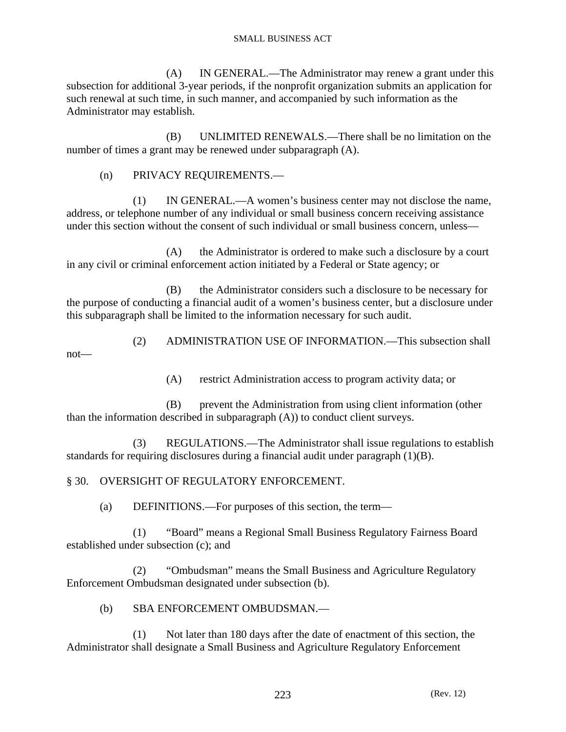(A) IN GENERAL.—The Administrator may renew a grant under this subsection for additional 3-year periods, if the nonprofit organization submits an application for such renewal at such time, in such manner, and accompanied by such information as the Administrator may establish.

 (B) UNLIMITED RENEWALS.—There shall be no limitation on the number of times a grant may be renewed under subparagraph (A).

(n) PRIVACY REQUIREMENTS.—

 (1) IN GENERAL.—A women's business center may not disclose the name, address, or telephone number of any individual or small business concern receiving assistance under this section without the consent of such individual or small business concern, unless—

 (A) the Administrator is ordered to make such a disclosure by a court in any civil or criminal enforcement action initiated by a Federal or State agency; or

 (B) the Administrator considers such a disclosure to be necessary for the purpose of conducting a financial audit of a women's business center, but a disclosure under this subparagraph shall be limited to the information necessary for such audit.

 (2) ADMINISTRATION USE OF INFORMATION.—This subsection shall not—

(A) restrict Administration access to program activity data; or

 (B) prevent the Administration from using client information (other than the information described in subparagraph (A)) to conduct client surveys.

 (3) REGULATIONS.—The Administrator shall issue regulations to establish standards for requiring disclosures during a financial audit under paragraph (1)(B).

§ 30. OVERSIGHT OF REGULATORY ENFORCEMENT.

(a) DEFINITIONS.—For purposes of this section, the term—

 (1) "Board" means a Regional Small Business Regulatory Fairness Board established under subsection (c); and

 (2) "Ombudsman" means the Small Business and Agriculture Regulatory Enforcement Ombudsman designated under subsection (b).

(b) SBA ENFORCEMENT OMBUDSMAN.—

 (1) Not later than 180 days after the date of enactment of this section, the Administrator shall designate a Small Business and Agriculture Regulatory Enforcement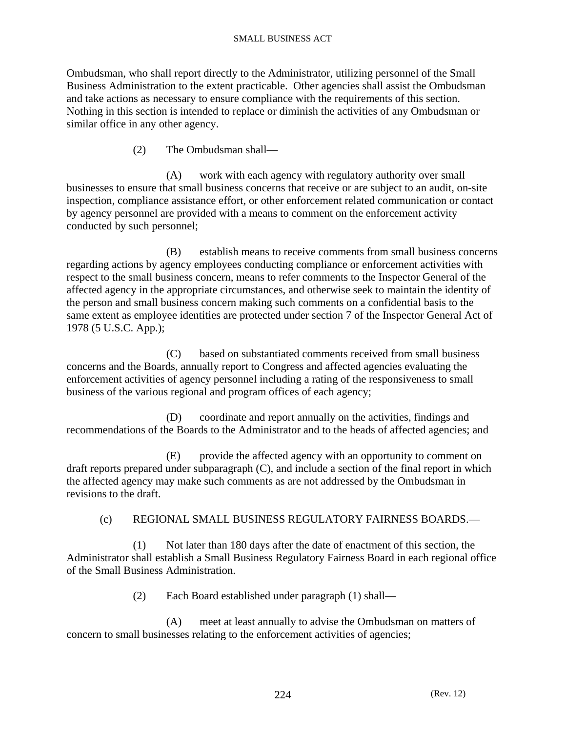Ombudsman, who shall report directly to the Administrator, utilizing personnel of the Small Business Administration to the extent practicable. Other agencies shall assist the Ombudsman and take actions as necessary to ensure compliance with the requirements of this section. Nothing in this section is intended to replace or diminish the activities of any Ombudsman or similar office in any other agency.

(2) The Ombudsman shall—

 (A) work with each agency with regulatory authority over small businesses to ensure that small business concerns that receive or are subject to an audit, on-site inspection, compliance assistance effort, or other enforcement related communication or contact by agency personnel are provided with a means to comment on the enforcement activity conducted by such personnel;

 (B) establish means to receive comments from small business concerns regarding actions by agency employees conducting compliance or enforcement activities with respect to the small business concern, means to refer comments to the Inspector General of the affected agency in the appropriate circumstances, and otherwise seek to maintain the identity of the person and small business concern making such comments on a confidential basis to the same extent as employee identities are protected under section 7 of the Inspector General Act of 1978 (5 U.S.C. App.);

 (C) based on substantiated comments received from small business concerns and the Boards, annually report to Congress and affected agencies evaluating the enforcement activities of agency personnel including a rating of the responsiveness to small business of the various regional and program offices of each agency;

 (D) coordinate and report annually on the activities, findings and recommendations of the Boards to the Administrator and to the heads of affected agencies; and

 (E) provide the affected agency with an opportunity to comment on draft reports prepared under subparagraph (C), and include a section of the final report in which the affected agency may make such comments as are not addressed by the Ombudsman in revisions to the draft.

### (c) REGIONAL SMALL BUSINESS REGULATORY FAIRNESS BOARDS.—

 (1) Not later than 180 days after the date of enactment of this section, the Administrator shall establish a Small Business Regulatory Fairness Board in each regional office of the Small Business Administration.

(2) Each Board established under paragraph (1) shall—

 (A) meet at least annually to advise the Ombudsman on matters of concern to small businesses relating to the enforcement activities of agencies;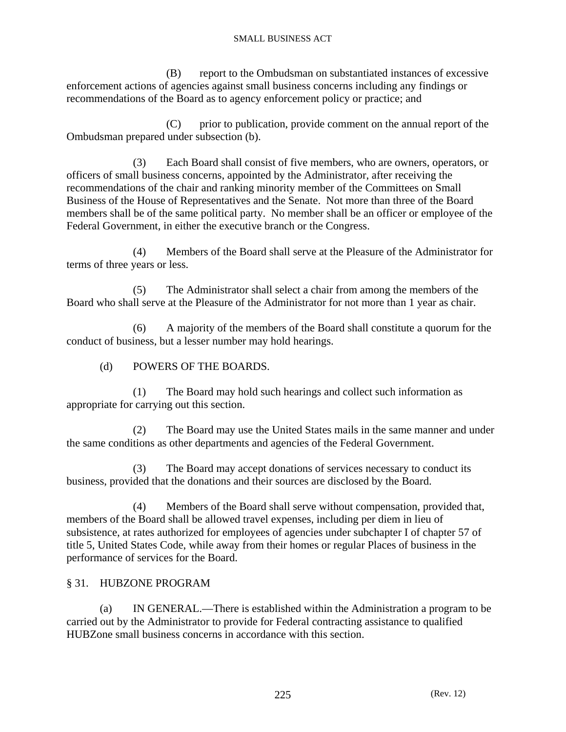(B) report to the Ombudsman on substantiated instances of excessive enforcement actions of agencies against small business concerns including any findings or recommendations of the Board as to agency enforcement policy or practice; and

 (C) prior to publication, provide comment on the annual report of the Ombudsman prepared under subsection (b).

 (3) Each Board shall consist of five members, who are owners, operators, or officers of small business concerns, appointed by the Administrator, after receiving the recommendations of the chair and ranking minority member of the Committees on Small Business of the House of Representatives and the Senate. Not more than three of the Board members shall be of the same political party. No member shall be an officer or employee of the Federal Government, in either the executive branch or the Congress.

 (4) Members of the Board shall serve at the Pleasure of the Administrator for terms of three years or less.

 (5) The Administrator shall select a chair from among the members of the Board who shall serve at the Pleasure of the Administrator for not more than 1 year as chair.

 (6) A majority of the members of the Board shall constitute a quorum for the conduct of business, but a lesser number may hold hearings.

# (d) POWERS OF THE BOARDS.

 (1) The Board may hold such hearings and collect such information as appropriate for carrying out this section.

 (2) The Board may use the United States mails in the same manner and under the same conditions as other departments and agencies of the Federal Government.

 (3) The Board may accept donations of services necessary to conduct its business, provided that the donations and their sources are disclosed by the Board.

 (4) Members of the Board shall serve without compensation, provided that, members of the Board shall be allowed travel expenses, including per diem in lieu of subsistence, at rates authorized for employees of agencies under subchapter I of chapter 57 of title 5, United States Code, while away from their homes or regular Places of business in the performance of services for the Board.

### § 31. HUBZONE PROGRAM

 (a) IN GENERAL.—There is established within the Administration a program to be carried out by the Administrator to provide for Federal contracting assistance to qualified HUBZone small business concerns in accordance with this section.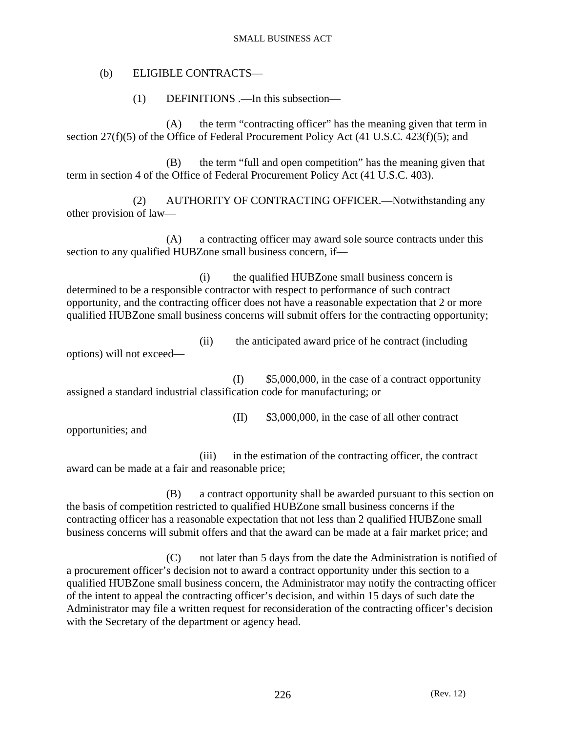### (b) ELIGIBLE CONTRACTS—

(1) DEFINITIONS .—In this subsection—

 (A) the term "contracting officer" has the meaning given that term in section 27(f)(5) of the Office of Federal Procurement Policy Act (41 U.S.C. 423(f)(5); and

 (B) the term "full and open competition" has the meaning given that term in section 4 of the Office of Federal Procurement Policy Act (41 U.S.C. 403).

 (2) AUTHORITY OF CONTRACTING OFFICER.—Notwithstanding any other provision of law—

 (A) a contracting officer may award sole source contracts under this section to any qualified HUBZone small business concern, if—

 (i) the qualified HUBZone small business concern is determined to be a responsible contractor with respect to performance of such contract opportunity, and the contracting officer does not have a reasonable expectation that 2 or more qualified HUBZone small business concerns will submit offers for the contracting opportunity;

 (ii) the anticipated award price of he contract (including options) will not exceed—

 $(I)$  \$5,000,000, in the case of a contract opportunity assigned a standard industrial classification code for manufacturing; or

(II) \$3,000,000, in the case of all other contract

opportunities; and

 (iii) in the estimation of the contracting officer, the contract award can be made at a fair and reasonable price;

 (B) a contract opportunity shall be awarded pursuant to this section on the basis of competition restricted to qualified HUBZone small business concerns if the contracting officer has a reasonable expectation that not less than 2 qualified HUBZone small business concerns will submit offers and that the award can be made at a fair market price; and

 (C) not later than 5 days from the date the Administration is notified of a procurement officer's decision not to award a contract opportunity under this section to a qualified HUBZone small business concern, the Administrator may notify the contracting officer of the intent to appeal the contracting officer's decision, and within 15 days of such date the Administrator may file a written request for reconsideration of the contracting officer's decision with the Secretary of the department or agency head.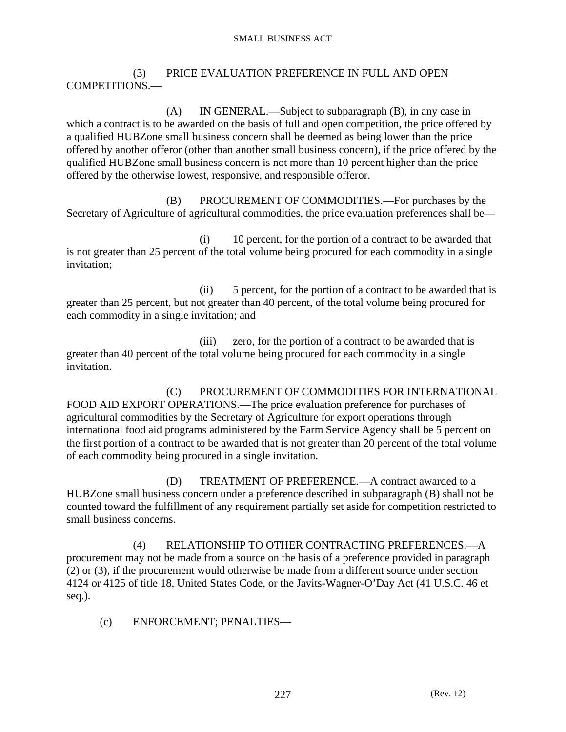(3) PRICE EVALUATION PREFERENCE IN FULL AND OPEN COMPETITIONS.—

 (A) IN GENERAL.—Subject to subparagraph (B), in any case in which a contract is to be awarded on the basis of full and open competition, the price offered by a qualified HUBZone small business concern shall be deemed as being lower than the price offered by another offeror (other than another small business concern), if the price offered by the qualified HUBZone small business concern is not more than 10 percent higher than the price offered by the otherwise lowest, responsive, and responsible offeror.

 (B) PROCUREMENT OF COMMODITIES.—For purchases by the Secretary of Agriculture of agricultural commodities, the price evaluation preferences shall be—

 (i) 10 percent, for the portion of a contract to be awarded that is not greater than 25 percent of the total volume being procured for each commodity in a single invitation;

 (ii) 5 percent, for the portion of a contract to be awarded that is greater than 25 percent, but not greater than 40 percent, of the total volume being procured for each commodity in a single invitation; and

 (iii) zero, for the portion of a contract to be awarded that is greater than 40 percent of the total volume being procured for each commodity in a single invitation.

 (C) PROCUREMENT OF COMMODITIES FOR INTERNATIONAL FOOD AID EXPORT OPERATIONS.—The price evaluation preference for purchases of agricultural commodities by the Secretary of Agriculture for export operations through international food aid programs administered by the Farm Service Agency shall be 5 percent on the first portion of a contract to be awarded that is not greater than 20 percent of the total volume of each commodity being procured in a single invitation.

 (D) TREATMENT OF PREFERENCE.—A contract awarded to a HUBZone small business concern under a preference described in subparagraph (B) shall not be counted toward the fulfillment of any requirement partially set aside for competition restricted to small business concerns.

 (4) RELATIONSHIP TO OTHER CONTRACTING PREFERENCES.—A procurement may not be made from a source on the basis of a preference provided in paragraph (2) or (3), if the procurement would otherwise be made from a different source under section 4124 or 4125 of title 18, United States Code, or the Javits-Wagner-O'Day Act (41 U.S.C. 46 et seq.).

(c) ENFORCEMENT; PENALTIES—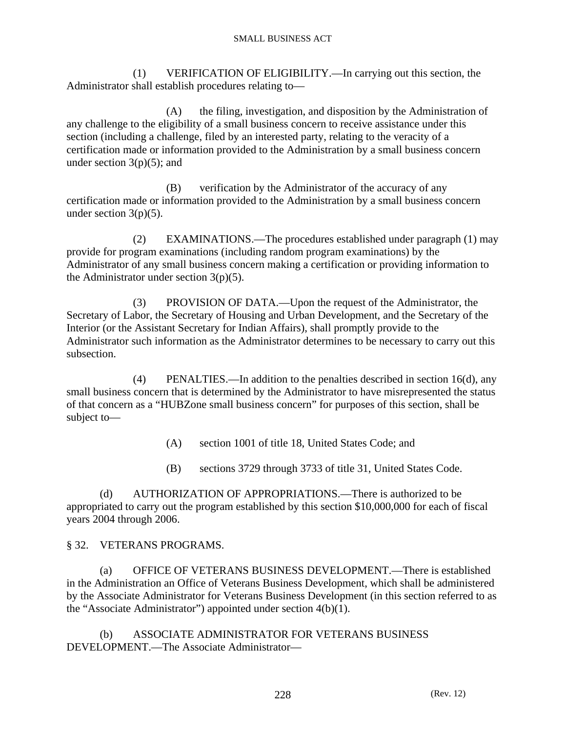(1) VERIFICATION OF ELIGIBILITY.—In carrying out this section, the Administrator shall establish procedures relating to—

 (A) the filing, investigation, and disposition by the Administration of any challenge to the eligibility of a small business concern to receive assistance under this section (including a challenge, filed by an interested party, relating to the veracity of a certification made or information provided to the Administration by a small business concern under section  $3(p)(5)$ ; and

 (B) verification by the Administrator of the accuracy of any certification made or information provided to the Administration by a small business concern under section  $3(p)(5)$ .

 (2) EXAMINATIONS.—The procedures established under paragraph (1) may provide for program examinations (including random program examinations) by the Administrator of any small business concern making a certification or providing information to the Administrator under section  $3(p)(5)$ .

 (3) PROVISION OF DATA.—Upon the request of the Administrator, the Secretary of Labor, the Secretary of Housing and Urban Development, and the Secretary of the Interior (or the Assistant Secretary for Indian Affairs), shall promptly provide to the Administrator such information as the Administrator determines to be necessary to carry out this subsection.

 (4) PENALTIES.—In addition to the penalties described in section 16(d), any small business concern that is determined by the Administrator to have misrepresented the status of that concern as a "HUBZone small business concern" for purposes of this section, shall be subject to—

(A) section 1001 of title 18, United States Code; and

(B) sections 3729 through 3733 of title 31, United States Code.

 (d) AUTHORIZATION OF APPROPRIATIONS.—There is authorized to be appropriated to carry out the program established by this section \$10,000,000 for each of fiscal years 2004 through 2006.

### § 32. VETERANS PROGRAMS.

 (a) OFFICE OF VETERANS BUSINESS DEVELOPMENT.—There is established in the Administration an Office of Veterans Business Development, which shall be administered by the Associate Administrator for Veterans Business Development (in this section referred to as the "Associate Administrator") appointed under section 4(b)(1).

 (b) ASSOCIATE ADMINISTRATOR FOR VETERANS BUSINESS DEVELOPMENT.—The Associate Administrator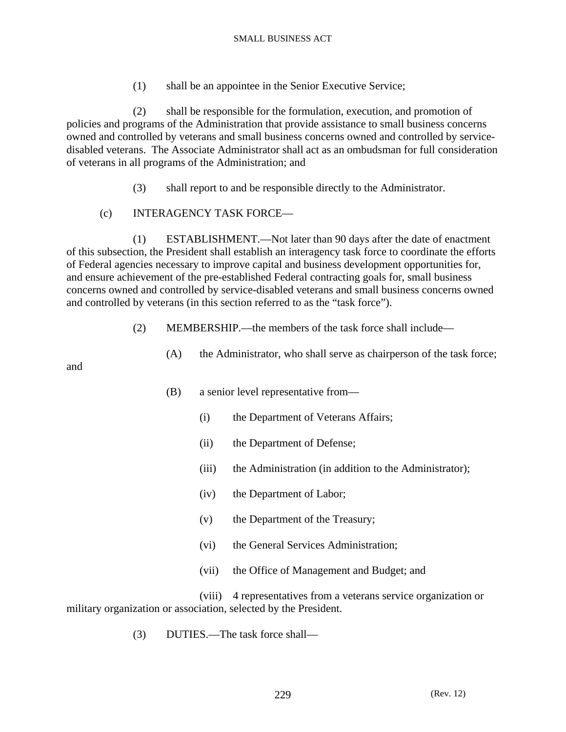(1) shall be an appointee in the Senior Executive Service;

 (2) shall be responsible for the formulation, execution, and promotion of policies and programs of the Administration that provide assistance to small business concerns owned and controlled by veterans and small business concerns owned and controlled by servicedisabled veterans. The Associate Administrator shall act as an ombudsman for full consideration of veterans in all programs of the Administration; and

- (3) shall report to and be responsible directly to the Administrator.
- (c) INTERAGENCY TASK FORCE—

 (1) ESTABLISHMENT.—Not later than 90 days after the date of enactment of this subsection, the President shall establish an interagency task force to coordinate the efforts of Federal agencies necessary to improve capital and business development opportunities for, and ensure achievement of the pre-established Federal contracting goals for, small business concerns owned and controlled by service-disabled veterans and small business concerns owned and controlled by veterans (in this section referred to as the "task force").

- (2) MEMBERSHIP.—the members of the task force shall include—
	- (A) the Administrator, who shall serve as chairperson of the task force;

and

- (B) a senior level representative from—
	- (i) the Department of Veterans Affairs;
	- (ii) the Department of Defense;
	- (iii) the Administration (in addition to the Administrator);
	- (iv) the Department of Labor;
	- (v) the Department of the Treasury;
	- (vi) the General Services Administration;
	- (vii) the Office of Management and Budget; and

 (viii) 4 representatives from a veterans service organization or military organization or association, selected by the President.

(3) DUTIES.—The task force shall—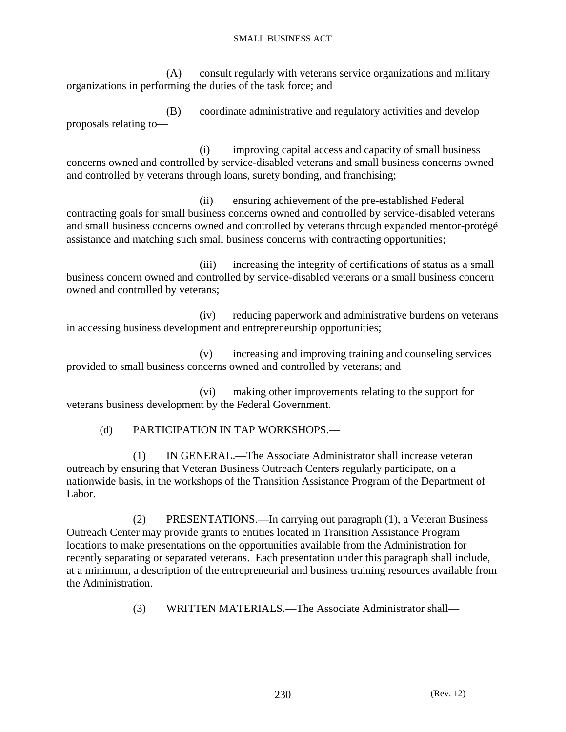(A) consult regularly with veterans service organizations and military organizations in performing the duties of the task force; and

 (B) coordinate administrative and regulatory activities and develop proposals relating to—

 (i) improving capital access and capacity of small business concerns owned and controlled by service-disabled veterans and small business concerns owned and controlled by veterans through loans, surety bonding, and franchising;

 (ii) ensuring achievement of the pre-established Federal contracting goals for small business concerns owned and controlled by service-disabled veterans and small business concerns owned and controlled by veterans through expanded mentor-protégé assistance and matching such small business concerns with contracting opportunities;

 (iii) increasing the integrity of certifications of status as a small business concern owned and controlled by service-disabled veterans or a small business concern owned and controlled by veterans;

 (iv) reducing paperwork and administrative burdens on veterans in accessing business development and entrepreneurship opportunities;

 (v) increasing and improving training and counseling services provided to small business concerns owned and controlled by veterans; and

 (vi) making other improvements relating to the support for veterans business development by the Federal Government.

(d) PARTICIPATION IN TAP WORKSHOPS.—

 (1) IN GENERAL.—The Associate Administrator shall increase veteran outreach by ensuring that Veteran Business Outreach Centers regularly participate, on a nationwide basis, in the workshops of the Transition Assistance Program of the Department of Labor.

 (2) PRESENTATIONS.—In carrying out paragraph (1), a Veteran Business Outreach Center may provide grants to entities located in Transition Assistance Program locations to make presentations on the opportunities available from the Administration for recently separating or separated veterans. Each presentation under this paragraph shall include, at a minimum, a description of the entrepreneurial and business training resources available from the Administration.

(3) WRITTEN MATERIALS.—The Associate Administrator shall—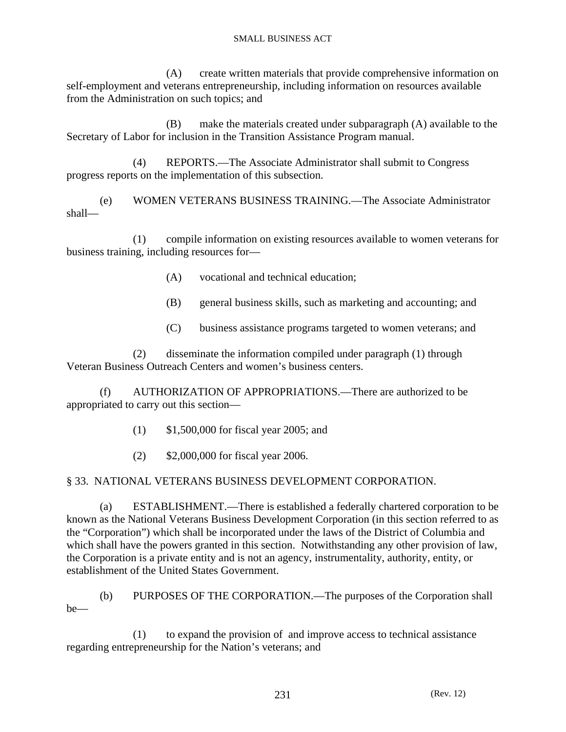(A) create written materials that provide comprehensive information on self-employment and veterans entrepreneurship, including information on resources available from the Administration on such topics; and

 (B) make the materials created under subparagraph (A) available to the Secretary of Labor for inclusion in the Transition Assistance Program manual.

 (4) REPORTS.—The Associate Administrator shall submit to Congress progress reports on the implementation of this subsection.

 (e) WOMEN VETERANS BUSINESS TRAINING.—The Associate Administrator shall—

 (1) compile information on existing resources available to women veterans for business training, including resources for—

- (A) vocational and technical education;
- (B) general business skills, such as marketing and accounting; and
- (C) business assistance programs targeted to women veterans; and

 (2) disseminate the information compiled under paragraph (1) through Veteran Business Outreach Centers and women's business centers.

 (f) AUTHORIZATION OF APPROPRIATIONS.—There are authorized to be appropriated to carry out this section—

- (1) \$1,500,000 for fiscal year 2005; and
- (2) \$2,000,000 for fiscal year 2006.

# § 33. NATIONAL VETERANS BUSINESS DEVELOPMENT CORPORATION.

 (a) ESTABLISHMENT.—There is established a federally chartered corporation to be known as the National Veterans Business Development Corporation (in this section referred to as the "Corporation") which shall be incorporated under the laws of the District of Columbia and which shall have the powers granted in this section. Notwithstanding any other provision of law, the Corporation is a private entity and is not an agency, instrumentality, authority, entity, or establishment of the United States Government.

 (b) PURPOSES OF THE CORPORATION.—The purposes of the Corporation shall be—

 (1) to expand the provision of and improve access to technical assistance regarding entrepreneurship for the Nation's veterans; and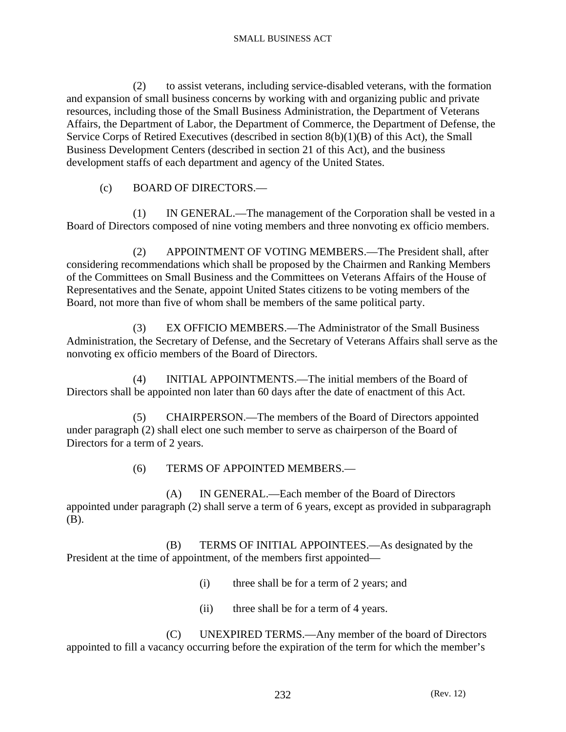(2) to assist veterans, including service-disabled veterans, with the formation and expansion of small business concerns by working with and organizing public and private resources, including those of the Small Business Administration, the Department of Veterans Affairs, the Department of Labor, the Department of Commerce, the Department of Defense, the Service Corps of Retired Executives (described in section 8(b)(1)(B) of this Act), the Small Business Development Centers (described in section 21 of this Act), and the business development staffs of each department and agency of the United States.

(c) BOARD OF DIRECTORS.—

 (1) IN GENERAL.—The management of the Corporation shall be vested in a Board of Directors composed of nine voting members and three nonvoting ex officio members.

 (2) APPOINTMENT OF VOTING MEMBERS.—The President shall, after considering recommendations which shall be proposed by the Chairmen and Ranking Members of the Committees on Small Business and the Committees on Veterans Affairs of the House of Representatives and the Senate, appoint United States citizens to be voting members of the Board, not more than five of whom shall be members of the same political party.

 (3) EX OFFICIO MEMBERS.—The Administrator of the Small Business Administration, the Secretary of Defense, and the Secretary of Veterans Affairs shall serve as the nonvoting ex officio members of the Board of Directors.

 (4) INITIAL APPOINTMENTS.—The initial members of the Board of Directors shall be appointed non later than 60 days after the date of enactment of this Act.

 (5) CHAIRPERSON.—The members of the Board of Directors appointed under paragraph (2) shall elect one such member to serve as chairperson of the Board of Directors for a term of 2 years.

(6) TERMS OF APPOINTED MEMBERS.—

 (A) IN GENERAL.—Each member of the Board of Directors appointed under paragraph (2) shall serve a term of 6 years, except as provided in subparagraph (B).

 (B) TERMS OF INITIAL APPOINTEES.—As designated by the President at the time of appointment, of the members first appointed—

- (i) three shall be for a term of 2 years; and
- (ii) three shall be for a term of 4 years.

 (C) UNEXPIRED TERMS.—Any member of the board of Directors appointed to fill a vacancy occurring before the expiration of the term for which the member's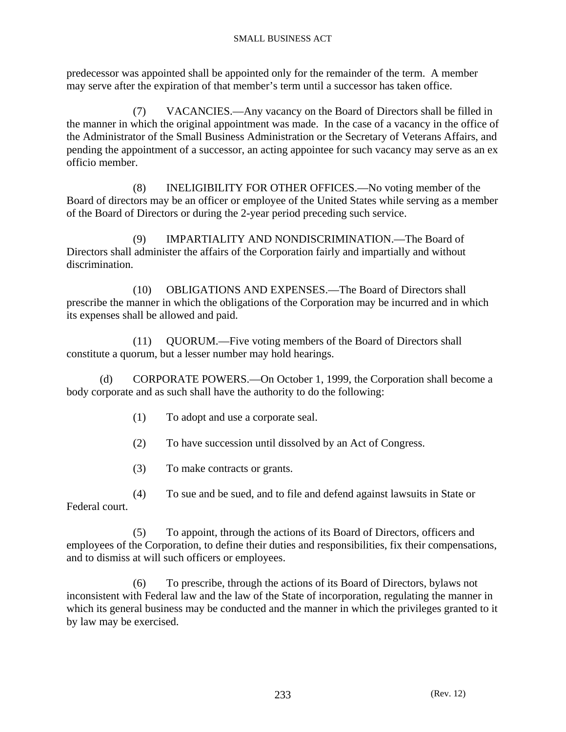predecessor was appointed shall be appointed only for the remainder of the term. A member may serve after the expiration of that member's term until a successor has taken office.

 (7) VACANCIES.—Any vacancy on the Board of Directors shall be filled in the manner in which the original appointment was made. In the case of a vacancy in the office of the Administrator of the Small Business Administration or the Secretary of Veterans Affairs, and pending the appointment of a successor, an acting appointee for such vacancy may serve as an ex officio member.

 (8) INELIGIBILITY FOR OTHER OFFICES.—No voting member of the Board of directors may be an officer or employee of the United States while serving as a member of the Board of Directors or during the 2-year period preceding such service.

 (9) IMPARTIALITY AND NONDISCRIMINATION.—The Board of Directors shall administer the affairs of the Corporation fairly and impartially and without discrimination.

 (10) OBLIGATIONS AND EXPENSES.—The Board of Directors shall prescribe the manner in which the obligations of the Corporation may be incurred and in which its expenses shall be allowed and paid.

 (11) QUORUM.—Five voting members of the Board of Directors shall constitute a quorum, but a lesser number may hold hearings.

 (d) CORPORATE POWERS.—On October 1, 1999, the Corporation shall become a body corporate and as such shall have the authority to do the following:

- (1) To adopt and use a corporate seal.
- (2) To have succession until dissolved by an Act of Congress.
- (3) To make contracts or grants.

 (4) To sue and be sued, and to file and defend against lawsuits in State or Federal court.

 (5) To appoint, through the actions of its Board of Directors, officers and employees of the Corporation, to define their duties and responsibilities, fix their compensations, and to dismiss at will such officers or employees.

 (6) To prescribe, through the actions of its Board of Directors, bylaws not inconsistent with Federal law and the law of the State of incorporation, regulating the manner in which its general business may be conducted and the manner in which the privileges granted to it by law may be exercised.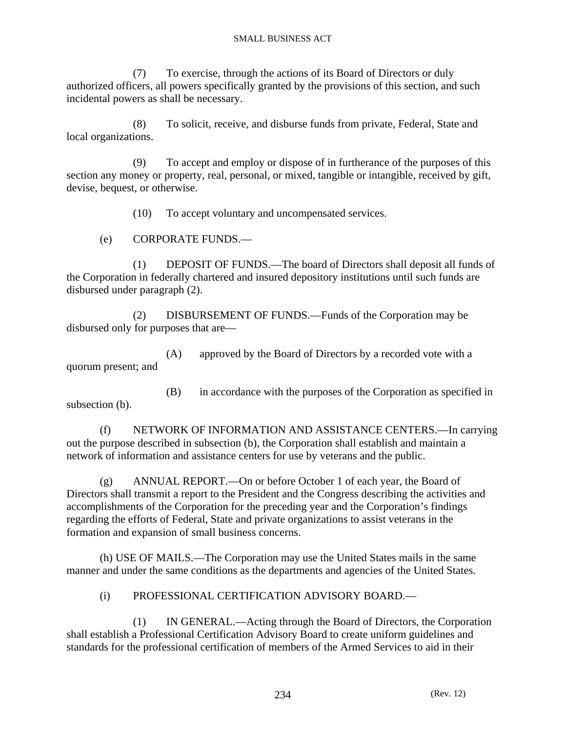(7) To exercise, through the actions of its Board of Directors or duly authorized officers, all powers specifically granted by the provisions of this section, and such incidental powers as shall be necessary.

 (8) To solicit, receive, and disburse funds from private, Federal, State and local organizations.

 (9) To accept and employ or dispose of in furtherance of the purposes of this section any money or property, real, personal, or mixed, tangible or intangible, received by gift, devise, bequest, or otherwise.

(10) To accept voluntary and uncompensated services.

(e) CORPORATE FUNDS.—

 (1) DEPOSIT OF FUNDS.—The board of Directors shall deposit all funds of the Corporation in federally chartered and insured depository institutions until such funds are disbursed under paragraph (2).

 (2) DISBURSEMENT OF FUNDS.—Funds of the Corporation may be disbursed only for purposes that are—

 (A) approved by the Board of Directors by a recorded vote with a quorum present; and

 (B) in accordance with the purposes of the Corporation as specified in subsection (b).

 (f) NETWORK OF INFORMATION AND ASSISTANCE CENTERS.—In carrying out the purpose described in subsection (b), the Corporation shall establish and maintain a network of information and assistance centers for use by veterans and the public.

 (g) ANNUAL REPORT.—On or before October 1 of each year, the Board of Directors shall transmit a report to the President and the Congress describing the activities and accomplishments of the Corporation for the preceding year and the Corporation's findings regarding the efforts of Federal, State and private organizations to assist veterans in the formation and expansion of small business concerns.

 (h) USE OF MAILS.—The Corporation may use the United States mails in the same manner and under the same conditions as the departments and agencies of the United States.

### (i) PROFESSIONAL CERTIFICATION ADVISORY BOARD.—

 (1) IN GENERAL.—Acting through the Board of Directors, the Corporation shall establish a Professional Certification Advisory Board to create uniform guidelines and standards for the professional certification of members of the Armed Services to aid in their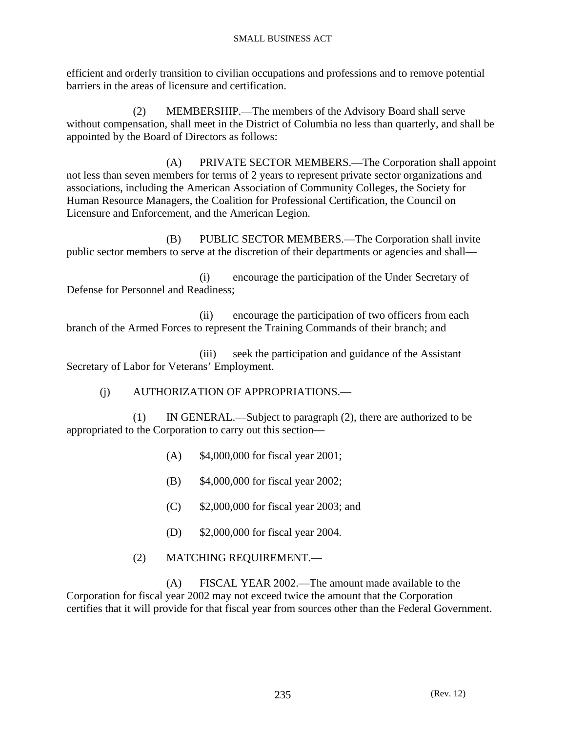efficient and orderly transition to civilian occupations and professions and to remove potential barriers in the areas of licensure and certification.

 (2) MEMBERSHIP.—The members of the Advisory Board shall serve without compensation, shall meet in the District of Columbia no less than quarterly, and shall be appointed by the Board of Directors as follows:

 (A) PRIVATE SECTOR MEMBERS.—The Corporation shall appoint not less than seven members for terms of 2 years to represent private sector organizations and associations, including the American Association of Community Colleges, the Society for Human Resource Managers, the Coalition for Professional Certification, the Council on Licensure and Enforcement, and the American Legion.

 (B) PUBLIC SECTOR MEMBERS.—The Corporation shall invite public sector members to serve at the discretion of their departments or agencies and shall—

 (i) encourage the participation of the Under Secretary of Defense for Personnel and Readiness;

 (ii) encourage the participation of two officers from each branch of the Armed Forces to represent the Training Commands of their branch; and

 (iii) seek the participation and guidance of the Assistant Secretary of Labor for Veterans' Employment.

(j) AUTHORIZATION OF APPROPRIATIONS.—

 (1) IN GENERAL.—Subject to paragraph (2), there are authorized to be appropriated to the Corporation to carry out this section—

- (A) \$4,000,000 for fiscal year 2001;
- (B) \$4,000,000 for fiscal year 2002;
- (C) \$2,000,000 for fiscal year 2003; and
- (D) \$2,000,000 for fiscal year 2004.
- (2) MATCHING REQUIREMENT.—

 (A) FISCAL YEAR 2002.—The amount made available to the Corporation for fiscal year 2002 may not exceed twice the amount that the Corporation certifies that it will provide for that fiscal year from sources other than the Federal Government.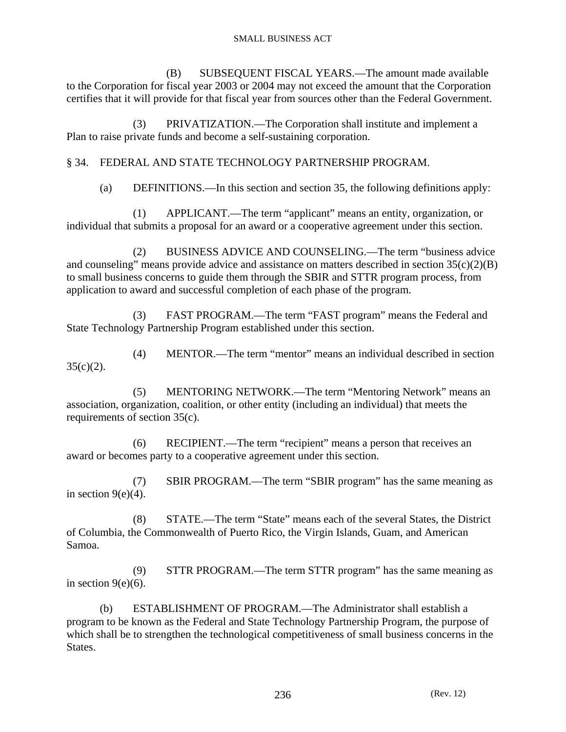(B) SUBSEQUENT FISCAL YEARS.—The amount made available to the Corporation for fiscal year 2003 or 2004 may not exceed the amount that the Corporation certifies that it will provide for that fiscal year from sources other than the Federal Government.

 (3) PRIVATIZATION.—The Corporation shall institute and implement a Plan to raise private funds and become a self-sustaining corporation.

# § 34. FEDERAL AND STATE TECHNOLOGY PARTNERSHIP PROGRAM.

(a) DEFINITIONS.—In this section and section 35, the following definitions apply:

 (1) APPLICANT.—The term "applicant" means an entity, organization, or individual that submits a proposal for an award or a cooperative agreement under this section.

 (2) BUSINESS ADVICE AND COUNSELING.—The term "business advice and counseling" means provide advice and assistance on matters described in section  $35(c)(2)(B)$ to small business concerns to guide them through the SBIR and STTR program process, from application to award and successful completion of each phase of the program.

 (3) FAST PROGRAM.—The term "FAST program" means the Federal and State Technology Partnership Program established under this section.

 (4) MENTOR.—The term "mentor" means an individual described in section  $35(c)(2)$ .

 (5) MENTORING NETWORK.—The term "Mentoring Network" means an association, organization, coalition, or other entity (including an individual) that meets the requirements of section 35(c).

 (6) RECIPIENT.—The term "recipient" means a person that receives an award or becomes party to a cooperative agreement under this section.

 (7) SBIR PROGRAM.—The term "SBIR program" has the same meaning as in section  $9(e)(4)$ .

 (8) STATE.—The term "State" means each of the several States, the District of Columbia, the Commonwealth of Puerto Rico, the Virgin Islands, Guam, and American Samoa.

 (9) STTR PROGRAM.—The term STTR program" has the same meaning as in section  $9(e)(6)$ .

 (b) ESTABLISHMENT OF PROGRAM.—The Administrator shall establish a program to be known as the Federal and State Technology Partnership Program, the purpose of which shall be to strengthen the technological competitiveness of small business concerns in the States.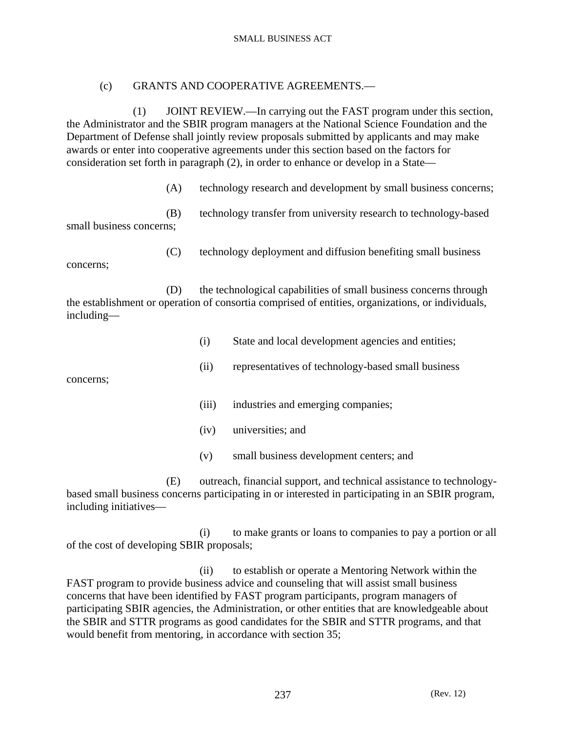### (c) GRANTS AND COOPERATIVE AGREEMENTS.—

 (1) JOINT REVIEW.—In carrying out the FAST program under this section, the Administrator and the SBIR program managers at the National Science Foundation and the Department of Defense shall jointly review proposals submitted by applicants and may make awards or enter into cooperative agreements under this section based on the factors for consideration set forth in paragraph (2), in order to enhance or develop in a State—

(A) technology research and development by small business concerns;

 (B) technology transfer from university research to technology-based small business concerns;

(C) technology deployment and diffusion benefiting small business

 (D) the technological capabilities of small business concerns through the establishment or operation of consortia comprised of entities, organizations, or individuals, including—

- (i) State and local development agencies and entities;
- (ii) representatives of technology-based small business

concerns;

concerns;

- (iii) industries and emerging companies;
- (iv) universities; and
- (v) small business development centers; and

 (E) outreach, financial support, and technical assistance to technologybased small business concerns participating in or interested in participating in an SBIR program, including initiatives—

 (i) to make grants or loans to companies to pay a portion or all of the cost of developing SBIR proposals;

 (ii) to establish or operate a Mentoring Network within the FAST program to provide business advice and counseling that will assist small business concerns that have been identified by FAST program participants, program managers of participating SBIR agencies, the Administration, or other entities that are knowledgeable about the SBIR and STTR programs as good candidates for the SBIR and STTR programs, and that would benefit from mentoring, in accordance with section 35;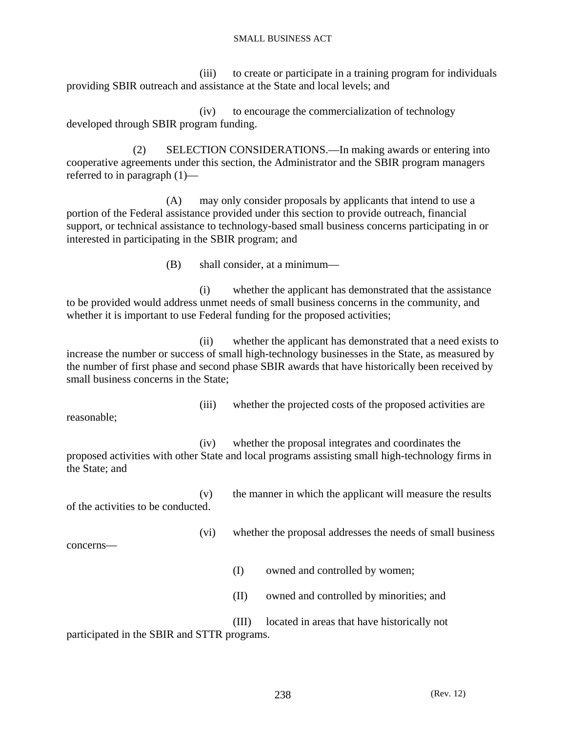(iii) to create or participate in a training program for individuals providing SBIR outreach and assistance at the State and local levels; and

 (iv) to encourage the commercialization of technology developed through SBIR program funding.

 (2) SELECTION CONSIDERATIONS.—In making awards or entering into cooperative agreements under this section, the Administrator and the SBIR program managers referred to in paragraph (1)—

 (A) may only consider proposals by applicants that intend to use a portion of the Federal assistance provided under this section to provide outreach, financial support, or technical assistance to technology-based small business concerns participating in or interested in participating in the SBIR program; and

(B) shall consider, at a minimum—

 (i) whether the applicant has demonstrated that the assistance to be provided would address unmet needs of small business concerns in the community, and whether it is important to use Federal funding for the proposed activities;

 (ii) whether the applicant has demonstrated that a need exists to increase the number or success of small high-technology businesses in the State, as measured by the number of first phase and second phase SBIR awards that have historically been received by small business concerns in the State;

reasonable;

(iii) whether the projected costs of the proposed activities are

 (iv) whether the proposal integrates and coordinates the proposed activities with other State and local programs assisting small high-technology firms in the State; and

 (v) the manner in which the applicant will measure the results of the activities to be conducted.

(vi) whether the proposal addresses the needs of small business

concerns—

- (I) owned and controlled by women;
- (II) owned and controlled by minorities; and

 (III) located in areas that have historically not participated in the SBIR and STTR programs.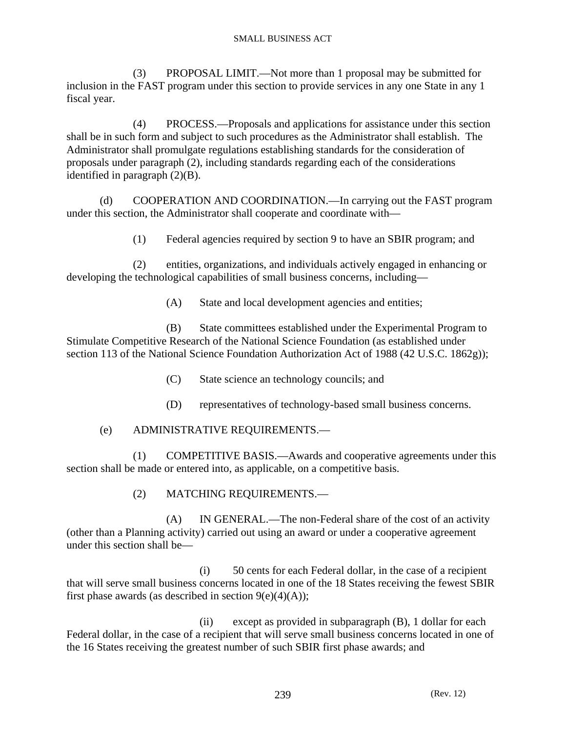(3) PROPOSAL LIMIT.—Not more than 1 proposal may be submitted for inclusion in the FAST program under this section to provide services in any one State in any 1 fiscal year.

 (4) PROCESS.—Proposals and applications for assistance under this section shall be in such form and subject to such procedures as the Administrator shall establish. The Administrator shall promulgate regulations establishing standards for the consideration of proposals under paragraph (2), including standards regarding each of the considerations identified in paragraph (2)(B).

 (d) COOPERATION AND COORDINATION.—In carrying out the FAST program under this section, the Administrator shall cooperate and coordinate with—

(1) Federal agencies required by section 9 to have an SBIR program; and

 (2) entities, organizations, and individuals actively engaged in enhancing or developing the technological capabilities of small business concerns, including—

(A) State and local development agencies and entities;

 (B) State committees established under the Experimental Program to Stimulate Competitive Research of the National Science Foundation (as established under section 113 of the National Science Foundation Authorization Act of 1988 (42 U.S.C. 1862g));

- (C) State science an technology councils; and
- (D) representatives of technology-based small business concerns.

# (e) ADMINISTRATIVE REQUIREMENTS.—

 (1) COMPETITIVE BASIS.—Awards and cooperative agreements under this section shall be made or entered into, as applicable, on a competitive basis.

# (2) MATCHING REQUIREMENTS.—

 (A) IN GENERAL.—The non-Federal share of the cost of an activity (other than a Planning activity) carried out using an award or under a cooperative agreement under this section shall be—

 (i) 50 cents for each Federal dollar, in the case of a recipient that will serve small business concerns located in one of the 18 States receiving the fewest SBIR first phase awards (as described in section  $9(e)(4)(A)$ );

 (ii) except as provided in subparagraph (B), 1 dollar for each Federal dollar, in the case of a recipient that will serve small business concerns located in one of the 16 States receiving the greatest number of such SBIR first phase awards; and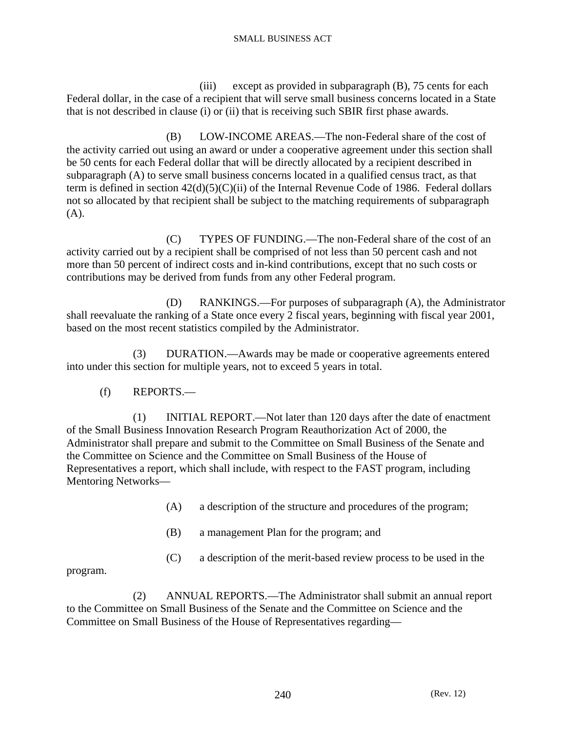(iii) except as provided in subparagraph (B), 75 cents for each Federal dollar, in the case of a recipient that will serve small business concerns located in a State that is not described in clause (i) or (ii) that is receiving such SBIR first phase awards.

 (B) LOW-INCOME AREAS.—The non-Federal share of the cost of the activity carried out using an award or under a cooperative agreement under this section shall be 50 cents for each Federal dollar that will be directly allocated by a recipient described in subparagraph (A) to serve small business concerns located in a qualified census tract, as that term is defined in section 42(d)(5)(C)(ii) of the Internal Revenue Code of 1986. Federal dollars not so allocated by that recipient shall be subject to the matching requirements of subparagraph (A).

 (C) TYPES OF FUNDING.—The non-Federal share of the cost of an activity carried out by a recipient shall be comprised of not less than 50 percent cash and not more than 50 percent of indirect costs and in-kind contributions, except that no such costs or contributions may be derived from funds from any other Federal program.

 (D) RANKINGS.—For purposes of subparagraph (A), the Administrator shall reevaluate the ranking of a State once every 2 fiscal years, beginning with fiscal year 2001, based on the most recent statistics compiled by the Administrator.

 (3) DURATION.—Awards may be made or cooperative agreements entered into under this section for multiple years, not to exceed 5 years in total.

(f) REPORTS.—

 (1) INITIAL REPORT.—Not later than 120 days after the date of enactment of the Small Business Innovation Research Program Reauthorization Act of 2000, the Administrator shall prepare and submit to the Committee on Small Business of the Senate and the Committee on Science and the Committee on Small Business of the House of Representatives a report, which shall include, with respect to the FAST program, including Mentoring Networks—

- (A) a description of the structure and procedures of the program;
- (B) a management Plan for the program; and
- (C) a description of the merit-based review process to be used in the

program.

 (2) ANNUAL REPORTS.—The Administrator shall submit an annual report to the Committee on Small Business of the Senate and the Committee on Science and the Committee on Small Business of the House of Representatives regarding—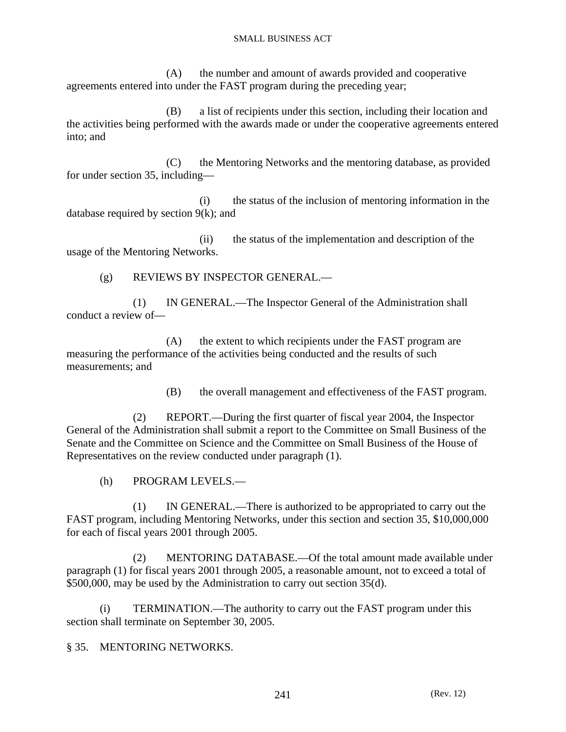(A) the number and amount of awards provided and cooperative agreements entered into under the FAST program during the preceding year;

 (B) a list of recipients under this section, including their location and the activities being performed with the awards made or under the cooperative agreements entered into; and

 (C) the Mentoring Networks and the mentoring database, as provided for under section 35, including—

 (i) the status of the inclusion of mentoring information in the database required by section 9(k); and

 (ii) the status of the implementation and description of the usage of the Mentoring Networks.

(g) REVIEWS BY INSPECTOR GENERAL.—

 (1) IN GENERAL.—The Inspector General of the Administration shall conduct a review of—

 (A) the extent to which recipients under the FAST program are measuring the performance of the activities being conducted and the results of such measurements; and

(B) the overall management and effectiveness of the FAST program.

 (2) REPORT.—During the first quarter of fiscal year 2004, the Inspector General of the Administration shall submit a report to the Committee on Small Business of the Senate and the Committee on Science and the Committee on Small Business of the House of Representatives on the review conducted under paragraph (1).

(h) PROGRAM LEVELS.—

 (1) IN GENERAL.—There is authorized to be appropriated to carry out the FAST program, including Mentoring Networks, under this section and section 35, \$10,000,000 for each of fiscal years 2001 through 2005.

 (2) MENTORING DATABASE.—Of the total amount made available under paragraph (1) for fiscal years 2001 through 2005, a reasonable amount, not to exceed a total of \$500,000, may be used by the Administration to carry out section 35(d).

 (i) TERMINATION.—The authority to carry out the FAST program under this section shall terminate on September 30, 2005.

§ 35. MENTORING NETWORKS.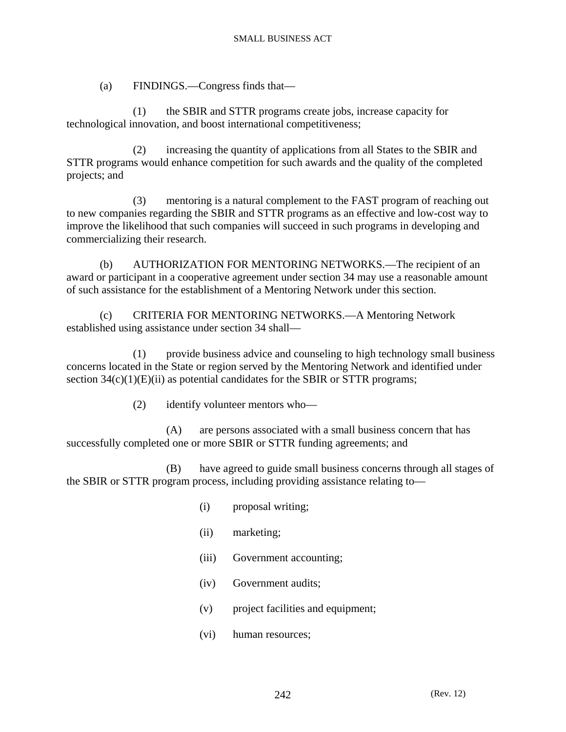(a) FINDINGS.—Congress finds that—

 (1) the SBIR and STTR programs create jobs, increase capacity for technological innovation, and boost international competitiveness;

 (2) increasing the quantity of applications from all States to the SBIR and STTR programs would enhance competition for such awards and the quality of the completed projects; and

 (3) mentoring is a natural complement to the FAST program of reaching out to new companies regarding the SBIR and STTR programs as an effective and low-cost way to improve the likelihood that such companies will succeed in such programs in developing and commercializing their research.

 (b) AUTHORIZATION FOR MENTORING NETWORKS.—The recipient of an award or participant in a cooperative agreement under section 34 may use a reasonable amount of such assistance for the establishment of a Mentoring Network under this section.

 (c) CRITERIA FOR MENTORING NETWORKS.—A Mentoring Network established using assistance under section 34 shall—

 (1) provide business advice and counseling to high technology small business concerns located in the State or region served by the Mentoring Network and identified under section  $34(c)(1)(E)(ii)$  as potential candidates for the SBIR or STTR programs;

(2) identify volunteer mentors who—

 (A) are persons associated with a small business concern that has successfully completed one or more SBIR or STTR funding agreements; and

 (B) have agreed to guide small business concerns through all stages of the SBIR or STTR program process, including providing assistance relating to—

- (i) proposal writing;
- (ii) marketing;
- (iii) Government accounting;
- (iv) Government audits;
- (v) project facilities and equipment;
- (vi) human resources;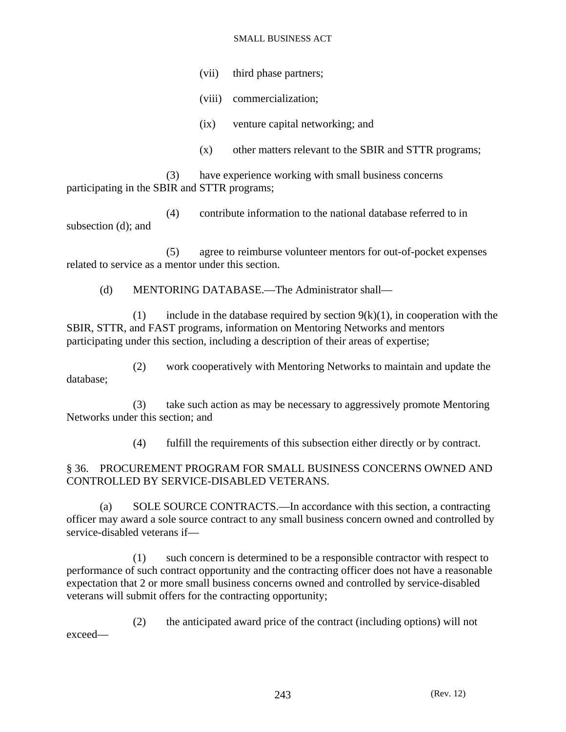(vii) third phase partners;

(viii) commercialization;

(ix) venture capital networking; and

(x) other matters relevant to the SBIR and STTR programs;

 (3) have experience working with small business concerns participating in the SBIR and STTR programs;

 (4) contribute information to the national database referred to in subsection (d); and

 (5) agree to reimburse volunteer mentors for out-of-pocket expenses related to service as a mentor under this section.

(d) MENTORING DATABASE.—The Administrator shall—

(1) include in the database required by section  $9(k)(1)$ , in cooperation with the SBIR, STTR, and FAST programs, information on Mentoring Networks and mentors participating under this section, including a description of their areas of expertise;

 (2) work cooperatively with Mentoring Networks to maintain and update the database;

 (3) take such action as may be necessary to aggressively promote Mentoring Networks under this section; and

(4) fulfill the requirements of this subsection either directly or by contract.

## § 36. PROCUREMENT PROGRAM FOR SMALL BUSINESS CONCERNS OWNED AND CONTROLLED BY SERVICE-DISABLED VETERANS.

 (a) SOLE SOURCE CONTRACTS.—In accordance with this section, a contracting officer may award a sole source contract to any small business concern owned and controlled by service-disabled veterans if—

 (1) such concern is determined to be a responsible contractor with respect to performance of such contract opportunity and the contracting officer does not have a reasonable expectation that 2 or more small business concerns owned and controlled by service-disabled veterans will submit offers for the contracting opportunity;

 (2) the anticipated award price of the contract (including options) will not exceed—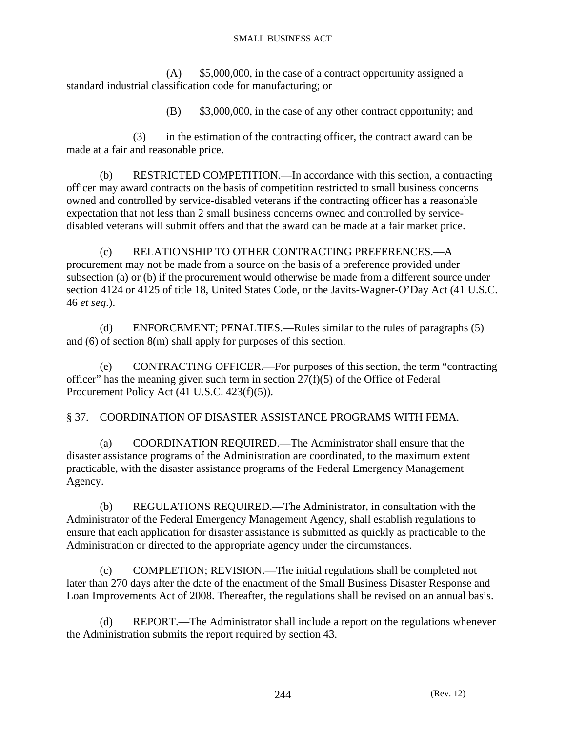(A) \$5,000,000, in the case of a contract opportunity assigned a standard industrial classification code for manufacturing; or

(B) \$3,000,000, in the case of any other contract opportunity; and

 (3) in the estimation of the contracting officer, the contract award can be made at a fair and reasonable price.

 (b) RESTRICTED COMPETITION.—In accordance with this section, a contracting officer may award contracts on the basis of competition restricted to small business concerns owned and controlled by service-disabled veterans if the contracting officer has a reasonable expectation that not less than 2 small business concerns owned and controlled by servicedisabled veterans will submit offers and that the award can be made at a fair market price.

 (c) RELATIONSHIP TO OTHER CONTRACTING PREFERENCES.—A procurement may not be made from a source on the basis of a preference provided under subsection (a) or (b) if the procurement would otherwise be made from a different source under section 4124 or 4125 of title 18, United States Code, or the Javits-Wagner-O'Day Act (41 U.S.C. 46 *et seq*.).

 (d) ENFORCEMENT; PENALTIES.—Rules similar to the rules of paragraphs (5) and (6) of section 8(m) shall apply for purposes of this section.

 (e) CONTRACTING OFFICER.—For purposes of this section, the term "contracting officer" has the meaning given such term in section  $27(f)(5)$  of the Office of Federal Procurement Policy Act (41 U.S.C. 423(f)(5)).

§ 37. COORDINATION OF DISASTER ASSISTANCE PROGRAMS WITH FEMA.

 (a) COORDINATION REQUIRED.—The Administrator shall ensure that the disaster assistance programs of the Administration are coordinated, to the maximum extent practicable, with the disaster assistance programs of the Federal Emergency Management Agency.

 (b) REGULATIONS REQUIRED.—The Administrator, in consultation with the Administrator of the Federal Emergency Management Agency, shall establish regulations to ensure that each application for disaster assistance is submitted as quickly as practicable to the Administration or directed to the appropriate agency under the circumstances.

 (c) COMPLETION; REVISION.—The initial regulations shall be completed not later than 270 days after the date of the enactment of the Small Business Disaster Response and Loan Improvements Act of 2008. Thereafter, the regulations shall be revised on an annual basis.

 (d) REPORT.—The Administrator shall include a report on the regulations whenever the Administration submits the report required by section 43.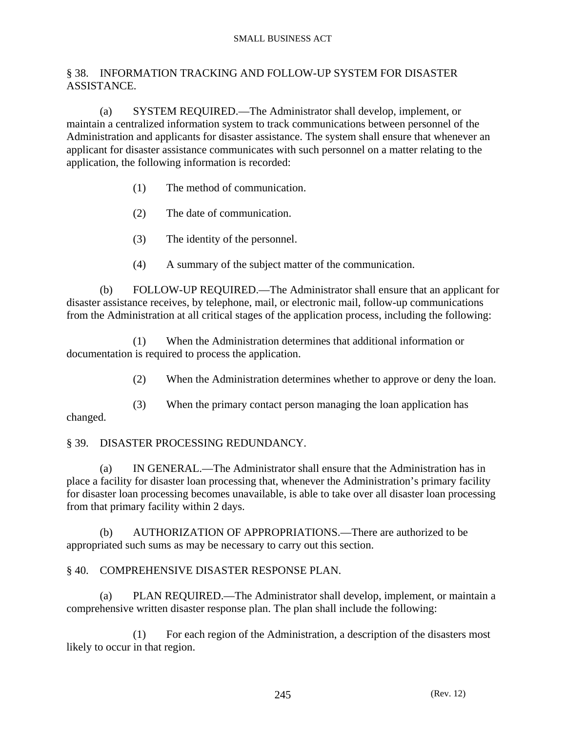### § 38. INFORMATION TRACKING AND FOLLOW-UP SYSTEM FOR DISASTER ASSISTANCE.

 (a) SYSTEM REQUIRED.—The Administrator shall develop, implement, or maintain a centralized information system to track communications between personnel of the Administration and applicants for disaster assistance. The system shall ensure that whenever an applicant for disaster assistance communicates with such personnel on a matter relating to the application, the following information is recorded:

- (1) The method of communication.
- (2) The date of communication.
- (3) The identity of the personnel.
- (4) A summary of the subject matter of the communication.

 (b) FOLLOW-UP REQUIRED.—The Administrator shall ensure that an applicant for disaster assistance receives, by telephone, mail, or electronic mail, follow-up communications from the Administration at all critical stages of the application process, including the following:

 (1) When the Administration determines that additional information or documentation is required to process the application.

(2) When the Administration determines whether to approve or deny the loan.

 (3) When the primary contact person managing the loan application has changed.

### § 39. DISASTER PROCESSING REDUNDANCY.

 (a) IN GENERAL.—The Administrator shall ensure that the Administration has in place a facility for disaster loan processing that, whenever the Administration's primary facility for disaster loan processing becomes unavailable, is able to take over all disaster loan processing from that primary facility within 2 days.

 (b) AUTHORIZATION OF APPROPRIATIONS.—There are authorized to be appropriated such sums as may be necessary to carry out this section.

### § 40. COMPREHENSIVE DISASTER RESPONSE PLAN.

 (a) PLAN REQUIRED.—The Administrator shall develop, implement, or maintain a comprehensive written disaster response plan. The plan shall include the following:

 (1) For each region of the Administration, a description of the disasters most likely to occur in that region.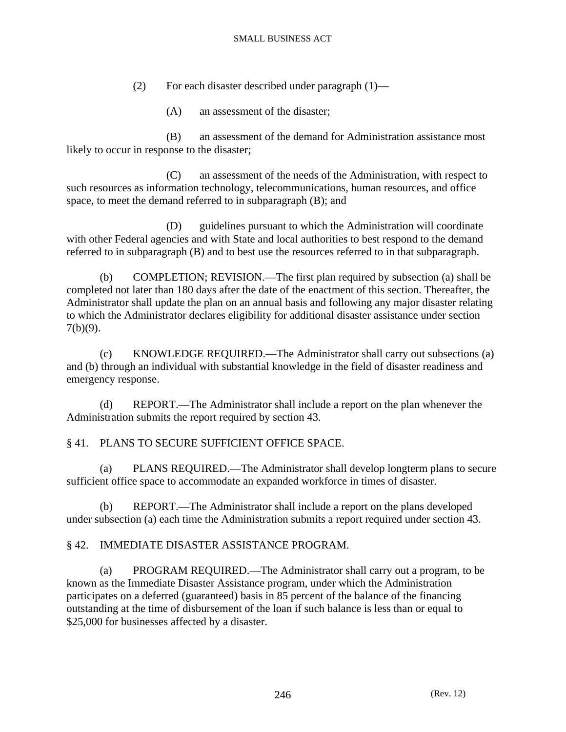- (2) For each disaster described under paragraph (1)—
	- (A) an assessment of the disaster;

 (B) an assessment of the demand for Administration assistance most likely to occur in response to the disaster;

 (C) an assessment of the needs of the Administration, with respect to such resources as information technology, telecommunications, human resources, and office space, to meet the demand referred to in subparagraph (B); and

 (D) guidelines pursuant to which the Administration will coordinate with other Federal agencies and with State and local authorities to best respond to the demand referred to in subparagraph (B) and to best use the resources referred to in that subparagraph.

 (b) COMPLETION; REVISION.—The first plan required by subsection (a) shall be completed not later than 180 days after the date of the enactment of this section. Thereafter, the Administrator shall update the plan on an annual basis and following any major disaster relating to which the Administrator declares eligibility for additional disaster assistance under section 7(b)(9).

 (c) KNOWLEDGE REQUIRED.—The Administrator shall carry out subsections (a) and (b) through an individual with substantial knowledge in the field of disaster readiness and emergency response.

 (d) REPORT.—The Administrator shall include a report on the plan whenever the Administration submits the report required by section 43.

### § 41. PLANS TO SECURE SUFFICIENT OFFICE SPACE.

 (a) PLANS REQUIRED.—The Administrator shall develop longterm plans to secure sufficient office space to accommodate an expanded workforce in times of disaster.

 (b) REPORT.—The Administrator shall include a report on the plans developed under subsection (a) each time the Administration submits a report required under section 43.

### § 42. IMMEDIATE DISASTER ASSISTANCE PROGRAM.

 (a) PROGRAM REQUIRED.—The Administrator shall carry out a program, to be known as the Immediate Disaster Assistance program, under which the Administration participates on a deferred (guaranteed) basis in 85 percent of the balance of the financing outstanding at the time of disbursement of the loan if such balance is less than or equal to \$25,000 for businesses affected by a disaster.